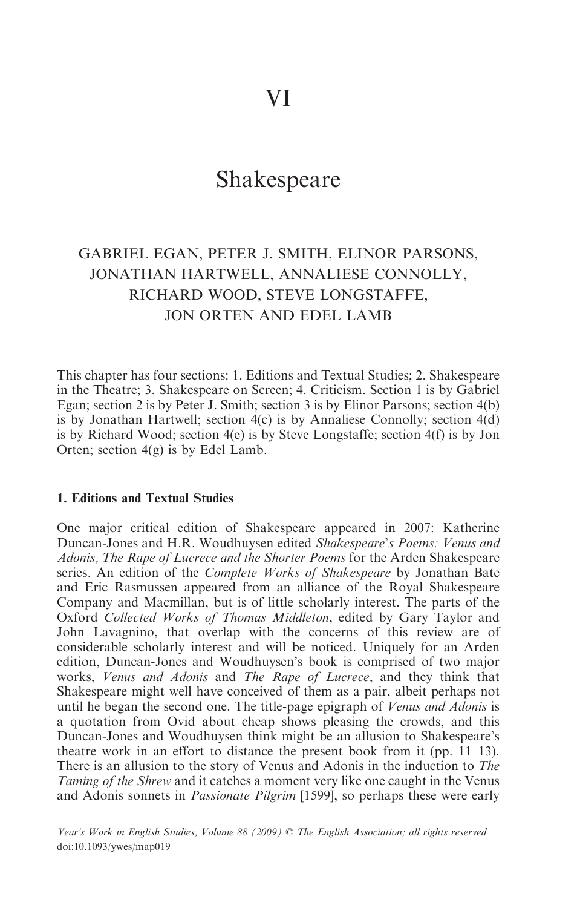# Shakespeare

## GABRIEL EGAN, PETER J. SMITH, ELINOR PARSONS, JONATHAN HARTWELL, ANNALIESE CONNOLLY, RICHARD WOOD, STEVE LONGSTAFFE, JON ORTEN AND EDEL LAMB

This chapter has four sections: 1. Editions and Textual Studies; 2. Shakespeare in the Theatre; 3. Shakespeare on Screen; 4. Criticism. Section 1 is by Gabriel Egan; section 2 is by Peter J. Smith; section 3 is by Elinor Parsons; section 4(b) is by Jonathan Hartwell; section 4(c) is by Annaliese Connolly; section 4(d) is by Richard Wood; section 4(e) is by Steve Longstaffe; section 4(f) is by Jon Orten; section 4(g) is by Edel Lamb.

### 1. Editions and Textual Studies

One major critical edition of Shakespeare appeared in 2007: Katherine Duncan-Jones and H.R. Woudhuysen edited Shakespeare's Poems: Venus and Adonis, The Rape of Lucrece and the Shorter Poems for the Arden Shakespeare series. An edition of the Complete Works of Shakespeare by Jonathan Bate and Eric Rasmussen appeared from an alliance of the Royal Shakespeare Company and Macmillan, but is of little scholarly interest. The parts of the Oxford Collected Works of Thomas Middleton, edited by Gary Taylor and John Lavagnino, that overlap with the concerns of this review are of considerable scholarly interest and will be noticed. Uniquely for an Arden edition, Duncan-Jones and Woudhuysen's book is comprised of two major works, Venus and Adonis and The Rape of Lucrece, and they think that Shakespeare might well have conceived of them as a pair, albeit perhaps not until he began the second one. The title-page epigraph of Venus and Adonis is a quotation from Ovid about cheap shows pleasing the crowds, and this Duncan-Jones and Woudhuysen think might be an allusion to Shakespeare's theatre work in an effort to distance the present book from it (pp. 11–13). There is an allusion to the story of Venus and Adonis in the induction to The Taming of the Shrew and it catches a moment very like one caught in the Venus and Adonis sonnets in Passionate Pilgrim [1599], so perhaps these were early

Year's Work in English Studies, Volume 88 (2009)  $\odot$  The English Association; all rights reserved doi:10.1093/ywes/map019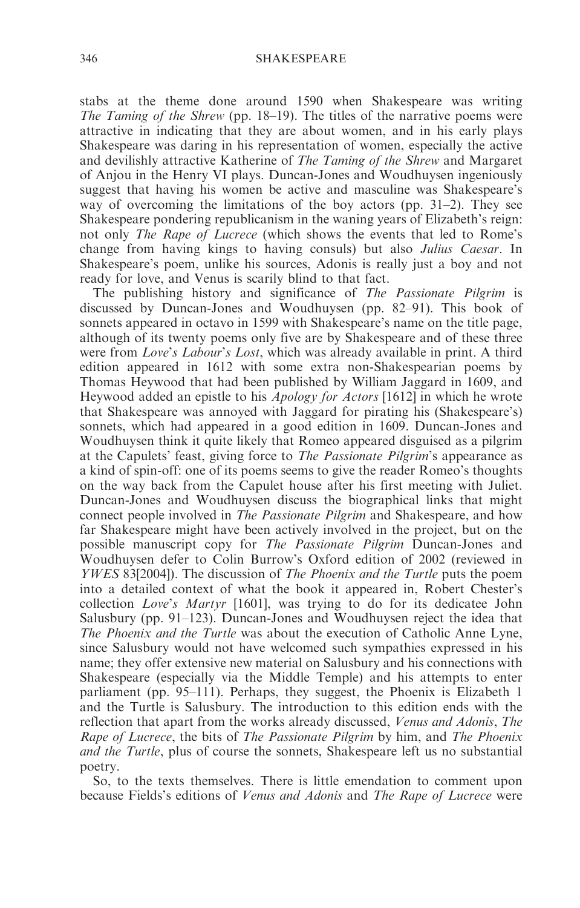stabs at the theme done around 1590 when Shakespeare was writing The Taming of the Shrew (pp. 18–19). The titles of the narrative poems were attractive in indicating that they are about women, and in his early plays Shakespeare was daring in his representation of women, especially the active and devilishly attractive Katherine of The Taming of the Shrew and Margaret of Anjou in the Henry VI plays. Duncan-Jones and Woudhuysen ingeniously suggest that having his women be active and masculine was Shakespeare's way of overcoming the limitations of the boy actors (pp. 31–2). They see Shakespeare pondering republicanism in the waning years of Elizabeth's reign: not only The Rape of Lucrece (which shows the events that led to Rome's change from having kings to having consuls) but also Julius Caesar. In Shakespeare's poem, unlike his sources, Adonis is really just a boy and not ready for love, and Venus is scarily blind to that fact.

The publishing history and significance of *The Passionate Pilgrim* is discussed by Duncan-Jones and Woudhuysen (pp. 82–91). This book of sonnets appeared in octavo in 1599 with Shakespeare's name on the title page, although of its twenty poems only five are by Shakespeare and of these three were from Love's Labour's Lost, which was already available in print. A third edition appeared in 1612 with some extra non-Shakespearian poems by Thomas Heywood that had been published by William Jaggard in 1609, and Heywood added an epistle to his Apology for Actors [1612] in which he wrote that Shakespeare was annoyed with Jaggard for pirating his (Shakespeare's) sonnets, which had appeared in a good edition in 1609. Duncan-Jones and Woudhuysen think it quite likely that Romeo appeared disguised as a pilgrim at the Capulets' feast, giving force to The Passionate Pilgrim's appearance as a kind of spin-off: one of its poems seems to give the reader Romeo's thoughts on the way back from the Capulet house after his first meeting with Juliet. Duncan-Jones and Woudhuysen discuss the biographical links that might connect people involved in The Passionate Pilgrim and Shakespeare, and how far Shakespeare might have been actively involved in the project, but on the possible manuscript copy for The Passionate Pilgrim Duncan-Jones and Woudhuysen defer to Colin Burrow's Oxford edition of 2002 (reviewed in YWES 83[2004]). The discussion of The Phoenix and the Turtle puts the poem into a detailed context of what the book it appeared in, Robert Chester's collection Love's Martyr [1601], was trying to do for its dedicatee John Salusbury (pp. 91–123). Duncan-Jones and Woudhuysen reject the idea that The Phoenix and the Turtle was about the execution of Catholic Anne Lyne, since Salusbury would not have welcomed such sympathies expressed in his name; they offer extensive new material on Salusbury and his connections with Shakespeare (especially via the Middle Temple) and his attempts to enter parliament (pp. 95–111). Perhaps, they suggest, the Phoenix is Elizabeth 1 and the Turtle is Salusbury. The introduction to this edition ends with the reflection that apart from the works already discussed, Venus and Adonis, The Rape of Lucrece, the bits of The Passionate Pilgrim by him, and The Phoenix and the Turtle, plus of course the sonnets, Shakespeare left us no substantial poetry.

So, to the texts themselves. There is little emendation to comment upon because Fields's editions of Venus and Adonis and The Rape of Lucrece were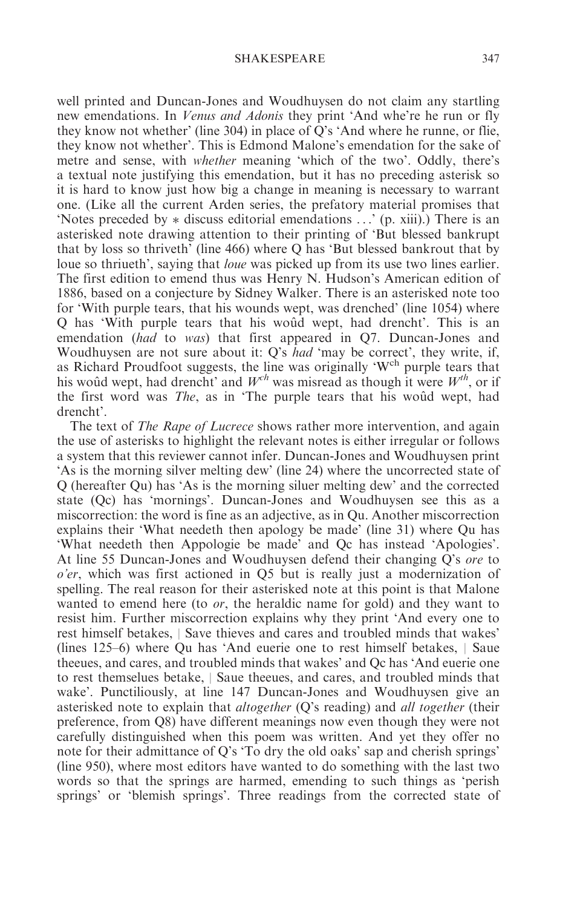well printed and Duncan-Jones and Woudhuysen do not claim any startling new emendations. In Venus and Adonis they print 'And whe're he run or fly they know not whether' (line 304) in place of Q's 'And where he runne, or flie, they know not whether'. This is Edmond Malone's emendation for the sake of metre and sense, with whether meaning 'which of the two'. Oddly, there's a textual note justifying this emendation, but it has no preceding asterisk so it is hard to know just how big a change in meaning is necessary to warrant one. (Like all the current Arden series, the prefatory material promises that 'Notes preceded by  $*$  discuss editorial emendations  $\ldots$ ' (p. xiii).) There is an asterisked note drawing attention to their printing of 'But blessed bankrupt that by loss so thriveth' (line 466) where Q has 'But blessed bankrout that by loue so thriueth', saying that loue was picked up from its use two lines earlier. The first edition to emend thus was Henry N. Hudson's American edition of 1886, based on a conjecture by Sidney Walker. There is an asterisked note too for 'With purple tears, that his wounds wept, was drenched' (line 1054) where Q has 'With purple tears that his wound wept, had drencht'. This is an emendation (had to was) that first appeared in Q7. Duncan-Jones and Woudhuysen are not sure about it: O's had 'may be correct', they write, if, as Richard Proudfoot suggests, the line was originally 'Wch purple tears that his woûd wept, had drencht' and  $W^{ch}$  was misread as though it were  $W^{th}$ , or if the first word was *The*, as in 'The purple tears that his wou<sup>d</sup> wept, had drencht'.

The text of *The Rape of Lucrece* shows rather more intervention, and again the use of asterisks to highlight the relevant notes is either irregular or follows a system that this reviewer cannot infer. Duncan-Jones and Woudhuysen print 'As is the morning silver melting dew' (line 24) where the uncorrected state of Q (hereafter Qu) has 'As is the morning siluer melting dew' and the corrected state (Qc) has 'mornings'. Duncan-Jones and Woudhuysen see this as a miscorrection: the word is fine as an adjective, as in Qu. Another miscorrection explains their 'What needeth then apology be made' (line 31) where Qu has 'What needeth then Appologie be made' and Qc has instead 'Apologies'. At line 55 Duncan-Jones and Woudhuysen defend their changing Q's ore to  $o'$ er, which was first actioned in Q5 but is really just a modernization of spelling. The real reason for their asterisked note at this point is that Malone wanted to emend here (to or, the heraldic name for gold) and they want to resist him. Further miscorrection explains why they print 'And every one to rest himself betakes, | Save thieves and cares and troubled minds that wakes' (lines 125–6) where Qu has 'And euerie one to rest himself betakes, | Saue theeues, and cares, and troubled minds that wakes' and Qc has 'And euerie one to rest themselues betake, | Saue theeues, and cares, and troubled minds that wake'. Punctiliously, at line 147 Duncan-Jones and Woudhuysen give an asterisked note to explain that altogether (Q's reading) and all together (their preference, from Q8) have different meanings now even though they were not carefully distinguished when this poem was written. And yet they offer no note for their admittance of Q's 'To dry the old oaks' sap and cherish springs' (line 950), where most editors have wanted to do something with the last two words so that the springs are harmed, emending to such things as 'perish springs' or 'blemish springs'. Three readings from the corrected state of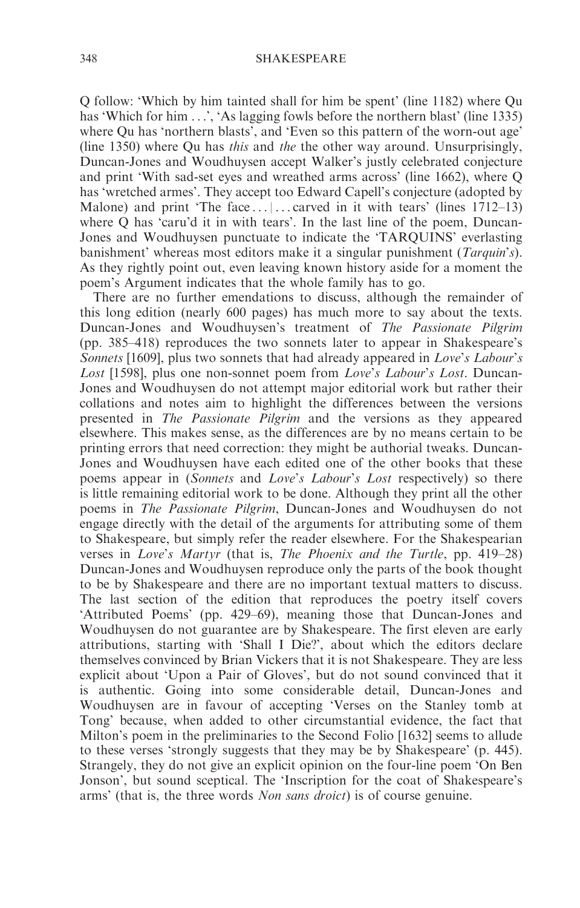Q follow: 'Which by him tainted shall for him be spent' (line 1182) where Qu has 'Which for him ...', 'As lagging fowls before the northern blast' (line 1335) where Qu has 'northern blasts', and 'Even so this pattern of the worn-out age' (line 1350) where Qu has this and the the other way around. Unsurprisingly, Duncan-Jones and Woudhuysen accept Walker's justly celebrated conjecture and print 'With sad-set eyes and wreathed arms across' (line 1662), where Q has 'wretched armes'. They accept too Edward Capell's conjecture (adopted by Malone) and print 'The face  $\dots$  | ... carved in it with tears' (lines 1712–13) where O has 'caru'd it in with tears'. In the last line of the poem, Duncan-Jones and Woudhuysen punctuate to indicate the 'TARQUINS' everlasting banishment' whereas most editors make it a singular punishment *(Tarquin's)*. As they rightly point out, even leaving known history aside for a moment the poem's Argument indicates that the whole family has to go.

There are no further emendations to discuss, although the remainder of this long edition (nearly 600 pages) has much more to say about the texts. Duncan-Jones and Woudhuysen's treatment of The Passionate Pilgrim (pp. 385–418) reproduces the two sonnets later to appear in Shakespeare's Sonnets [1609], plus two sonnets that had already appeared in Love's Labour's Lost [1598], plus one non-sonnet poem from Love's Labour's Lost. Duncan-Jones and Woudhuysen do not attempt major editorial work but rather their collations and notes aim to highlight the differences between the versions presented in The Passionate Pilgrim and the versions as they appeared elsewhere. This makes sense, as the differences are by no means certain to be printing errors that need correction: they might be authorial tweaks. Duncan-Jones and Woudhuysen have each edited one of the other books that these poems appear in (Sonnets and Love's Labour's Lost respectively) so there is little remaining editorial work to be done. Although they print all the other poems in The Passionate Pilgrim, Duncan-Jones and Woudhuysen do not engage directly with the detail of the arguments for attributing some of them to Shakespeare, but simply refer the reader elsewhere. For the Shakespearian verses in Love's Martyr (that is, The Phoenix and the Turtle, pp. 419–28) Duncan-Jones and Woudhuysen reproduce only the parts of the book thought to be by Shakespeare and there are no important textual matters to discuss. The last section of the edition that reproduces the poetry itself covers 'Attributed Poems' (pp. 429–69), meaning those that Duncan-Jones and Woudhuysen do not guarantee are by Shakespeare. The first eleven are early attributions, starting with 'Shall I Die?', about which the editors declare themselves convinced by Brian Vickers that it is not Shakespeare. They are less explicit about 'Upon a Pair of Gloves', but do not sound convinced that it is authentic. Going into some considerable detail, Duncan-Jones and Woudhuysen are in favour of accepting 'Verses on the Stanley tomb at Tong' because, when added to other circumstantial evidence, the fact that Milton's poem in the preliminaries to the Second Folio [1632] seems to allude to these verses 'strongly suggests that they may be by Shakespeare' (p. 445). Strangely, they do not give an explicit opinion on the four-line poem 'On Ben Jonson', but sound sceptical. The 'Inscription for the coat of Shakespeare's arms' (that is, the three words Non sans droict) is of course genuine.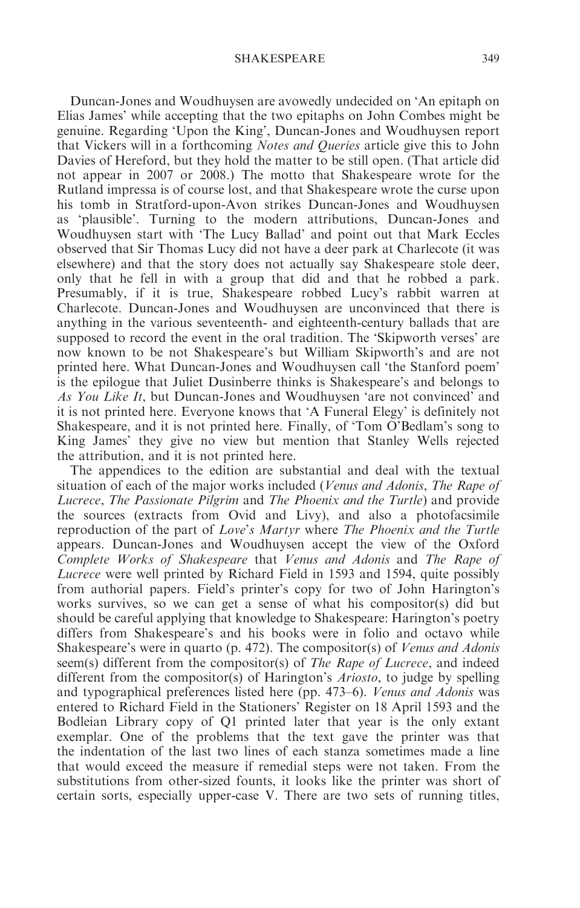Duncan-Jones and Woudhuysen are avowedly undecided on 'An epitaph on Elias James' while accepting that the two epitaphs on John Combes might be genuine. Regarding 'Upon the King', Duncan-Jones and Woudhuysen report that Vickers will in a forthcoming Notes and Queries article give this to John Davies of Hereford, but they hold the matter to be still open. (That article did not appear in 2007 or 2008.) The motto that Shakespeare wrote for the Rutland impressa is of course lost, and that Shakespeare wrote the curse upon his tomb in Stratford-upon-Avon strikes Duncan-Jones and Woudhuysen as 'plausible'. Turning to the modern attributions, Duncan-Jones and Woudhuysen start with 'The Lucy Ballad' and point out that Mark Eccles observed that Sir Thomas Lucy did not have a deer park at Charlecote (it was elsewhere) and that the story does not actually say Shakespeare stole deer, only that he fell in with a group that did and that he robbed a park. Presumably, if it is true, Shakespeare robbed Lucy's rabbit warren at Charlecote. Duncan-Jones and Woudhuysen are unconvinced that there is anything in the various seventeenth- and eighteenth-century ballads that are supposed to record the event in the oral tradition. The 'Skipworth verses' are now known to be not Shakespeare's but William Skipworth's and are not printed here. What Duncan-Jones and Woudhuysen call 'the Stanford poem' is the epilogue that Juliet Dusinberre thinks is Shakespeare's and belongs to As You Like It, but Duncan-Jones and Woudhuysen 'are not convinced' and it is not printed here. Everyone knows that 'A Funeral Elegy' is definitely not Shakespeare, and it is not printed here. Finally, of 'Tom O'Bedlam's song to King James' they give no view but mention that Stanley Wells rejected the attribution, and it is not printed here.

The appendices to the edition are substantial and deal with the textual situation of each of the major works included (Venus and Adonis, The Rape of Lucrece, The Passionate Pilgrim and The Phoenix and the Turtle) and provide the sources (extracts from Ovid and Livy), and also a photofacsimile reproduction of the part of Love's Martyr where The Phoenix and the Turtle appears. Duncan-Jones and Woudhuysen accept the view of the Oxford Complete Works of Shakespeare that Venus and Adonis and The Rape of Lucrece were well printed by Richard Field in 1593 and 1594, quite possibly from authorial papers. Field's printer's copy for two of John Harington's works survives, so we can get a sense of what his compositor(s) did but should be careful applying that knowledge to Shakespeare: Harington's poetry differs from Shakespeare's and his books were in folio and octavo while Shakespeare's were in quarto (p. 472). The compositor(s) of Venus and Adonis seem(s) different from the compositor(s) of *The Rape of Lucrece*, and indeed different from the compositor(s) of Harington's *Ariosto*, to judge by spelling and typographical preferences listed here (pp. 473–6). Venus and Adonis was entered to Richard Field in the Stationers' Register on 18 April 1593 and the Bodleian Library copy of Q1 printed later that year is the only extant exemplar. One of the problems that the text gave the printer was that the indentation of the last two lines of each stanza sometimes made a line that would exceed the measure if remedial steps were not taken. From the substitutions from other-sized founts, it looks like the printer was short of certain sorts, especially upper-case V. There are two sets of running titles,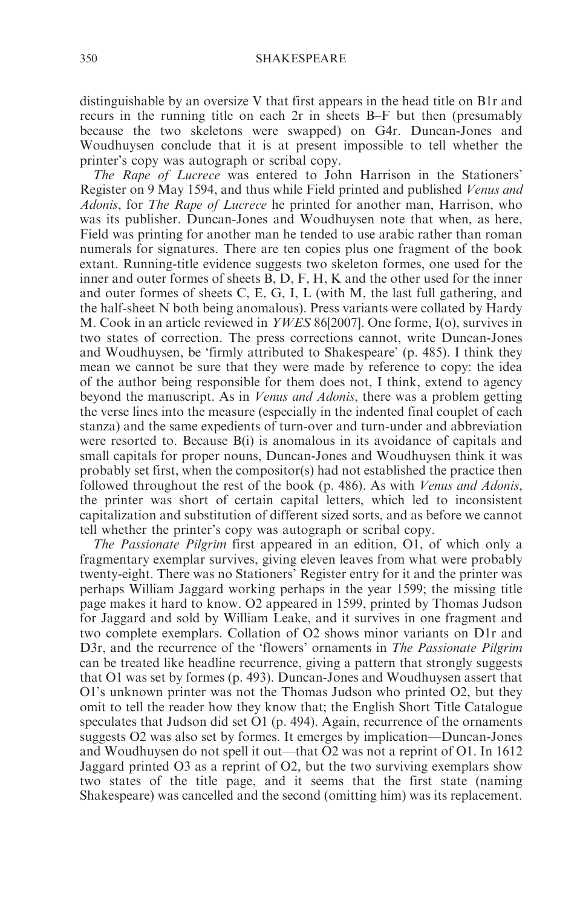distinguishable by an oversize V that first appears in the head title on B1r and recurs in the running title on each 2r in sheets B–F but then (presumably because the two skeletons were swapped) on G4r. Duncan-Jones and Woudhuysen conclude that it is at present impossible to tell whether the printer's copy was autograph or scribal copy.

The Rape of Lucrece was entered to John Harrison in the Stationers' Register on 9 May 1594, and thus while Field printed and published Venus and Adonis, for The Rape of Lucrece he printed for another man, Harrison, who was its publisher. Duncan-Jones and Woudhuysen note that when, as here, Field was printing for another man he tended to use arabic rather than roman numerals for signatures. There are ten copies plus one fragment of the book extant. Running-title evidence suggests two skeleton formes, one used for the inner and outer formes of sheets B, D, F, H, K and the other used for the inner and outer formes of sheets C, E, G, I, L (with M, the last full gathering, and the half-sheet N both being anomalous). Press variants were collated by Hardy M. Cook in an article reviewed in YWES 86[2007]. One forme, I(o), survives in two states of correction. The press corrections cannot, write Duncan-Jones and Woudhuysen, be 'firmly attributed to Shakespeare' (p. 485). I think they mean we cannot be sure that they were made by reference to copy: the idea of the author being responsible for them does not, I think, extend to agency beyond the manuscript. As in Venus and Adonis, there was a problem getting the verse lines into the measure (especially in the indented final couplet of each stanza) and the same expedients of turn-over and turn-under and abbreviation were resorted to. Because B(i) is anomalous in its avoidance of capitals and small capitals for proper nouns, Duncan-Jones and Woudhuysen think it was probably set first, when the compositor(s) had not established the practice then followed throughout the rest of the book (p. 486). As with Venus and Adonis, the printer was short of certain capital letters, which led to inconsistent capitalization and substitution of different sized sorts, and as before we cannot tell whether the printer's copy was autograph or scribal copy.

The Passionate Pilgrim first appeared in an edition, O1, of which only a fragmentary exemplar survives, giving eleven leaves from what were probably twenty-eight. There was no Stationers' Register entry for it and the printer was perhaps William Jaggard working perhaps in the year 1599; the missing title page makes it hard to know. O2 appeared in 1599, printed by Thomas Judson for Jaggard and sold by William Leake, and it survives in one fragment and two complete exemplars. Collation of O2 shows minor variants on D1r and D3r, and the recurrence of the 'flowers' ornaments in The Passionate Pilgrim can be treated like headline recurrence, giving a pattern that strongly suggests that O1 was set by formes (p. 493). Duncan-Jones and Woudhuysen assert that O1's unknown printer was not the Thomas Judson who printed O2, but they omit to tell the reader how they know that; the English Short Title Catalogue speculates that Judson did set O1 (p. 494). Again, recurrence of the ornaments suggests O2 was also set by formes. It emerges by implication—Duncan-Jones and Woudhuysen do not spell it out—that O2 was not a reprint of O1. In 1612 Jaggard printed O3 as a reprint of O2, but the two surviving exemplars show two states of the title page, and it seems that the first state (naming Shakespeare) was cancelled and the second (omitting him) was its replacement.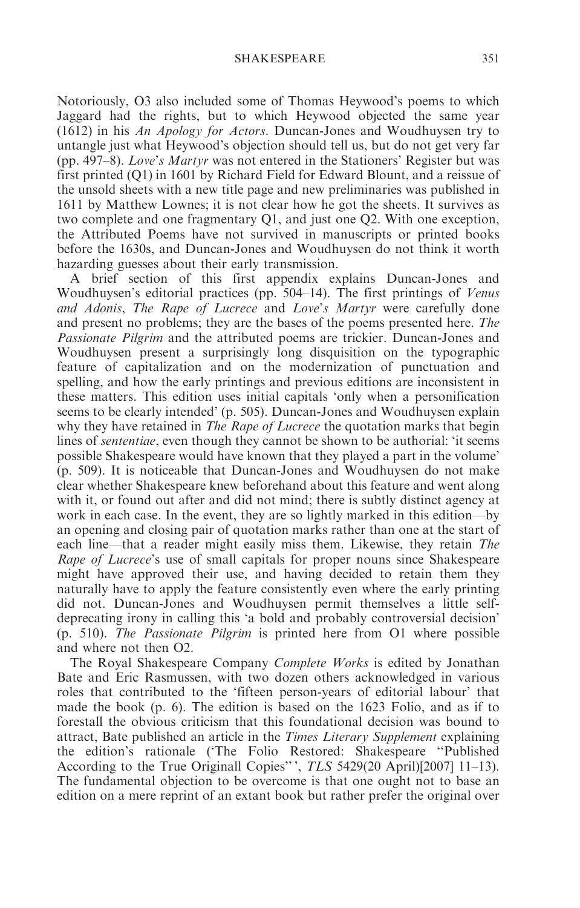Notoriously, O3 also included some of Thomas Heywood's poems to which Jaggard had the rights, but to which Heywood objected the same year (1612) in his An Apology for Actors. Duncan-Jones and Woudhuysen try to untangle just what Heywood's objection should tell us, but do not get very far (pp. 497–8). Love's Martyr was not entered in the Stationers' Register but was first printed (Q1) in 1601 by Richard Field for Edward Blount, and a reissue of the unsold sheets with a new title page and new preliminaries was published in 1611 by Matthew Lownes; it is not clear how he got the sheets. It survives as two complete and one fragmentary Q1, and just one Q2. With one exception, the Attributed Poems have not survived in manuscripts or printed books before the 1630s, and Duncan-Jones and Woudhuysen do not think it worth hazarding guesses about their early transmission.

A brief section of this first appendix explains Duncan-Jones and Woudhuysen's editorial practices (pp. 504–14). The first printings of Venus and Adonis, The Rape of Lucrece and Love's Martyr were carefully done and present no problems; they are the bases of the poems presented here. The Passionate Pilgrim and the attributed poems are trickier. Duncan-Jones and Woudhuysen present a surprisingly long disquisition on the typographic feature of capitalization and on the modernization of punctuation and spelling, and how the early printings and previous editions are inconsistent in these matters. This edition uses initial capitals 'only when a personification seems to be clearly intended' (p. 505). Duncan-Jones and Woudhuysen explain why they have retained in *The Rape of Lucrece* the quotation marks that begin lines of sententiae, even though they cannot be shown to be authorial: 'it seems possible Shakespeare would have known that they played a part in the volume' (p. 509). It is noticeable that Duncan-Jones and Woudhuysen do not make clear whether Shakespeare knew beforehand about this feature and went along with it, or found out after and did not mind; there is subtly distinct agency at work in each case. In the event, they are so lightly marked in this edition—by an opening and closing pair of quotation marks rather than one at the start of each line—that a reader might easily miss them. Likewise, they retain The Rape of Lucrece's use of small capitals for proper nouns since Shakespeare might have approved their use, and having decided to retain them they naturally have to apply the feature consistently even where the early printing did not. Duncan-Jones and Woudhuysen permit themselves a little selfdeprecating irony in calling this 'a bold and probably controversial decision' (p. 510). The Passionate Pilgrim is printed here from O1 where possible and where not then O2.

The Royal Shakespeare Company Complete Works is edited by Jonathan Bate and Eric Rasmussen, with two dozen others acknowledged in various roles that contributed to the 'fifteen person-years of editorial labour' that made the book (p. 6). The edition is based on the 1623 Folio, and as if to forestall the obvious criticism that this foundational decision was bound to attract, Bate published an article in the Times Literary Supplement explaining the edition's rationale ('The Folio Restored: Shakespeare ''Published According to the True Originall Copies"', TLS 5429(20 April)[2007] 11-13). The fundamental objection to be overcome is that one ought not to base an edition on a mere reprint of an extant book but rather prefer the original over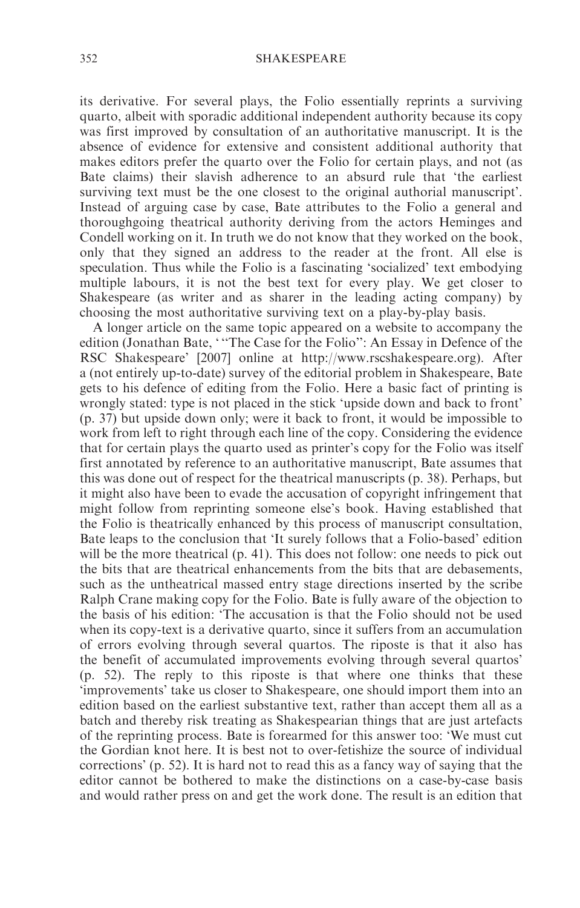its derivative. For several plays, the Folio essentially reprints a surviving quarto, albeit with sporadic additional independent authority because its copy was first improved by consultation of an authoritative manuscript. It is the absence of evidence for extensive and consistent additional authority that makes editors prefer the quarto over the Folio for certain plays, and not (as Bate claims) their slavish adherence to an absurd rule that 'the earliest surviving text must be the one closest to the original authorial manuscript'. Instead of arguing case by case, Bate attributes to the Folio a general and thoroughgoing theatrical authority deriving from the actors Heminges and Condell working on it. In truth we do not know that they worked on the book, only that they signed an address to the reader at the front. All else is speculation. Thus while the Folio is a fascinating 'socialized' text embodying multiple labours, it is not the best text for every play. We get closer to Shakespeare (as writer and as sharer in the leading acting company) by choosing the most authoritative surviving text on a play-by-play basis.

A longer article on the same topic appeared on a website to accompany the edition (Jonathan Bate, "The Case for the Folio": An Essay in Defence of the RSC Shakespeare' [2007] online at<http://www.rscshakespeare.org>). After a (not entirely up-to-date) survey of the editorial problem in Shakespeare, Bate gets to his defence of editing from the Folio. Here a basic fact of printing is wrongly stated: type is not placed in the stick 'upside down and back to front' (p. 37) but upside down only; were it back to front, it would be impossible to work from left to right through each line of the copy. Considering the evidence that for certain plays the quarto used as printer's copy for the Folio was itself first annotated by reference to an authoritative manuscript, Bate assumes that this was done out of respect for the theatrical manuscripts (p. 38). Perhaps, but it might also have been to evade the accusation of copyright infringement that might follow from reprinting someone else's book. Having established that the Folio is theatrically enhanced by this process of manuscript consultation, Bate leaps to the conclusion that 'It surely follows that a Folio-based' edition will be the more theatrical (p. 41). This does not follow: one needs to pick out the bits that are theatrical enhancements from the bits that are debasements, such as the untheatrical massed entry stage directions inserted by the scribe Ralph Crane making copy for the Folio. Bate is fully aware of the objection to the basis of his edition: 'The accusation is that the Folio should not be used when its copy-text is a derivative quarto, since it suffers from an accumulation of errors evolving through several quartos. The riposte is that it also has the benefit of accumulated improvements evolving through several quartos' (p. 52). The reply to this riposte is that where one thinks that these 'improvements' take us closer to Shakespeare, one should import them into an edition based on the earliest substantive text, rather than accept them all as a batch and thereby risk treating as Shakespearian things that are just artefacts of the reprinting process. Bate is forearmed for this answer too: 'We must cut the Gordian knot here. It is best not to over-fetishize the source of individual corrections' (p. 52). It is hard not to read this as a fancy way of saying that the editor cannot be bothered to make the distinctions on a case-by-case basis and would rather press on and get the work done. The result is an edition that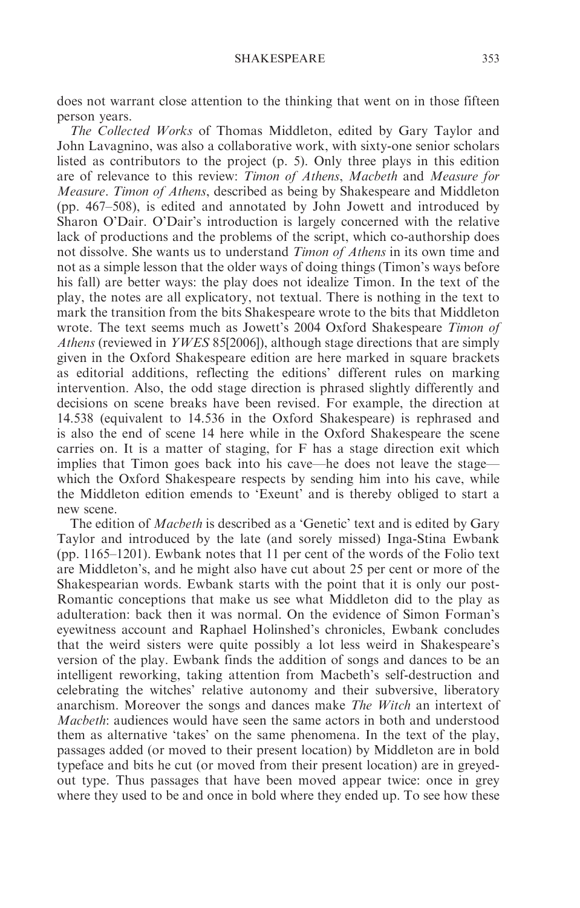does not warrant close attention to the thinking that went on in those fifteen person years.

The Collected Works of Thomas Middleton, edited by Gary Taylor and John Lavagnino, was also a collaborative work, with sixty-one senior scholars listed as contributors to the project (p. 5). Only three plays in this edition are of relevance to this review: Timon of Athens, Macbeth and Measure for Measure. Timon of Athens, described as being by Shakespeare and Middleton (pp. 467–508), is edited and annotated by John Jowett and introduced by Sharon O'Dair. O'Dair's introduction is largely concerned with the relative lack of productions and the problems of the script, which co-authorship does not dissolve. She wants us to understand Timon of Athens in its own time and not as a simple lesson that the older ways of doing things (Timon's ways before his fall) are better ways: the play does not idealize Timon. In the text of the play, the notes are all explicatory, not textual. There is nothing in the text to mark the transition from the bits Shakespeare wrote to the bits that Middleton wrote. The text seems much as Jowett's 2004 Oxford Shakespeare Timon of Athens (reviewed in YWES 85[2006]), although stage directions that are simply given in the Oxford Shakespeare edition are here marked in square brackets as editorial additions, reflecting the editions' different rules on marking intervention. Also, the odd stage direction is phrased slightly differently and decisions on scene breaks have been revised. For example, the direction at 14.538 (equivalent to 14.536 in the Oxford Shakespeare) is rephrased and is also the end of scene 14 here while in the Oxford Shakespeare the scene carries on. It is a matter of staging, for F has a stage direction exit which implies that Timon goes back into his cave—he does not leave the stage which the Oxford Shakespeare respects by sending him into his cave, while the Middleton edition emends to 'Exeunt' and is thereby obliged to start a new scene.

The edition of *Macbeth* is described as a 'Genetic' text and is edited by Gary Taylor and introduced by the late (and sorely missed) Inga-Stina Ewbank (pp. 1165–1201). Ewbank notes that 11 per cent of the words of the Folio text are Middleton's, and he might also have cut about 25 per cent or more of the Shakespearian words. Ewbank starts with the point that it is only our post-Romantic conceptions that make us see what Middleton did to the play as adulteration: back then it was normal. On the evidence of Simon Forman's eyewitness account and Raphael Holinshed's chronicles, Ewbank concludes that the weird sisters were quite possibly a lot less weird in Shakespeare's version of the play. Ewbank finds the addition of songs and dances to be an intelligent reworking, taking attention from Macbeth's self-destruction and celebrating the witches' relative autonomy and their subversive, liberatory anarchism. Moreover the songs and dances make The Witch an intertext of Macbeth: audiences would have seen the same actors in both and understood them as alternative 'takes' on the same phenomena. In the text of the play, passages added (or moved to their present location) by Middleton are in bold typeface and bits he cut (or moved from their present location) are in greyedout type. Thus passages that have been moved appear twice: once in grey where they used to be and once in bold where they ended up. To see how these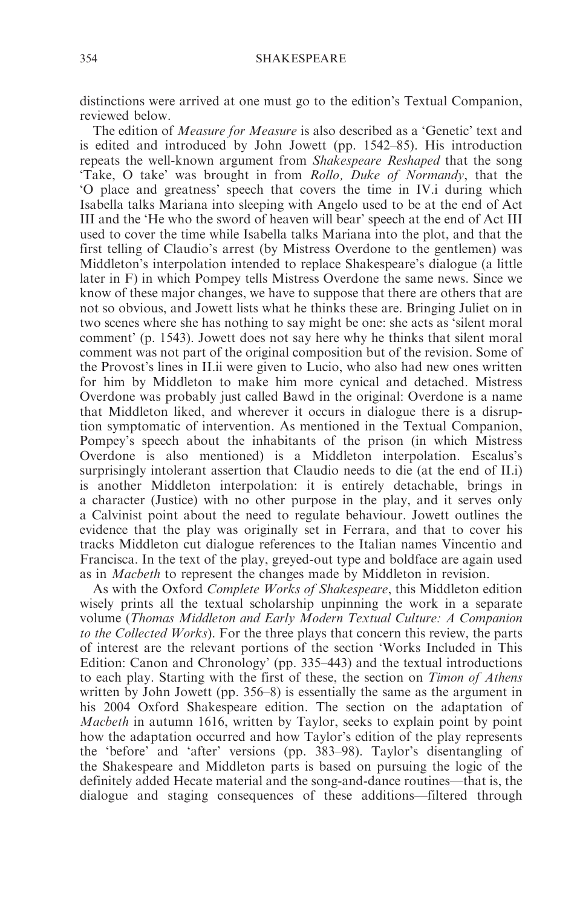distinctions were arrived at one must go to the edition's Textual Companion, reviewed below.

The edition of *Measure for Measure* is also described as a 'Genetic' text and is edited and introduced by John Jowett (pp. 1542–85). His introduction repeats the well-known argument from *Shakespeare Reshaped* that the song 'Take, O take' was brought in from Rollo, Duke of Normandy, that the 'O place and greatness' speech that covers the time in IV.i during which Isabella talks Mariana into sleeping with Angelo used to be at the end of Act III and the 'He who the sword of heaven will bear' speech at the end of Act III used to cover the time while Isabella talks Mariana into the plot, and that the first telling of Claudio's arrest (by Mistress Overdone to the gentlemen) was Middleton's interpolation intended to replace Shakespeare's dialogue (a little later in F) in which Pompey tells Mistress Overdone the same news. Since we know of these major changes, we have to suppose that there are others that are not so obvious, and Jowett lists what he thinks these are. Bringing Juliet on in two scenes where she has nothing to say might be one: she acts as 'silent moral comment' (p. 1543). Jowett does not say here why he thinks that silent moral comment was not part of the original composition but of the revision. Some of the Provost's lines in II.ii were given to Lucio, who also had new ones written for him by Middleton to make him more cynical and detached. Mistress Overdone was probably just called Bawd in the original: Overdone is a name that Middleton liked, and wherever it occurs in dialogue there is a disruption symptomatic of intervention. As mentioned in the Textual Companion, Pompey's speech about the inhabitants of the prison (in which Mistress Overdone is also mentioned) is a Middleton interpolation. Escalus's surprisingly intolerant assertion that Claudio needs to die (at the end of II.i) is another Middleton interpolation: it is entirely detachable, brings in a character (Justice) with no other purpose in the play, and it serves only a Calvinist point about the need to regulate behaviour. Jowett outlines the evidence that the play was originally set in Ferrara, and that to cover his tracks Middleton cut dialogue references to the Italian names Vincentio and Francisca. In the text of the play, greyed-out type and boldface are again used as in Macbeth to represent the changes made by Middleton in revision.

As with the Oxford Complete Works of Shakespeare, this Middleton edition wisely prints all the textual scholarship unpinning the work in a separate volume (Thomas Middleton and Early Modern Textual Culture: A Companion to the Collected Works). For the three plays that concern this review, the parts of interest are the relevant portions of the section 'Works Included in This Edition: Canon and Chronology' (pp. 335–443) and the textual introductions to each play. Starting with the first of these, the section on Timon of Athens written by John Jowett (pp. 356–8) is essentially the same as the argument in his 2004 Oxford Shakespeare edition. The section on the adaptation of Macbeth in autumn 1616, written by Taylor, seeks to explain point by point how the adaptation occurred and how Taylor's edition of the play represents the 'before' and 'after' versions (pp. 383–98). Taylor's disentangling of the Shakespeare and Middleton parts is based on pursuing the logic of the definitely added Hecate material and the song-and-dance routines—that is, the dialogue and staging consequences of these additions—filtered through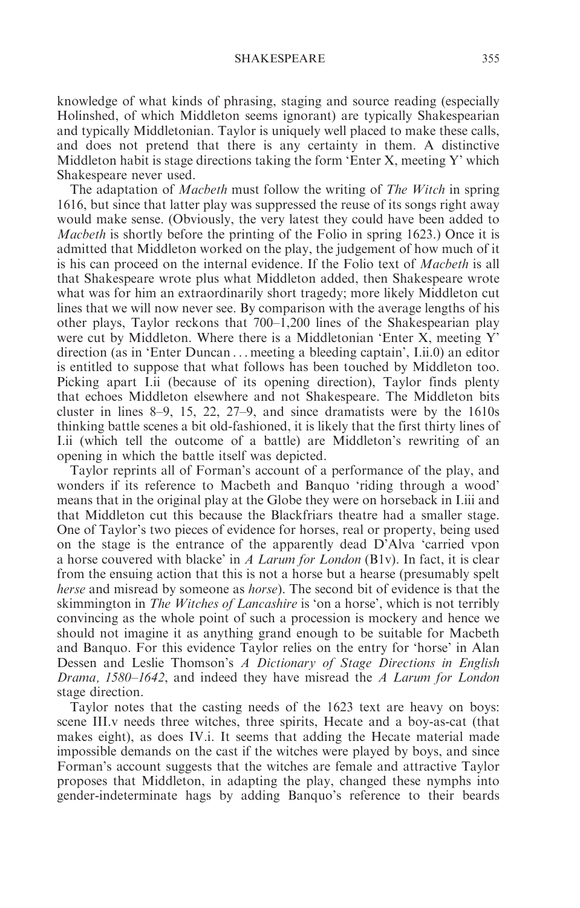knowledge of what kinds of phrasing, staging and source reading (especially Holinshed, of which Middleton seems ignorant) are typically Shakespearian and typically Middletonian. Taylor is uniquely well placed to make these calls, and does not pretend that there is any certainty in them. A distinctive Middleton habit is stage directions taking the form 'Enter X, meeting Y' which Shakespeare never used.

The adaptation of Macbeth must follow the writing of The Witch in spring 1616, but since that latter play was suppressed the reuse of its songs right away would make sense. (Obviously, the very latest they could have been added to Macbeth is shortly before the printing of the Folio in spring 1623.) Once it is admitted that Middleton worked on the play, the judgement of how much of it is his can proceed on the internal evidence. If the Folio text of Macbeth is all that Shakespeare wrote plus what Middleton added, then Shakespeare wrote what was for him an extraordinarily short tragedy; more likely Middleton cut lines that we will now never see. By comparison with the average lengths of his other plays, Taylor reckons that 700–1,200 lines of the Shakespearian play were cut by Middleton. Where there is a Middletonian 'Enter X, meeting Y' direction (as in 'Enter Duncan ... meeting a bleeding captain', I.ii.0) an editor is entitled to suppose that what follows has been touched by Middleton too. Picking apart I.ii (because of its opening direction), Taylor finds plenty that echoes Middleton elsewhere and not Shakespeare. The Middleton bits cluster in lines 8–9, 15, 22, 27–9, and since dramatists were by the 1610s thinking battle scenes a bit old-fashioned, it is likely that the first thirty lines of I.ii (which tell the outcome of a battle) are Middleton's rewriting of an opening in which the battle itself was depicted.

Taylor reprints all of Forman's account of a performance of the play, and wonders if its reference to Macbeth and Banquo 'riding through a wood' means that in the original play at the Globe they were on horseback in I.iii and that Middleton cut this because the Blackfriars theatre had a smaller stage. One of Taylor's two pieces of evidence for horses, real or property, being used on the stage is the entrance of the apparently dead D'Alva 'carried vpon a horse couvered with blacke' in A Larum for London (B1v). In fact, it is clear from the ensuing action that this is not a horse but a hearse (presumably spelt herse and misread by someone as *horse*). The second bit of evidence is that the skimmington in *The Witches of Lancashire* is 'on a horse', which is not terribly convincing as the whole point of such a procession is mockery and hence we should not imagine it as anything grand enough to be suitable for Macbeth and Banquo. For this evidence Taylor relies on the entry for 'horse' in Alan Dessen and Leslie Thomson's A Dictionary of Stage Directions in English Drama, 1580–1642, and indeed they have misread the A Larum for London stage direction.

Taylor notes that the casting needs of the 1623 text are heavy on boys: scene III.v needs three witches, three spirits, Hecate and a boy-as-cat (that makes eight), as does IV.i. It seems that adding the Hecate material made impossible demands on the cast if the witches were played by boys, and since Forman's account suggests that the witches are female and attractive Taylor proposes that Middleton, in adapting the play, changed these nymphs into gender-indeterminate hags by adding Banquo's reference to their beards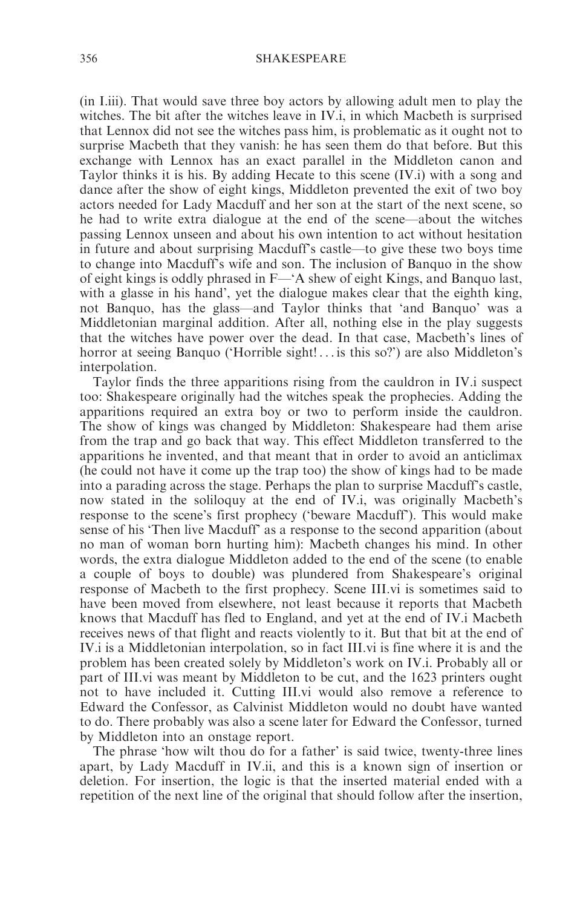(in I.iii). That would save three boy actors by allowing adult men to play the witches. The bit after the witches leave in IV.i, in which Macbeth is surprised that Lennox did not see the witches pass him, is problematic as it ought not to surprise Macbeth that they vanish: he has seen them do that before. But this exchange with Lennox has an exact parallel in the Middleton canon and Taylor thinks it is his. By adding Hecate to this scene (IV.i) with a song and dance after the show of eight kings, Middleton prevented the exit of two boy actors needed for Lady Macduff and her son at the start of the next scene, so he had to write extra dialogue at the end of the scene—about the witches passing Lennox unseen and about his own intention to act without hesitation in future and about surprising Macduff's castle—to give these two boys time to change into Macduff's wife and son. The inclusion of Banquo in the show of eight kings is oddly phrased in F—'A shew of eight Kings, and Banquo last, with a glasse in his hand', yet the dialogue makes clear that the eighth king, not Banquo, has the glass—and Taylor thinks that 'and Banquo' was a Middletonian marginal addition. After all, nothing else in the play suggests that the witches have power over the dead. In that case, Macbeth's lines of horror at seeing Banquo ('Horrible sight!... is this so?') are also Middleton's interpolation.

Taylor finds the three apparitions rising from the cauldron in IV.i suspect too: Shakespeare originally had the witches speak the prophecies. Adding the apparitions required an extra boy or two to perform inside the cauldron. The show of kings was changed by Middleton: Shakespeare had them arise from the trap and go back that way. This effect Middleton transferred to the apparitions he invented, and that meant that in order to avoid an anticlimax (he could not have it come up the trap too) the show of kings had to be made into a parading across the stage. Perhaps the plan to surprise Macduff's castle, now stated in the soliloquy at the end of IV.i, was originally Macbeth's response to the scene's first prophecy ('beware Macduff'). This would make sense of his 'Then live Macduff' as a response to the second apparition (about no man of woman born hurting him): Macbeth changes his mind. In other words, the extra dialogue Middleton added to the end of the scene (to enable a couple of boys to double) was plundered from Shakespeare's original response of Macbeth to the first prophecy. Scene III.vi is sometimes said to have been moved from elsewhere, not least because it reports that Macbeth knows that Macduff has fled to England, and yet at the end of IV.i Macbeth receives news of that flight and reacts violently to it. But that bit at the end of IV.i is a Middletonian interpolation, so in fact III.vi is fine where it is and the problem has been created solely by Middleton's work on IV.i. Probably all or part of III.vi was meant by Middleton to be cut, and the 1623 printers ought not to have included it. Cutting III.vi would also remove a reference to Edward the Confessor, as Calvinist Middleton would no doubt have wanted to do. There probably was also a scene later for Edward the Confessor, turned by Middleton into an onstage report.

The phrase 'how wilt thou do for a father' is said twice, twenty-three lines apart, by Lady Macduff in IV.ii, and this is a known sign of insertion or deletion. For insertion, the logic is that the inserted material ended with a repetition of the next line of the original that should follow after the insertion,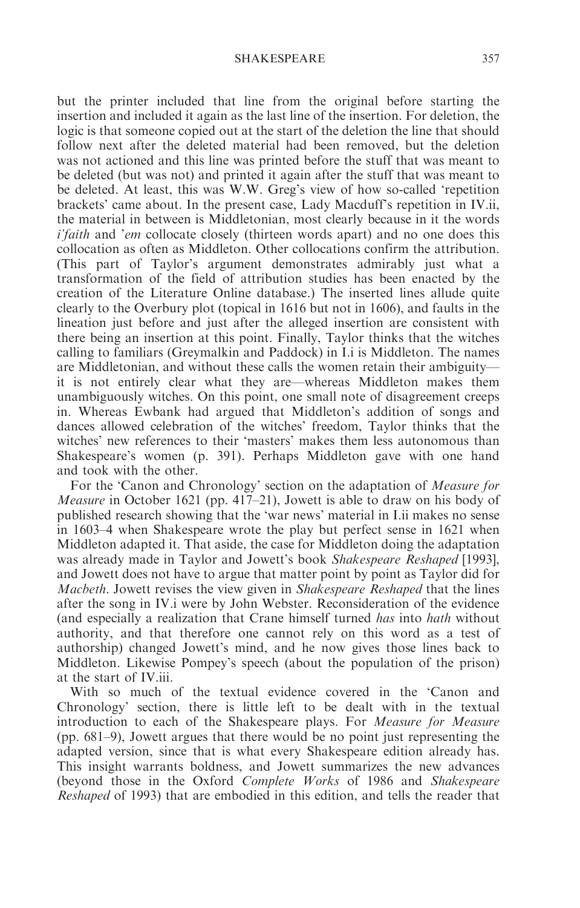but the printer included that line from the original before starting the insertion and included it again as the last line of the insertion. For deletion, the logic is that someone copied out at the start of the deletion the line that should follow next after the deleted material had been removed, but the deletion was not actioned and this line was printed before the stuff that was meant to be deleted (but was not) and printed it again after the stuff that was meant to be deleted. At least, this was W.W. Greg's view of how so-called 'repetition brackets' came about. In the present case, Lady Macduff's repetition in IV.ii, the material in between is Middletonian, most clearly because in it the words i'faith and 'em collocate closely (thirteen words apart) and no one does this collocation as often as Middleton. Other collocations confirm the attribution. (This part of Taylor's argument demonstrates admirably just what a transformation of the field of attribution studies has been enacted by the creation of the Literature Online database.) The inserted lines allude quite clearly to the Overbury plot (topical in 1616 but not in 1606), and faults in the lineation just before and just after the alleged insertion are consistent with there being an insertion at this point. Finally, Taylor thinks that the witches calling to familiars (Greymalkin and Paddock) in I.i is Middleton. The names are Middletonian, and without these calls the women retain their ambiguity it is not entirely clear what they are—whereas Middleton makes them unambiguously witches. On this point, one small note of disagreement creeps in. Whereas Ewbank had argued that Middleton's addition of songs and dances allowed celebration of the witches' freedom, Taylor thinks that the witches' new references to their 'masters' makes them less autonomous than Shakespeare's women (p. 391). Perhaps Middleton gave with one hand and took with the other.

For the 'Canon and Chronology' section on the adaptation of Measure for *Measure* in October 1621 (pp. 417–21), Jowett is able to draw on his body of published research showing that the 'war news' material in I.ii makes no sense in 1603–4 when Shakespeare wrote the play but perfect sense in 1621 when Middleton adapted it. That aside, the case for Middleton doing the adaptation was already made in Taylor and Jowett's book Shakespeare Reshaped [1993], and Jowett does not have to argue that matter point by point as Taylor did for Macbeth. Jowett revises the view given in Shakespeare Reshaped that the lines after the song in IV.i were by John Webster. Reconsideration of the evidence (and especially a realization that Crane himself turned has into hath without authority, and that therefore one cannot rely on this word as a test of authorship) changed Jowett's mind, and he now gives those lines back to Middleton. Likewise Pompey's speech (about the population of the prison) at the start of IV.iii.

With so much of the textual evidence covered in the 'Canon and Chronology' section, there is little left to be dealt with in the textual introduction to each of the Shakespeare plays. For Measure for Measure (pp. 681–9), Jowett argues that there would be no point just representing the adapted version, since that is what every Shakespeare edition already has. This insight warrants boldness, and Jowett summarizes the new advances (beyond those in the Oxford Complete Works of 1986 and Shakespeare Reshaped of 1993) that are embodied in this edition, and tells the reader that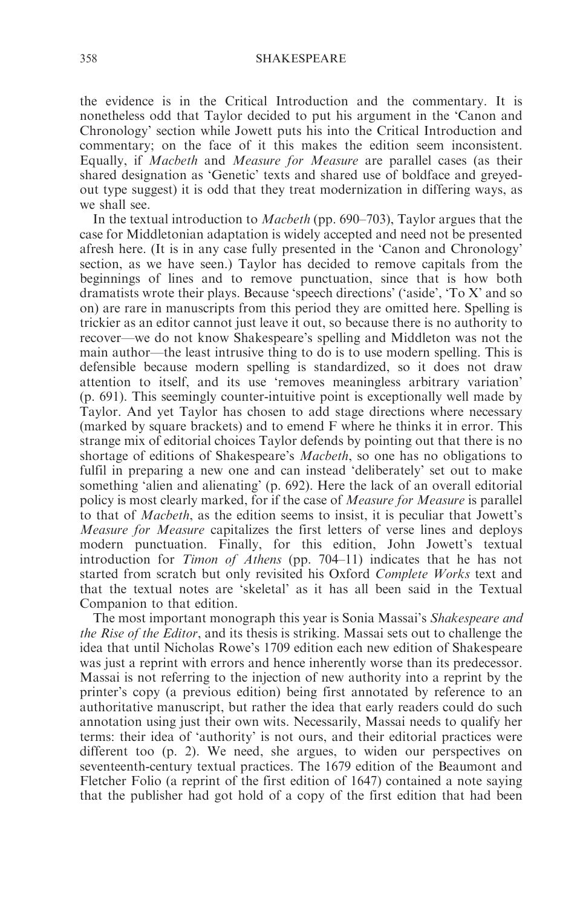the evidence is in the Critical Introduction and the commentary. It is nonetheless odd that Taylor decided to put his argument in the 'Canon and Chronology' section while Jowett puts his into the Critical Introduction and commentary; on the face of it this makes the edition seem inconsistent. Equally, if Macbeth and Measure for Measure are parallel cases (as their shared designation as 'Genetic' texts and shared use of boldface and greyedout type suggest) it is odd that they treat modernization in differing ways, as we shall see.

In the textual introduction to *Macbeth* (pp. 690–703), Taylor argues that the case for Middletonian adaptation is widely accepted and need not be presented afresh here. (It is in any case fully presented in the 'Canon and Chronology' section, as we have seen.) Taylor has decided to remove capitals from the beginnings of lines and to remove punctuation, since that is how both dramatists wrote their plays. Because 'speech directions' ('aside', 'To X' and so on) are rare in manuscripts from this period they are omitted here. Spelling is trickier as an editor cannot just leave it out, so because there is no authority to recover—we do not know Shakespeare's spelling and Middleton was not the main author—the least intrusive thing to do is to use modern spelling. This is defensible because modern spelling is standardized, so it does not draw attention to itself, and its use 'removes meaningless arbitrary variation' (p. 691). This seemingly counter-intuitive point is exceptionally well made by Taylor. And yet Taylor has chosen to add stage directions where necessary (marked by square brackets) and to emend F where he thinks it in error. This strange mix of editorial choices Taylor defends by pointing out that there is no shortage of editions of Shakespeare's Macbeth, so one has no obligations to fulfil in preparing a new one and can instead 'deliberately' set out to make something 'alien and alienating' (p. 692). Here the lack of an overall editorial policy is most clearly marked, for if the case of Measure for Measure is parallel to that of Macbeth, as the edition seems to insist, it is peculiar that Jowett's Measure for Measure capitalizes the first letters of verse lines and deploys modern punctuation. Finally, for this edition, John Jowett's textual introduction for Timon of Athens (pp. 704–11) indicates that he has not started from scratch but only revisited his Oxford Complete Works text and that the textual notes are 'skeletal' as it has all been said in the Textual Companion to that edition.

The most important monograph this year is Sonia Massai's Shakespeare and the Rise of the Editor, and its thesis is striking. Massai sets out to challenge the idea that until Nicholas Rowe's 1709 edition each new edition of Shakespeare was just a reprint with errors and hence inherently worse than its predecessor. Massai is not referring to the injection of new authority into a reprint by the printer's copy (a previous edition) being first annotated by reference to an authoritative manuscript, but rather the idea that early readers could do such annotation using just their own wits. Necessarily, Massai needs to qualify her terms: their idea of 'authority' is not ours, and their editorial practices were different too (p. 2). We need, she argues, to widen our perspectives on seventeenth-century textual practices. The 1679 edition of the Beaumont and Fletcher Folio (a reprint of the first edition of 1647) contained a note saying that the publisher had got hold of a copy of the first edition that had been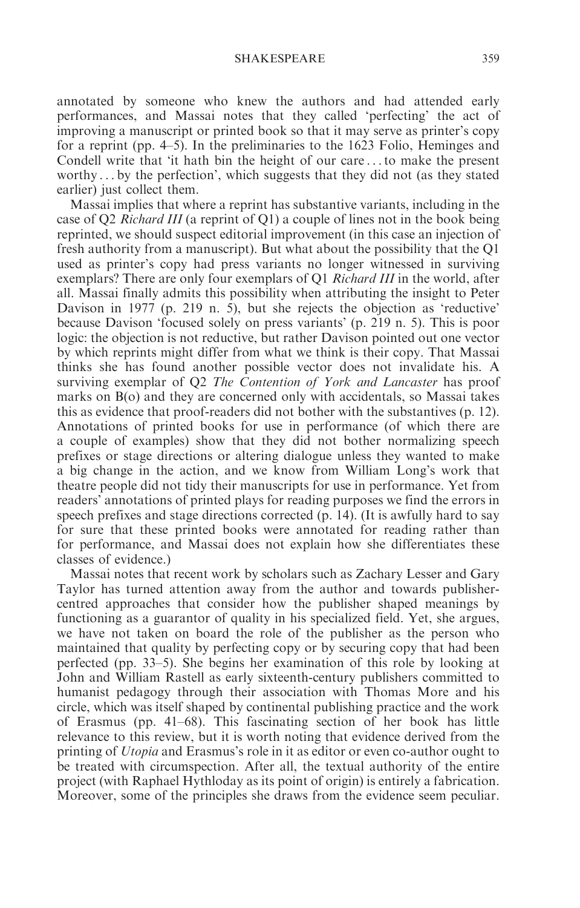annotated by someone who knew the authors and had attended early performances, and Massai notes that they called 'perfecting' the act of improving a manuscript or printed book so that it may serve as printer's copy for a reprint (pp. 4–5). In the preliminaries to the 1623 Folio, Heminges and Condell write that 'it hath bin the height of our care ...to make the present worthy ... by the perfection', which suggests that they did not (as they stated earlier) just collect them.

Massai implies that where a reprint has substantive variants, including in the case of O2 Richard III (a reprint of O1) a couple of lines not in the book being reprinted, we should suspect editorial improvement (in this case an injection of fresh authority from a manuscript). But what about the possibility that the Q1 used as printer's copy had press variants no longer witnessed in surviving exemplars? There are only four exemplars of O1 *Richard III* in the world, after all. Massai finally admits this possibility when attributing the insight to Peter Davison in 1977 (p. 219 n. 5), but she rejects the objection as 'reductive' because Davison 'focused solely on press variants' (p. 219 n. 5). This is poor logic: the objection is not reductive, but rather Davison pointed out one vector by which reprints might differ from what we think is their copy. That Massai thinks she has found another possible vector does not invalidate his. A surviving exemplar of Q2 The Contention of York and Lancaster has proof marks on B(o) and they are concerned only with accidentals, so Massai takes this as evidence that proof-readers did not bother with the substantives (p. 12). Annotations of printed books for use in performance (of which there are a couple of examples) show that they did not bother normalizing speech prefixes or stage directions or altering dialogue unless they wanted to make a big change in the action, and we know from William Long's work that theatre people did not tidy their manuscripts for use in performance. Yet from readers' annotations of printed plays for reading purposes we find the errors in speech prefixes and stage directions corrected (p. 14). (It is awfully hard to say for sure that these printed books were annotated for reading rather than for performance, and Massai does not explain how she differentiates these classes of evidence.)

Massai notes that recent work by scholars such as Zachary Lesser and Gary Taylor has turned attention away from the author and towards publishercentred approaches that consider how the publisher shaped meanings by functioning as a guarantor of quality in his specialized field. Yet, she argues, we have not taken on board the role of the publisher as the person who maintained that quality by perfecting copy or by securing copy that had been perfected (pp. 33–5). She begins her examination of this role by looking at John and William Rastell as early sixteenth-century publishers committed to humanist pedagogy through their association with Thomas More and his circle, which was itself shaped by continental publishing practice and the work of Erasmus (pp. 41–68). This fascinating section of her book has little relevance to this review, but it is worth noting that evidence derived from the printing of Utopia and Erasmus's role in it as editor or even co-author ought to be treated with circumspection. After all, the textual authority of the entire project (with Raphael Hythloday as its point of origin) is entirely a fabrication. Moreover, some of the principles she draws from the evidence seem peculiar.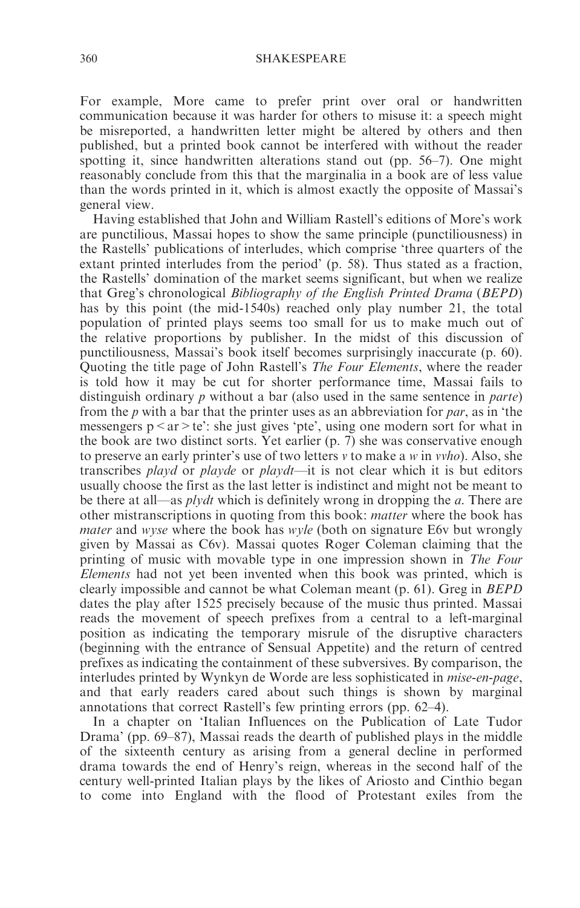For example, More came to prefer print over oral or handwritten communication because it was harder for others to misuse it: a speech might be misreported, a handwritten letter might be altered by others and then published, but a printed book cannot be interfered with without the reader spotting it, since handwritten alterations stand out (pp. 56–7). One might reasonably conclude from this that the marginalia in a book are of less value than the words printed in it, which is almost exactly the opposite of Massai's general view.

Having established that John and William Rastell's editions of More's work are punctilious, Massai hopes to show the same principle (punctiliousness) in the Rastells' publications of interludes, which comprise 'three quarters of the extant printed interludes from the period' (p. 58). Thus stated as a fraction, the Rastells' domination of the market seems significant, but when we realize that Greg's chronological Bibliography of the English Printed Drama (BEPD) has by this point (the mid-1540s) reached only play number 21, the total population of printed plays seems too small for us to make much out of the relative proportions by publisher. In the midst of this discussion of punctiliousness, Massai's book itself becomes surprisingly inaccurate (p. 60). Quoting the title page of John Rastell's The Four Elements, where the reader is told how it may be cut for shorter performance time, Massai fails to distinguish ordinary  $p$  without a bar (also used in the same sentence in *parte*) from the p with a bar that the printer uses as an abbreviation for par, as in 'the messengers  $p \leq ar \geq te'$ : she just gives 'pte', using one modern sort for what in the book are two distinct sorts. Yet earlier (p. 7) she was conservative enough to preserve an early printer's use of two letters v to make a w in  $v\nu ho$ ). Also, she transcribes playd or playde or playdt—it is not clear which it is but editors usually choose the first as the last letter is indistinct and might not be meant to be there at all—as *plydt* which is definitely wrong in dropping the a. There are other mistranscriptions in quoting from this book: matter where the book has mater and wyse where the book has wyle (both on signature E6v but wrongly given by Massai as C6v). Massai quotes Roger Coleman claiming that the printing of music with movable type in one impression shown in The Four Elements had not yet been invented when this book was printed, which is clearly impossible and cannot be what Coleman meant (p. 61). Greg in BEPD dates the play after 1525 precisely because of the music thus printed. Massai reads the movement of speech prefixes from a central to a left-marginal position as indicating the temporary misrule of the disruptive characters (beginning with the entrance of Sensual Appetite) and the return of centred prefixes as indicating the containment of these subversives. By comparison, the interludes printed by Wynkyn de Worde are less sophisticated in mise-en-page, and that early readers cared about such things is shown by marginal annotations that correct Rastell's few printing errors (pp. 62–4).

In a chapter on 'Italian Influences on the Publication of Late Tudor Drama' (pp. 69–87), Massai reads the dearth of published plays in the middle of the sixteenth century as arising from a general decline in performed drama towards the end of Henry's reign, whereas in the second half of the century well-printed Italian plays by the likes of Ariosto and Cinthio began to come into England with the flood of Protestant exiles from the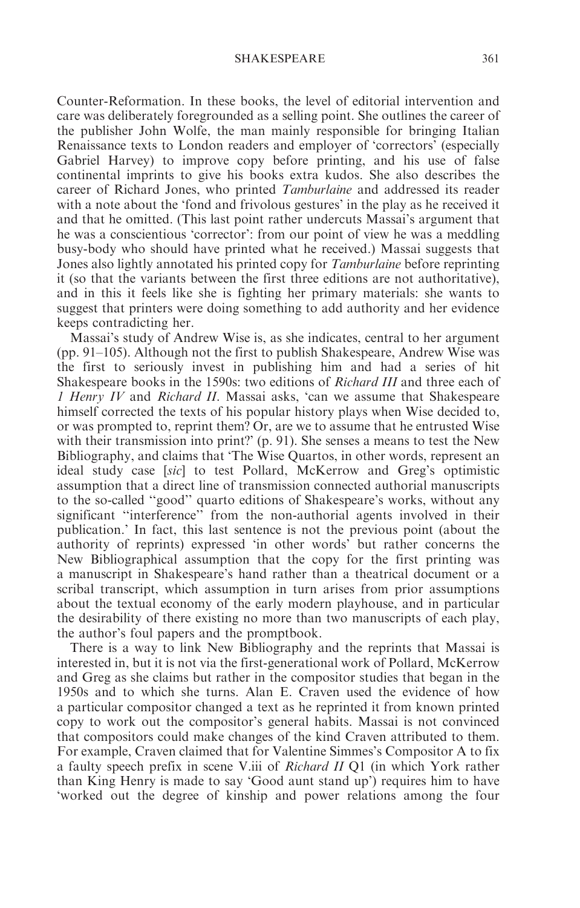Counter-Reformation. In these books, the level of editorial intervention and care was deliberately foregrounded as a selling point. She outlines the career of the publisher John Wolfe, the man mainly responsible for bringing Italian Renaissance texts to London readers and employer of 'correctors' (especially Gabriel Harvey) to improve copy before printing, and his use of false continental imprints to give his books extra kudos. She also describes the career of Richard Jones, who printed Tamburlaine and addressed its reader with a note about the 'fond and frivolous gestures' in the play as he received it and that he omitted. (This last point rather undercuts Massai's argument that he was a conscientious 'corrector': from our point of view he was a meddling busy-body who should have printed what he received.) Massai suggests that Jones also lightly annotated his printed copy for *Tamburlaine* before reprinting it (so that the variants between the first three editions are not authoritative), and in this it feels like she is fighting her primary materials: she wants to suggest that printers were doing something to add authority and her evidence keeps contradicting her.

Massai's study of Andrew Wise is, as she indicates, central to her argument (pp. 91–105). Although not the first to publish Shakespeare, Andrew Wise was the first to seriously invest in publishing him and had a series of hit Shakespeare books in the 1590s: two editions of Richard III and three each of 1 Henry IV and Richard II. Massai asks, 'can we assume that Shakespeare himself corrected the texts of his popular history plays when Wise decided to, or was prompted to, reprint them? Or, are we to assume that he entrusted Wise with their transmission into print?' (p. 91). She senses a means to test the New Bibliography, and claims that 'The Wise Quartos, in other words, represent an ideal study case [sic] to test Pollard, McKerrow and Greg's optimistic assumption that a direct line of transmission connected authorial manuscripts to the so-called ''good'' quarto editions of Shakespeare's works, without any significant ''interference'' from the non-authorial agents involved in their publication.' In fact, this last sentence is not the previous point (about the authority of reprints) expressed 'in other words' but rather concerns the New Bibliographical assumption that the copy for the first printing was a manuscript in Shakespeare's hand rather than a theatrical document or a scribal transcript, which assumption in turn arises from prior assumptions about the textual economy of the early modern playhouse, and in particular the desirability of there existing no more than two manuscripts of each play, the author's foul papers and the promptbook.

There is a way to link New Bibliography and the reprints that Massai is interested in, but it is not via the first-generational work of Pollard, McKerrow and Greg as she claims but rather in the compositor studies that began in the 1950s and to which she turns. Alan E. Craven used the evidence of how a particular compositor changed a text as he reprinted it from known printed copy to work out the compositor's general habits. Massai is not convinced that compositors could make changes of the kind Craven attributed to them. For example, Craven claimed that for Valentine Simmes's Compositor A to fix a faulty speech prefix in scene V.iii of Richard II Q1 (in which York rather than King Henry is made to say 'Good aunt stand up') requires him to have 'worked out the degree of kinship and power relations among the four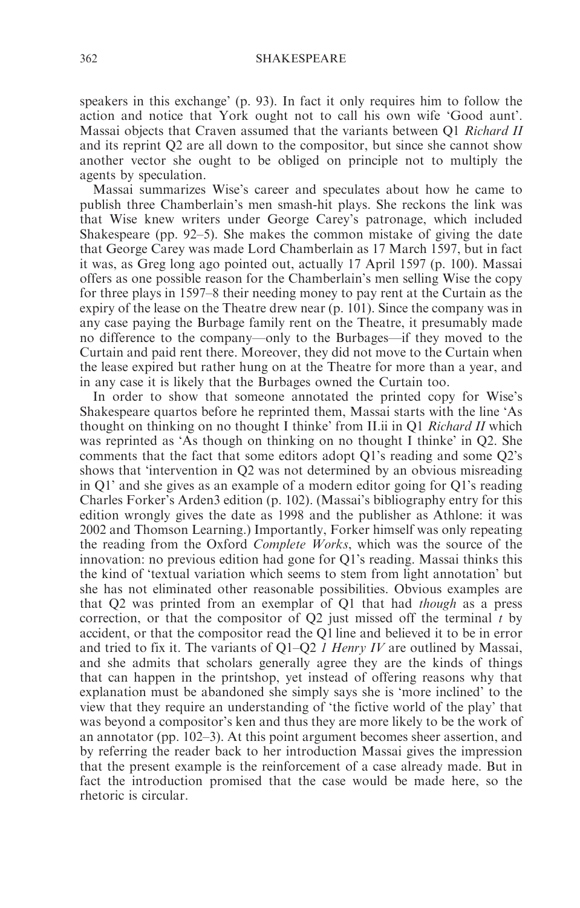speakers in this exchange' (p. 93). In fact it only requires him to follow the action and notice that York ought not to call his own wife 'Good aunt'. Massai objects that Craven assumed that the variants between Q1 Richard II and its reprint Q2 are all down to the compositor, but since she cannot show another vector she ought to be obliged on principle not to multiply the agents by speculation.

Massai summarizes Wise's career and speculates about how he came to publish three Chamberlain's men smash-hit plays. She reckons the link was that Wise knew writers under George Carey's patronage, which included Shakespeare (pp. 92–5). She makes the common mistake of giving the date that George Carey was made Lord Chamberlain as 17 March 1597, but in fact it was, as Greg long ago pointed out, actually 17 April 1597 (p. 100). Massai offers as one possible reason for the Chamberlain's men selling Wise the copy for three plays in 1597–8 their needing money to pay rent at the Curtain as the expiry of the lease on the Theatre drew near (p. 101). Since the company was in any case paying the Burbage family rent on the Theatre, it presumably made no difference to the company—only to the Burbages—if they moved to the Curtain and paid rent there. Moreover, they did not move to the Curtain when the lease expired but rather hung on at the Theatre for more than a year, and in any case it is likely that the Burbages owned the Curtain too.

In order to show that someone annotated the printed copy for Wise's Shakespeare quartos before he reprinted them, Massai starts with the line 'As thought on thinking on no thought I thinke' from II.ii in O1 Richard II which was reprinted as 'As though on thinking on no thought I thinke' in Q2. She comments that the fact that some editors adopt Q1's reading and some Q2's shows that 'intervention in Q2 was not determined by an obvious misreading in Q1' and she gives as an example of a modern editor going for Q1's reading Charles Forker's Arden3 edition (p. 102). (Massai's bibliography entry for this edition wrongly gives the date as 1998 and the publisher as Athlone: it was 2002 and Thomson Learning.) Importantly, Forker himself was only repeating the reading from the Oxford Complete Works, which was the source of the innovation: no previous edition had gone for Q1's reading. Massai thinks this the kind of 'textual variation which seems to stem from light annotation' but she has not eliminated other reasonable possibilities. Obvious examples are that Q2 was printed from an exemplar of Q1 that had though as a press correction, or that the compositor of  $Q2$  just missed off the terminal t by accident, or that the compositor read the Q1 line and believed it to be in error and tried to fix it. The variants of Q1–Q2 1 Henry IV are outlined by Massai, and she admits that scholars generally agree they are the kinds of things that can happen in the printshop, yet instead of offering reasons why that explanation must be abandoned she simply says she is 'more inclined' to the view that they require an understanding of 'the fictive world of the play' that was beyond a compositor's ken and thus they are more likely to be the work of an annotator (pp. 102–3). At this point argument becomes sheer assertion, and by referring the reader back to her introduction Massai gives the impression that the present example is the reinforcement of a case already made. But in fact the introduction promised that the case would be made here, so the rhetoric is circular.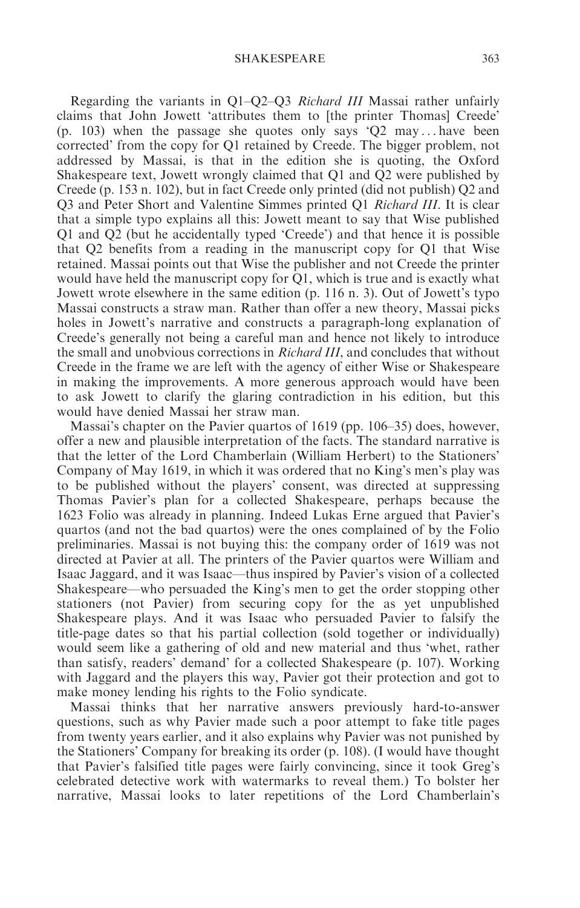Regarding the variants in Q1–Q2–Q3 Richard III Massai rather unfairly claims that John Jowett 'attributes them to [the printer Thomas] Creede' (p. 103) when the passage she quotes only says 'Q2 may ... have been corrected' from the copy for Q1 retained by Creede. The bigger problem, not addressed by Massai, is that in the edition she is quoting, the Oxford Shakespeare text, Jowett wrongly claimed that Q1 and Q2 were published by Creede (p. 153 n. 102), but in fact Creede only printed (did not publish) Q2 and Q3 and Peter Short and Valentine Simmes printed Q1 Richard III. It is clear that a simple typo explains all this: Jowett meant to say that Wise published Q1 and Q2 (but he accidentally typed 'Creede') and that hence it is possible that Q2 benefits from a reading in the manuscript copy for Q1 that Wise retained. Massai points out that Wise the publisher and not Creede the printer would have held the manuscript copy for Q1, which is true and is exactly what Jowett wrote elsewhere in the same edition (p. 116 n. 3). Out of Jowett's typo Massai constructs a straw man. Rather than offer a new theory, Massai picks holes in Jowett's narrative and constructs a paragraph-long explanation of Creede's generally not being a careful man and hence not likely to introduce the small and unobvious corrections in Richard III, and concludes that without Creede in the frame we are left with the agency of either Wise or Shakespeare in making the improvements. A more generous approach would have been to ask Jowett to clarify the glaring contradiction in his edition, but this would have denied Massai her straw man.

Massai's chapter on the Pavier quartos of 1619 (pp. 106–35) does, however, offer a new and plausible interpretation of the facts. The standard narrative is that the letter of the Lord Chamberlain (William Herbert) to the Stationers' Company of May 1619, in which it was ordered that no King's men's play was to be published without the players' consent, was directed at suppressing Thomas Pavier's plan for a collected Shakespeare, perhaps because the 1623 Folio was already in planning. Indeed Lukas Erne argued that Pavier's quartos (and not the bad quartos) were the ones complained of by the Folio preliminaries. Massai is not buying this: the company order of 1619 was not directed at Pavier at all. The printers of the Pavier quartos were William and Isaac Jaggard, and it was Isaac—thus inspired by Pavier's vision of a collected Shakespeare—who persuaded the King's men to get the order stopping other stationers (not Pavier) from securing copy for the as yet unpublished Shakespeare plays. And it was Isaac who persuaded Pavier to falsify the title-page dates so that his partial collection (sold together or individually) would seem like a gathering of old and new material and thus 'whet, rather than satisfy, readers' demand' for a collected Shakespeare (p. 107). Working with Jaggard and the players this way, Pavier got their protection and got to make money lending his rights to the Folio syndicate.

Massai thinks that her narrative answers previously hard-to-answer questions, such as why Pavier made such a poor attempt to fake title pages from twenty years earlier, and it also explains why Pavier was not punished by the Stationers' Company for breaking its order (p. 108). (I would have thought that Pavier's falsified title pages were fairly convincing, since it took Greg's celebrated detective work with watermarks to reveal them.) To bolster her narrative, Massai looks to later repetitions of the Lord Chamberlain's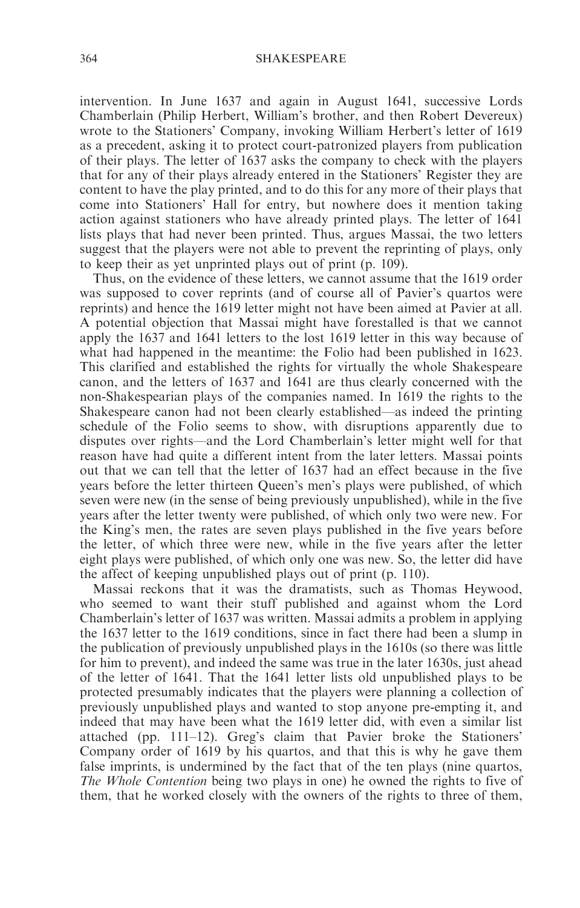intervention. In June 1637 and again in August 1641, successive Lords Chamberlain (Philip Herbert, William's brother, and then Robert Devereux) wrote to the Stationers' Company, invoking William Herbert's letter of 1619 as a precedent, asking it to protect court-patronized players from publication of their plays. The letter of 1637 asks the company to check with the players that for any of their plays already entered in the Stationers' Register they are content to have the play printed, and to do this for any more of their plays that come into Stationers' Hall for entry, but nowhere does it mention taking action against stationers who have already printed plays. The letter of 1641 lists plays that had never been printed. Thus, argues Massai, the two letters suggest that the players were not able to prevent the reprinting of plays, only to keep their as yet unprinted plays out of print (p. 109).

Thus, on the evidence of these letters, we cannot assume that the 1619 order was supposed to cover reprints (and of course all of Pavier's quartos were reprints) and hence the 1619 letter might not have been aimed at Pavier at all. A potential objection that Massai might have forestalled is that we cannot apply the 1637 and 1641 letters to the lost 1619 letter in this way because of what had happened in the meantime: the Folio had been published in 1623. This clarified and established the rights for virtually the whole Shakespeare canon, and the letters of 1637 and 1641 are thus clearly concerned with the non-Shakespearian plays of the companies named. In 1619 the rights to the Shakespeare canon had not been clearly established—as indeed the printing schedule of the Folio seems to show, with disruptions apparently due to disputes over rights—and the Lord Chamberlain's letter might well for that reason have had quite a different intent from the later letters. Massai points out that we can tell that the letter of 1637 had an effect because in the five years before the letter thirteen Queen's men's plays were published, of which seven were new (in the sense of being previously unpublished), while in the five years after the letter twenty were published, of which only two were new. For the King's men, the rates are seven plays published in the five years before the letter, of which three were new, while in the five years after the letter eight plays were published, of which only one was new. So, the letter did have the affect of keeping unpublished plays out of print (p. 110).

Massai reckons that it was the dramatists, such as Thomas Heywood, who seemed to want their stuff published and against whom the Lord Chamberlain's letter of 1637 was written. Massai admits a problem in applying the 1637 letter to the 1619 conditions, since in fact there had been a slump in the publication of previously unpublished plays in the 1610s (so there was little for him to prevent), and indeed the same was true in the later 1630s, just ahead of the letter of 1641. That the 1641 letter lists old unpublished plays to be protected presumably indicates that the players were planning a collection of previously unpublished plays and wanted to stop anyone pre-empting it, and indeed that may have been what the 1619 letter did, with even a similar list attached (pp. 111–12). Greg's claim that Pavier broke the Stationers' Company order of 1619 by his quartos, and that this is why he gave them false imprints, is undermined by the fact that of the ten plays (nine quartos, The Whole Contention being two plays in one) he owned the rights to five of them, that he worked closely with the owners of the rights to three of them,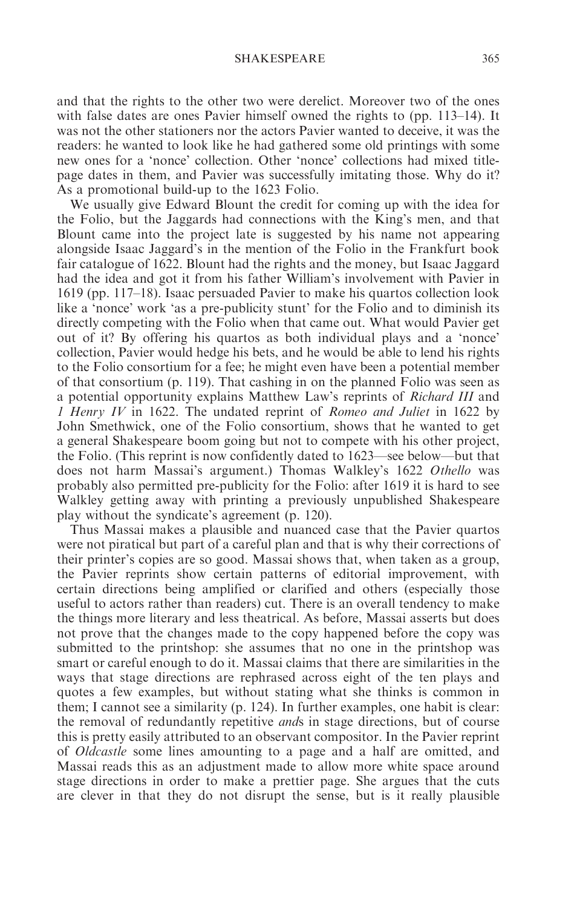and that the rights to the other two were derelict. Moreover two of the ones with false dates are ones Pavier himself owned the rights to (pp. 113–14). It was not the other stationers nor the actors Pavier wanted to deceive, it was the readers: he wanted to look like he had gathered some old printings with some new ones for a 'nonce' collection. Other 'nonce' collections had mixed titlepage dates in them, and Pavier was successfully imitating those. Why do it? As a promotional build-up to the 1623 Folio.

We usually give Edward Blount the credit for coming up with the idea for the Folio, but the Jaggards had connections with the King's men, and that Blount came into the project late is suggested by his name not appearing alongside Isaac Jaggard's in the mention of the Folio in the Frankfurt book fair catalogue of 1622. Blount had the rights and the money, but Isaac Jaggard had the idea and got it from his father William's involvement with Pavier in 1619 (pp. 117–18). Isaac persuaded Pavier to make his quartos collection look like a 'nonce' work 'as a pre-publicity stunt' for the Folio and to diminish its directly competing with the Folio when that came out. What would Pavier get out of it? By offering his quartos as both individual plays and a 'nonce' collection, Pavier would hedge his bets, and he would be able to lend his rights to the Folio consortium for a fee; he might even have been a potential member of that consortium (p. 119). That cashing in on the planned Folio was seen as a potential opportunity explains Matthew Law's reprints of Richard III and 1 Henry IV in 1622. The undated reprint of Romeo and Juliet in 1622 by John Smethwick, one of the Folio consortium, shows that he wanted to get a general Shakespeare boom going but not to compete with his other project, the Folio. (This reprint is now confidently dated to 1623—see below—but that does not harm Massai's argument.) Thomas Walkley's 1622 Othello was probably also permitted pre-publicity for the Folio: after 1619 it is hard to see Walkley getting away with printing a previously unpublished Shakespeare play without the syndicate's agreement (p. 120).

Thus Massai makes a plausible and nuanced case that the Pavier quartos were not piratical but part of a careful plan and that is why their corrections of their printer's copies are so good. Massai shows that, when taken as a group, the Pavier reprints show certain patterns of editorial improvement, with certain directions being amplified or clarified and others (especially those useful to actors rather than readers) cut. There is an overall tendency to make the things more literary and less theatrical. As before, Massai asserts but does not prove that the changes made to the copy happened before the copy was submitted to the printshop: she assumes that no one in the printshop was smart or careful enough to do it. Massai claims that there are similarities in the ways that stage directions are rephrased across eight of the ten plays and quotes a few examples, but without stating what she thinks is common in them; I cannot see a similarity (p. 124). In further examples, one habit is clear: the removal of redundantly repetitive ands in stage directions, but of course this is pretty easily attributed to an observant compositor. In the Pavier reprint of Oldcastle some lines amounting to a page and a half are omitted, and Massai reads this as an adjustment made to allow more white space around stage directions in order to make a prettier page. She argues that the cuts are clever in that they do not disrupt the sense, but is it really plausible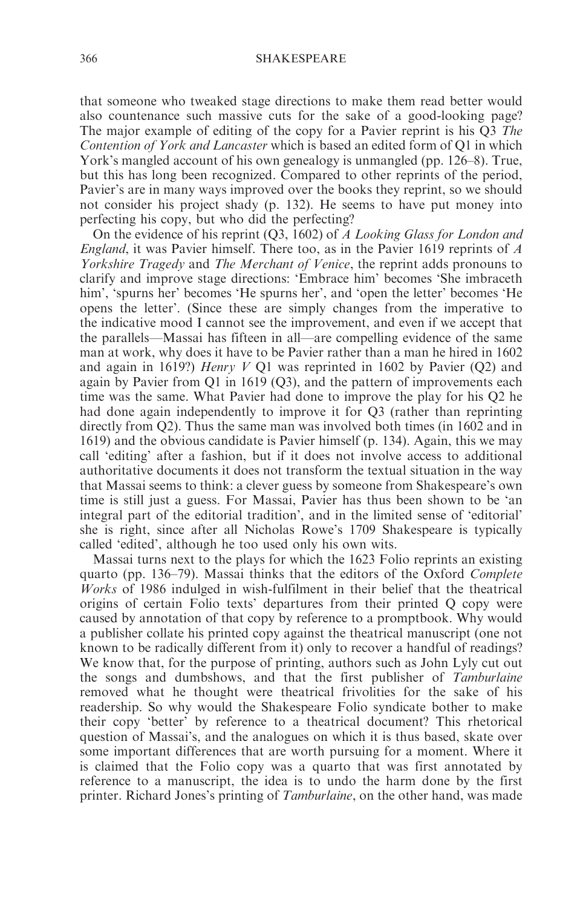that someone who tweaked stage directions to make them read better would also countenance such massive cuts for the sake of a good-looking page? The major example of editing of the copy for a Pavier reprint is his Q3 The Contention of York and Lancaster which is based an edited form of Q1 in which York's mangled account of his own genealogy is unmangled (pp. 126–8). True, but this has long been recognized. Compared to other reprints of the period, Pavier's are in many ways improved over the books they reprint, so we should not consider his project shady (p. 132). He seems to have put money into perfecting his copy, but who did the perfecting?

On the evidence of his reprint  $(Q3, 1602)$  of A Looking Glass for London and England, it was Pavier himself. There too, as in the Pavier 1619 reprints of  $\Lambda$ Yorkshire Tragedy and The Merchant of Venice, the reprint adds pronouns to clarify and improve stage directions: 'Embrace him' becomes 'She imbraceth him', 'spurns her' becomes 'He spurns her', and 'open the letter' becomes 'He opens the letter'. (Since these are simply changes from the imperative to the indicative mood I cannot see the improvement, and even if we accept that the parallels—Massai has fifteen in all—are compelling evidence of the same man at work, why does it have to be Pavier rather than a man he hired in 1602 and again in 1619?) Henry V O1 was reprinted in 1602 by Pavier (O2) and again by Pavier from Q1 in 1619 (Q3), and the pattern of improvements each time was the same. What Pavier had done to improve the play for his Q2 he had done again independently to improve it for Q3 (rather than reprinting directly from Q2). Thus the same man was involved both times (in 1602 and in 1619) and the obvious candidate is Pavier himself (p. 134). Again, this we may call 'editing' after a fashion, but if it does not involve access to additional authoritative documents it does not transform the textual situation in the way that Massai seems to think: a clever guess by someone from Shakespeare's own time is still just a guess. For Massai, Pavier has thus been shown to be 'an integral part of the editorial tradition', and in the limited sense of 'editorial' she is right, since after all Nicholas Rowe's 1709 Shakespeare is typically called 'edited', although he too used only his own wits.

Massai turns next to the plays for which the 1623 Folio reprints an existing quarto (pp. 136–79). Massai thinks that the editors of the Oxford Complete Works of 1986 indulged in wish-fulfilment in their belief that the theatrical origins of certain Folio texts' departures from their printed Q copy were caused by annotation of that copy by reference to a promptbook. Why would a publisher collate his printed copy against the theatrical manuscript (one not known to be radically different from it) only to recover a handful of readings? We know that, for the purpose of printing, authors such as John Lyly cut out the songs and dumbshows, and that the first publisher of Tamburlaine removed what he thought were theatrical frivolities for the sake of his readership. So why would the Shakespeare Folio syndicate bother to make their copy 'better' by reference to a theatrical document? This rhetorical question of Massai's, and the analogues on which it is thus based, skate over some important differences that are worth pursuing for a moment. Where it is claimed that the Folio copy was a quarto that was first annotated by reference to a manuscript, the idea is to undo the harm done by the first printer. Richard Jones's printing of Tamburlaine, on the other hand, was made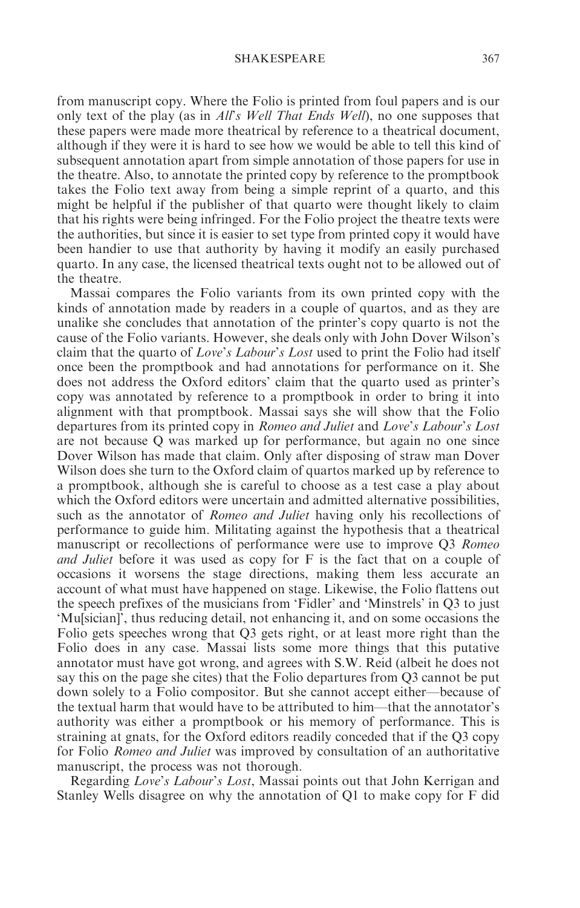from manuscript copy. Where the Folio is printed from foul papers and is our only text of the play (as in All's Well That Ends Well), no one supposes that these papers were made more theatrical by reference to a theatrical document, although if they were it is hard to see how we would be able to tell this kind of subsequent annotation apart from simple annotation of those papers for use in the theatre. Also, to annotate the printed copy by reference to the promptbook takes the Folio text away from being a simple reprint of a quarto, and this might be helpful if the publisher of that quarto were thought likely to claim that his rights were being infringed. For the Folio project the theatre texts were the authorities, but since it is easier to set type from printed copy it would have been handier to use that authority by having it modify an easily purchased quarto. In any case, the licensed theatrical texts ought not to be allowed out of the theatre.

Massai compares the Folio variants from its own printed copy with the kinds of annotation made by readers in a couple of quartos, and as they are unalike she concludes that annotation of the printer's copy quarto is not the cause of the Folio variants. However, she deals only with John Dover Wilson's claim that the quarto of Love's Labour's Lost used to print the Folio had itself once been the promptbook and had annotations for performance on it. She does not address the Oxford editors' claim that the quarto used as printer's copy was annotated by reference to a promptbook in order to bring it into alignment with that promptbook. Massai says she will show that the Folio departures from its printed copy in Romeo and Juliet and Love's Labour's Lost are not because Q was marked up for performance, but again no one since Dover Wilson has made that claim. Only after disposing of straw man Dover Wilson does she turn to the Oxford claim of quartos marked up by reference to a promptbook, although she is careful to choose as a test case a play about which the Oxford editors were uncertain and admitted alternative possibilities, such as the annotator of *Romeo and Juliet* having only his recollections of performance to guide him. Militating against the hypothesis that a theatrical manuscript or recollections of performance were use to improve Q3 Romeo and Juliet before it was used as copy for F is the fact that on a couple of occasions it worsens the stage directions, making them less accurate an account of what must have happened on stage. Likewise, the Folio flattens out the speech prefixes of the musicians from 'Fidler' and 'Minstrels' in Q3 to just 'Mu[sician]', thus reducing detail, not enhancing it, and on some occasions the Folio gets speeches wrong that Q3 gets right, or at least more right than the Folio does in any case. Massai lists some more things that this putative annotator must have got wrong, and agrees with S.W. Reid (albeit he does not say this on the page she cites) that the Folio departures from Q3 cannot be put down solely to a Folio compositor. But she cannot accept either—because of the textual harm that would have to be attributed to him—that the annotator's authority was either a promptbook or his memory of performance. This is straining at gnats, for the Oxford editors readily conceded that if the Q3 copy for Folio Romeo and Juliet was improved by consultation of an authoritative manuscript, the process was not thorough.

Regarding Love's Labour's Lost, Massai points out that John Kerrigan and Stanley Wells disagree on why the annotation of Q1 to make copy for F did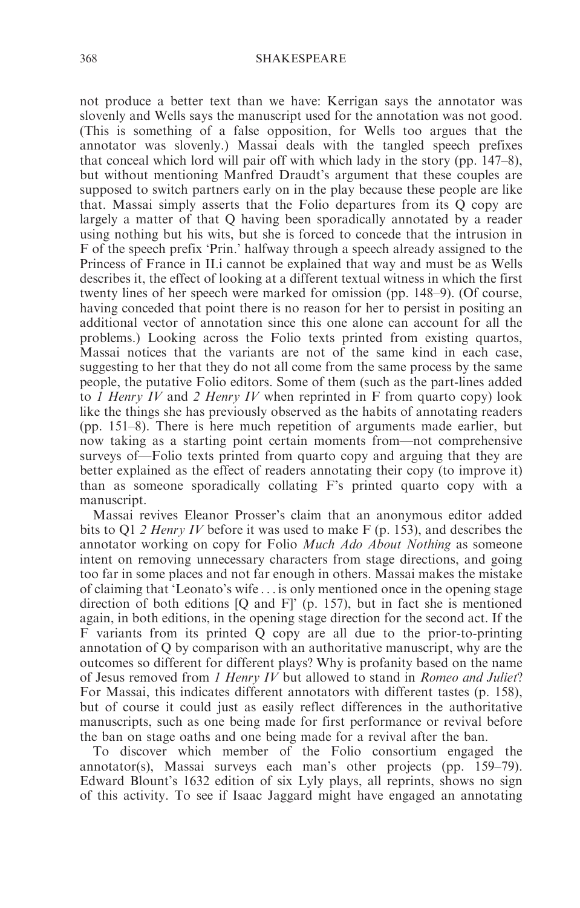not produce a better text than we have: Kerrigan says the annotator was slovenly and Wells says the manuscript used for the annotation was not good. (This is something of a false opposition, for Wells too argues that the annotator was slovenly.) Massai deals with the tangled speech prefixes that conceal which lord will pair off with which lady in the story (pp. 147–8), but without mentioning Manfred Draudt's argument that these couples are supposed to switch partners early on in the play because these people are like that. Massai simply asserts that the Folio departures from its Q copy are largely a matter of that O having been sporadically annotated by a reader using nothing but his wits, but she is forced to concede that the intrusion in F of the speech prefix 'Prin.' halfway through a speech already assigned to the Princess of France in II.i cannot be explained that way and must be as Wells describes it, the effect of looking at a different textual witness in which the first twenty lines of her speech were marked for omission (pp. 148–9). (Of course, having conceded that point there is no reason for her to persist in positing an additional vector of annotation since this one alone can account for all the problems.) Looking across the Folio texts printed from existing quartos, Massai notices that the variants are not of the same kind in each case, suggesting to her that they do not all come from the same process by the same people, the putative Folio editors. Some of them (such as the part-lines added to 1 Henry IV and 2 Henry IV when reprinted in F from quarto copy) look like the things she has previously observed as the habits of annotating readers (pp. 151–8). There is here much repetition of arguments made earlier, but now taking as a starting point certain moments from—not comprehensive surveys of—Folio texts printed from quarto copy and arguing that they are better explained as the effect of readers annotating their copy (to improve it) than as someone sporadically collating F's printed quarto copy with a manuscript.

Massai revives Eleanor Prosser's claim that an anonymous editor added bits to Q1 2 Henry IV before it was used to make F (p. 153), and describes the annotator working on copy for Folio Much Ado About Nothing as someone intent on removing unnecessary characters from stage directions, and going too far in some places and not far enough in others. Massai makes the mistake of claiming that 'Leonato's wife ... is only mentioned once in the opening stage direction of both editions  $[Q \text{ and } F]'$  (p. 157), but in fact she is mentioned again, in both editions, in the opening stage direction for the second act. If the F variants from its printed Q copy are all due to the prior-to-printing annotation of Q by comparison with an authoritative manuscript, why are the outcomes so different for different plays? Why is profanity based on the name of Jesus removed from 1 Henry IV but allowed to stand in Romeo and Juliet? For Massai, this indicates different annotators with different tastes (p. 158), but of course it could just as easily reflect differences in the authoritative manuscripts, such as one being made for first performance or revival before the ban on stage oaths and one being made for a revival after the ban.

To discover which member of the Folio consortium engaged the annotator(s), Massai surveys each man's other projects (pp. 159–79). Edward Blount's 1632 edition of six Lyly plays, all reprints, shows no sign of this activity. To see if Isaac Jaggard might have engaged an annotating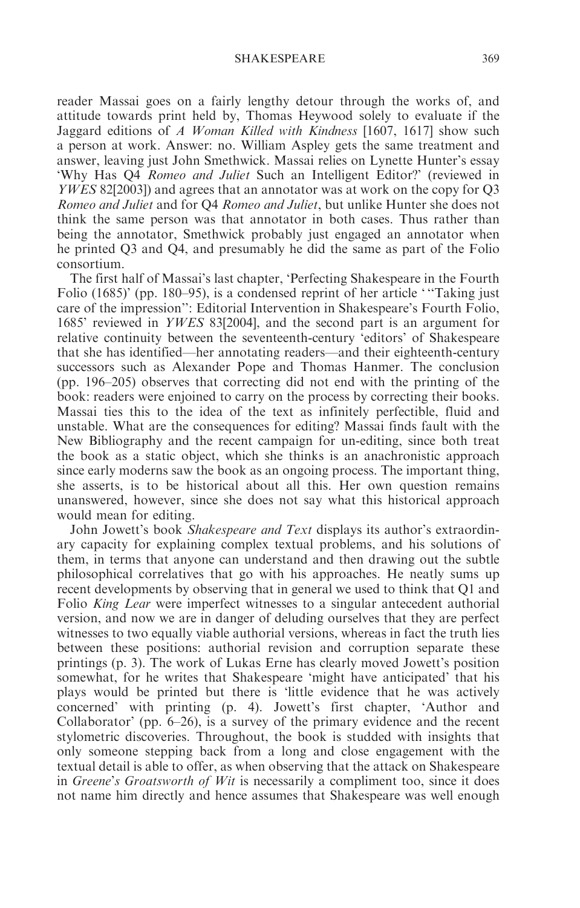reader Massai goes on a fairly lengthy detour through the works of, and attitude towards print held by, Thomas Heywood solely to evaluate if the Jaggard editions of A Woman Killed with Kindness [1607, 1617] show such a person at work. Answer: no. William Aspley gets the same treatment and answer, leaving just John Smethwick. Massai relies on Lynette Hunter's essay 'Why Has Q4 Romeo and Juliet Such an Intelligent Editor?' (reviewed in YWES 82[2003]) and agrees that an annotator was at work on the copy for Q3 Romeo and Juliet and for O4 Romeo and Juliet, but unlike Hunter she does not think the same person was that annotator in both cases. Thus rather than being the annotator, Smethwick probably just engaged an annotator when he printed Q3 and Q4, and presumably he did the same as part of the Folio consortium.

The first half of Massai's last chapter, 'Perfecting Shakespeare in the Fourth Folio (1685)' (pp. 180–95), is a condensed reprint of her article '"Taking just care of the impression'': Editorial Intervention in Shakespeare's Fourth Folio, 1685' reviewed in YWES 83[2004], and the second part is an argument for relative continuity between the seventeenth-century 'editors' of Shakespeare that she has identified—her annotating readers—and their eighteenth-century successors such as Alexander Pope and Thomas Hanmer. The conclusion (pp. 196–205) observes that correcting did not end with the printing of the book: readers were enjoined to carry on the process by correcting their books. Massai ties this to the idea of the text as infinitely perfectible, fluid and unstable. What are the consequences for editing? Massai finds fault with the New Bibliography and the recent campaign for un-editing, since both treat the book as a static object, which she thinks is an anachronistic approach since early moderns saw the book as an ongoing process. The important thing, she asserts, is to be historical about all this. Her own question remains unanswered, however, since she does not say what this historical approach would mean for editing.

John Jowett's book Shakespeare and Text displays its author's extraordinary capacity for explaining complex textual problems, and his solutions of them, in terms that anyone can understand and then drawing out the subtle philosophical correlatives that go with his approaches. He neatly sums up recent developments by observing that in general we used to think that Q1 and Folio King Lear were imperfect witnesses to a singular antecedent authorial version, and now we are in danger of deluding ourselves that they are perfect witnesses to two equally viable authorial versions, whereas in fact the truth lies between these positions: authorial revision and corruption separate these printings (p. 3). The work of Lukas Erne has clearly moved Jowett's position somewhat, for he writes that Shakespeare 'might have anticipated' that his plays would be printed but there is 'little evidence that he was actively concerned' with printing (p. 4). Jowett's first chapter, 'Author and Collaborator' (pp. 6–26), is a survey of the primary evidence and the recent stylometric discoveries. Throughout, the book is studded with insights that only someone stepping back from a long and close engagement with the textual detail is able to offer, as when observing that the attack on Shakespeare in Greene's Groatsworth of Wit is necessarily a compliment too, since it does not name him directly and hence assumes that Shakespeare was well enough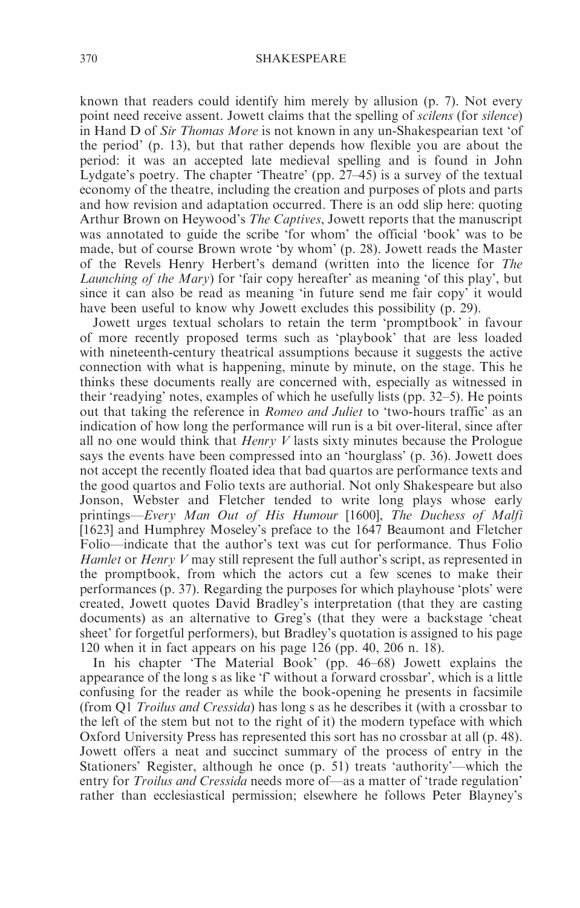known that readers could identify him merely by allusion (p. 7). Not every point need receive assent. Jowett claims that the spelling of *scilens* (for *silence*) in Hand D of Sir Thomas More is not known in any un-Shakespearian text 'of the period' (p. 13), but that rather depends how flexible you are about the period: it was an accepted late medieval spelling and is found in John Lydgate's poetry. The chapter 'Theatre' (pp.  $27-45$ ) is a survey of the textual economy of the theatre, including the creation and purposes of plots and parts and how revision and adaptation occurred. There is an odd slip here: quoting Arthur Brown on Heywood's *The Captives*, Jowett reports that the manuscript was annotated to guide the scribe 'for whom' the official 'book' was to be made, but of course Brown wrote 'by whom' (p. 28). Jowett reads the Master of the Revels Henry Herbert's demand (written into the licence for The Launching of the Mary) for 'fair copy hereafter' as meaning 'of this play', but since it can also be read as meaning 'in future send me fair copy' it would have been useful to know why Jowett excludes this possibility (p. 29).

Jowett urges textual scholars to retain the term 'promptbook' in favour of more recently proposed terms such as 'playbook' that are less loaded with nineteenth-century theatrical assumptions because it suggests the active connection with what is happening, minute by minute, on the stage. This he thinks these documents really are concerned with, especially as witnessed in their 'readying' notes, examples of which he usefully lists (pp. 32–5). He points out that taking the reference in Romeo and Juliet to 'two-hours traffic' as an indication of how long the performance will run is a bit over-literal, since after all no one would think that  $Henry V$  lasts sixty minutes because the Prologue says the events have been compressed into an 'hourglass' (p. 36). Jowett does not accept the recently floated idea that bad quartos are performance texts and the good quartos and Folio texts are authorial. Not only Shakespeare but also Jonson, Webster and Fletcher tended to write long plays whose early printings—Every Man Out of His Humour [1600], The Duchess of Malfi [1623] and Humphrey Moseley's preface to the 1647 Beaumont and Fletcher Folio—indicate that the author's text was cut for performance. Thus Folio Hamlet or Henry V may still represent the full author's script, as represented in the promptbook, from which the actors cut a few scenes to make their performances (p. 37). Regarding the purposes for which playhouse 'plots' were created, Jowett quotes David Bradley's interpretation (that they are casting documents) as an alternative to Greg's (that they were a backstage 'cheat sheet' for forgetful performers), but Bradley's quotation is assigned to his page 120 when it in fact appears on his page 126 (pp. 40, 206 n. 18).

In his chapter 'The Material Book' (pp. 46–68) Jowett explains the appearance of the long s as like 'f' without a forward crossbar', which is a little confusing for the reader as while the book-opening he presents in facsimile (from Q1 Troilus and Cressida) has long s as he describes it (with a crossbar to the left of the stem but not to the right of it) the modern typeface with which Oxford University Press has represented this sort has no crossbar at all (p. 48). Jowett offers a neat and succinct summary of the process of entry in the Stationers' Register, although he once (p. 51) treats 'authority'—which the entry for Troilus and Cressida needs more of—as a matter of 'trade regulation' rather than ecclesiastical permission; elsewhere he follows Peter Blayney's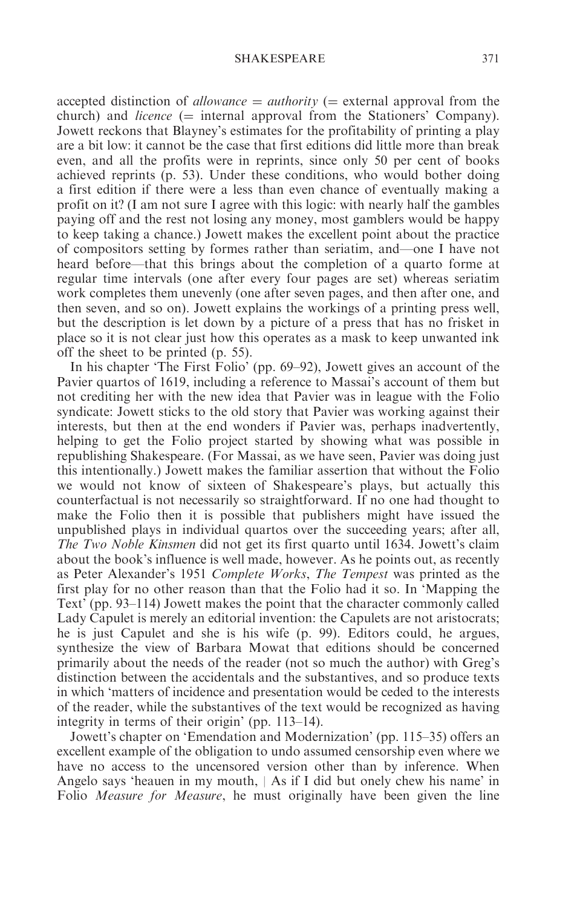accepted distinction of *allowance* = *authority* (= external approval from the church) and *licence*  $(=$  internal approval from the Stationers' Company). Jowett reckons that Blayney's estimates for the profitability of printing a play are a bit low: it cannot be the case that first editions did little more than break even, and all the profits were in reprints, since only 50 per cent of books achieved reprints (p. 53). Under these conditions, who would bother doing a first edition if there were a less than even chance of eventually making a profit on it? (I am not sure I agree with this logic: with nearly half the gambles paying off and the rest not losing any money, most gamblers would be happy to keep taking a chance.) Jowett makes the excellent point about the practice of compositors setting by formes rather than seriatim, and—one I have not heard before—that this brings about the completion of a quarto forme at regular time intervals (one after every four pages are set) whereas seriatim work completes them unevenly (one after seven pages, and then after one, and then seven, and so on). Jowett explains the workings of a printing press well, but the description is let down by a picture of a press that has no frisket in place so it is not clear just how this operates as a mask to keep unwanted ink off the sheet to be printed (p. 55).

In his chapter 'The First Folio' (pp. 69–92), Jowett gives an account of the Pavier quartos of 1619, including a reference to Massai's account of them but not crediting her with the new idea that Pavier was in league with the Folio syndicate: Jowett sticks to the old story that Pavier was working against their interests, but then at the end wonders if Pavier was, perhaps inadvertently, helping to get the Folio project started by showing what was possible in republishing Shakespeare. (For Massai, as we have seen, Pavier was doing just this intentionally.) Jowett makes the familiar assertion that without the Folio we would not know of sixteen of Shakespeare's plays, but actually this counterfactual is not necessarily so straightforward. If no one had thought to make the Folio then it is possible that publishers might have issued the unpublished plays in individual quartos over the succeeding years; after all, The Two Noble Kinsmen did not get its first quarto until 1634. Jowett's claim about the book's influence is well made, however. As he points out, as recently as Peter Alexander's 1951 Complete Works, The Tempest was printed as the first play for no other reason than that the Folio had it so. In 'Mapping the Text' (pp. 93–114) Jowett makes the point that the character commonly called Lady Capulet is merely an editorial invention: the Capulets are not aristocrats; he is just Capulet and she is his wife (p. 99). Editors could, he argues, synthesize the view of Barbara Mowat that editions should be concerned primarily about the needs of the reader (not so much the author) with Greg's distinction between the accidentals and the substantives, and so produce texts in which 'matters of incidence and presentation would be ceded to the interests of the reader, while the substantives of the text would be recognized as having integrity in terms of their origin' (pp. 113–14).

Jowett's chapter on 'Emendation and Modernization' (pp. 115–35) offers an excellent example of the obligation to undo assumed censorship even where we have no access to the uncensored version other than by inference. When Angelo says 'heauen in my mouth, | As if I did but onely chew his name' in Folio Measure for Measure, he must originally have been given the line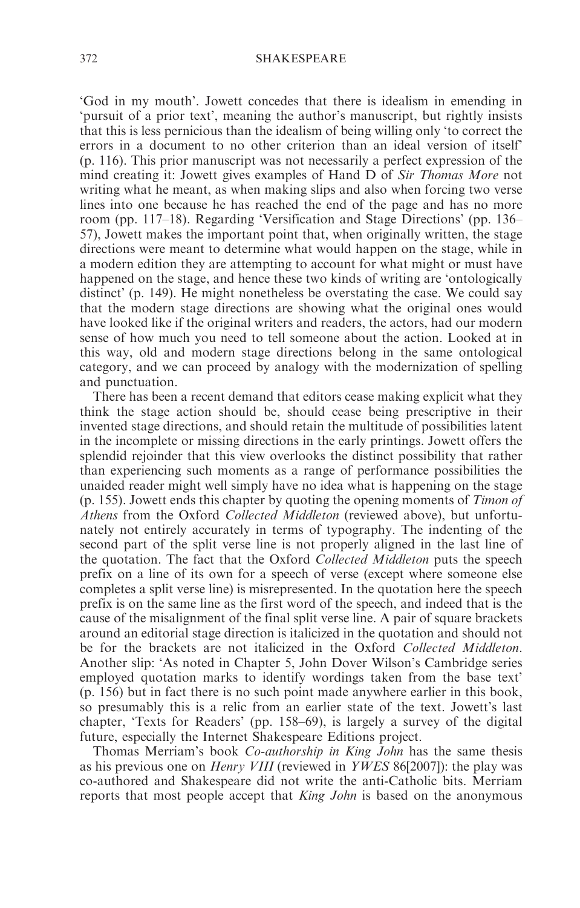'God in my mouth'. Jowett concedes that there is idealism in emending in 'pursuit of a prior text', meaning the author's manuscript, but rightly insists that this is less pernicious than the idealism of being willing only 'to correct the errors in a document to no other criterion than an ideal version of itself' (p. 116). This prior manuscript was not necessarily a perfect expression of the mind creating it: Jowett gives examples of Hand D of Sir Thomas More not writing what he meant, as when making slips and also when forcing two verse lines into one because he has reached the end of the page and has no more room (pp. 117–18). Regarding 'Versification and Stage Directions' (pp. 136– 57), Jowett makes the important point that, when originally written, the stage directions were meant to determine what would happen on the stage, while in a modern edition they are attempting to account for what might or must have happened on the stage, and hence these two kinds of writing are 'ontologically distinct' (p. 149). He might nonetheless be overstating the case. We could say that the modern stage directions are showing what the original ones would have looked like if the original writers and readers, the actors, had our modern sense of how much you need to tell someone about the action. Looked at in this way, old and modern stage directions belong in the same ontological category, and we can proceed by analogy with the modernization of spelling and punctuation.

There has been a recent demand that editors cease making explicit what they think the stage action should be, should cease being prescriptive in their invented stage directions, and should retain the multitude of possibilities latent in the incomplete or missing directions in the early printings. Jowett offers the splendid rejoinder that this view overlooks the distinct possibility that rather than experiencing such moments as a range of performance possibilities the unaided reader might well simply have no idea what is happening on the stage (p. 155). Jowett ends this chapter by quoting the opening moments of Timon of Athens from the Oxford Collected Middleton (reviewed above), but unfortunately not entirely accurately in terms of typography. The indenting of the second part of the split verse line is not properly aligned in the last line of the quotation. The fact that the Oxford Collected Middleton puts the speech prefix on a line of its own for a speech of verse (except where someone else completes a split verse line) is misrepresented. In the quotation here the speech prefix is on the same line as the first word of the speech, and indeed that is the cause of the misalignment of the final split verse line. A pair of square brackets around an editorial stage direction is italicized in the quotation and should not be for the brackets are not italicized in the Oxford Collected Middleton. Another slip: 'As noted in Chapter 5, John Dover Wilson's Cambridge series employed quotation marks to identify wordings taken from the base text' (p. 156) but in fact there is no such point made anywhere earlier in this book, so presumably this is a relic from an earlier state of the text. Jowett's last chapter, 'Texts for Readers' (pp. 158–69), is largely a survey of the digital future, especially the Internet Shakespeare Editions project.

Thomas Merriam's book *Co-authorship in King John* has the same thesis as his previous one on Henry VIII (reviewed in YWES 86[2007]): the play was co-authored and Shakespeare did not write the anti-Catholic bits. Merriam reports that most people accept that King John is based on the anonymous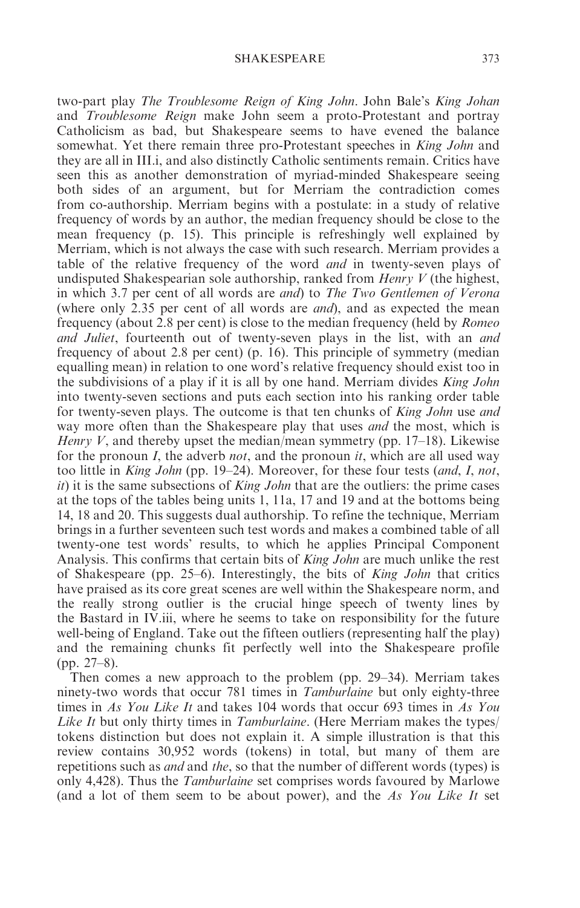two-part play The Troublesome Reign of King John. John Bale's King Johan and Troublesome Reign make John seem a proto-Protestant and portray Catholicism as bad, but Shakespeare seems to have evened the balance somewhat. Yet there remain three pro-Protestant speeches in King John and they are all in III.i, and also distinctly Catholic sentiments remain. Critics have seen this as another demonstration of myriad-minded Shakespeare seeing both sides of an argument, but for Merriam the contradiction comes from co-authorship. Merriam begins with a postulate: in a study of relative frequency of words by an author, the median frequency should be close to the mean frequency (p. 15). This principle is refreshingly well explained by Merriam, which is not always the case with such research. Merriam provides a table of the relative frequency of the word and in twenty-seven plays of undisputed Shakespearian sole authorship, ranked from  $Henry V$  (the highest, in which 3.7 per cent of all words are and) to The Two Gentlemen of Verona (where only 2.35 per cent of all words are and), and as expected the mean frequency (about 2.8 per cent) is close to the median frequency (held by Romeo and Juliet, fourteenth out of twenty-seven plays in the list, with an and frequency of about 2.8 per cent) (p. 16). This principle of symmetry (median equalling mean) in relation to one word's relative frequency should exist too in the subdivisions of a play if it is all by one hand. Merriam divides King John into twenty-seven sections and puts each section into his ranking order table for twenty-seven plays. The outcome is that ten chunks of King John use and way more often than the Shakespeare play that uses *and* the most, which is Henry V, and thereby upset the median/mean symmetry (pp.  $17-18$ ). Likewise for the pronoun I, the adverb *not*, and the pronoun *it*, which are all used way too little in King John (pp. 19–24). Moreover, for these four tests (and, I, not,  $it$ ) it is the same subsections of *King John* that are the outliers: the prime cases at the tops of the tables being units 1, 11a, 17 and 19 and at the bottoms being 14, 18 and 20. This suggests dual authorship. To refine the technique, Merriam brings in a further seventeen such test words and makes a combined table of all twenty-one test words' results, to which he applies Principal Component Analysis. This confirms that certain bits of King John are much unlike the rest of Shakespeare (pp. 25–6). Interestingly, the bits of King John that critics have praised as its core great scenes are well within the Shakespeare norm, and the really strong outlier is the crucial hinge speech of twenty lines by the Bastard in IV.iii, where he seems to take on responsibility for the future well-being of England. Take out the fifteen outliers (representing half the play) and the remaining chunks fit perfectly well into the Shakespeare profile (pp. 27–8).

Then comes a new approach to the problem (pp. 29–34). Merriam takes ninety-two words that occur 781 times in Tamburlaine but only eighty-three times in As You Like It and takes 104 words that occur 693 times in As You Like It but only thirty times in Tamburlaine. (Here Merriam makes the types/ tokens distinction but does not explain it. A simple illustration is that this review contains 30,952 words (tokens) in total, but many of them are repetitions such as *and* and *the*, so that the number of different words (types) is only 4,428). Thus the Tamburlaine set comprises words favoured by Marlowe (and a lot of them seem to be about power), and the As You Like It set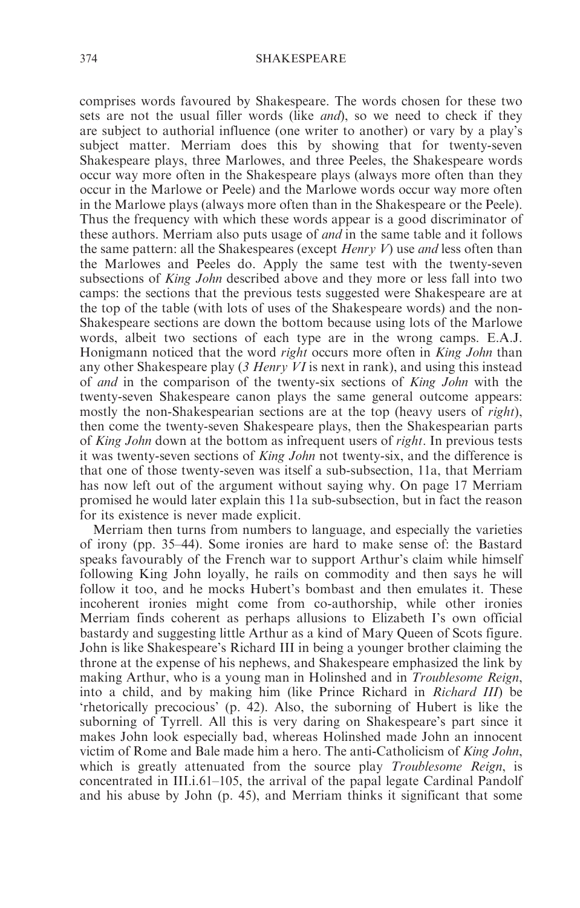comprises words favoured by Shakespeare. The words chosen for these two sets are not the usual filler words (like *and*), so we need to check if they are subject to authorial influence (one writer to another) or vary by a play's subject matter. Merriam does this by showing that for twenty-seven Shakespeare plays, three Marlowes, and three Peeles, the Shakespeare words occur way more often in the Shakespeare plays (always more often than they occur in the Marlowe or Peele) and the Marlowe words occur way more often in the Marlowe plays (always more often than in the Shakespeare or the Peele). Thus the frequency with which these words appear is a good discriminator of these authors. Merriam also puts usage of and in the same table and it follows the same pattern: all the Shakespeares (except  $Henry V$ ) use and less often than the Marlowes and Peeles do. Apply the same test with the twenty-seven subsections of *King John* described above and they more or less fall into two camps: the sections that the previous tests suggested were Shakespeare are at the top of the table (with lots of uses of the Shakespeare words) and the non-Shakespeare sections are down the bottom because using lots of the Marlowe words, albeit two sections of each type are in the wrong camps. E.A.J. Honigmann noticed that the word *right* occurs more often in *King John* than any other Shakespeare play  $(3$  Henry VI is next in rank), and using this instead of and in the comparison of the twenty-six sections of King John with the twenty-seven Shakespeare canon plays the same general outcome appears: mostly the non-Shakespearian sections are at the top (heavy users of right), then come the twenty-seven Shakespeare plays, then the Shakespearian parts of King John down at the bottom as infrequent users of right. In previous tests it was twenty-seven sections of King John not twenty-six, and the difference is that one of those twenty-seven was itself a sub-subsection, 11a, that Merriam has now left out of the argument without saying why. On page 17 Merriam promised he would later explain this 11a sub-subsection, but in fact the reason for its existence is never made explicit.

Merriam then turns from numbers to language, and especially the varieties of irony (pp. 35–44). Some ironies are hard to make sense of: the Bastard speaks favourably of the French war to support Arthur's claim while himself following King John loyally, he rails on commodity and then says he will follow it too, and he mocks Hubert's bombast and then emulates it. These incoherent ironies might come from co-authorship, while other ironies Merriam finds coherent as perhaps allusions to Elizabeth I's own official bastardy and suggesting little Arthur as a kind of Mary Queen of Scots figure. John is like Shakespeare's Richard III in being a younger brother claiming the throne at the expense of his nephews, and Shakespeare emphasized the link by making Arthur, who is a young man in Holinshed and in Troublesome Reign, into a child, and by making him (like Prince Richard in Richard III) be 'rhetorically precocious' (p. 42). Also, the suborning of Hubert is like the suborning of Tyrrell. All this is very daring on Shakespeare's part since it makes John look especially bad, whereas Holinshed made John an innocent victim of Rome and Bale made him a hero. The anti-Catholicism of King John, which is greatly attenuated from the source play *Troublesome Reign*, is concentrated in III.i.61–105, the arrival of the papal legate Cardinal Pandolf and his abuse by John (p. 45), and Merriam thinks it significant that some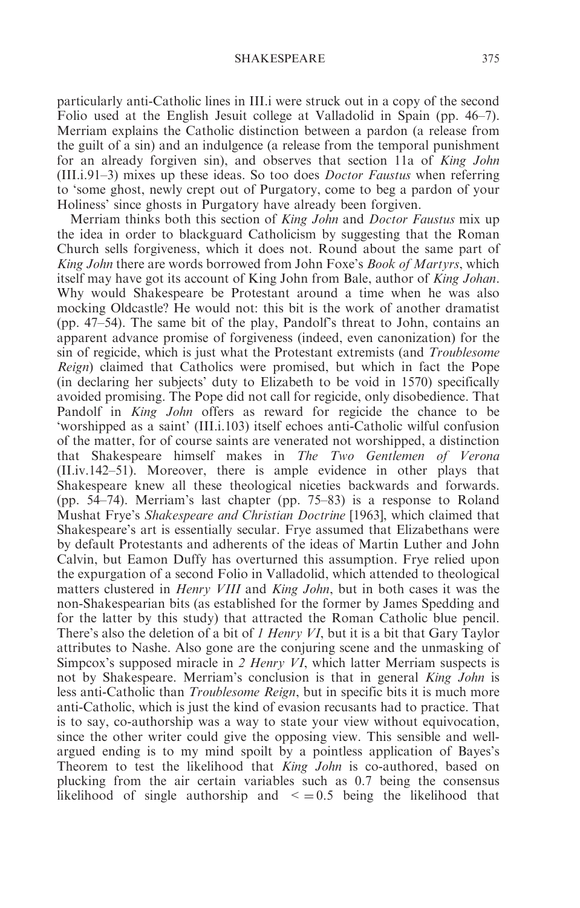particularly anti-Catholic lines in III.i were struck out in a copy of the second Folio used at the English Jesuit college at Valladolid in Spain (pp. 46–7). Merriam explains the Catholic distinction between a pardon (a release from the guilt of a sin) and an indulgence (a release from the temporal punishment for an already forgiven sin), and observes that section 11a of King John  $(III.i.91-3)$  mixes up these ideas. So too does *Doctor Faustus* when referring to 'some ghost, newly crept out of Purgatory, come to beg a pardon of your Holiness' since ghosts in Purgatory have already been forgiven.

Merriam thinks both this section of *King John* and *Doctor Faustus* mix up the idea in order to blackguard Catholicism by suggesting that the Roman Church sells forgiveness, which it does not. Round about the same part of King John there are words borrowed from John Foxe's Book of Martyrs, which itself may have got its account of King John from Bale, author of King Johan. Why would Shakespeare be Protestant around a time when he was also mocking Oldcastle? He would not: this bit is the work of another dramatist (pp. 47–54). The same bit of the play, Pandolf's threat to John, contains an apparent advance promise of forgiveness (indeed, even canonization) for the sin of regicide, which is just what the Protestant extremists (and Troublesome Reign) claimed that Catholics were promised, but which in fact the Pope (in declaring her subjects' duty to Elizabeth to be void in 1570) specifically avoided promising. The Pope did not call for regicide, only disobedience. That Pandolf in King John offers as reward for regicide the chance to be 'worshipped as a saint' (III.i.103) itself echoes anti-Catholic wilful confusion of the matter, for of course saints are venerated not worshipped, a distinction that Shakespeare himself makes in The Two Gentlemen of Verona (II.iv.142–51). Moreover, there is ample evidence in other plays that Shakespeare knew all these theological niceties backwards and forwards. (pp. 54–74). Merriam's last chapter (pp. 75–83) is a response to Roland Mushat Frye's Shakespeare and Christian Doctrine [1963], which claimed that Shakespeare's art is essentially secular. Frye assumed that Elizabethans were by default Protestants and adherents of the ideas of Martin Luther and John Calvin, but Eamon Duffy has overturned this assumption. Frye relied upon the expurgation of a second Folio in Valladolid, which attended to theological matters clustered in Henry VIII and King John, but in both cases it was the non-Shakespearian bits (as established for the former by James Spedding and for the latter by this study) that attracted the Roman Catholic blue pencil. There's also the deletion of a bit of 1 Henry VI, but it is a bit that Gary Taylor attributes to Nashe. Also gone are the conjuring scene and the unmasking of Simpcox's supposed miracle in 2 Henry VI, which latter Merriam suspects is not by Shakespeare. Merriam's conclusion is that in general King John is less anti-Catholic than Troublesome Reign, but in specific bits it is much more anti-Catholic, which is just the kind of evasion recusants had to practice. That is to say, co-authorship was a way to state your view without equivocation, since the other writer could give the opposing view. This sensible and wellargued ending is to my mind spoilt by a pointless application of Bayes's Theorem to test the likelihood that King John is co-authored, based on plucking from the air certain variables such as 0.7 being the consensus likelihood of single authorship and  $\leq$  = 0.5 being the likelihood that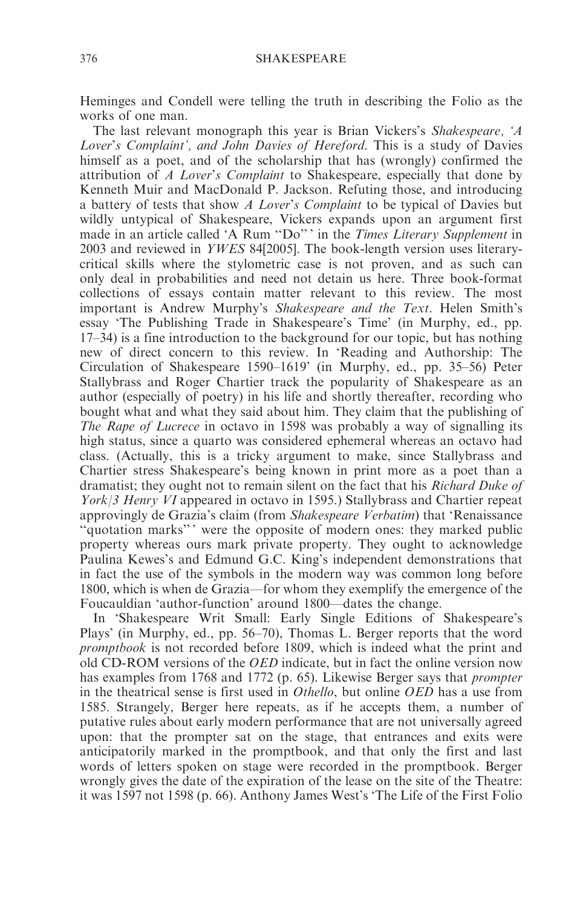Heminges and Condell were telling the truth in describing the Folio as the works of one man.

The last relevant monograph this year is Brian Vickers's Shakespeare, 'A Lover's Complaint', and John Davies of Hereford. This is a study of Davies himself as a poet, and of the scholarship that has (wrongly) confirmed the attribution of A Lover's Complaint to Shakespeare, especially that done by Kenneth Muir and MacDonald P. Jackson. Refuting those, and introducing a battery of tests that show A Lover's Complaint to be typical of Davies but wildly untypical of Shakespeare, Vickers expands upon an argument first made in an article called 'A Rum ''Do'' ' in the Times Literary Supplement in 2003 and reviewed in YWES 84[2005]. The book-length version uses literarycritical skills where the stylometric case is not proven, and as such can only deal in probabilities and need not detain us here. Three book-format collections of essays contain matter relevant to this review. The most important is Andrew Murphy's Shakespeare and the Text. Helen Smith's essay 'The Publishing Trade in Shakespeare's Time' (in Murphy, ed., pp. 17–34) is a fine introduction to the background for our topic, but has nothing new of direct concern to this review. In 'Reading and Authorship: The Circulation of Shakespeare 1590–1619' (in Murphy, ed., pp. 35–56) Peter Stallybrass and Roger Chartier track the popularity of Shakespeare as an author (especially of poetry) in his life and shortly thereafter, recording who bought what and what they said about him. They claim that the publishing of The Rape of Lucrece in octavo in 1598 was probably a way of signalling its high status, since a quarto was considered ephemeral whereas an octavo had class. (Actually, this is a tricky argument to make, since Stallybrass and Chartier stress Shakespeare's being known in print more as a poet than a dramatist; they ought not to remain silent on the fact that his Richard Duke of York/3 Henry VI appeared in octavo in 1595.) Stallybrass and Chartier repeat approvingly de Grazia's claim (from Shakespeare Verbatim) that 'Renaissance ''quotation marks'' ' were the opposite of modern ones: they marked public property whereas ours mark private property. They ought to acknowledge Paulina Kewes's and Edmund G.C. King's independent demonstrations that in fact the use of the symbols in the modern way was common long before 1800, which is when de Grazia—for whom they exemplify the emergence of the Foucauldian 'author-function' around 1800—dates the change.

In 'Shakespeare Writ Small: Early Single Editions of Shakespeare's Plays' (in Murphy, ed., pp. 56–70), Thomas L. Berger reports that the word promptbook is not recorded before 1809, which is indeed what the print and old CD-ROM versions of the OED indicate, but in fact the online version now has examples from 1768 and 1772 (p. 65). Likewise Berger says that prompter in the theatrical sense is first used in Othello, but online OED has a use from 1585. Strangely, Berger here repeats, as if he accepts them, a number of putative rules about early modern performance that are not universally agreed upon: that the prompter sat on the stage, that entrances and exits were anticipatorily marked in the promptbook, and that only the first and last words of letters spoken on stage were recorded in the promptbook. Berger wrongly gives the date of the expiration of the lease on the site of the Theatre: it was 1597 not 1598 (p. 66). Anthony James West's 'The Life of the First Folio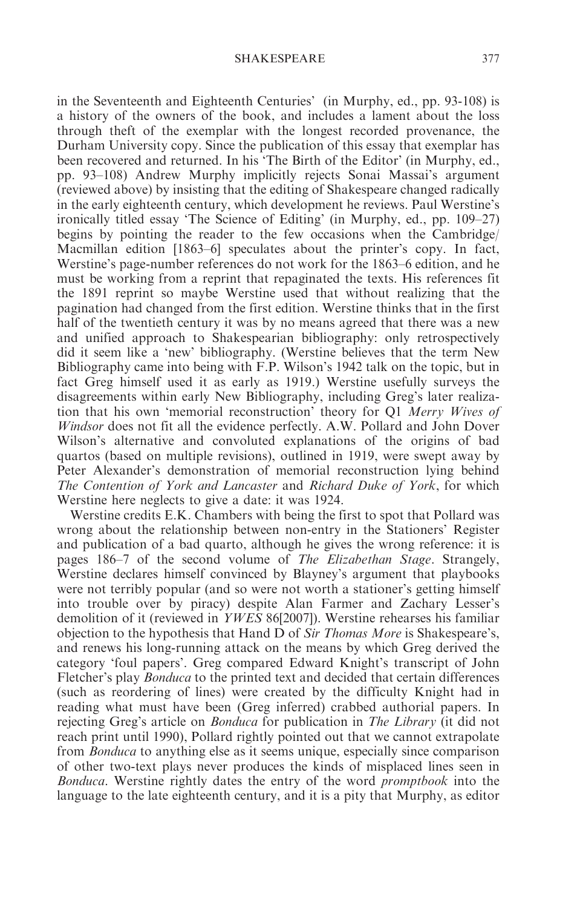in the Seventeenth and Eighteenth Centuries' (in Murphy, ed., pp. 93-108) is a history of the owners of the book, and includes a lament about the loss through theft of the exemplar with the longest recorded provenance, the Durham University copy. Since the publication of this essay that exemplar has been recovered and returned. In his 'The Birth of the Editor' (in Murphy, ed., pp. 93–108) Andrew Murphy implicitly rejects Sonai Massai's argument (reviewed above) by insisting that the editing of Shakespeare changed radically in the early eighteenth century, which development he reviews. Paul Werstine's ironically titled essay 'The Science of Editing' (in Murphy, ed., pp. 109–27) begins by pointing the reader to the few occasions when the Cambridge/ Macmillan edition [1863–6] speculates about the printer's copy. In fact, Werstine's page-number references do not work for the 1863–6 edition, and he must be working from a reprint that repaginated the texts. His references fit the 1891 reprint so maybe Werstine used that without realizing that the pagination had changed from the first edition. Werstine thinks that in the first half of the twentieth century it was by no means agreed that there was a new and unified approach to Shakespearian bibliography: only retrospectively did it seem like a 'new' bibliography. (Werstine believes that the term New Bibliography came into being with F.P. Wilson's 1942 talk on the topic, but in fact Greg himself used it as early as 1919.) Werstine usefully surveys the disagreements within early New Bibliography, including Greg's later realization that his own 'memorial reconstruction' theory for Q1 Merry Wives of Windsor does not fit all the evidence perfectly. A.W. Pollard and John Dover Wilson's alternative and convoluted explanations of the origins of bad quartos (based on multiple revisions), outlined in 1919, were swept away by Peter Alexander's demonstration of memorial reconstruction lying behind The Contention of York and Lancaster and Richard Duke of York, for which Werstine here neglects to give a date: it was 1924.

Werstine credits E.K. Chambers with being the first to spot that Pollard was wrong about the relationship between non-entry in the Stationers' Register and publication of a bad quarto, although he gives the wrong reference: it is pages 186–7 of the second volume of The Elizabethan Stage. Strangely, Werstine declares himself convinced by Blayney's argument that playbooks were not terribly popular (and so were not worth a stationer's getting himself into trouble over by piracy) despite Alan Farmer and Zachary Lesser's demolition of it (reviewed in YWES 86[2007]). Werstine rehearses his familiar objection to the hypothesis that Hand D of Sir Thomas More is Shakespeare's, and renews his long-running attack on the means by which Greg derived the category 'foul papers'. Greg compared Edward Knight's transcript of John Fletcher's play Bonduca to the printed text and decided that certain differences (such as reordering of lines) were created by the difficulty Knight had in reading what must have been (Greg inferred) crabbed authorial papers. In rejecting Greg's article on Bonduca for publication in The Library (it did not reach print until 1990), Pollard rightly pointed out that we cannot extrapolate from Bonduca to anything else as it seems unique, especially since comparison of other two-text plays never produces the kinds of misplaced lines seen in Bonduca. Werstine rightly dates the entry of the word promptbook into the language to the late eighteenth century, and it is a pity that Murphy, as editor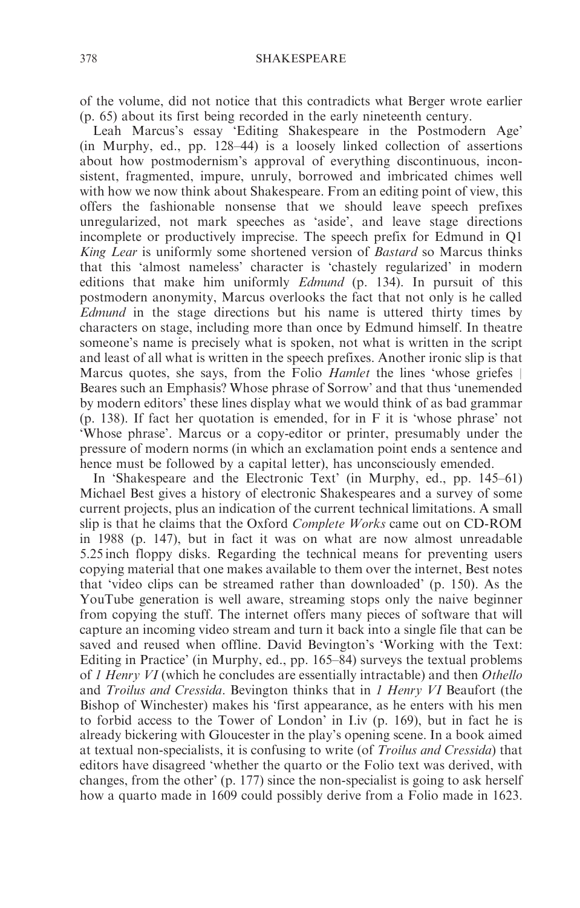of the volume, did not notice that this contradicts what Berger wrote earlier (p. 65) about its first being recorded in the early nineteenth century.

Leah Marcus's essay 'Editing Shakespeare in the Postmodern Age' (in Murphy, ed., pp. 128–44) is a loosely linked collection of assertions about how postmodernism's approval of everything discontinuous, inconsistent, fragmented, impure, unruly, borrowed and imbricated chimes well with how we now think about Shakespeare. From an editing point of view, this offers the fashionable nonsense that we should leave speech prefixes unregularized, not mark speeches as 'aside', and leave stage directions incomplete or productively imprecise. The speech prefix for Edmund in Q1 King Lear is uniformly some shortened version of Bastard so Marcus thinks that this 'almost nameless' character is 'chastely regularized' in modern editions that make him uniformly *Edmund* (p. 134). In pursuit of this postmodern anonymity, Marcus overlooks the fact that not only is he called Edmund in the stage directions but his name is uttered thirty times by characters on stage, including more than once by Edmund himself. In theatre someone's name is precisely what is spoken, not what is written in the script and least of all what is written in the speech prefixes. Another ironic slip is that Marcus quotes, she says, from the Folio *Hamlet* the lines 'whose griefes | Beares such an Emphasis? Whose phrase of Sorrow' and that thus 'unemended by modern editors' these lines display what we would think of as bad grammar (p. 138). If fact her quotation is emended, for in F it is 'whose phrase' not 'Whose phrase'. Marcus or a copy-editor or printer, presumably under the pressure of modern norms (in which an exclamation point ends a sentence and hence must be followed by a capital letter), has unconsciously emended.

In 'Shakespeare and the Electronic Text' (in Murphy, ed., pp. 145–61) Michael Best gives a history of electronic Shakespeares and a survey of some current projects, plus an indication of the current technical limitations. A small slip is that he claims that the Oxford Complete Works came out on CD-ROM in 1988 (p. 147), but in fact it was on what are now almost unreadable 5.25 inch floppy disks. Regarding the technical means for preventing users copying material that one makes available to them over the internet, Best notes that 'video clips can be streamed rather than downloaded' (p. 150). As the YouTube generation is well aware, streaming stops only the naive beginner from copying the stuff. The internet offers many pieces of software that will capture an incoming video stream and turn it back into a single file that can be saved and reused when offline. David Bevington's 'Working with the Text: Editing in Practice' (in Murphy, ed., pp. 165–84) surveys the textual problems of 1 Henry VI (which he concludes are essentially intractable) and then Othello and Troilus and Cressida. Bevington thinks that in 1 Henry VI Beaufort (the Bishop of Winchester) makes his 'first appearance, as he enters with his men to forbid access to the Tower of London' in I.iv (p. 169), but in fact he is already bickering with Gloucester in the play's opening scene. In a book aimed at textual non-specialists, it is confusing to write (of Troilus and Cressida) that editors have disagreed 'whether the quarto or the Folio text was derived, with changes, from the other' (p. 177) since the non-specialist is going to ask herself how a quarto made in 1609 could possibly derive from a Folio made in 1623.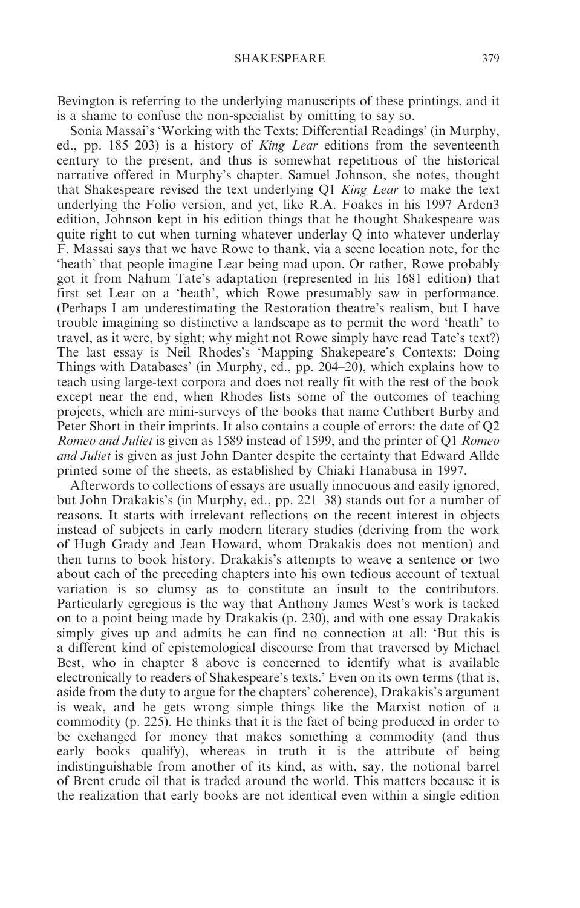Bevington is referring to the underlying manuscripts of these printings, and it is a shame to confuse the non-specialist by omitting to say so.

Sonia Massai's 'Working with the Texts: Differential Readings' (in Murphy, ed., pp. 185–203) is a history of King Lear editions from the seventeenth century to the present, and thus is somewhat repetitious of the historical narrative offered in Murphy's chapter. Samuel Johnson, she notes, thought that Shakespeare revised the text underlying Q1 King Lear to make the text underlying the Folio version, and yet, like R.A. Foakes in his 1997 Arden3 edition, Johnson kept in his edition things that he thought Shakespeare was quite right to cut when turning whatever underlay Q into whatever underlay F. Massai says that we have Rowe to thank, via a scene location note, for the 'heath' that people imagine Lear being mad upon. Or rather, Rowe probably got it from Nahum Tate's adaptation (represented in his 1681 edition) that first set Lear on a 'heath', which Rowe presumably saw in performance. (Perhaps I am underestimating the Restoration theatre's realism, but I have trouble imagining so distinctive a landscape as to permit the word 'heath' to travel, as it were, by sight; why might not Rowe simply have read Tate's text?) The last essay is Neil Rhodes's 'Mapping Shakepeare's Contexts: Doing Things with Databases' (in Murphy, ed., pp. 204–20), which explains how to teach using large-text corpora and does not really fit with the rest of the book except near the end, when Rhodes lists some of the outcomes of teaching projects, which are mini-surveys of the books that name Cuthbert Burby and Peter Short in their imprints. It also contains a couple of errors: the date of Q2 Romeo and Juliet is given as 1589 instead of 1599, and the printer of Q1 Romeo and Juliet is given as just John Danter despite the certainty that Edward Allde printed some of the sheets, as established by Chiaki Hanabusa in 1997.

Afterwords to collections of essays are usually innocuous and easily ignored, but John Drakakis's (in Murphy, ed., pp. 221–38) stands out for a number of reasons. It starts with irrelevant reflections on the recent interest in objects instead of subjects in early modern literary studies (deriving from the work of Hugh Grady and Jean Howard, whom Drakakis does not mention) and then turns to book history. Drakakis's attempts to weave a sentence or two about each of the preceding chapters into his own tedious account of textual variation is so clumsy as to constitute an insult to the contributors. Particularly egregious is the way that Anthony James West's work is tacked on to a point being made by Drakakis (p. 230), and with one essay Drakakis simply gives up and admits he can find no connection at all: 'But this is a different kind of epistemological discourse from that traversed by Michael Best, who in chapter 8 above is concerned to identify what is available electronically to readers of Shakespeare's texts.' Even on its own terms (that is, aside from the duty to argue for the chapters' coherence), Drakakis's argument is weak, and he gets wrong simple things like the Marxist notion of a commodity (p. 225). He thinks that it is the fact of being produced in order to be exchanged for money that makes something a commodity (and thus early books qualify), whereas in truth it is the attribute of being indistinguishable from another of its kind, as with, say, the notional barrel of Brent crude oil that is traded around the world. This matters because it is the realization that early books are not identical even within a single edition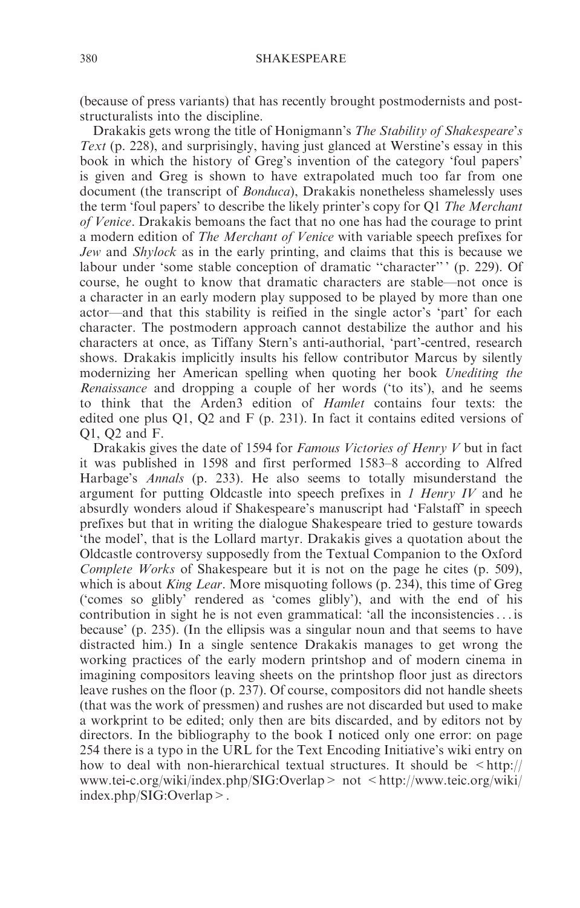(because of press variants) that has recently brought postmodernists and poststructuralists into the discipline.

Drakakis gets wrong the title of Honigmann's The Stability of Shakespeare's Text (p. 228), and surprisingly, having just glanced at Werstine's essay in this book in which the history of Greg's invention of the category 'foul papers' is given and Greg is shown to have extrapolated much too far from one document (the transcript of *Bonduca*), Drakakis nonetheless shamelessly uses the term 'foul papers' to describe the likely printer's copy for Q1 The Merchant of Venice. Drakakis bemoans the fact that no one has had the courage to print a modern edition of The Merchant of Venice with variable speech prefixes for Jew and Shylock as in the early printing, and claims that this is because we labour under 'some stable conception of dramatic ''character'' ' (p. 229). Of course, he ought to know that dramatic characters are stable—not once is a character in an early modern play supposed to be played by more than one actor—and that this stability is reified in the single actor's 'part' for each character. The postmodern approach cannot destabilize the author and his characters at once, as Tiffany Stern's anti-authorial, 'part'-centred, research shows. Drakakis implicitly insults his fellow contributor Marcus by silently modernizing her American spelling when quoting her book Unediting the Renaissance and dropping a couple of her words ('to its'), and he seems to think that the Arden3 edition of Hamlet contains four texts: the edited one plus Q1, Q2 and F (p. 231). In fact it contains edited versions of Q1, Q2 and F.

Drakakis gives the date of 1594 for Famous Victories of Henry V but in fact it was published in 1598 and first performed 1583–8 according to Alfred Harbage's Annals (p. 233). He also seems to totally misunderstand the argument for putting Oldcastle into speech prefixes in 1 Henry IV and he absurdly wonders aloud if Shakespeare's manuscript had 'Falstaff' in speech prefixes but that in writing the dialogue Shakespeare tried to gesture towards 'the model', that is the Lollard martyr. Drakakis gives a quotation about the Oldcastle controversy supposedly from the Textual Companion to the Oxford Complete Works of Shakespeare but it is not on the page he cites (p. 509), which is about *King Lear*. More misquoting follows (p. 234), this time of Greg ('comes so glibly' rendered as 'comes glibly'), and with the end of his contribution in sight he is not even grammatical: 'all the inconsistencies... is because' (p. 235). (In the ellipsis was a singular noun and that seems to have distracted him.) In a single sentence Drakakis manages to get wrong the working practices of the early modern printshop and of modern cinema in imagining compositors leaving sheets on the printshop floor just as directors leave rushes on the floor (p. 237). Of course, compositors did not handle sheets (that was the work of pressmen) and rushes are not discarded but used to make a workprint to be edited; only then are bits discarded, and by editors not by directors. In the bibliography to the book I noticed only one error: on page 254 there is a typo in the URL for the Text Encoding Initiative's wiki entry on how to deal with non-hierarchical textual structures. It should be  $\leq$ http:// www.tei-c.org/wiki/index.php/SIG:Overlap > not <<http://www.teic.org/wiki/> index.php/SIG:Overlap>.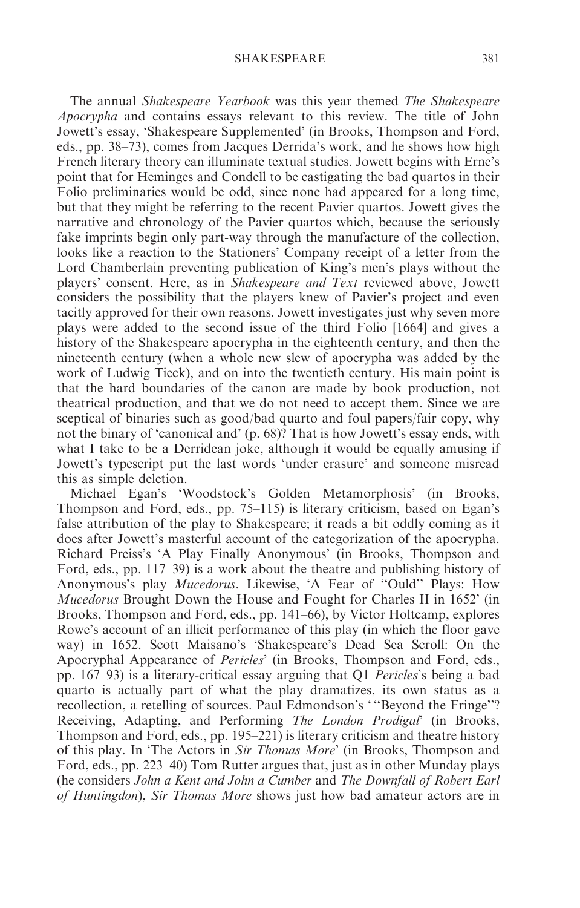The annual Shakespeare Yearbook was this year themed The Shakespeare Apocrypha and contains essays relevant to this review. The title of John Jowett's essay, 'Shakespeare Supplemented' (in Brooks, Thompson and Ford, eds., pp. 38–73), comes from Jacques Derrida's work, and he shows how high French literary theory can illuminate textual studies. Jowett begins with Erne's point that for Heminges and Condell to be castigating the bad quartos in their Folio preliminaries would be odd, since none had appeared for a long time, but that they might be referring to the recent Pavier quartos. Jowett gives the narrative and chronology of the Pavier quartos which, because the seriously fake imprints begin only part-way through the manufacture of the collection, looks like a reaction to the Stationers' Company receipt of a letter from the Lord Chamberlain preventing publication of King's men's plays without the players' consent. Here, as in Shakespeare and Text reviewed above, Jowett considers the possibility that the players knew of Pavier's project and even tacitly approved for their own reasons. Jowett investigates just why seven more plays were added to the second issue of the third Folio [1664] and gives a history of the Shakespeare apocrypha in the eighteenth century, and then the nineteenth century (when a whole new slew of apocrypha was added by the work of Ludwig Tieck), and on into the twentieth century. His main point is that the hard boundaries of the canon are made by book production, not theatrical production, and that we do not need to accept them. Since we are sceptical of binaries such as good/bad quarto and foul papers/fair copy, why not the binary of 'canonical and' (p. 68)? That is how Jowett's essay ends, with what I take to be a Derridean joke, although it would be equally amusing if Jowett's typescript put the last words 'under erasure' and someone misread this as simple deletion.

Michael Egan's 'Woodstock's Golden Metamorphosis' (in Brooks, Thompson and Ford, eds., pp. 75–115) is literary criticism, based on Egan's false attribution of the play to Shakespeare; it reads a bit oddly coming as it does after Jowett's masterful account of the categorization of the apocrypha. Richard Preiss's 'A Play Finally Anonymous' (in Brooks, Thompson and Ford, eds., pp. 117–39) is a work about the theatre and publishing history of Anonymous's play Mucedorus. Likewise, 'A Fear of ''Ould'' Plays: How Mucedorus Brought Down the House and Fought for Charles II in 1652' (in Brooks, Thompson and Ford, eds., pp. 141–66), by Victor Holtcamp, explores Rowe's account of an illicit performance of this play (in which the floor gave way) in 1652. Scott Maisano's 'Shakespeare's Dead Sea Scroll: On the Apocryphal Appearance of Pericles' (in Brooks, Thompson and Ford, eds., pp. 167–93) is a literary-critical essay arguing that Q1 Pericles's being a bad quarto is actually part of what the play dramatizes, its own status as a recollection, a retelling of sources. Paul Edmondson's ' ''Beyond the Fringe''? Receiving, Adapting, and Performing The London Prodigal' (in Brooks, Thompson and Ford, eds., pp. 195–221) is literary criticism and theatre history of this play. In 'The Actors in Sir Thomas More' (in Brooks, Thompson and Ford, eds., pp. 223–40) Tom Rutter argues that, just as in other Munday plays (he considers John a Kent and John a Cumber and The Downfall of Robert Earl of Huntingdon), Sir Thomas More shows just how bad amateur actors are in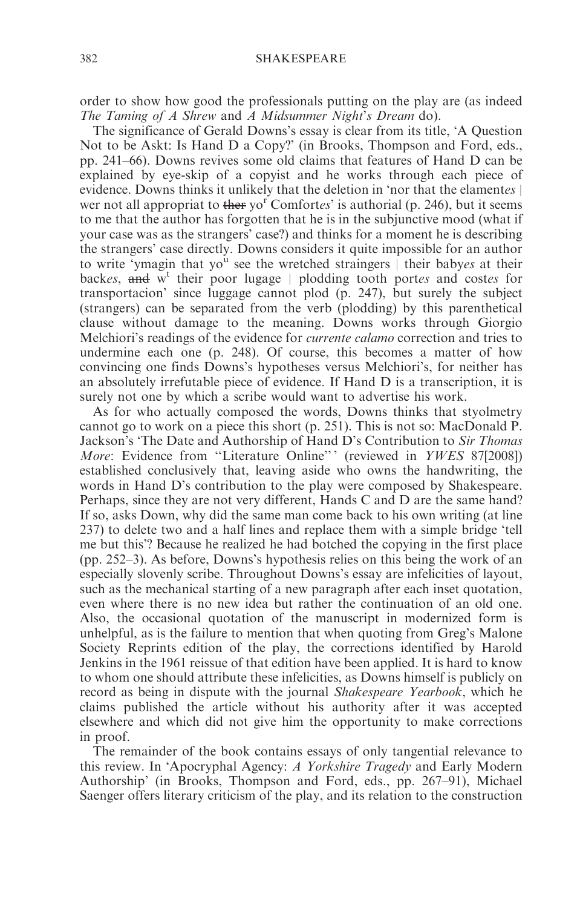order to show how good the professionals putting on the play are (as indeed The Taming of A Shrew and A Midsummer Night's Dream do).

The significance of Gerald Downs's essay is clear from its title, 'A Question Not to be Askt: Is Hand D a Copy?' (in Brooks, Thompson and Ford, eds., pp. 241–66). Downs revives some old claims that features of Hand D can be explained by eye-skip of a copyist and he works through each piece of evidence. Downs thinks it unlikely that the deletion in 'nor that the elamentes  $\vert$ wer not all appropriat to their yo<sup>r</sup> Comfortes' is authorial (p. 246), but it seems to me that the author has forgotten that he is in the subjunctive mood (what if your case was as the strangers' case?) and thinks for a moment he is describing the strangers' case directly. Downs considers it quite impossible for an author to write 'ymagin that yo<sup>u</sup> see the wretched straingers  $\vert$  their babyes at their backes, and  $w<sup>t</sup>$  their poor lugage | plodding tooth portes and costes for transportacion' since luggage cannot plod (p. 247), but surely the subject (strangers) can be separated from the verb (plodding) by this parenthetical clause without damage to the meaning. Downs works through Giorgio Melchiori's readings of the evidence for currente calamo correction and tries to undermine each one (p. 248). Of course, this becomes a matter of how convincing one finds Downs's hypotheses versus Melchiori's, for neither has an absolutely irrefutable piece of evidence. If Hand D is a transcription, it is surely not one by which a scribe would want to advertise his work.

As for who actually composed the words, Downs thinks that styolmetry cannot go to work on a piece this short (p. 251). This is not so: MacDonald P. Jackson's 'The Date and Authorship of Hand D's Contribution to Sir Thomas More: Evidence from "Literature Online"' (reviewed in YWES 87[2008]) established conclusively that, leaving aside who owns the handwriting, the words in Hand D's contribution to the play were composed by Shakespeare. Perhaps, since they are not very different, Hands C and D are the same hand? If so, asks Down, why did the same man come back to his own writing (at line 237) to delete two and a half lines and replace them with a simple bridge 'tell me but this'? Because he realized he had botched the copying in the first place (pp. 252–3). As before, Downs's hypothesis relies on this being the work of an especially slovenly scribe. Throughout Downs's essay are infelicities of layout, such as the mechanical starting of a new paragraph after each inset quotation, even where there is no new idea but rather the continuation of an old one. Also, the occasional quotation of the manuscript in modernized form is unhelpful, as is the failure to mention that when quoting from Greg's Malone Society Reprints edition of the play, the corrections identified by Harold Jenkins in the 1961 reissue of that edition have been applied. It is hard to know to whom one should attribute these infelicities, as Downs himself is publicly on record as being in dispute with the journal *Shakespeare Yearbook*, which he claims published the article without his authority after it was accepted elsewhere and which did not give him the opportunity to make corrections in proof.

The remainder of the book contains essays of only tangential relevance to this review. In 'Apocryphal Agency: A Yorkshire Tragedy and Early Modern Authorship' (in Brooks, Thompson and Ford, eds., pp. 267–91), Michael Saenger offers literary criticism of the play, and its relation to the construction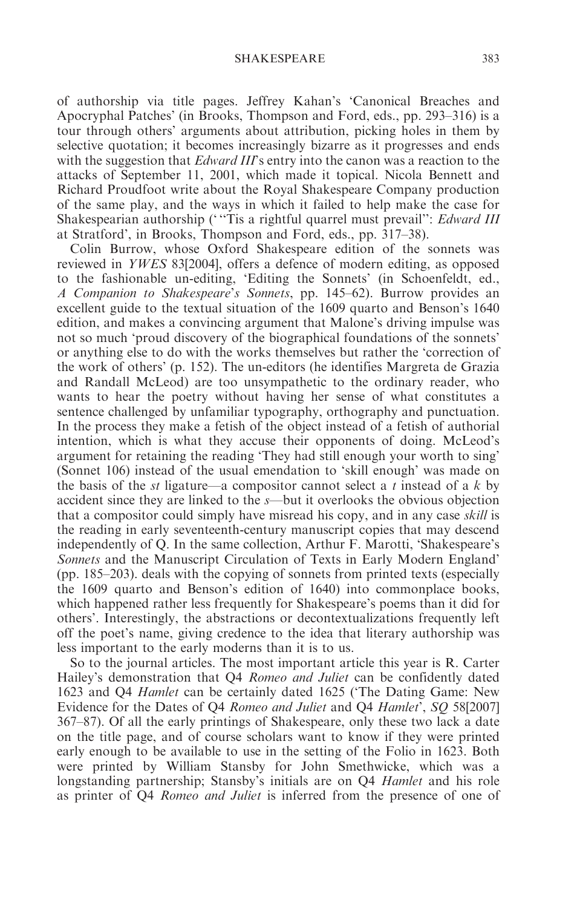of authorship via title pages. Jeffrey Kahan's 'Canonical Breaches and Apocryphal Patches' (in Brooks, Thompson and Ford, eds., pp. 293–316) is a tour through others' arguments about attribution, picking holes in them by selective quotation; it becomes increasingly bizarre as it progresses and ends with the suggestion that *Edward III*'s entry into the canon was a reaction to the attacks of September 11, 2001, which made it topical. Nicola Bennett and Richard Proudfoot write about the Royal Shakespeare Company production of the same play, and the ways in which it failed to help make the case for Shakespearian authorship (""Tis a rightful quarrel must prevail": *Edward III* at Stratford', in Brooks, Thompson and Ford, eds., pp. 317–38).

Colin Burrow, whose Oxford Shakespeare edition of the sonnets was reviewed in YWES 83[2004], offers a defence of modern editing, as opposed to the fashionable un-editing, 'Editing the Sonnets' (in Schoenfeldt, ed., A Companion to Shakespeare's Sonnets, pp. 145–62). Burrow provides an excellent guide to the textual situation of the 1609 quarto and Benson's 1640 edition, and makes a convincing argument that Malone's driving impulse was not so much 'proud discovery of the biographical foundations of the sonnets' or anything else to do with the works themselves but rather the 'correction of the work of others' (p. 152). The un-editors (he identifies Margreta de Grazia and Randall McLeod) are too unsympathetic to the ordinary reader, who wants to hear the poetry without having her sense of what constitutes a sentence challenged by unfamiliar typography, orthography and punctuation. In the process they make a fetish of the object instead of a fetish of authorial intention, which is what they accuse their opponents of doing. McLeod's argument for retaining the reading 'They had still enough your worth to sing' (Sonnet 106) instead of the usual emendation to 'skill enough' was made on the basis of the st ligature—a compositor cannot select a t instead of a k by accident since they are linked to the s—but it overlooks the obvious objection that a compositor could simply have misread his copy, and in any case skill is the reading in early seventeenth-century manuscript copies that may descend independently of Q. In the same collection, Arthur F. Marotti, 'Shakespeare's Sonnets and the Manuscript Circulation of Texts in Early Modern England' (pp. 185–203). deals with the copying of sonnets from printed texts (especially the 1609 quarto and Benson's edition of 1640) into commonplace books, which happened rather less frequently for Shakespeare's poems than it did for others'. Interestingly, the abstractions or decontextualizations frequently left off the poet's name, giving credence to the idea that literary authorship was less important to the early moderns than it is to us.

So to the journal articles. The most important article this year is R. Carter Hailey's demonstration that Q4 *Romeo and Juliet* can be confidently dated 1623 and Q4 Hamlet can be certainly dated 1625 ('The Dating Game: New Evidence for the Dates of Q4 Romeo and Juliet and Q4 Hamlet', SQ 58[2007] 367–87). Of all the early printings of Shakespeare, only these two lack a date on the title page, and of course scholars want to know if they were printed early enough to be available to use in the setting of the Folio in 1623. Both were printed by William Stansby for John Smethwicke, which was a longstanding partnership; Stansby's initials are on Q4 Hamlet and his role as printer of Q4 Romeo and Juliet is inferred from the presence of one of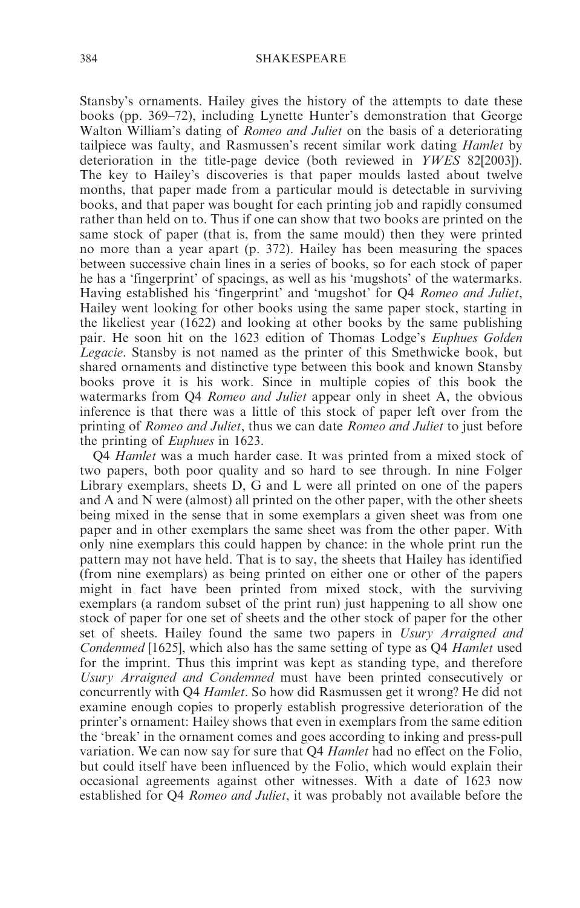Stansby's ornaments. Hailey gives the history of the attempts to date these books (pp. 369–72), including Lynette Hunter's demonstration that George Walton William's dating of *Romeo and Juliet* on the basis of a deteriorating tailpiece was faulty, and Rasmussen's recent similar work dating Hamlet by deterioration in the title-page device (both reviewed in YWES 82[2003]). The key to Hailey's discoveries is that paper moulds lasted about twelve months, that paper made from a particular mould is detectable in surviving books, and that paper was bought for each printing job and rapidly consumed rather than held on to. Thus if one can show that two books are printed on the same stock of paper (that is, from the same mould) then they were printed no more than a year apart (p. 372). Hailey has been measuring the spaces between successive chain lines in a series of books, so for each stock of paper he has a 'fingerprint' of spacings, as well as his 'mugshots' of the watermarks. Having established his 'fingerprint' and 'mugshot' for Q4 Romeo and Juliet, Hailey went looking for other books using the same paper stock, starting in the likeliest year (1622) and looking at other books by the same publishing pair. He soon hit on the 1623 edition of Thomas Lodge's Euphues Golden Legacie. Stansby is not named as the printer of this Smethwicke book, but shared ornaments and distinctive type between this book and known Stansby books prove it is his work. Since in multiple copies of this book the watermarks from O4 *Romeo and Juliet* appear only in sheet A, the obvious inference is that there was a little of this stock of paper left over from the printing of Romeo and Juliet, thus we can date Romeo and Juliet to just before the printing of Euphues in 1623.

Q4 Hamlet was a much harder case. It was printed from a mixed stock of two papers, both poor quality and so hard to see through. In nine Folger Library exemplars, sheets D, G and L were all printed on one of the papers and A and N were (almost) all printed on the other paper, with the other sheets being mixed in the sense that in some exemplars a given sheet was from one paper and in other exemplars the same sheet was from the other paper. With only nine exemplars this could happen by chance: in the whole print run the pattern may not have held. That is to say, the sheets that Hailey has identified (from nine exemplars) as being printed on either one or other of the papers might in fact have been printed from mixed stock, with the surviving exemplars (a random subset of the print run) just happening to all show one stock of paper for one set of sheets and the other stock of paper for the other set of sheets. Hailey found the same two papers in Usury Arraigned and Condemned [1625], which also has the same setting of type as Q4 Hamlet used for the imprint. Thus this imprint was kept as standing type, and therefore Usury Arraigned and Condemned must have been printed consecutively or concurrently with Q4 Hamlet. So how did Rasmussen get it wrong? He did not examine enough copies to properly establish progressive deterioration of the printer's ornament: Hailey shows that even in exemplars from the same edition the 'break' in the ornament comes and goes according to inking and press-pull variation. We can now say for sure that Q4 Hamlet had no effect on the Folio, but could itself have been influenced by the Folio, which would explain their occasional agreements against other witnesses. With a date of 1623 now established for Q4 Romeo and Juliet, it was probably not available before the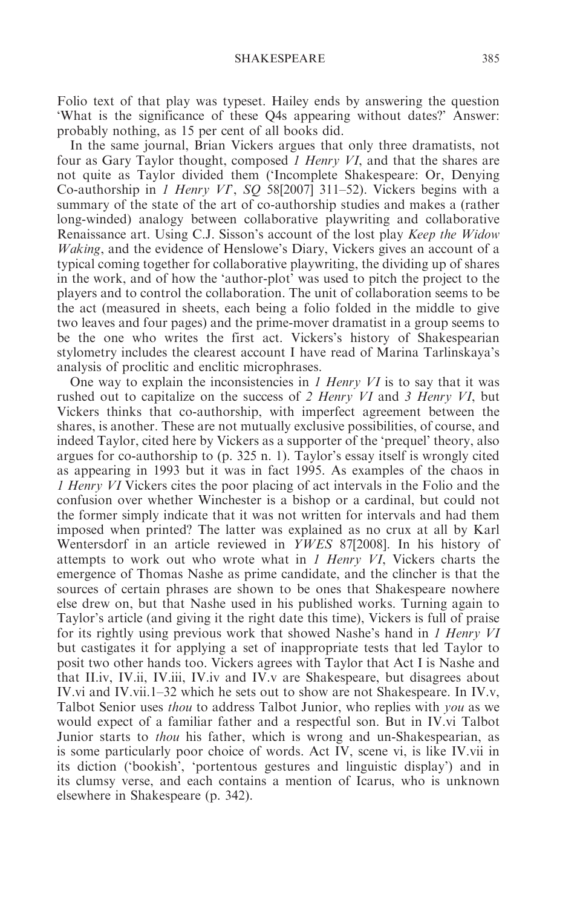Folio text of that play was typeset. Hailey ends by answering the question 'What is the significance of these Q4s appearing without dates?' Answer: probably nothing, as 15 per cent of all books did.

In the same journal, Brian Vickers argues that only three dramatists, not four as Gary Taylor thought, composed 1 Henry VI, and that the shares are not quite as Taylor divided them ('Incomplete Shakespeare: Or, Denying Co-authorship in 1 Henry VT,  $SO$  58[2007] 311–52). Vickers begins with a summary of the state of the art of co-authorship studies and makes a (rather long-winded) analogy between collaborative playwriting and collaborative Renaissance art. Using C.J. Sisson's account of the lost play Keep the Widow Waking, and the evidence of Henslowe's Diary, Vickers gives an account of a typical coming together for collaborative playwriting, the dividing up of shares in the work, and of how the 'author-plot' was used to pitch the project to the players and to control the collaboration. The unit of collaboration seems to be the act (measured in sheets, each being a folio folded in the middle to give two leaves and four pages) and the prime-mover dramatist in a group seems to be the one who writes the first act. Vickers's history of Shakespearian stylometry includes the clearest account I have read of Marina Tarlinskaya's analysis of proclitic and enclitic microphrases.

One way to explain the inconsistencies in  $1$  Henry VI is to say that it was rushed out to capitalize on the success of 2 Henry VI and 3 Henry VI, but Vickers thinks that co-authorship, with imperfect agreement between the shares, is another. These are not mutually exclusive possibilities, of course, and indeed Taylor, cited here by Vickers as a supporter of the 'prequel' theory, also argues for co-authorship to (p. 325 n. 1). Taylor's essay itself is wrongly cited as appearing in 1993 but it was in fact 1995. As examples of the chaos in 1 Henry VI Vickers cites the poor placing of act intervals in the Folio and the confusion over whether Winchester is a bishop or a cardinal, but could not the former simply indicate that it was not written for intervals and had them imposed when printed? The latter was explained as no crux at all by Karl Wentersdorf in an article reviewed in YWES 87[2008]. In his history of attempts to work out who wrote what in  $1$  Henry VI, Vickers charts the emergence of Thomas Nashe as prime candidate, and the clincher is that the sources of certain phrases are shown to be ones that Shakespeare nowhere else drew on, but that Nashe used in his published works. Turning again to Taylor's article (and giving it the right date this time), Vickers is full of praise for its rightly using previous work that showed Nashe's hand in 1 Henry VI but castigates it for applying a set of inappropriate tests that led Taylor to posit two other hands too. Vickers agrees with Taylor that Act I is Nashe and that II.iv, IV.ii, IV.iii, IV.iv and IV.v are Shakespeare, but disagrees about IV.vi and IV.vii.1–32 which he sets out to show are not Shakespeare. In IV.v, Talbot Senior uses *thou* to address Talbot Junior, who replies with *you* as we would expect of a familiar father and a respectful son. But in IV.vi Talbot Junior starts to thou his father, which is wrong and un-Shakespearian, as is some particularly poor choice of words. Act IV, scene vi, is like IV.vii in its diction ('bookish', 'portentous gestures and linguistic display') and in its clumsy verse, and each contains a mention of Icarus, who is unknown elsewhere in Shakespeare (p. 342).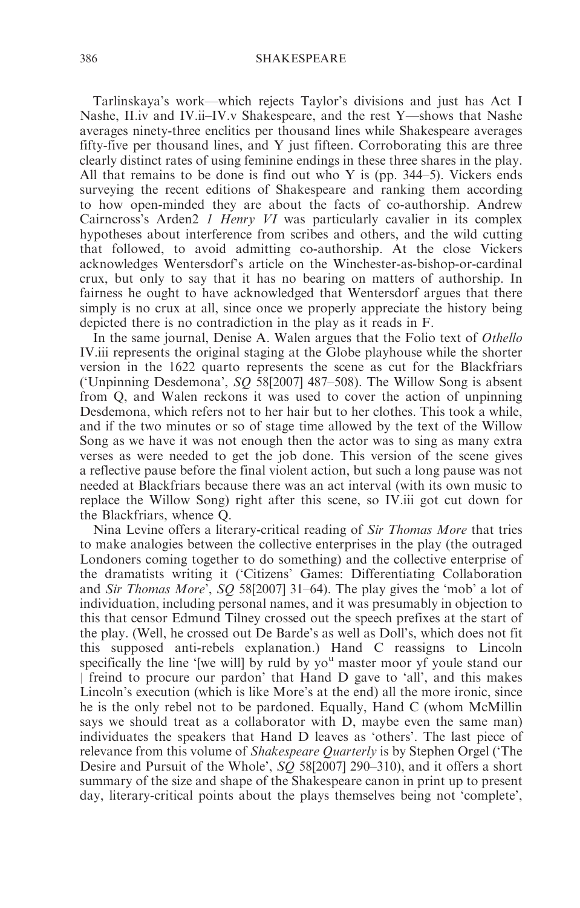Tarlinskaya's work—which rejects Taylor's divisions and just has Act I Nashe, II.iv and IV.ii–IV.v Shakespeare, and the rest Y—shows that Nashe averages ninety-three enclitics per thousand lines while Shakespeare averages fifty-five per thousand lines, and Y just fifteen. Corroborating this are three clearly distinct rates of using feminine endings in these three shares in the play. All that remains to be done is find out who Y is (pp.  $344-5$ ). Vickers ends surveying the recent editions of Shakespeare and ranking them according to how open-minded they are about the facts of co-authorship. Andrew Cairncross's Arden2 1 Henry VI was particularly cavalier in its complex hypotheses about interference from scribes and others, and the wild cutting that followed, to avoid admitting co-authorship. At the close Vickers acknowledges Wentersdorf's article on the Winchester-as-bishop-or-cardinal crux, but only to say that it has no bearing on matters of authorship. In fairness he ought to have acknowledged that Wentersdorf argues that there simply is no crux at all, since once we properly appreciate the history being depicted there is no contradiction in the play as it reads in F.

In the same journal, Denise A. Walen argues that the Folio text of Othello IV.iii represents the original staging at the Globe playhouse while the shorter version in the 1622 quarto represents the scene as cut for the Blackfriars ('Unpinning Desdemona', SQ 58[2007] 487–508). The Willow Song is absent from Q, and Walen reckons it was used to cover the action of unpinning Desdemona, which refers not to her hair but to her clothes. This took a while, and if the two minutes or so of stage time allowed by the text of the Willow Song as we have it was not enough then the actor was to sing as many extra verses as were needed to get the job done. This version of the scene gives a reflective pause before the final violent action, but such a long pause was not needed at Blackfriars because there was an act interval (with its own music to replace the Willow Song) right after this scene, so IV.iii got cut down for the Blackfriars, whence Q.

Nina Levine offers a literary-critical reading of Sir Thomas More that tries to make analogies between the collective enterprises in the play (the outraged Londoners coming together to do something) and the collective enterprise of the dramatists writing it ('Citizens' Games: Differentiating Collaboration and Sir Thomas More', SQ 58[2007] 31–64). The play gives the 'mob' a lot of individuation, including personal names, and it was presumably in objection to this that censor Edmund Tilney crossed out the speech prefixes at the start of the play. (Well, he crossed out De Barde's as well as Doll's, which does not fit this supposed anti-rebels explanation.) Hand C reassigns to Lincoln specifically the line '[we will] by ruld by  $yo<sup>u</sup>$  master moor yf youle stand our | freind to procure our pardon' that Hand D gave to 'all', and this makes Lincoln's execution (which is like More's at the end) all the more ironic, since he is the only rebel not to be pardoned. Equally, Hand C (whom McMillin says we should treat as a collaborator with D, maybe even the same man) individuates the speakers that Hand D leaves as 'others'. The last piece of relevance from this volume of Shakespeare Quarterly is by Stephen Orgel ('The Desire and Pursuit of the Whole', SQ 58[2007] 290–310), and it offers a short summary of the size and shape of the Shakespeare canon in print up to present day, literary-critical points about the plays themselves being not 'complete',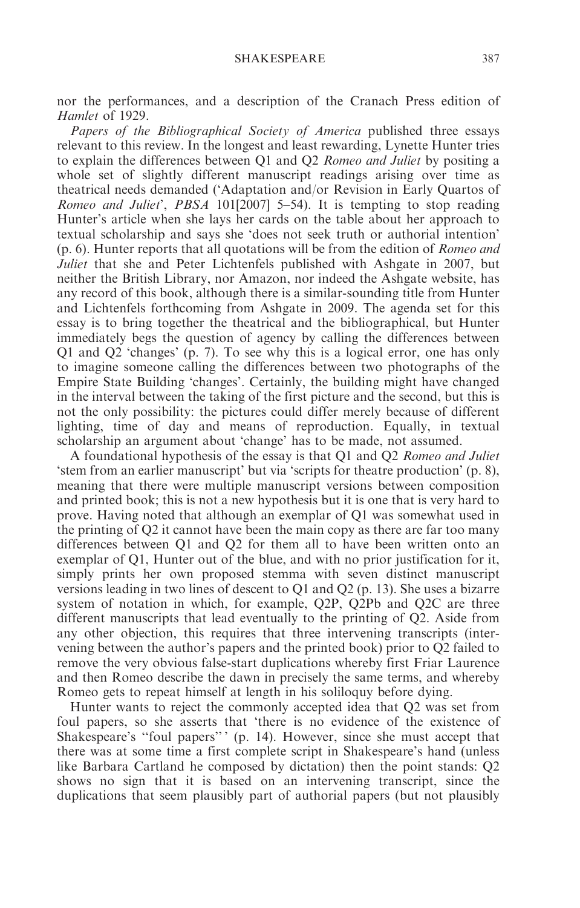nor the performances, and a description of the Cranach Press edition of Hamlet of 1929.

Papers of the Bibliographical Society of America published three essays relevant to this review. In the longest and least rewarding, Lynette Hunter tries to explain the differences between Q1 and Q2 Romeo and Juliet by positing a whole set of slightly different manuscript readings arising over time as theatrical needs demanded ('Adaptation and/or Revision in Early Quartos of Romeo and Juliet', PBSA 101[2007] 5–54). It is tempting to stop reading Hunter's article when she lays her cards on the table about her approach to textual scholarship and says she 'does not seek truth or authorial intention' (p. 6). Hunter reports that all quotations will be from the edition of Romeo and Juliet that she and Peter Lichtenfels published with Ashgate in 2007, but neither the British Library, nor Amazon, nor indeed the Ashgate website, has any record of this book, although there is a similar-sounding title from Hunter and Lichtenfels forthcoming from Ashgate in 2009. The agenda set for this essay is to bring together the theatrical and the bibliographical, but Hunter immediately begs the question of agency by calling the differences between Q1 and Q2 'changes' (p. 7). To see why this is a logical error, one has only to imagine someone calling the differences between two photographs of the Empire State Building 'changes'. Certainly, the building might have changed in the interval between the taking of the first picture and the second, but this is not the only possibility: the pictures could differ merely because of different lighting, time of day and means of reproduction. Equally, in textual scholarship an argument about 'change' has to be made, not assumed.

A foundational hypothesis of the essay is that Q1 and Q2 Romeo and Juliet 'stem from an earlier manuscript' but via 'scripts for theatre production' (p. 8), meaning that there were multiple manuscript versions between composition and printed book; this is not a new hypothesis but it is one that is very hard to prove. Having noted that although an exemplar of Q1 was somewhat used in the printing of Q2 it cannot have been the main copy as there are far too many differences between Q1 and Q2 for them all to have been written onto an exemplar of Q1, Hunter out of the blue, and with no prior justification for it, simply prints her own proposed stemma with seven distinct manuscript versions leading in two lines of descent to Q1 and Q2 (p. 13). She uses a bizarre system of notation in which, for example, Q2P, Q2Pb and Q2C are three different manuscripts that lead eventually to the printing of Q2. Aside from any other objection, this requires that three intervening transcripts (intervening between the author's papers and the printed book) prior to Q2 failed to remove the very obvious false-start duplications whereby first Friar Laurence and then Romeo describe the dawn in precisely the same terms, and whereby Romeo gets to repeat himself at length in his soliloquy before dying.

Hunter wants to reject the commonly accepted idea that Q2 was set from foul papers, so she asserts that 'there is no evidence of the existence of Shakespeare's ''foul papers'' ' (p. 14). However, since she must accept that there was at some time a first complete script in Shakespeare's hand (unless like Barbara Cartland he composed by dictation) then the point stands: Q2 shows no sign that it is based on an intervening transcript, since the duplications that seem plausibly part of authorial papers (but not plausibly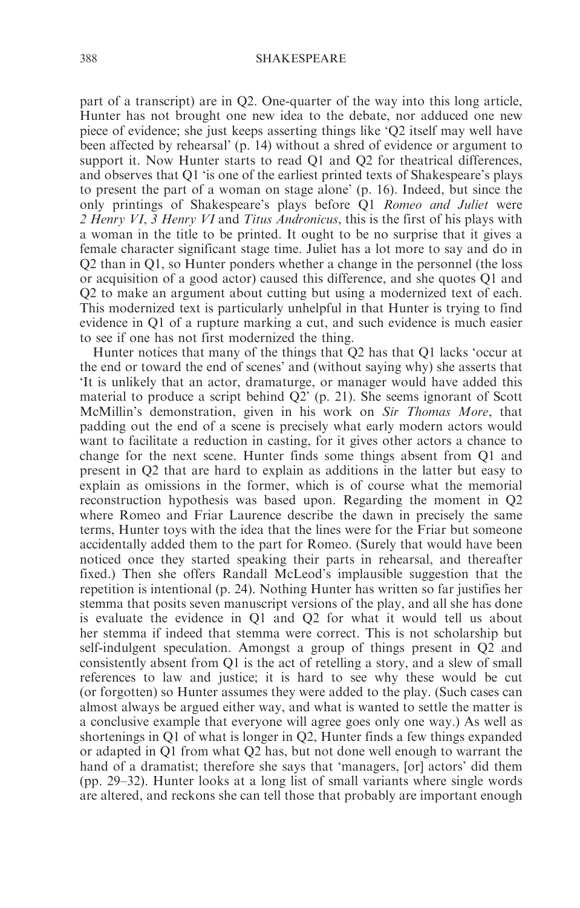part of a transcript) are in Q2. One-quarter of the way into this long article, Hunter has not brought one new idea to the debate, nor adduced one new piece of evidence; she just keeps asserting things like 'Q2 itself may well have been affected by rehearsal' (p. 14) without a shred of evidence or argument to support it. Now Hunter starts to read Q1 and Q2 for theatrical differences, and observes that Q1 'is one of the earliest printed texts of Shakespeare's plays to present the part of a woman on stage alone' (p. 16). Indeed, but since the only printings of Shakespeare's plays before Q1 Romeo and Juliet were 2 Henry VI,  $\overline{3}$  Henry VI and Titus Andronicus, this is the first of his plays with a woman in the title to be printed. It ought to be no surprise that it gives a female character significant stage time. Juliet has a lot more to say and do in Q2 than in Q1, so Hunter ponders whether a change in the personnel (the loss or acquisition of a good actor) caused this difference, and she quotes Q1 and Q2 to make an argument about cutting but using a modernized text of each. This modernized text is particularly unhelpful in that Hunter is trying to find evidence in Q1 of a rupture marking a cut, and such evidence is much easier to see if one has not first modernized the thing.

Hunter notices that many of the things that Q2 has that Q1 lacks 'occur at the end or toward the end of scenes' and (without saying why) she asserts that 'It is unlikely that an actor, dramaturge, or manager would have added this material to produce a script behind Q2' (p. 21). She seems ignorant of Scott McMillin's demonstration, given in his work on Sir Thomas More, that padding out the end of a scene is precisely what early modern actors would want to facilitate a reduction in casting, for it gives other actors a chance to change for the next scene. Hunter finds some things absent from Q1 and present in Q2 that are hard to explain as additions in the latter but easy to explain as omissions in the former, which is of course what the memorial reconstruction hypothesis was based upon. Regarding the moment in Q2 where Romeo and Friar Laurence describe the dawn in precisely the same terms, Hunter toys with the idea that the lines were for the Friar but someone accidentally added them to the part for Romeo. (Surely that would have been noticed once they started speaking their parts in rehearsal, and thereafter fixed.) Then she offers Randall McLeod's implausible suggestion that the repetition is intentional (p. 24). Nothing Hunter has written so far justifies her stemma that posits seven manuscript versions of the play, and all she has done is evaluate the evidence in Q1 and Q2 for what it would tell us about her stemma if indeed that stemma were correct. This is not scholarship but self-indulgent speculation. Amongst a group of things present in Q2 and consistently absent from Q1 is the act of retelling a story, and a slew of small references to law and justice; it is hard to see why these would be cut (or forgotten) so Hunter assumes they were added to the play. (Such cases can almost always be argued either way, and what is wanted to settle the matter is a conclusive example that everyone will agree goes only one way.) As well as shortenings in Q1 of what is longer in Q2, Hunter finds a few things expanded or adapted in Q1 from what Q2 has, but not done well enough to warrant the hand of a dramatist; therefore she says that 'managers, [or] actors' did them (pp. 29–32). Hunter looks at a long list of small variants where single words are altered, and reckons she can tell those that probably are important enough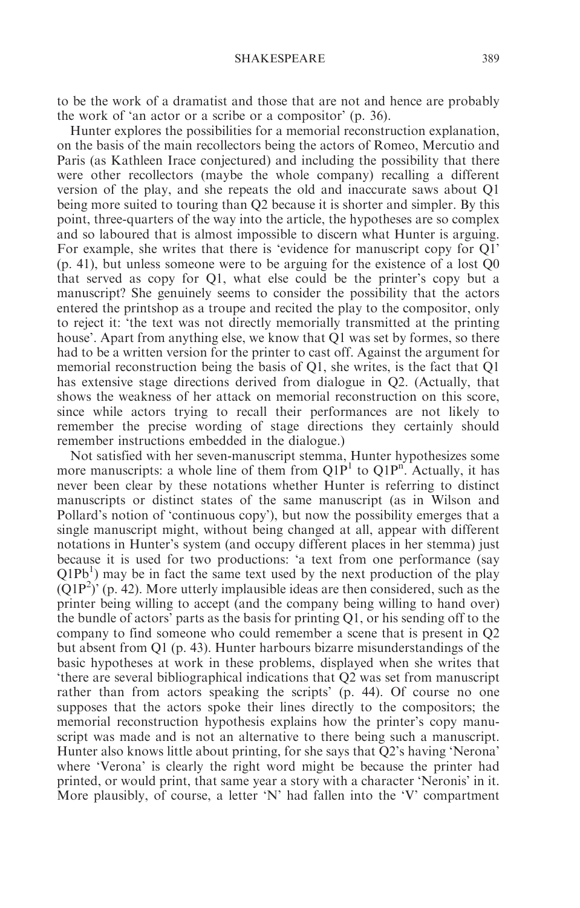to be the work of a dramatist and those that are not and hence are probably the work of 'an actor or a scribe or a compositor' (p. 36).

Hunter explores the possibilities for a memorial reconstruction explanation, on the basis of the main recollectors being the actors of Romeo, Mercutio and Paris (as Kathleen Irace conjectured) and including the possibility that there were other recollectors (maybe the whole company) recalling a different version of the play, and she repeats the old and inaccurate saws about Q1 being more suited to touring than Q2 because it is shorter and simpler. By this point, three-quarters of the way into the article, the hypotheses are so complex and so laboured that is almost impossible to discern what Hunter is arguing. For example, she writes that there is 'evidence for manuscript copy for Q1' (p. 41), but unless someone were to be arguing for the existence of a lost Q0 that served as copy for Q1, what else could be the printer's copy but a manuscript? She genuinely seems to consider the possibility that the actors entered the printshop as a troupe and recited the play to the compositor, only to reject it: 'the text was not directly memorially transmitted at the printing house'. Apart from anything else, we know that Q1 was set by formes, so there had to be a written version for the printer to cast off. Against the argument for memorial reconstruction being the basis of Q1, she writes, is the fact that Q1 has extensive stage directions derived from dialogue in Q2. (Actually, that shows the weakness of her attack on memorial reconstruction on this score, since while actors trying to recall their performances are not likely to remember the precise wording of stage directions they certainly should remember instructions embedded in the dialogue.)

Not satisfied with her seven-manuscript stemma, Hunter hypothesizes some more manuscripts: a whole line of them from  $Q1P<sup>1</sup>$  to  $Q1P<sup>n</sup>$ . Actually, it has never been clear by these notations whether Hunter is referring to distinct manuscripts or distinct states of the same manuscript (as in Wilson and Pollard's notion of 'continuous copy'), but now the possibility emerges that a single manuscript might, without being changed at all, appear with different notations in Hunter's system (and occupy different places in her stemma) just because it is used for two productions: 'a text from one performance (say  $Q1Pb<sup>1</sup>$ ) may be in fact the same text used by the next production of the play  $(Q1P<sup>2</sup>)'$  (p. 42). More utterly implausible ideas are then considered, such as the printer being willing to accept (and the company being willing to hand over) the bundle of actors' parts as the basis for printing Q1, or his sending off to the company to find someone who could remember a scene that is present in Q2 but absent from Q1 (p. 43). Hunter harbours bizarre misunderstandings of the basic hypotheses at work in these problems, displayed when she writes that 'there are several bibliographical indications that Q2 was set from manuscript rather than from actors speaking the scripts' (p. 44). Of course no one supposes that the actors spoke their lines directly to the compositors; the memorial reconstruction hypothesis explains how the printer's copy manuscript was made and is not an alternative to there being such a manuscript. Hunter also knows little about printing, for she says that Q2's having 'Nerona' where 'Verona' is clearly the right word might be because the printer had printed, or would print, that same year a story with a character 'Neronis' in it. More plausibly, of course, a letter 'N' had fallen into the 'V' compartment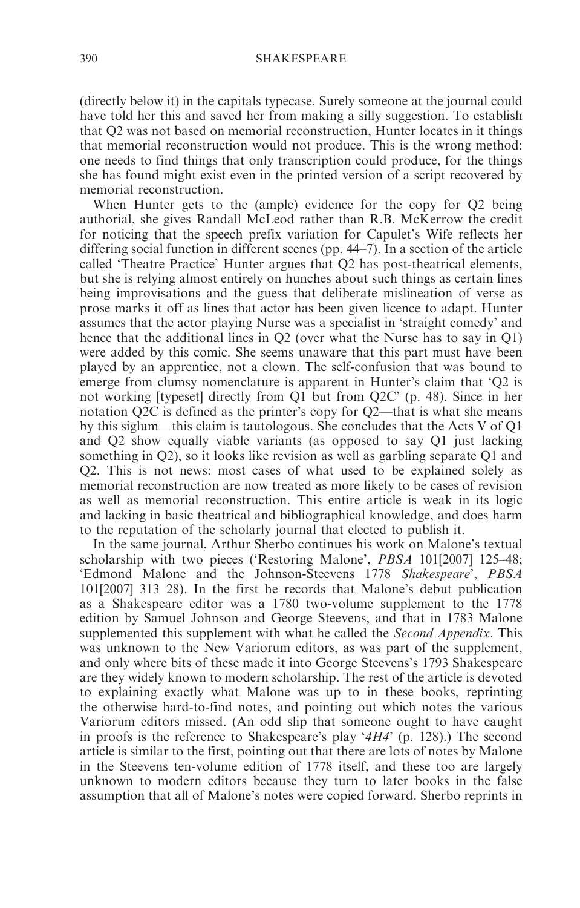(directly below it) in the capitals typecase. Surely someone at the journal could have told her this and saved her from making a silly suggestion. To establish that Q2 was not based on memorial reconstruction, Hunter locates in it things that memorial reconstruction would not produce. This is the wrong method: one needs to find things that only transcription could produce, for the things she has found might exist even in the printed version of a script recovered by memorial reconstruction.

When Hunter gets to the (ample) evidence for the copy for Q2 being authorial, she gives Randall McLeod rather than R.B. McKerrow the credit for noticing that the speech prefix variation for Capulet's Wife reflects her differing social function in different scenes (pp. 44–7). In a section of the article called 'Theatre Practice' Hunter argues that Q2 has post-theatrical elements, but she is relying almost entirely on hunches about such things as certain lines being improvisations and the guess that deliberate mislineation of verse as prose marks it off as lines that actor has been given licence to adapt. Hunter assumes that the actor playing Nurse was a specialist in 'straight comedy' and hence that the additional lines in Q2 (over what the Nurse has to say in Q1) were added by this comic. She seems unaware that this part must have been played by an apprentice, not a clown. The self-confusion that was bound to emerge from clumsy nomenclature is apparent in Hunter's claim that 'Q2 is not working [typeset] directly from Q1 but from Q2C' (p. 48). Since in her notation  $Q2C$  is defined as the printer's copy for  $Q2$ —that is what she means by this siglum—this claim is tautologous. She concludes that the Acts V of Q1 and Q2 show equally viable variants (as opposed to say Q1 just lacking something in Q2), so it looks like revision as well as garbling separate Q1 and Q2. This is not news: most cases of what used to be explained solely as memorial reconstruction are now treated as more likely to be cases of revision as well as memorial reconstruction. This entire article is weak in its logic and lacking in basic theatrical and bibliographical knowledge, and does harm to the reputation of the scholarly journal that elected to publish it.

In the same journal, Arthur Sherbo continues his work on Malone's textual scholarship with two pieces ('Restoring Malone', PBSA 101[2007] 125–48; 'Edmond Malone and the Johnson-Steevens 1778 Shakespeare', PBSA 101[2007] 313–28). In the first he records that Malone's debut publication as a Shakespeare editor was a 1780 two-volume supplement to the 1778 edition by Samuel Johnson and George Steevens, and that in 1783 Malone supplemented this supplement with what he called the *Second Appendix*. This was unknown to the New Variorum editors, as was part of the supplement, and only where bits of these made it into George Steevens's 1793 Shakespeare are they widely known to modern scholarship. The rest of the article is devoted to explaining exactly what Malone was up to in these books, reprinting the otherwise hard-to-find notes, and pointing out which notes the various Variorum editors missed. (An odd slip that someone ought to have caught in proofs is the reference to Shakespeare's play  $4H4'$  (p. 128).) The second article is similar to the first, pointing out that there are lots of notes by Malone in the Steevens ten-volume edition of 1778 itself, and these too are largely unknown to modern editors because they turn to later books in the false assumption that all of Malone's notes were copied forward. Sherbo reprints in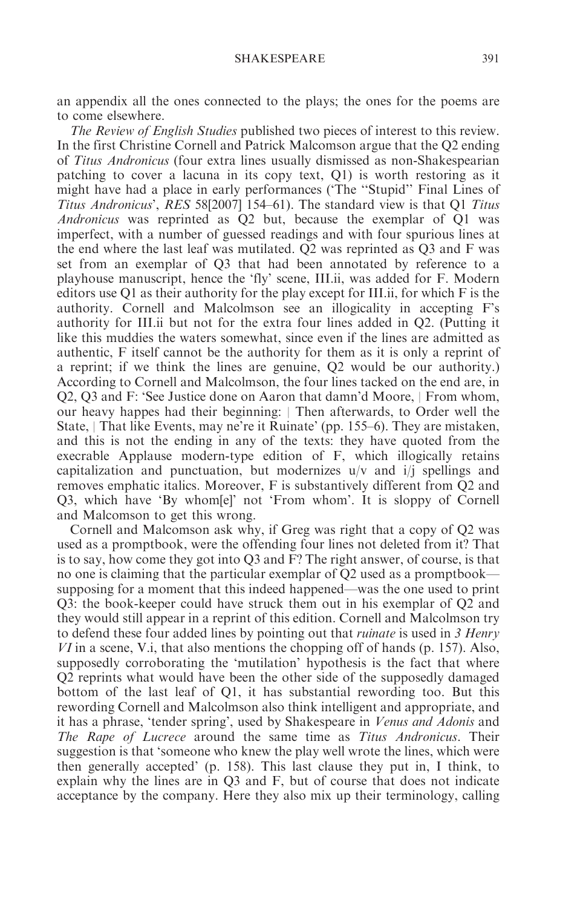an appendix all the ones connected to the plays; the ones for the poems are to come elsewhere.

The Review of English Studies published two pieces of interest to this review. In the first Christine Cornell and Patrick Malcomson argue that the Q2 ending of Titus Andronicus (four extra lines usually dismissed as non-Shakespearian patching to cover a lacuna in its copy text, Q1) is worth restoring as it might have had a place in early performances ('The ''Stupid'' Final Lines of Titus Andronicus', RES 58[2007] 154–61). The standard view is that Q1 Titus Andronicus was reprinted as  $Q2$  but, because the exemplar of  $Q1$  was imperfect, with a number of guessed readings and with four spurious lines at the end where the last leaf was mutilated. Q2 was reprinted as Q3 and F was set from an exemplar of Q3 that had been annotated by reference to a playhouse manuscript, hence the 'fly' scene, III.ii, was added for F. Modern editors use Q1 as their authority for the play except for III.ii, for which F is the authority. Cornell and Malcolmson see an illogicality in accepting F's authority for III.ii but not for the extra four lines added in Q2. (Putting it like this muddies the waters somewhat, since even if the lines are admitted as authentic, F itself cannot be the authority for them as it is only a reprint of a reprint; if we think the lines are genuine, Q2 would be our authority.) According to Cornell and Malcolmson, the four lines tacked on the end are, in Q2, Q3 and F: 'See Justice done on Aaron that damn'd Moore, | From whom, our heavy happes had their beginning: | Then afterwards, to Order well the State, | That like Events, may ne're it Ruinate' (pp. 155–6). They are mistaken, and this is not the ending in any of the texts: they have quoted from the execrable Applause modern-type edition of F, which illogically retains capitalization and punctuation, but modernizes  $u/v$  and  $i/i$  spellings and removes emphatic italics. Moreover, F is substantively different from Q2 and Q3, which have 'By whom[e]' not 'From whom'. It is sloppy of Cornell and Malcomson to get this wrong.

Cornell and Malcomson ask why, if Greg was right that a copy of Q2 was used as a promptbook, were the offending four lines not deleted from it? That is to say, how come they got into Q3 and F? The right answer, of course, is that no one is claiming that the particular exemplar of Q2 used as a promptbook supposing for a moment that this indeed happened—was the one used to print Q3: the book-keeper could have struck them out in his exemplar of Q2 and they would still appear in a reprint of this edition. Cornell and Malcolmson try to defend these four added lines by pointing out that *ruinate* is used in 3 *Henry*  $VI$  in a scene, V.i, that also mentions the chopping off of hands (p. 157). Also, supposedly corroborating the 'mutilation' hypothesis is the fact that where Q2 reprints what would have been the other side of the supposedly damaged bottom of the last leaf of Q1, it has substantial rewording too. But this rewording Cornell and Malcolmson also think intelligent and appropriate, and it has a phrase, 'tender spring', used by Shakespeare in Venus and Adonis and The Rape of Lucrece around the same time as Titus Andronicus. Their suggestion is that 'someone who knew the play well wrote the lines, which were then generally accepted' (p. 158). This last clause they put in, I think, to explain why the lines are in Q3 and F, but of course that does not indicate acceptance by the company. Here they also mix up their terminology, calling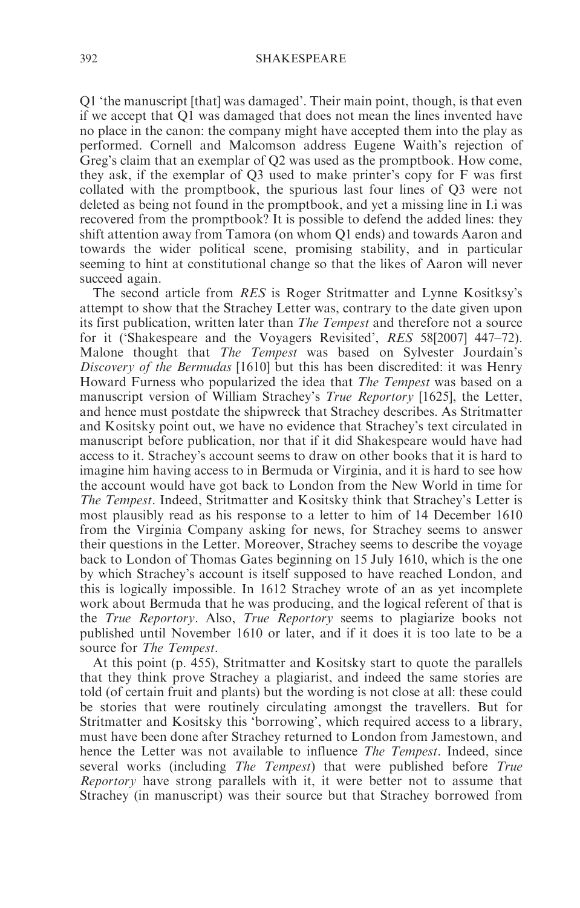Q1 'the manuscript [that] was damaged'. Their main point, though, is that even if we accept that Q1 was damaged that does not mean the lines invented have no place in the canon: the company might have accepted them into the play as performed. Cornell and Malcomson address Eugene Waith's rejection of Greg's claim that an exemplar of Q2 was used as the promptbook. How come, they ask, if the exemplar of Q3 used to make printer's copy for F was first collated with the promptbook, the spurious last four lines of Q3 were not deleted as being not found in the promptbook, and yet a missing line in I.i was recovered from the promptbook? It is possible to defend the added lines: they shift attention away from Tamora (on whom Q1 ends) and towards Aaron and towards the wider political scene, promising stability, and in particular seeming to hint at constitutional change so that the likes of Aaron will never succeed again.

The second article from RES is Roger Stritmatter and Lynne Kositksy's attempt to show that the Strachey Letter was, contrary to the date given upon its first publication, written later than The Tempest and therefore not a source for it ('Shakespeare and the Voyagers Revisited', RES 58[2007] 447–72). Malone thought that The Tempest was based on Sylvester Jourdain's Discovery of the Bermudas [1610] but this has been discredited: it was Henry Howard Furness who popularized the idea that The Tempest was based on a manuscript version of William Strachey's True Reportory [1625], the Letter, and hence must postdate the shipwreck that Strachey describes. As Stritmatter and Kositsky point out, we have no evidence that Strachey's text circulated in manuscript before publication, nor that if it did Shakespeare would have had access to it. Strachey's account seems to draw on other books that it is hard to imagine him having access to in Bermuda or Virginia, and it is hard to see how the account would have got back to London from the New World in time for The Tempest. Indeed, Stritmatter and Kositsky think that Strachey's Letter is most plausibly read as his response to a letter to him of 14 December 1610 from the Virginia Company asking for news, for Strachey seems to answer their questions in the Letter. Moreover, Strachey seems to describe the voyage back to London of Thomas Gates beginning on 15 July 1610, which is the one by which Strachey's account is itself supposed to have reached London, and this is logically impossible. In 1612 Strachey wrote of an as yet incomplete work about Bermuda that he was producing, and the logical referent of that is the True Reportory. Also, True Reportory seems to plagiarize books not published until November 1610 or later, and if it does it is too late to be a source for The Tempest.

At this point (p. 455), Stritmatter and Kositsky start to quote the parallels that they think prove Strachey a plagiarist, and indeed the same stories are told (of certain fruit and plants) but the wording is not close at all: these could be stories that were routinely circulating amongst the travellers. But for Stritmatter and Kositsky this 'borrowing', which required access to a library, must have been done after Strachey returned to London from Jamestown, and hence the Letter was not available to influence *The Tempest*. Indeed, since several works (including The Tempest) that were published before True Reportory have strong parallels with it, it were better not to assume that Strachey (in manuscript) was their source but that Strachey borrowed from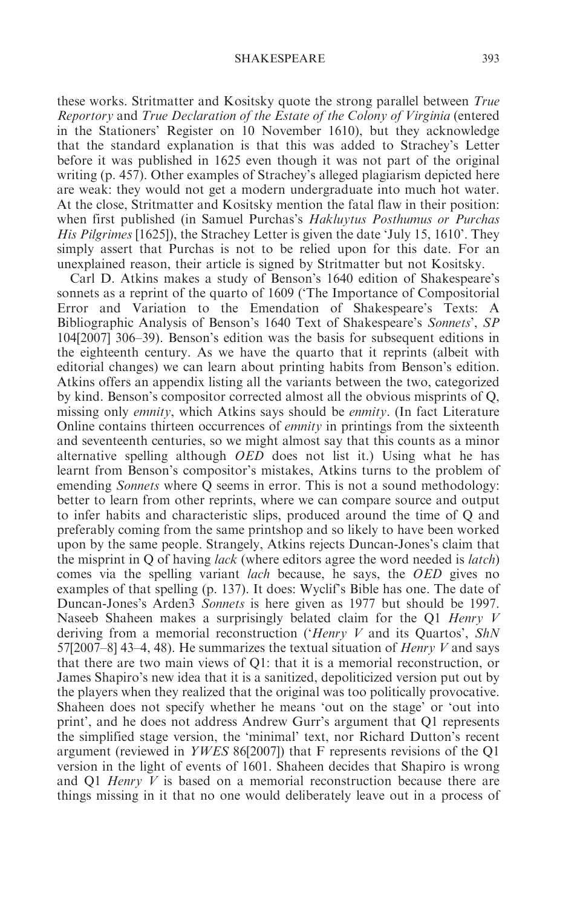these works. Stritmatter and Kositsky quote the strong parallel between True Reportory and True Declaration of the Estate of the Colony of Virginia (entered in the Stationers' Register on 10 November 1610), but they acknowledge that the standard explanation is that this was added to Strachey's Letter before it was published in 1625 even though it was not part of the original writing (p. 457). Other examples of Strachey's alleged plagiarism depicted here are weak: they would not get a modern undergraduate into much hot water. At the close, Stritmatter and Kositsky mention the fatal flaw in their position: when first published (in Samuel Purchas's Hakluytus Posthumus or Purchas His Pilgrimes [1625]), the Strachey Letter is given the date 'July 15, 1610'. They simply assert that Purchas is not to be relied upon for this date. For an unexplained reason, their article is signed by Stritmatter but not Kositsky.

Carl D. Atkins makes a study of Benson's 1640 edition of Shakespeare's sonnets as a reprint of the quarto of 1609 ('The Importance of Compositorial Error and Variation to the Emendation of Shakespeare's Texts: A Bibliographic Analysis of Benson's 1640 Text of Shakespeare's Sonnets', SP 104[2007] 306–39). Benson's edition was the basis for subsequent editions in the eighteenth century. As we have the quarto that it reprints (albeit with editorial changes) we can learn about printing habits from Benson's edition. Atkins offers an appendix listing all the variants between the two, categorized by kind. Benson's compositor corrected almost all the obvious misprints of Q, missing only *emnity*, which Atkins says should be *enmity*. (In fact Literature Online contains thirteen occurrences of *emnity* in printings from the sixteenth and seventeenth centuries, so we might almost say that this counts as a minor alternative spelling although  $OED$  does not list it.) Using what he has learnt from Benson's compositor's mistakes, Atkins turns to the problem of emending *Sonnets* where Q seems in error. This is not a sound methodology: better to learn from other reprints, where we can compare source and output to infer habits and characteristic slips, produced around the time of Q and preferably coming from the same printshop and so likely to have been worked upon by the same people. Strangely, Atkins rejects Duncan-Jones's claim that the misprint in Q of having lack (where editors agree the word needed is latch) comes via the spelling variant lach because, he says, the OED gives no examples of that spelling (p. 137). It does: Wyclif's Bible has one. The date of Duncan-Jones's Arden3 Sonnets is here given as 1977 but should be 1997. Naseeb Shaheen makes a surprisingly belated claim for the O1 Henry V deriving from a memorial reconstruction ('Henry V and its Quartos',  $ShN$ 57[2007–8] 43–4, 48). He summarizes the textual situation of *Henry V* and says that there are two main views of Q1: that it is a memorial reconstruction, or James Shapiro's new idea that it is a sanitized, depoliticized version put out by the players when they realized that the original was too politically provocative. Shaheen does not specify whether he means 'out on the stage' or 'out into print', and he does not address Andrew Gurr's argument that Q1 represents the simplified stage version, the 'minimal' text, nor Richard Dutton's recent argument (reviewed in YWES 86[2007]) that F represents revisions of the Q1 version in the light of events of 1601. Shaheen decides that Shapiro is wrong and Q1 Henry V is based on a memorial reconstruction because there are things missing in it that no one would deliberately leave out in a process of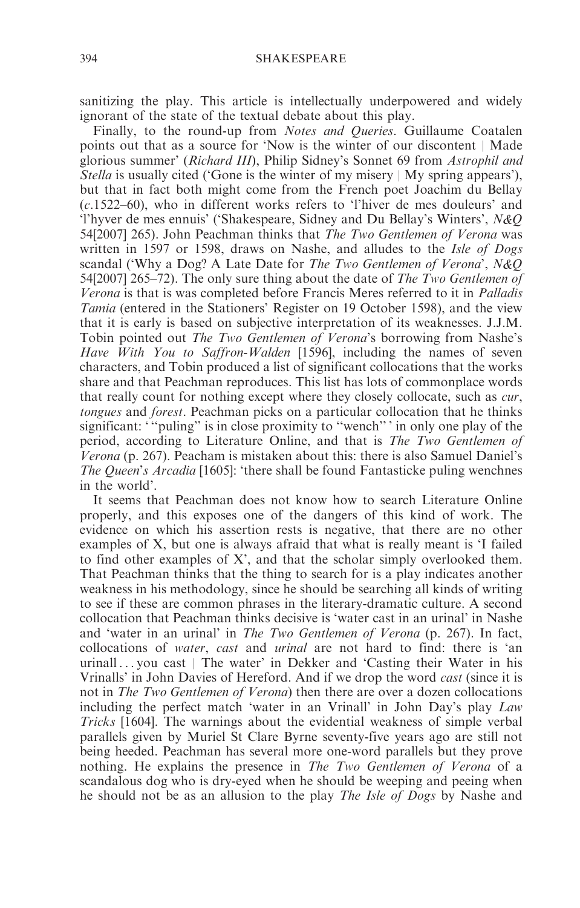sanitizing the play. This article is intellectually underpowered and widely ignorant of the state of the textual debate about this play.

Finally, to the round-up from *Notes and Queries*. Guillaume Coatalen points out that as a source for 'Now is the winter of our discontent | Made glorious summer' (Richard III), Philip Sidney's Sonnet 69 from Astrophil and *Stella* is usually cited ('Gone is the winter of my misery  $|M$  w spring appears'), but that in fact both might come from the French poet Joachim du Bellay (c.1522–60), who in different works refers to 'l'hiver de mes douleurs' and 'l'hyver de mes ennuis' ('Shakespeare, Sidney and Du Bellay's Winters', N&Q 54[2007] 265). John Peachman thinks that The Two Gentlemen of Verona was written in 1597 or 1598, draws on Nashe, and alludes to the *Isle of Dogs* scandal ('Why a Dog? A Late Date for The Two Gentlemen of Verona', N&O 54[2007] 265–72). The only sure thing about the date of The Two Gentlemen of Verona is that is was completed before Francis Meres referred to it in Palladis Tamia (entered in the Stationers' Register on 19 October 1598), and the view that it is early is based on subjective interpretation of its weaknesses. J.J.M. Tobin pointed out The Two Gentlemen of Verona's borrowing from Nashe's Have With You to Saffron-Walden [1596], including the names of seven characters, and Tobin produced a list of significant collocations that the works share and that Peachman reproduces. This list has lots of commonplace words that really count for nothing except where they closely collocate, such as cur, tongues and forest. Peachman picks on a particular collocation that he thinks significant: ' ''puling'' is in close proximity to ''wench'' ' in only one play of the period, according to Literature Online, and that is The Two Gentlemen of Verona (p. 267). Peacham is mistaken about this: there is also Samuel Daniel's The Queen's Arcadia [1605]: 'there shall be found Fantasticke puling wenchnes in the world'.

It seems that Peachman does not know how to search Literature Online properly, and this exposes one of the dangers of this kind of work. The evidence on which his assertion rests is negative, that there are no other examples of X, but one is always afraid that what is really meant is 'I failed to find other examples of X', and that the scholar simply overlooked them. That Peachman thinks that the thing to search for is a play indicates another weakness in his methodology, since he should be searching all kinds of writing to see if these are common phrases in the literary-dramatic culture. A second collocation that Peachman thinks decisive is 'water cast in an urinal' in Nashe and 'water in an urinal' in The Two Gentlemen of Verona (p. 267). In fact, collocations of water, cast and urinal are not hard to find: there is 'an  $urinall...$  you cast | The water' in Dekker and 'Casting their Water in his Vrinalls' in John Davies of Hereford. And if we drop the word cast (since it is not in The Two Gentlemen of Verona) then there are over a dozen collocations including the perfect match 'water in an Vrinall' in John Day's play Law Tricks [1604]. The warnings about the evidential weakness of simple verbal parallels given by Muriel St Clare Byrne seventy-five years ago are still not being heeded. Peachman has several more one-word parallels but they prove nothing. He explains the presence in The Two Gentlemen of Verona of a scandalous dog who is dry-eyed when he should be weeping and peeing when he should not be as an allusion to the play The Isle of Dogs by Nashe and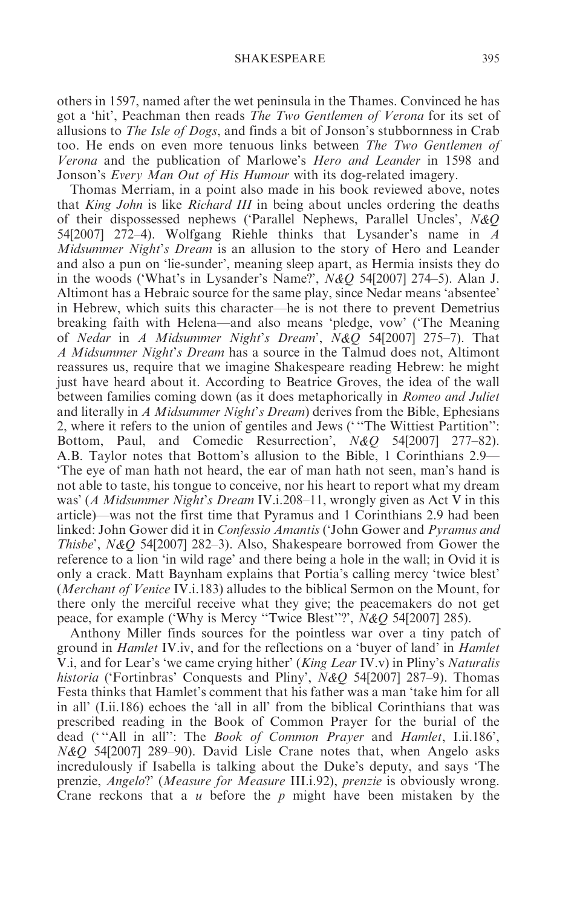others in 1597, named after the wet peninsula in the Thames. Convinced he has got a 'hit', Peachman then reads The Two Gentlemen of Verona for its set of allusions to The Isle of Dogs, and finds a bit of Jonson's stubbornness in Crab too. He ends on even more tenuous links between The Two Gentlemen of Verona and the publication of Marlowe's Hero and Leander in 1598 and Jonson's Every Man Out of His Humour with its dog-related imagery.

Thomas Merriam, in a point also made in his book reviewed above, notes that King John is like Richard III in being about uncles ordering the deaths of their dispossessed nephews ('Parallel Nephews, Parallel Uncles', N&Q 54[2007] 272–4). Wolfgang Riehle thinks that Lysander's name in A Midsummer Night's Dream is an allusion to the story of Hero and Leander and also a pun on 'lie-sunder', meaning sleep apart, as Hermia insists they do in the woods ('What's in Lysander's Name?', N&Q 54[2007] 274–5). Alan J. Altimont has a Hebraic source for the same play, since Nedar means 'absentee' in Hebrew, which suits this character—he is not there to prevent Demetrius breaking faith with Helena—and also means 'pledge, vow' ('The Meaning of Nedar in A Midsummer Night's Dream', N&Q 54[2007] 275–7). That A Midsummer Night's Dream has a source in the Talmud does not, Altimont reassures us, require that we imagine Shakespeare reading Hebrew: he might just have heard about it. According to Beatrice Groves, the idea of the wall between families coming down (as it does metaphorically in Romeo and Juliet and literally in A Midsummer Night's Dream) derives from the Bible, Ephesians 2, where it refers to the union of gentiles and Jews (' ''The Wittiest Partition'': Bottom, Paul, and Comedic Resurrection', N&Q 54[2007] 277-82). A.B. Taylor notes that Bottom's allusion to the Bible, 1 Corinthians 2.9— 'The eye of man hath not heard, the ear of man hath not seen, man's hand is not able to taste, his tongue to conceive, nor his heart to report what my dream was' (A Midsummer Night's Dream IV.i.208–11, wrongly given as Act V in this article)—was not the first time that Pyramus and 1 Corinthians 2.9 had been linked: John Gower did it in Confessio Amantis ('John Gower and Pyramus and Thisbe', N&Q 54[2007] 282–3). Also, Shakespeare borrowed from Gower the reference to a lion 'in wild rage' and there being a hole in the wall; in Ovid it is only a crack. Matt Baynham explains that Portia's calling mercy 'twice blest' (Merchant of Venice IV.i.183) alludes to the biblical Sermon on the Mount, for there only the merciful receive what they give; the peacemakers do not get peace, for example ('Why is Mercy "Twice Blest"?', N&Q 54[2007] 285).

Anthony Miller finds sources for the pointless war over a tiny patch of ground in Hamlet IV.iv, and for the reflections on a 'buyer of land' in Hamlet V.i, and for Lear's 'we came crying hither' (King Lear IV.v) in Pliny's Naturalis historia ('Fortinbras' Conquests and Pliny', N&Q 54[2007] 287-9). Thomas Festa thinks that Hamlet's comment that his father was a man 'take him for all in all' (I.ii.186) echoes the 'all in all' from the biblical Corinthians that was prescribed reading in the Book of Common Prayer for the burial of the dead (' ''All in all'': The Book of Common Prayer and Hamlet, I.ii.186', N&Q 54[2007] 289–90). David Lisle Crane notes that, when Angelo asks incredulously if Isabella is talking about the Duke's deputy, and says 'The prenzie, Angelo?' (Measure for Measure III.i.92), prenzie is obviously wrong. Crane reckons that a  $u$  before the  $p$  might have been mistaken by the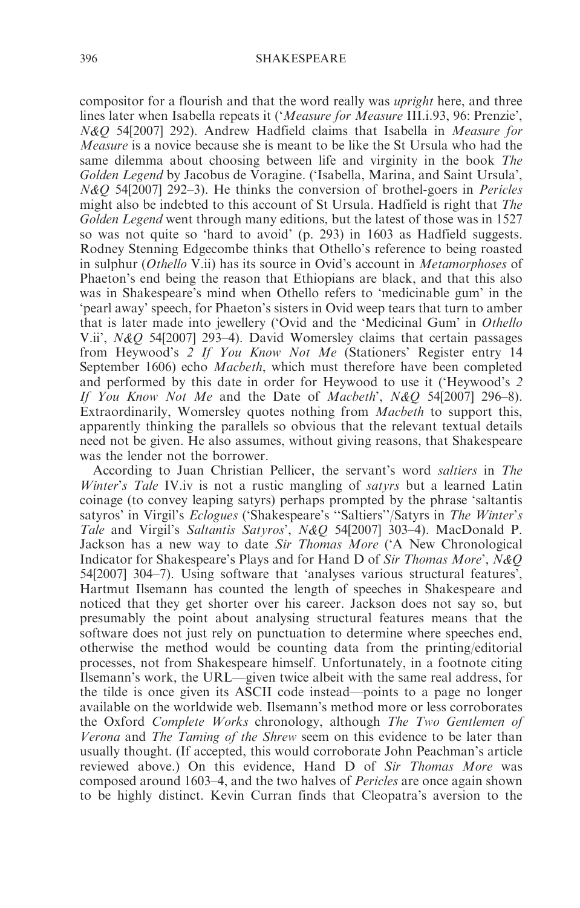compositor for a flourish and that the word really was upright here, and three lines later when Isabella repeats it ('Measure for Measure III.i.93, 96: Prenzie', N&Q 54[2007] 292). Andrew Hadfield claims that Isabella in Measure for Measure is a novice because she is meant to be like the St Ursula who had the same dilemma about choosing between life and virginity in the book The Golden Legend by Jacobus de Voragine. ('Isabella, Marina, and Saint Ursula', N&Q 54[2007] 292–3). He thinks the conversion of brothel-goers in Pericles might also be indebted to this account of St Ursula. Hadfield is right that The Golden Legend went through many editions, but the latest of those was in 1527 so was not quite so 'hard to avoid' (p. 293) in 1603 as Hadfield suggests. Rodney Stenning Edgecombe thinks that Othello's reference to being roasted in sulphur (Othello V.ii) has its source in Ovid's account in Metamorphoses of Phaeton's end being the reason that Ethiopians are black, and that this also was in Shakespeare's mind when Othello refers to 'medicinable gum' in the 'pearl away' speech, for Phaeton's sisters in Ovid weep tears that turn to amber that is later made into jewellery ('Ovid and the 'Medicinal Gum' in Othello V.ii', N&Q 54[2007] 293–4). David Womersley claims that certain passages from Heywood's 2 If You Know Not Me (Stationers' Register entry 14 September 1606) echo Macbeth, which must therefore have been completed and performed by this date in order for Heywood to use it ('Heywood's 2 If You Know Not Me and the Date of Macbeth',  $N&O$  54[2007] 296–8). Extraordinarily, Womersley quotes nothing from Macbeth to support this, apparently thinking the parallels so obvious that the relevant textual details need not be given. He also assumes, without giving reasons, that Shakespeare was the lender not the borrower.

According to Juan Christian Pellicer, the servant's word saltiers in The Winter's Tale IV.iv is not a rustic mangling of satyrs but a learned Latin coinage (to convey leaping satyrs) perhaps prompted by the phrase 'saltantis satyros' in Virgil's Eclogues ('Shakespeare's ''Saltiers''/Satyrs in The Winter's Tale and Virgil's Saltantis Satyros', N&Q 54[2007] 303–4). MacDonald P. Jackson has a new way to date Sir Thomas More ('A New Chronological Indicator for Shakespeare's Plays and for Hand D of Sir Thomas More',  $N&O$ 54[2007] 304–7). Using software that 'analyses various structural features', Hartmut Ilsemann has counted the length of speeches in Shakespeare and noticed that they get shorter over his career. Jackson does not say so, but presumably the point about analysing structural features means that the software does not just rely on punctuation to determine where speeches end, otherwise the method would be counting data from the printing/editorial processes, not from Shakespeare himself. Unfortunately, in a footnote citing Ilsemann's work, the URL—given twice albeit with the same real address, for the tilde is once given its ASCII code instead—points to a page no longer available on the worldwide web. Ilsemann's method more or less corroborates the Oxford Complete Works chronology, although The Two Gentlemen of Verona and The Taming of the Shrew seem on this evidence to be later than usually thought. (If accepted, this would corroborate John Peachman's article reviewed above.) On this evidence, Hand D of Sir Thomas More was composed around 1603–4, and the two halves of Pericles are once again shown to be highly distinct. Kevin Curran finds that Cleopatra's aversion to the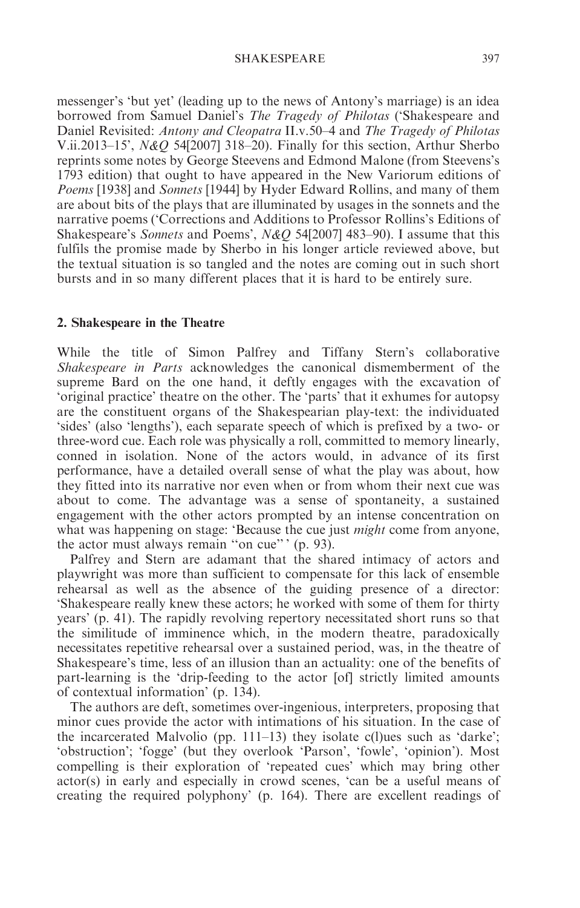messenger's 'but yet' (leading up to the news of Antony's marriage) is an idea borrowed from Samuel Daniel's The Tragedy of Philotas ('Shakespeare and Daniel Revisited: Antony and Cleopatra II.v.50–4 and The Tragedy of Philotas V.ii.2013–15', N&Q 54[2007] 318–20). Finally for this section, Arthur Sherbo reprints some notes by George Steevens and Edmond Malone (from Steevens's 1793 edition) that ought to have appeared in the New Variorum editions of Poems [1938] and Sonnets [1944] by Hyder Edward Rollins, and many of them are about bits of the plays that are illuminated by usages in the sonnets and the narrative poems ('Corrections and Additions to Professor Rollins's Editions of Shakespeare's Sonnets and Poems', N&Q 54[2007] 483–90). I assume that this fulfils the promise made by Sherbo in his longer article reviewed above, but the textual situation is so tangled and the notes are coming out in such short bursts and in so many different places that it is hard to be entirely sure.

# 2. Shakespeare in the Theatre

While the title of Simon Palfrey and Tiffany Stern's collaborative Shakespeare in Parts acknowledges the canonical dismemberment of the supreme Bard on the one hand, it deftly engages with the excavation of 'original practice' theatre on the other. The 'parts' that it exhumes for autopsy are the constituent organs of the Shakespearian play-text: the individuated 'sides' (also 'lengths'), each separate speech of which is prefixed by a two- or three-word cue. Each role was physically a roll, committed to memory linearly, conned in isolation. None of the actors would, in advance of its first performance, have a detailed overall sense of what the play was about, how they fitted into its narrative nor even when or from whom their next cue was about to come. The advantage was a sense of spontaneity, a sustained engagement with the other actors prompted by an intense concentration on what was happening on stage: 'Because the cue just *might* come from anyone, the actor must always remain ''on cue'' ' (p. 93).

Palfrey and Stern are adamant that the shared intimacy of actors and playwright was more than sufficient to compensate for this lack of ensemble rehearsal as well as the absence of the guiding presence of a director: 'Shakespeare really knew these actors; he worked with some of them for thirty years' (p. 41). The rapidly revolving repertory necessitated short runs so that the similitude of imminence which, in the modern theatre, paradoxically necessitates repetitive rehearsal over a sustained period, was, in the theatre of Shakespeare's time, less of an illusion than an actuality: one of the benefits of part-learning is the 'drip-feeding to the actor [of] strictly limited amounts of contextual information' (p. 134).

The authors are deft, sometimes over-ingenious, interpreters, proposing that minor cues provide the actor with intimations of his situation. In the case of the incarcerated Malvolio (pp. 111–13) they isolate c(l)ues such as 'darke'; 'obstruction'; 'fogge' (but they overlook 'Parson', 'fowle', 'opinion'). Most compelling is their exploration of 'repeated cues' which may bring other actor(s) in early and especially in crowd scenes, 'can be a useful means of creating the required polyphony' (p. 164). There are excellent readings of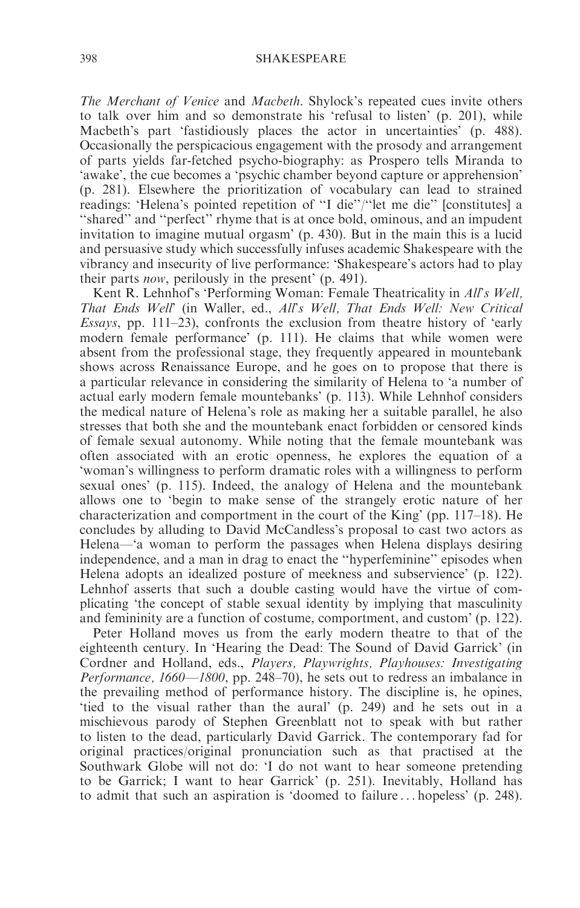The Merchant of Venice and Macbeth. Shylock's repeated cues invite others to talk over him and so demonstrate his 'refusal to listen' (p. 201), while Macbeth's part 'fastidiously places the actor in uncertainties' (p. 488). Occasionally the perspicacious engagement with the prosody and arrangement of parts yields far-fetched psycho-biography: as Prospero tells Miranda to 'awake', the cue becomes a 'psychic chamber beyond capture or apprehension' (p. 281). Elsewhere the prioritization of vocabulary can lead to strained readings: 'Helena's pointed repetition of ''I die''/''let me die'' [constitutes] a ''shared'' and ''perfect'' rhyme that is at once bold, ominous, and an impudent invitation to imagine mutual orgasm' (p. 430). But in the main this is a lucid and persuasive study which successfully infuses academic Shakespeare with the vibrancy and insecurity of live performance: 'Shakespeare's actors had to play their parts now, perilously in the present' (p. 491).

Kent R. Lehnhof's 'Performing Woman: Female Theatricality in All's Well, That Ends Well' (in Waller, ed., All's Well, That Ends Well: New Critical Essays, pp. 111–23), confronts the exclusion from theatre history of 'early modern female performance' (p. 111). He claims that while women were absent from the professional stage, they frequently appeared in mountebank shows across Renaissance Europe, and he goes on to propose that there is a particular relevance in considering the similarity of Helena to 'a number of actual early modern female mountebanks' (p. 113). While Lehnhof considers the medical nature of Helena's role as making her a suitable parallel, he also stresses that both she and the mountebank enact forbidden or censored kinds of female sexual autonomy. While noting that the female mountebank was often associated with an erotic openness, he explores the equation of a 'woman's willingness to perform dramatic roles with a willingness to perform sexual ones' (p. 115). Indeed, the analogy of Helena and the mountebank allows one to 'begin to make sense of the strangely erotic nature of her characterization and comportment in the court of the King' (pp. 117–18). He concludes by alluding to David McCandless's proposal to cast two actors as Helena—'a woman to perform the passages when Helena displays desiring independence, and a man in drag to enact the ''hyperfeminine'' episodes when Helena adopts an idealized posture of meekness and subservience' (p. 122). Lehnhof asserts that such a double casting would have the virtue of complicating 'the concept of stable sexual identity by implying that masculinity and femininity are a function of costume, comportment, and custom' (p. 122).

Peter Holland moves us from the early modern theatre to that of the eighteenth century. In 'Hearing the Dead: The Sound of David Garrick' (in Cordner and Holland, eds., Players, Playwrights, Playhouses: Investigating Performance, 1660—1800, pp. 248–70), he sets out to redress an imbalance in the prevailing method of performance history. The discipline is, he opines, 'tied to the visual rather than the aural' (p. 249) and he sets out in a mischievous parody of Stephen Greenblatt not to speak with but rather to listen to the dead, particularly David Garrick. The contemporary fad for original practices/original pronunciation such as that practised at the Southwark Globe will not do: 'I do not want to hear someone pretending to be Garrick; I want to hear Garrick' (p. 251). Inevitably, Holland has to admit that such an aspiration is 'doomed to failure ... hopeless' (p. 248).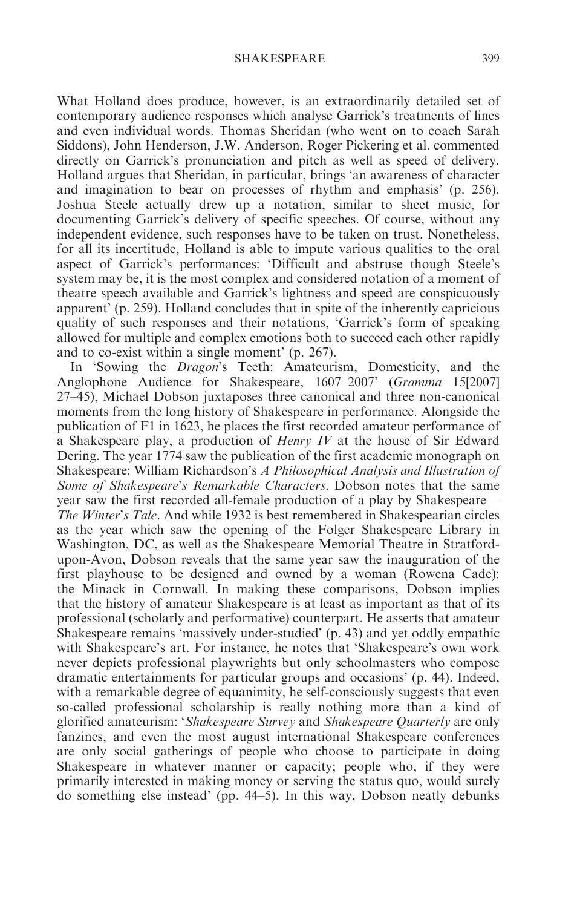What Holland does produce, however, is an extraordinarily detailed set of contemporary audience responses which analyse Garrick's treatments of lines and even individual words. Thomas Sheridan (who went on to coach Sarah Siddons), John Henderson, J.W. Anderson, Roger Pickering et al. commented directly on Garrick's pronunciation and pitch as well as speed of delivery. Holland argues that Sheridan, in particular, brings 'an awareness of character and imagination to bear on processes of rhythm and emphasis' (p. 256). Joshua Steele actually drew up a notation, similar to sheet music, for documenting Garrick's delivery of specific speeches. Of course, without any independent evidence, such responses have to be taken on trust. Nonetheless, for all its incertitude, Holland is able to impute various qualities to the oral aspect of Garrick's performances: 'Difficult and abstruse though Steele's system may be, it is the most complex and considered notation of a moment of theatre speech available and Garrick's lightness and speed are conspicuously apparent' (p. 259). Holland concludes that in spite of the inherently capricious quality of such responses and their notations, 'Garrick's form of speaking allowed for multiple and complex emotions both to succeed each other rapidly and to co-exist within a single moment' (p. 267).

In 'Sowing the Dragon's Teeth: Amateurism, Domesticity, and the Anglophone Audience for Shakespeare, 1607–2007' (Gramma 15[2007] 27–45), Michael Dobson juxtaposes three canonical and three non-canonical moments from the long history of Shakespeare in performance. Alongside the publication of F1 in 1623, he places the first recorded amateur performance of a Shakespeare play, a production of *Henry IV* at the house of Sir Edward Dering. The year 1774 saw the publication of the first academic monograph on Shakespeare: William Richardson's A Philosophical Analysis and Illustration of Some of Shakespeare's Remarkable Characters. Dobson notes that the same year saw the first recorded all-female production of a play by Shakespeare— The Winter's Tale. And while 1932 is best remembered in Shakespearian circles as the year which saw the opening of the Folger Shakespeare Library in Washington, DC, as well as the Shakespeare Memorial Theatre in Stratfordupon-Avon, Dobson reveals that the same year saw the inauguration of the first playhouse to be designed and owned by a woman (Rowena Cade): the Minack in Cornwall. In making these comparisons, Dobson implies that the history of amateur Shakespeare is at least as important as that of its professional (scholarly and performative) counterpart. He asserts that amateur Shakespeare remains 'massively under-studied' (p. 43) and yet oddly empathic with Shakespeare's art. For instance, he notes that 'Shakespeare's own work never depicts professional playwrights but only schoolmasters who compose dramatic entertainments for particular groups and occasions' (p. 44). Indeed, with a remarkable degree of equanimity, he self-consciously suggests that even so-called professional scholarship is really nothing more than a kind of glorified amateurism: 'Shakespeare Survey and Shakespeare Quarterly are only fanzines, and even the most august international Shakespeare conferences are only social gatherings of people who choose to participate in doing Shakespeare in whatever manner or capacity; people who, if they were primarily interested in making money or serving the status quo, would surely do something else instead' (pp. 44–5). In this way, Dobson neatly debunks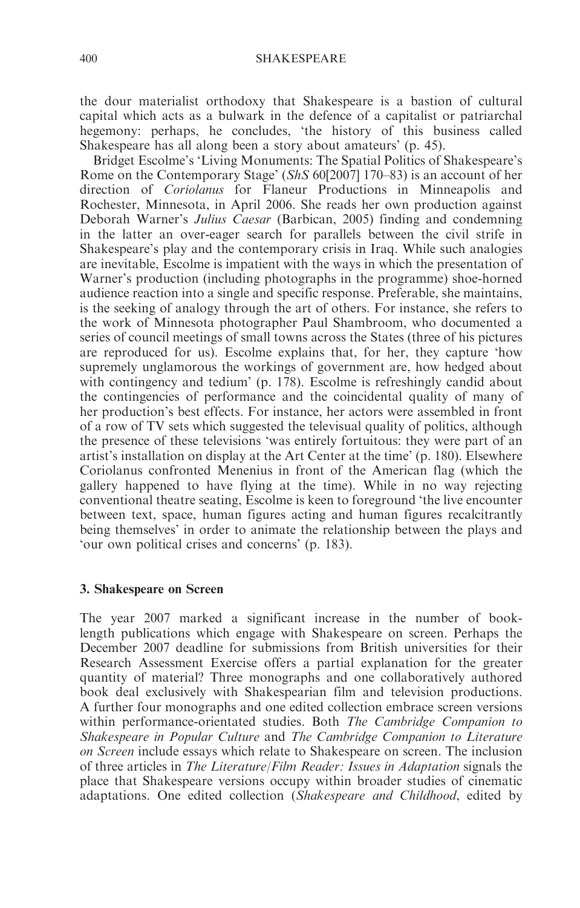the dour materialist orthodoxy that Shakespeare is a bastion of cultural capital which acts as a bulwark in the defence of a capitalist or patriarchal hegemony: perhaps, he concludes, 'the history of this business called Shakespeare has all along been a story about amateurs' (p. 45).

Bridget Escolme's 'Living Monuments: The Spatial Politics of Shakespeare's Rome on the Contemporary Stage' (ShS 60[2007] 170–83) is an account of her direction of Coriolanus for Flaneur Productions in Minneapolis and Rochester, Minnesota, in April 2006. She reads her own production against Deborah Warner's Julius Caesar (Barbican, 2005) finding and condemning in the latter an over-eager search for parallels between the civil strife in Shakespeare's play and the contemporary crisis in Iraq. While such analogies are inevitable, Escolme is impatient with the ways in which the presentation of Warner's production (including photographs in the programme) shoe-horned audience reaction into a single and specific response. Preferable, she maintains, is the seeking of analogy through the art of others. For instance, she refers to the work of Minnesota photographer Paul Shambroom, who documented a series of council meetings of small towns across the States (three of his pictures are reproduced for us). Escolme explains that, for her, they capture 'how supremely unglamorous the workings of government are, how hedged about with contingency and tedium' (p. 178). Escolme is refreshingly candid about the contingencies of performance and the coincidental quality of many of her production's best effects. For instance, her actors were assembled in front of a row of TV sets which suggested the televisual quality of politics, although the presence of these televisions 'was entirely fortuitous: they were part of an artist's installation on display at the Art Center at the time' (p. 180). Elsewhere Coriolanus confronted Menenius in front of the American flag (which the gallery happened to have flying at the time). While in no way rejecting conventional theatre seating, Escolme is keen to foreground 'the live encounter between text, space, human figures acting and human figures recalcitrantly being themselves' in order to animate the relationship between the plays and 'our own political crises and concerns' (p. 183).

# 3. Shakespeare on Screen

The year 2007 marked a significant increase in the number of booklength publications which engage with Shakespeare on screen. Perhaps the December 2007 deadline for submissions from British universities for their Research Assessment Exercise offers a partial explanation for the greater quantity of material? Three monographs and one collaboratively authored book deal exclusively with Shakespearian film and television productions. A further four monographs and one edited collection embrace screen versions within performance-orientated studies. Both The Cambridge Companion to Shakespeare in Popular Culture and The Cambridge Companion to Literature on Screen include essays which relate to Shakespeare on screen. The inclusion of three articles in The Literature/Film Reader: Issues in Adaptation signals the place that Shakespeare versions occupy within broader studies of cinematic adaptations. One edited collection (Shakespeare and Childhood, edited by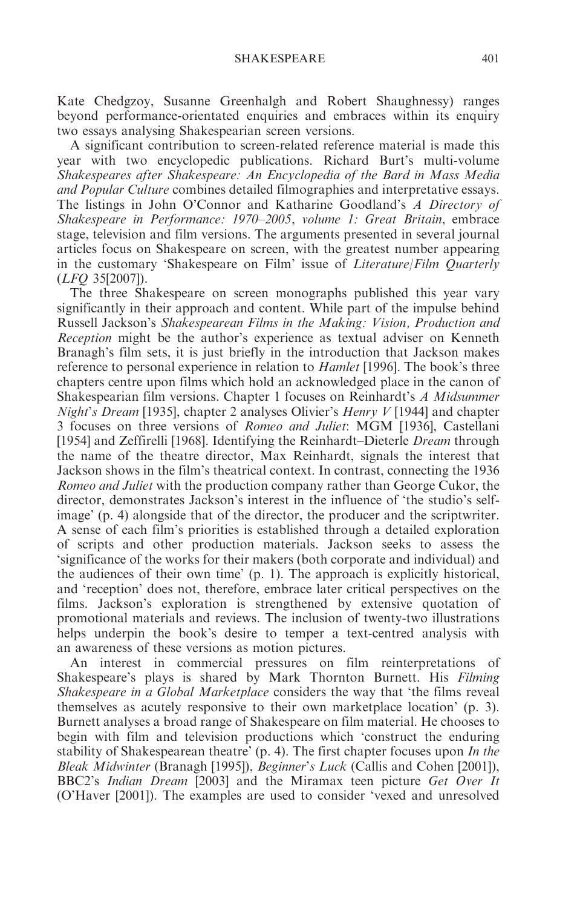Kate Chedgzoy, Susanne Greenhalgh and Robert Shaughnessy) ranges beyond performance-orientated enquiries and embraces within its enquiry two essays analysing Shakespearian screen versions.

A significant contribution to screen-related reference material is made this year with two encyclopedic publications. Richard Burt's multi-volume Shakespeares after Shakespeare: An Encyclopedia of the Bard in Mass Media and Popular Culture combines detailed filmographies and interpretative essays. The listings in John O'Connor and Katharine Goodland's A Directory of Shakespeare in Performance: 1970–2005, volume 1: Great Britain, embrace stage, television and film versions. The arguments presented in several journal articles focus on Shakespeare on screen, with the greatest number appearing in the customary 'Shakespeare on Film' issue of Literature/Film Quarterly (LFQ 35[2007]).

The three Shakespeare on screen monographs published this year vary significantly in their approach and content. While part of the impulse behind Russell Jackson's Shakespearean Films in the Making: Vision, Production and Reception might be the author's experience as textual adviser on Kenneth Branagh's film sets, it is just briefly in the introduction that Jackson makes reference to personal experience in relation to *Hamlet* [1996]. The book's three chapters centre upon films which hold an acknowledged place in the canon of Shakespearian film versions. Chapter 1 focuses on Reinhardt's A Midsummer Night's Dream [1935], chapter 2 analyses Olivier's Henry V [1944] and chapter 3 focuses on three versions of Romeo and Juliet: MGM [1936], Castellani [1954] and Zeffirelli [1968]. Identifying the Reinhardt–Dieterle Dream through the name of the theatre director, Max Reinhardt, signals the interest that Jackson shows in the film's theatrical context. In contrast, connecting the 1936 Romeo and Juliet with the production company rather than George Cukor, the director, demonstrates Jackson's interest in the influence of 'the studio's selfimage' (p. 4) alongside that of the director, the producer and the scriptwriter. A sense of each film's priorities is established through a detailed exploration of scripts and other production materials. Jackson seeks to assess the 'significance of the works for their makers (both corporate and individual) and the audiences of their own time' (p. 1). The approach is explicitly historical, and 'reception' does not, therefore, embrace later critical perspectives on the films. Jackson's exploration is strengthened by extensive quotation of promotional materials and reviews. The inclusion of twenty-two illustrations helps underpin the book's desire to temper a text-centred analysis with an awareness of these versions as motion pictures.

An interest in commercial pressures on film reinterpretations of Shakespeare's plays is shared by Mark Thornton Burnett. His Filming Shakespeare in a Global Marketplace considers the way that 'the films reveal themselves as acutely responsive to their own marketplace location' (p. 3). Burnett analyses a broad range of Shakespeare on film material. He chooses to begin with film and television productions which 'construct the enduring stability of Shakespearean theatre' (p. 4). The first chapter focuses upon In the Bleak Midwinter (Branagh [1995]), Beginner's Luck (Callis and Cohen [2001]), BBC2's Indian Dream [2003] and the Miramax teen picture Get Over It (O'Haver [2001]). The examples are used to consider 'vexed and unresolved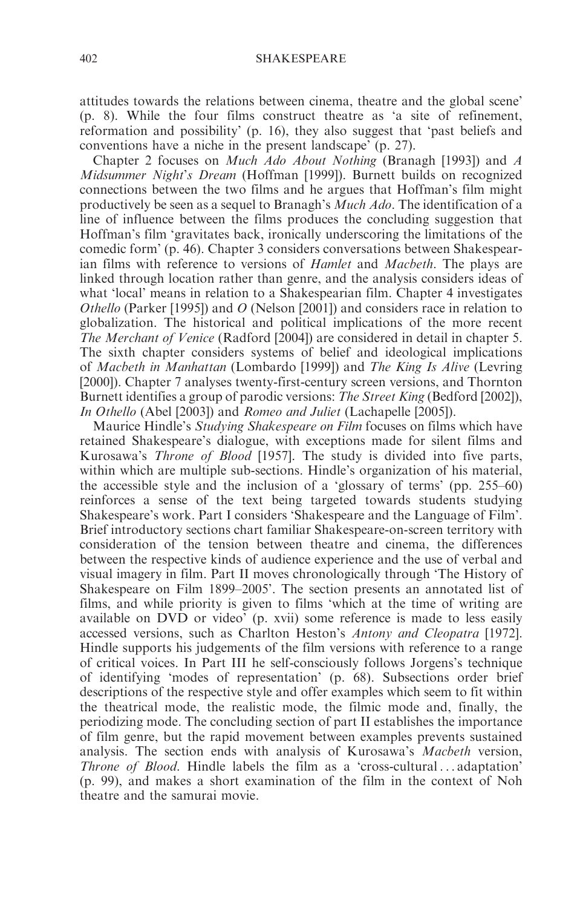attitudes towards the relations between cinema, theatre and the global scene' (p. 8). While the four films construct theatre as 'a site of refinement, reformation and possibility' (p. 16), they also suggest that 'past beliefs and conventions have a niche in the present landscape' (p. 27).

Chapter 2 focuses on Much Ado About Nothing (Branagh [1993]) and A Midsummer Night's Dream (Hoffman [1999]). Burnett builds on recognized connections between the two films and he argues that Hoffman's film might productively be seen as a sequel to Branagh's Much Ado. The identification of a line of influence between the films produces the concluding suggestion that Hoffman's film 'gravitates back, ironically underscoring the limitations of the comedic form' (p. 46). Chapter 3 considers conversations between Shakespearian films with reference to versions of *Hamlet* and *Macbeth*. The plays are linked through location rather than genre, and the analysis considers ideas of what 'local' means in relation to a Shakespearian film. Chapter 4 investigates Othello (Parker [1995]) and O (Nelson [2001]) and considers race in relation to globalization. The historical and political implications of the more recent The Merchant of Venice (Radford [2004]) are considered in detail in chapter 5. The sixth chapter considers systems of belief and ideological implications of Macbeth in Manhattan (Lombardo [1999]) and The King Is Alive (Levring [2000]). Chapter 7 analyses twenty-first-century screen versions, and Thornton Burnett identifies a group of parodic versions: The Street King (Bedford [2002]), In Othello (Abel [2003]) and Romeo and Juliet (Lachapelle [2005]).

Maurice Hindle's Studying Shakespeare on Film focuses on films which have retained Shakespeare's dialogue, with exceptions made for silent films and Kurosawa's Throne of Blood [1957]. The study is divided into five parts, within which are multiple sub-sections. Hindle's organization of his material, the accessible style and the inclusion of a 'glossary of terms' (pp. 255–60) reinforces a sense of the text being targeted towards students studying Shakespeare's work. Part I considers 'Shakespeare and the Language of Film'. Brief introductory sections chart familiar Shakespeare-on-screen territory with consideration of the tension between theatre and cinema, the differences between the respective kinds of audience experience and the use of verbal and visual imagery in film. Part II moves chronologically through 'The History of Shakespeare on Film 1899–2005'. The section presents an annotated list of films, and while priority is given to films 'which at the time of writing are available on DVD or video' (p. xvii) some reference is made to less easily accessed versions, such as Charlton Heston's Antony and Cleopatra [1972]. Hindle supports his judgements of the film versions with reference to a range of critical voices. In Part III he self-consciously follows Jorgens's technique of identifying 'modes of representation' (p. 68). Subsections order brief descriptions of the respective style and offer examples which seem to fit within the theatrical mode, the realistic mode, the filmic mode and, finally, the periodizing mode. The concluding section of part II establishes the importance of film genre, but the rapid movement between examples prevents sustained analysis. The section ends with analysis of Kurosawa's Macbeth version, Throne of Blood. Hindle labels the film as a 'cross-cultural ... adaptation' (p. 99), and makes a short examination of the film in the context of Noh theatre and the samurai movie.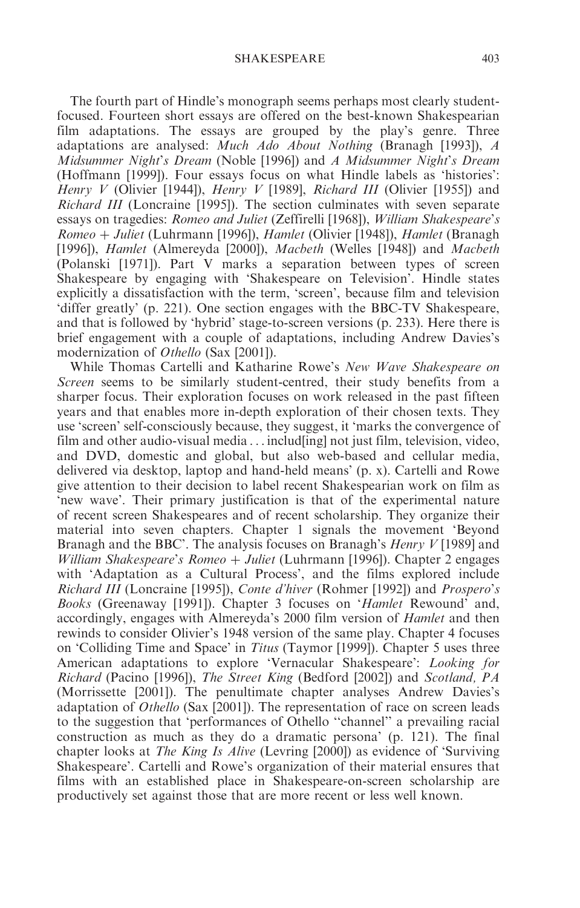The fourth part of Hindle's monograph seems perhaps most clearly studentfocused. Fourteen short essays are offered on the best-known Shakespearian film adaptations. The essays are grouped by the play's genre. Three adaptations are analysed: Much Ado About Nothing (Branagh [1993]), A Midsummer Night's Dream (Noble [1996]) and A Midsummer Night's Dream (Hoffmann [1999]). Four essays focus on what Hindle labels as 'histories': Henry V (Olivier [1944]), Henry V [1989], Richard III (Olivier [1955]) and Richard III (Loncraine [1995]). The section culminates with seven separate essays on tragedies: Romeo and Juliet (Zeffirelli [1968]), William Shakespeare's Romeo + Juliet (Luhrmann [1996]), Hamlet (Olivier [1948]), Hamlet (Branagh [1996]), *Hamlet* (Almereyda [2000]), *Macbeth* (Welles [1948]) and *Macbeth* (Polanski [1971]). Part V marks a separation between types of screen Shakespeare by engaging with 'Shakespeare on Television'. Hindle states explicitly a dissatisfaction with the term, 'screen', because film and television 'differ greatly' (p. 221). One section engages with the BBC-TV Shakespeare, and that is followed by 'hybrid' stage-to-screen versions (p. 233). Here there is brief engagement with a couple of adaptations, including Andrew Davies's modernization of Othello (Sax [2001]).

While Thomas Cartelli and Katharine Rowe's New Wave Shakespeare on Screen seems to be similarly student-centred, their study benefits from a sharper focus. Their exploration focuses on work released in the past fifteen years and that enables more in-depth exploration of their chosen texts. They use 'screen' self-consciously because, they suggest, it 'marks the convergence of film and other audio-visual media ... includ[ing] not just film, television, video, and DVD, domestic and global, but also web-based and cellular media, delivered via desktop, laptop and hand-held means' (p. x). Cartelli and Rowe give attention to their decision to label recent Shakespearian work on film as 'new wave'. Their primary justification is that of the experimental nature of recent screen Shakespeares and of recent scholarship. They organize their material into seven chapters. Chapter 1 signals the movement 'Beyond Branagh and the BBC'. The analysis focuses on Branagh's Henry V [1989] and William Shakespeare's Romeo  $+$  Juliet (Luhrmann [1996]). Chapter 2 engages with 'Adaptation as a Cultural Process', and the films explored include Richard III (Loncraine [1995]), Conte d'hiver (Rohmer [1992]) and Prospero's Books (Greenaway [1991]). Chapter 3 focuses on 'Hamlet Rewound' and, accordingly, engages with Almereyda's 2000 film version of Hamlet and then rewinds to consider Olivier's 1948 version of the same play. Chapter 4 focuses on 'Colliding Time and Space' in Titus (Taymor [1999]). Chapter 5 uses three American adaptations to explore 'Vernacular Shakespeare': Looking for Richard (Pacino [1996]), The Street King (Bedford [2002]) and Scotland, PA (Morrissette [2001]). The penultimate chapter analyses Andrew Davies's adaptation of Othello (Sax [2001]). The representation of race on screen leads to the suggestion that 'performances of Othello ''channel'' a prevailing racial construction as much as they do a dramatic persona' (p. 121). The final chapter looks at The King Is Alive (Levring [2000]) as evidence of 'Surviving Shakespeare'. Cartelli and Rowe's organization of their material ensures that films with an established place in Shakespeare-on-screen scholarship are productively set against those that are more recent or less well known.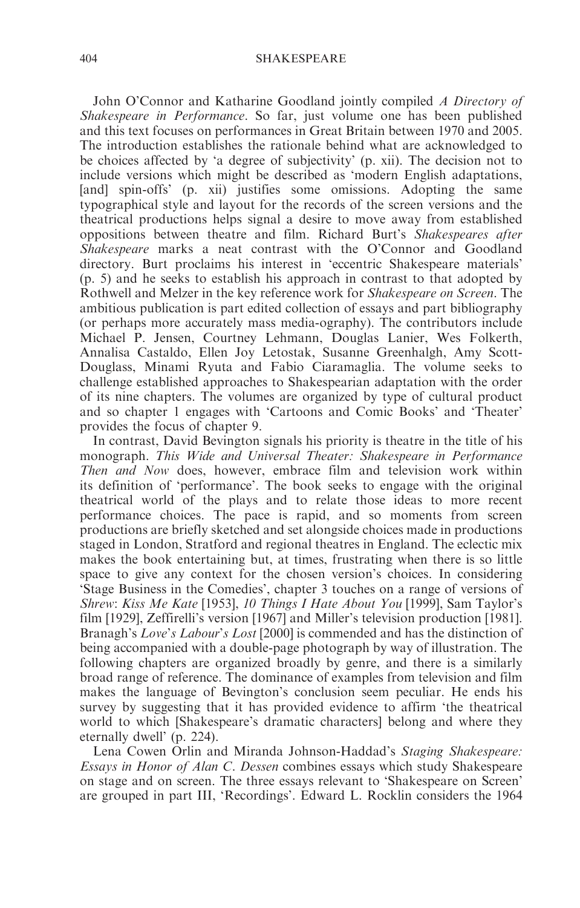John O'Connor and Katharine Goodland jointly compiled A Directory of Shakespeare in Performance. So far, just volume one has been published and this text focuses on performances in Great Britain between 1970 and 2005. The introduction establishes the rationale behind what are acknowledged to be choices affected by 'a degree of subjectivity' (p. xii). The decision not to include versions which might be described as 'modern English adaptations, [and] spin-offs' (p. xii) justifies some omissions. Adopting the same typographical style and layout for the records of the screen versions and the theatrical productions helps signal a desire to move away from established oppositions between theatre and film. Richard Burt's Shakespeares after Shakespeare marks a neat contrast with the O'Connor and Goodland directory. Burt proclaims his interest in 'eccentric Shakespeare materials' (p. 5) and he seeks to establish his approach in contrast to that adopted by Rothwell and Melzer in the key reference work for Shakespeare on Screen. The ambitious publication is part edited collection of essays and part bibliography (or perhaps more accurately mass media-ography). The contributors include Michael P. Jensen, Courtney Lehmann, Douglas Lanier, Wes Folkerth, Annalisa Castaldo, Ellen Joy Letostak, Susanne Greenhalgh, Amy Scott-Douglass, Minami Ryuta and Fabio Ciaramaglia. The volume seeks to challenge established approaches to Shakespearian adaptation with the order of its nine chapters. The volumes are organized by type of cultural product and so chapter 1 engages with 'Cartoons and Comic Books' and 'Theater' provides the focus of chapter 9.

In contrast, David Bevington signals his priority is theatre in the title of his monograph. This Wide and Universal Theater: Shakespeare in Performance Then and Now does, however, embrace film and television work within its definition of 'performance'. The book seeks to engage with the original theatrical world of the plays and to relate those ideas to more recent performance choices. The pace is rapid, and so moments from screen productions are briefly sketched and set alongside choices made in productions staged in London, Stratford and regional theatres in England. The eclectic mix makes the book entertaining but, at times, frustrating when there is so little space to give any context for the chosen version's choices. In considering 'Stage Business in the Comedies', chapter 3 touches on a range of versions of Shrew: Kiss Me Kate [1953], 10 Things I Hate About You [1999], Sam Taylor's film [1929], Zeffirelli's version [1967] and Miller's television production [1981]. Branagh's Love's Labour's Lost [2000] is commended and has the distinction of being accompanied with a double-page photograph by way of illustration. The following chapters are organized broadly by genre, and there is a similarly broad range of reference. The dominance of examples from television and film makes the language of Bevington's conclusion seem peculiar. He ends his survey by suggesting that it has provided evidence to affirm 'the theatrical world to which [Shakespeare's dramatic characters] belong and where they eternally dwell' (p. 224).

Lena Cowen Orlin and Miranda Johnson-Haddad's Staging Shakespeare: Essays in Honor of Alan C. Dessen combines essays which study Shakespeare on stage and on screen. The three essays relevant to 'Shakespeare on Screen' are grouped in part III, 'Recordings'. Edward L. Rocklin considers the 1964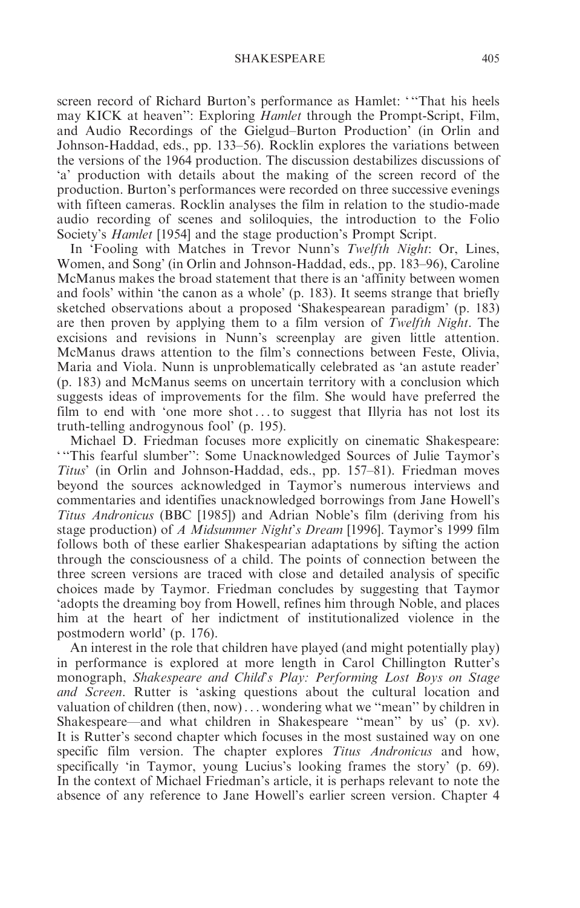screen record of Richard Burton's performance as Hamlet: ' ''That his heels may KICK at heaven'': Exploring Hamlet through the Prompt-Script, Film, and Audio Recordings of the Gielgud–Burton Production' (in Orlin and Johnson-Haddad, eds., pp. 133–56). Rocklin explores the variations between the versions of the 1964 production. The discussion destabilizes discussions of 'a' production with details about the making of the screen record of the production. Burton's performances were recorded on three successive evenings with fifteen cameras. Rocklin analyses the film in relation to the studio-made audio recording of scenes and soliloquies, the introduction to the Folio Society's Hamlet [1954] and the stage production's Prompt Script.

In 'Fooling with Matches in Trevor Nunn's Twelfth Night: Or, Lines, Women, and Song' (in Orlin and Johnson-Haddad, eds., pp. 183–96), Caroline McManus makes the broad statement that there is an 'affinity between women and fools' within 'the canon as a whole' (p. 183). It seems strange that briefly sketched observations about a proposed 'Shakespearean paradigm' (p. 183) are then proven by applying them to a film version of  $Twelth$  Night. The excisions and revisions in Nunn's screenplay are given little attention. McManus draws attention to the film's connections between Feste, Olivia, Maria and Viola. Nunn is unproblematically celebrated as 'an astute reader' (p. 183) and McManus seems on uncertain territory with a conclusion which suggests ideas of improvements for the film. She would have preferred the film to end with 'one more shot ...to suggest that Illyria has not lost its truth-telling androgynous fool' (p. 195).

Michael D. Friedman focuses more explicitly on cinematic Shakespeare: ' ''This fearful slumber'': Some Unacknowledged Sources of Julie Taymor's Titus' (in Orlin and Johnson-Haddad, eds., pp. 157–81). Friedman moves beyond the sources acknowledged in Taymor's numerous interviews and commentaries and identifies unacknowledged borrowings from Jane Howell's Titus Andronicus (BBC [1985]) and Adrian Noble's film (deriving from his stage production) of A Midsummer Night's Dream [1996]. Taymor's 1999 film follows both of these earlier Shakespearian adaptations by sifting the action through the consciousness of a child. The points of connection between the three screen versions are traced with close and detailed analysis of specific choices made by Taymor. Friedman concludes by suggesting that Taymor 'adopts the dreaming boy from Howell, refines him through Noble, and places him at the heart of her indictment of institutionalized violence in the postmodern world' (p. 176).

An interest in the role that children have played (and might potentially play) in performance is explored at more length in Carol Chillington Rutter's monograph, Shakespeare and Child's Play: Performing Lost Boys on Stage and Screen. Rutter is 'asking questions about the cultural location and valuation of children (then, now)... wondering what we ''mean'' by children in Shakespeare—and what children in Shakespeare ''mean'' by us' (p. xv). It is Rutter's second chapter which focuses in the most sustained way on one specific film version. The chapter explores *Titus Andronicus* and how, specifically 'in Taymor, young Lucius's looking frames the story' (p. 69). In the context of Michael Friedman's article, it is perhaps relevant to note the absence of any reference to Jane Howell's earlier screen version. Chapter 4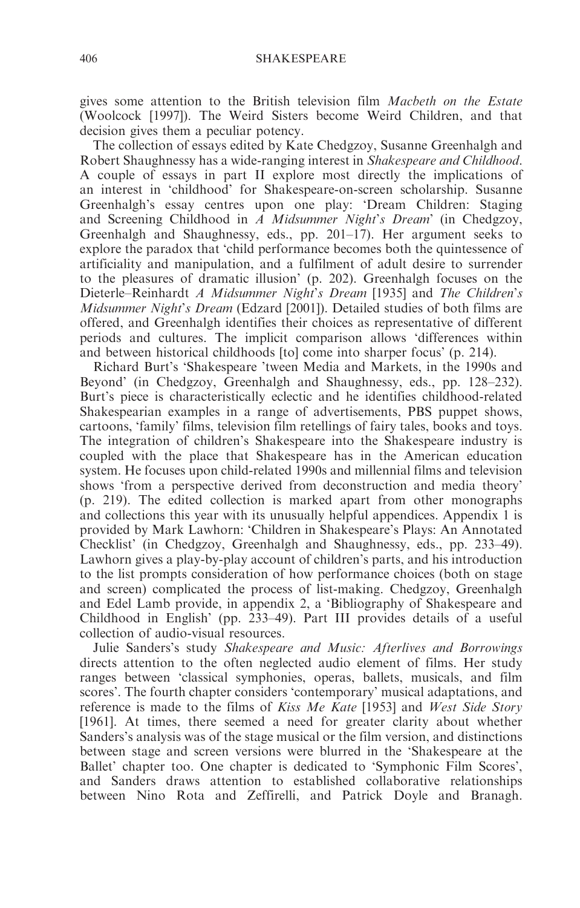gives some attention to the British television film Macbeth on the Estate (Woolcock [1997]). The Weird Sisters become Weird Children, and that decision gives them a peculiar potency.

The collection of essays edited by Kate Chedgzoy, Susanne Greenhalgh and Robert Shaughnessy has a wide-ranging interest in Shakespeare and Childhood. A couple of essays in part II explore most directly the implications of an interest in 'childhood' for Shakespeare-on-screen scholarship. Susanne Greenhalgh's essay centres upon one play: 'Dream Children: Staging and Screening Childhood in  $\overline{A}$  Midsummer Night's Dream' (in Chedgzoy, Greenhalgh and Shaughnessy, eds., pp. 201–17). Her argument seeks to explore the paradox that 'child performance becomes both the quintessence of artificiality and manipulation, and a fulfilment of adult desire to surrender to the pleasures of dramatic illusion' (p. 202). Greenhalgh focuses on the Dieterle–Reinhardt A Midsummer Night's Dream [1935] and The Children's Midsummer Night's Dream (Edzard [2001]). Detailed studies of both films are offered, and Greenhalgh identifies their choices as representative of different periods and cultures. The implicit comparison allows 'differences within and between historical childhoods [to] come into sharper focus' (p. 214).

Richard Burt's 'Shakespeare 'tween Media and Markets, in the 1990s and Beyond' (in Chedgzoy, Greenhalgh and Shaughnessy, eds., pp. 128–232). Burt's piece is characteristically eclectic and he identifies childhood-related Shakespearian examples in a range of advertisements, PBS puppet shows, cartoons, 'family' films, television film retellings of fairy tales, books and toys. The integration of children's Shakespeare into the Shakespeare industry is coupled with the place that Shakespeare has in the American education system. He focuses upon child-related 1990s and millennial films and television shows 'from a perspective derived from deconstruction and media theory' (p. 219). The edited collection is marked apart from other monographs and collections this year with its unusually helpful appendices. Appendix 1 is provided by Mark Lawhorn: 'Children in Shakespeare's Plays: An Annotated Checklist' (in Chedgzoy, Greenhalgh and Shaughnessy, eds., pp. 233–49). Lawhorn gives a play-by-play account of children's parts, and his introduction to the list prompts consideration of how performance choices (both on stage and screen) complicated the process of list-making. Chedgzoy, Greenhalgh and Edel Lamb provide, in appendix 2, a 'Bibliography of Shakespeare and Childhood in English' (pp. 233–49). Part III provides details of a useful collection of audio-visual resources.

Julie Sanders's study Shakespeare and Music: Afterlives and Borrowings directs attention to the often neglected audio element of films. Her study ranges between 'classical symphonies, operas, ballets, musicals, and film scores'. The fourth chapter considers 'contemporary' musical adaptations, and reference is made to the films of Kiss Me Kate [1953] and West Side Story [1961]. At times, there seemed a need for greater clarity about whether Sanders's analysis was of the stage musical or the film version, and distinctions between stage and screen versions were blurred in the 'Shakespeare at the Ballet' chapter too. One chapter is dedicated to 'Symphonic Film Scores', and Sanders draws attention to established collaborative relationships between Nino Rota and Zeffirelli, and Patrick Doyle and Branagh.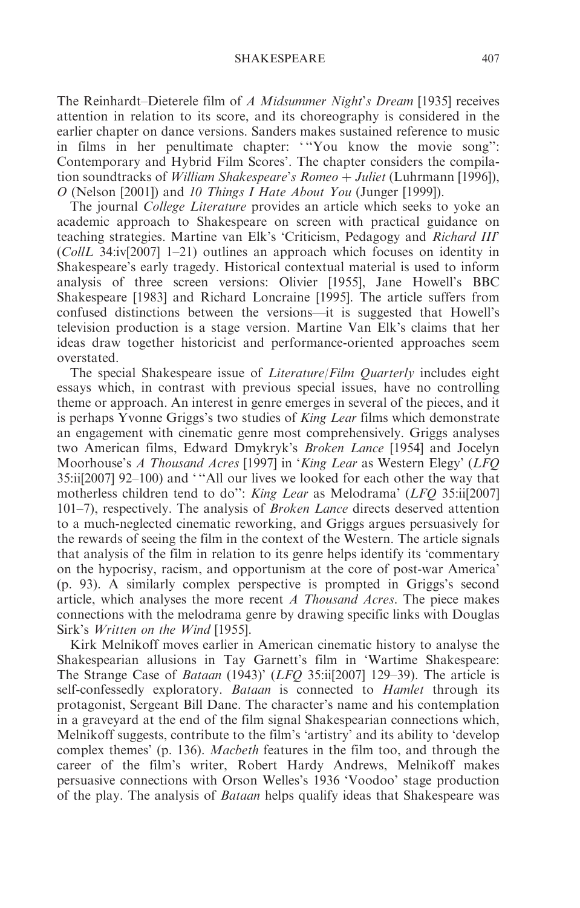The Reinhardt–Dieterele film of A Midsummer Night's Dream [1935] receives attention in relation to its score, and its choreography is considered in the earlier chapter on dance versions. Sanders makes sustained reference to music in films in her penultimate chapter: ' ''You know the movie song'': Contemporary and Hybrid Film Scores'. The chapter considers the compilation soundtracks of *William Shakespeare's Romeo + Juliet* (Luhrmann [1996]), O (Nelson [2001]) and 10 Things I Hate About You (Junger [1999]).

The journal College Literature provides an article which seeks to yoke an academic approach to Shakespeare on screen with practical guidance on teaching strategies. Martine van Elk's 'Criticism, Pedagogy and Richard III' (CollL 34:iv[2007] 1–21) outlines an approach which focuses on identity in Shakespeare's early tragedy. Historical contextual material is used to inform analysis of three screen versions: Olivier [1955], Jane Howell's BBC Shakespeare [1983] and Richard Loncraine [1995]. The article suffers from confused distinctions between the versions—it is suggested that Howell's television production is a stage version. Martine Van Elk's claims that her ideas draw together historicist and performance-oriented approaches seem overstated.

The special Shakespeare issue of Literature/Film Quarterly includes eight essays which, in contrast with previous special issues, have no controlling theme or approach. An interest in genre emerges in several of the pieces, and it is perhaps Yvonne Griggs's two studies of King Lear films which demonstrate an engagement with cinematic genre most comprehensively. Griggs analyses two American films, Edward Dmykryk's Broken Lance [1954] and Jocelyn Moorhouse's A Thousand Acres [1997] in 'King Lear as Western Elegy' (LFQ 35:ii[2007] 92–100) and ' ''All our lives we looked for each other the way that motherless children tend to do": King Lear as Melodrama' (LFQ 35:ii[2007] 101–7), respectively. The analysis of Broken Lance directs deserved attention to a much-neglected cinematic reworking, and Griggs argues persuasively for the rewards of seeing the film in the context of the Western. The article signals that analysis of the film in relation to its genre helps identify its 'commentary on the hypocrisy, racism, and opportunism at the core of post-war America' (p. 93). A similarly complex perspective is prompted in Griggs's second article, which analyses the more recent A Thousand Acres. The piece makes connections with the melodrama genre by drawing specific links with Douglas Sirk's Written on the Wind [1955].

Kirk Melnikoff moves earlier in American cinematic history to analyse the Shakespearian allusions in Tay Garnett's film in 'Wartime Shakespeare: The Strange Case of *Bataan* (1943)' (*LFO* 35:ii[2007] 129–39). The article is self-confessedly exploratory. Bataan is connected to Hamlet through its protagonist, Sergeant Bill Dane. The character's name and his contemplation in a graveyard at the end of the film signal Shakespearian connections which, Melnikoff suggests, contribute to the film's 'artistry' and its ability to 'develop complex themes' (p. 136). Macbeth features in the film too, and through the career of the film's writer, Robert Hardy Andrews, Melnikoff makes persuasive connections with Orson Welles's 1936 'Voodoo' stage production of the play. The analysis of Bataan helps qualify ideas that Shakespeare was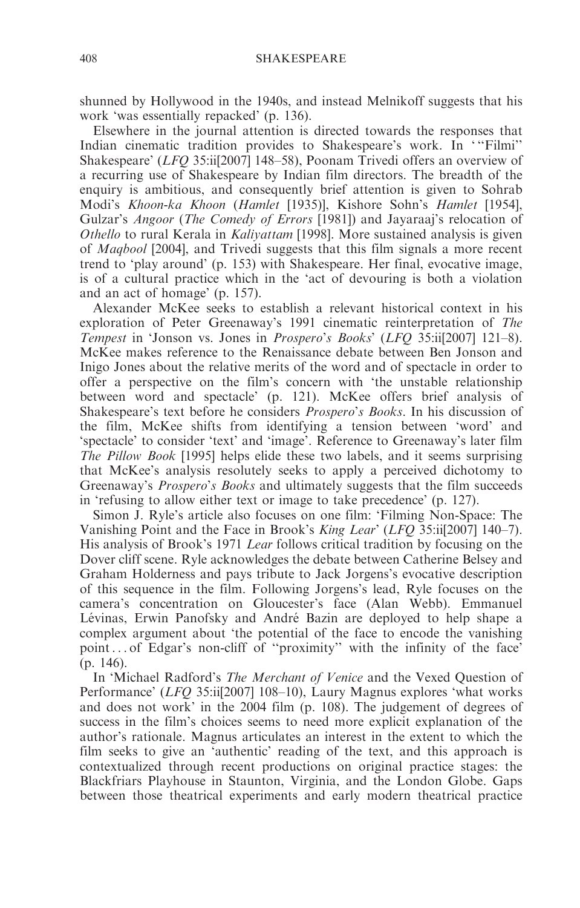shunned by Hollywood in the 1940s, and instead Melnikoff suggests that his work 'was essentially repacked' (p. 136).

Elsewhere in the journal attention is directed towards the responses that Indian cinematic tradition provides to Shakespeare's work. In ' ''Filmi'' Shakespeare' (LFQ 35:ii[2007] 148–58), Poonam Trivedi offers an overview of a recurring use of Shakespeare by Indian film directors. The breadth of the enquiry is ambitious, and consequently brief attention is given to Sohrab Modi's Khoon-ka Khoon (Hamlet [1935)], Kishore Sohn's Hamlet [1954], Gulzar's Angoor (The Comedy of Errors [1981]) and Jayaraaj's relocation of Othello to rural Kerala in Kaliyattam [1998]. More sustained analysis is given of Maqbool [2004], and Trivedi suggests that this film signals a more recent trend to 'play around' (p. 153) with Shakespeare. Her final, evocative image, is of a cultural practice which in the 'act of devouring is both a violation and an act of homage' (p. 157).

Alexander McKee seeks to establish a relevant historical context in his exploration of Peter Greenaway's 1991 cinematic reinterpretation of The Tempest in 'Jonson vs. Jones in Prospero's Books' (LFQ 35:ii[2007] 121–8). McKee makes reference to the Renaissance debate between Ben Jonson and Inigo Jones about the relative merits of the word and of spectacle in order to offer a perspective on the film's concern with 'the unstable relationship between word and spectacle' (p. 121). McKee offers brief analysis of Shakespeare's text before he considers Prospero's Books. In his discussion of the film, McKee shifts from identifying a tension between 'word' and 'spectacle' to consider 'text' and 'image'. Reference to Greenaway's later film The Pillow Book [1995] helps elide these two labels, and it seems surprising that McKee's analysis resolutely seeks to apply a perceived dichotomy to Greenaway's Prospero's Books and ultimately suggests that the film succeeds in 'refusing to allow either text or image to take precedence' (p. 127).

Simon J. Ryle's article also focuses on one film: 'Filming Non-Space: The Vanishing Point and the Face in Brook's *King Lear*' (*LFO* 35:ii[2007] 140–7). His analysis of Brook's 1971 Lear follows critical tradition by focusing on the Dover cliff scene. Ryle acknowledges the debate between Catherine Belsey and Graham Holderness and pays tribute to Jack Jorgens's evocative description of this sequence in the film. Following Jorgens's lead, Ryle focuses on the camera's concentration on Gloucester's face (Alan Webb). Emmanuel Lévinas, Erwin Panofsky and André Bazin are deployed to help shape a complex argument about 'the potential of the face to encode the vanishing point ... of Edgar's non-cliff of ''proximity'' with the infinity of the face' (p. 146).

In 'Michael Radford's The Merchant of Venice and the Vexed Question of Performance' (LFQ 35:ii[2007] 108–10), Laury Magnus explores 'what works and does not work' in the 2004 film (p. 108). The judgement of degrees of success in the film's choices seems to need more explicit explanation of the author's rationale. Magnus articulates an interest in the extent to which the film seeks to give an 'authentic' reading of the text, and this approach is contextualized through recent productions on original practice stages: the Blackfriars Playhouse in Staunton, Virginia, and the London Globe. Gaps between those theatrical experiments and early modern theatrical practice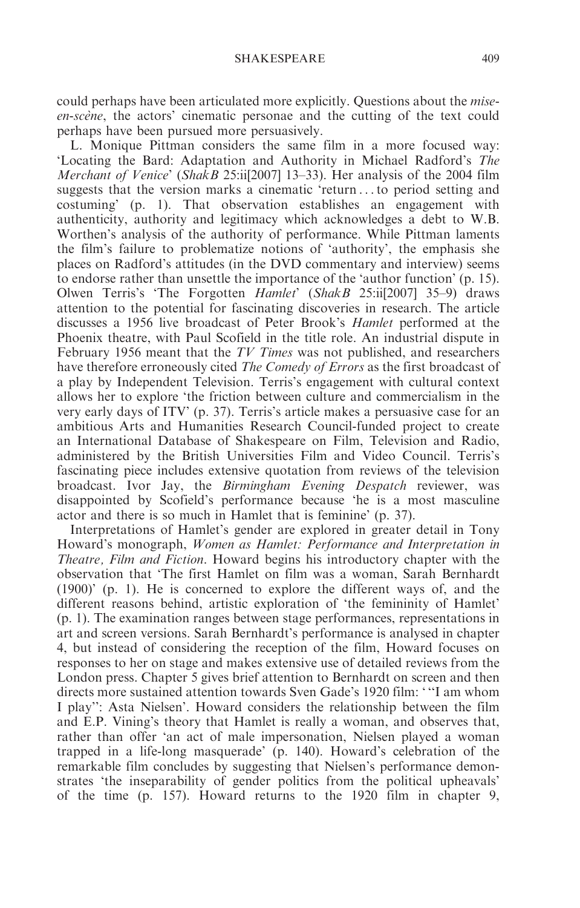could perhaps have been articulated more explicitly. Questions about the miseen-scène, the actors' cinematic personae and the cutting of the text could perhaps have been pursued more persuasively.

L. Monique Pittman considers the same film in a more focused way: 'Locating the Bard: Adaptation and Authority in Michael Radford's The Merchant of Venice' (ShakB 25:ii[2007] 13–33). Her analysis of the 2004 film suggests that the version marks a cinematic 'return ...to period setting and costuming' (p. 1). That observation establishes an engagement with authenticity, authority and legitimacy which acknowledges a debt to W.B. Worthen's analysis of the authority of performance. While Pittman laments the film's failure to problematize notions of 'authority', the emphasis she places on Radford's attitudes (in the DVD commentary and interview) seems to endorse rather than unsettle the importance of the 'author function' (p. 15). Olwen Terris's 'The Forgotten Hamlet' (ShakB 25:ii[2007] 35–9) draws attention to the potential for fascinating discoveries in research. The article discusses a 1956 live broadcast of Peter Brook's Hamlet performed at the Phoenix theatre, with Paul Scofield in the title role. An industrial dispute in February 1956 meant that the TV Times was not published, and researchers have therefore erroneously cited *The Comedy of Errors* as the first broadcast of a play by Independent Television. Terris's engagement with cultural context allows her to explore 'the friction between culture and commercialism in the very early days of ITV' (p. 37). Terris's article makes a persuasive case for an ambitious Arts and Humanities Research Council-funded project to create an International Database of Shakespeare on Film, Television and Radio, administered by the British Universities Film and Video Council. Terris's fascinating piece includes extensive quotation from reviews of the television broadcast. Ivor Jay, the Birmingham Evening Despatch reviewer, was disappointed by Scofield's performance because 'he is a most masculine actor and there is so much in Hamlet that is feminine' (p. 37).

Interpretations of Hamlet's gender are explored in greater detail in Tony Howard's monograph, Women as Hamlet: Performance and Interpretation in Theatre, Film and Fiction. Howard begins his introductory chapter with the observation that 'The first Hamlet on film was a woman, Sarah Bernhardt (1900)' (p. 1). He is concerned to explore the different ways of, and the different reasons behind, artistic exploration of 'the femininity of Hamlet' (p. 1). The examination ranges between stage performances, representations in art and screen versions. Sarah Bernhardt's performance is analysed in chapter 4, but instead of considering the reception of the film, Howard focuses on responses to her on stage and makes extensive use of detailed reviews from the London press. Chapter 5 gives brief attention to Bernhardt on screen and then directs more sustained attention towards Sven Gade's 1920 film: ' ''I am whom I play'': Asta Nielsen'. Howard considers the relationship between the film and E.P. Vining's theory that Hamlet is really a woman, and observes that, rather than offer 'an act of male impersonation, Nielsen played a woman trapped in a life-long masquerade' (p. 140). Howard's celebration of the remarkable film concludes by suggesting that Nielsen's performance demonstrates 'the inseparability of gender politics from the political upheavals' of the time (p. 157). Howard returns to the 1920 film in chapter 9,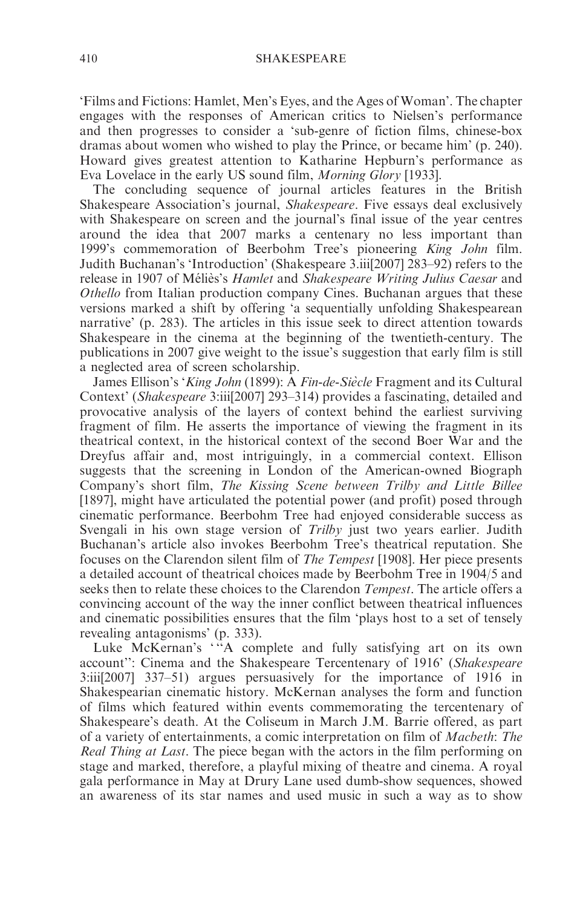'Films and Fictions: Hamlet, Men's Eyes, and the Ages of Woman'. The chapter engages with the responses of American critics to Nielsen's performance and then progresses to consider a 'sub-genre of fiction films, chinese-box dramas about women who wished to play the Prince, or became him' (p. 240). Howard gives greatest attention to Katharine Hepburn's performance as Eva Lovelace in the early US sound film, Morning Glory [1933].

The concluding sequence of journal articles features in the British Shakespeare Association's journal, Shakespeare. Five essays deal exclusively with Shakespeare on screen and the journal's final issue of the year centres around the idea that 2007 marks a centenary no less important than 1999's commemoration of Beerbohm Tree's pioneering King John film. Judith Buchanan's 'Introduction' (Shakespeare 3.iii[2007] 283–92) refers to the release in 1907 of Méliès's *Hamlet* and *Shakespeare Writing Julius Caesar* and Othello from Italian production company Cines. Buchanan argues that these versions marked a shift by offering 'a sequentially unfolding Shakespearean narrative' (p. 283). The articles in this issue seek to direct attention towards Shakespeare in the cinema at the beginning of the twentieth-century. The publications in 2007 give weight to the issue's suggestion that early film is still a neglected area of screen scholarship.

James Ellison's 'King John (1899): A Fin-de-Siècle Fragment and its Cultural Context' (Shakespeare 3:iii[2007] 293–314) provides a fascinating, detailed and provocative analysis of the layers of context behind the earliest surviving fragment of film. He asserts the importance of viewing the fragment in its theatrical context, in the historical context of the second Boer War and the Dreyfus affair and, most intriguingly, in a commercial context. Ellison suggests that the screening in London of the American-owned Biograph Company's short film, The Kissing Scene between Trilby and Little Billee [1897], might have articulated the potential power (and profit) posed through cinematic performance. Beerbohm Tree had enjoyed considerable success as Svengali in his own stage version of Trilby just two years earlier. Judith Buchanan's article also invokes Beerbohm Tree's theatrical reputation. She focuses on the Clarendon silent film of The Tempest [1908]. Her piece presents a detailed account of theatrical choices made by Beerbohm Tree in 1904/5 and seeks then to relate these choices to the Clarendon Tempest. The article offers a convincing account of the way the inner conflict between theatrical influences and cinematic possibilities ensures that the film 'plays host to a set of tensely revealing antagonisms' (p. 333).

Luke McKernan's '"A complete and fully satisfying art on its own account'': Cinema and the Shakespeare Tercentenary of 1916' (Shakespeare 3:iii[2007] 337–51) argues persuasively for the importance of 1916 in Shakespearian cinematic history. McKernan analyses the form and function of films which featured within events commemorating the tercentenary of Shakespeare's death. At the Coliseum in March J.M. Barrie offered, as part of a variety of entertainments, a comic interpretation on film of Macbeth: The Real Thing at Last. The piece began with the actors in the film performing on stage and marked, therefore, a playful mixing of theatre and cinema. A royal gala performance in May at Drury Lane used dumb-show sequences, showed an awareness of its star names and used music in such a way as to show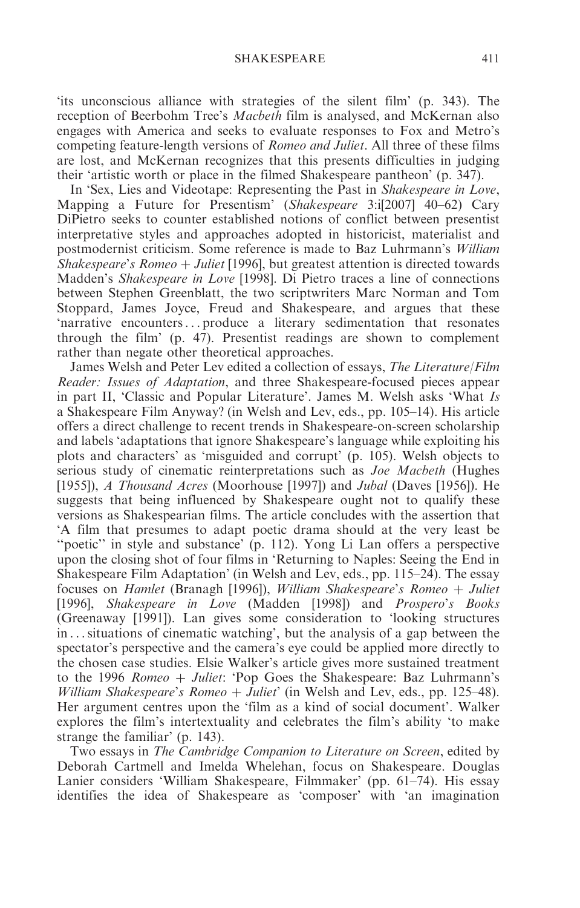'its unconscious alliance with strategies of the silent film' (p. 343). The reception of Beerbohm Tree's Macbeth film is analysed, and McKernan also engages with America and seeks to evaluate responses to Fox and Metro's competing feature-length versions of *Romeo and Juliet*. All three of these films are lost, and McKernan recognizes that this presents difficulties in judging their 'artistic worth or place in the filmed Shakespeare pantheon' (p. 347).

In 'Sex, Lies and Videotape: Representing the Past in Shakespeare in Love, Mapping a Future for Presentism' (Shakespeare 3:i[2007] 40–62) Cary DiPietro seeks to counter established notions of conflict between presentist interpretative styles and approaches adopted in historicist, materialist and postmodernist criticism. Some reference is made to Baz Luhrmann's William Shakespeare's Romeo  $+$  Juliet [1996], but greatest attention is directed towards Madden's Shakespeare in Love [1998]. Di Pietro traces a line of connections between Stephen Greenblatt, the two scriptwriters Marc Norman and Tom Stoppard, James Joyce, Freud and Shakespeare, and argues that these 'narrative encounters... produce a literary sedimentation that resonates through the film' (p. 47). Presentist readings are shown to complement rather than negate other theoretical approaches.

James Welsh and Peter Lev edited a collection of essays, The Literature/Film Reader: Issues of Adaptation, and three Shakespeare-focused pieces appear in part II, 'Classic and Popular Literature'. James M. Welsh asks 'What Is a Shakespeare Film Anyway? (in Welsh and Lev, eds., pp. 105–14). His article offers a direct challenge to recent trends in Shakespeare-on-screen scholarship and labels 'adaptations that ignore Shakespeare's language while exploiting his plots and characters' as 'misguided and corrupt' (p. 105). Welsh objects to serious study of cinematic reinterpretations such as Joe Macbeth (Hughes [1955]), A Thousand Acres (Moorhouse [1997]) and Jubal (Daves [1956]). He suggests that being influenced by Shakespeare ought not to qualify these versions as Shakespearian films. The article concludes with the assertion that 'A film that presumes to adapt poetic drama should at the very least be "poetic" in style and substance' (p. 112). Yong Li Lan offers a perspective upon the closing shot of four films in 'Returning to Naples: Seeing the End in Shakespeare Film Adaptation' (in Welsh and Lev, eds., pp. 115–24). The essay focuses on Hamlet (Branagh [1996]), William Shakespeare's Romeo  $+$  Juliet [1996], Shakespeare in Love (Madden [1998]) and Prospero's Books (Greenaway [1991]). Lan gives some consideration to 'looking structures in ...situations of cinematic watching', but the analysis of a gap between the spectator's perspective and the camera's eye could be applied more directly to the chosen case studies. Elsie Walker's article gives more sustained treatment to the 1996  $Romeo + Julie$ : 'Pop Goes the Shakespeare: Baz Luhrmann's William Shakespeare's Romeo  $+$  Juliet' (in Welsh and Lev, eds., pp. 125–48). Her argument centres upon the 'film as a kind of social document'. Walker explores the film's intertextuality and celebrates the film's ability 'to make strange the familiar' (p. 143).

Two essays in The Cambridge Companion to Literature on Screen, edited by Deborah Cartmell and Imelda Whelehan, focus on Shakespeare. Douglas Lanier considers 'William Shakespeare, Filmmaker' (pp. 61–74). His essay identifies the idea of Shakespeare as 'composer' with 'an imagination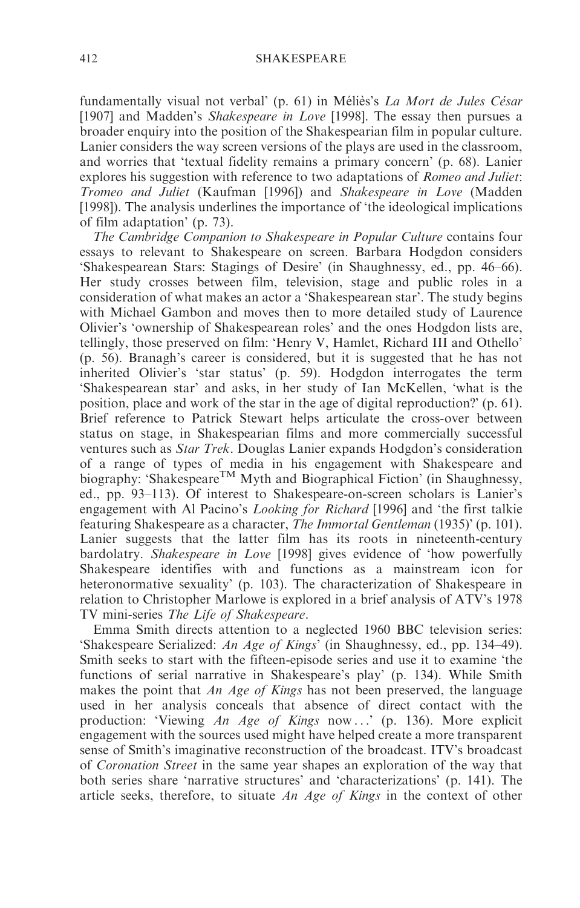fundamentally visual not verbal' (p. 61) in Méliès's La Mort de Jules César [1907] and Madden's Shakespeare in Love [1998]. The essay then pursues a broader enquiry into the position of the Shakespearian film in popular culture. Lanier considers the way screen versions of the plays are used in the classroom, and worries that 'textual fidelity remains a primary concern' (p. 68). Lanier explores his suggestion with reference to two adaptations of Romeo and Juliet: Tromeo and Juliet (Kaufman [1996]) and Shakespeare in Love (Madden [1998]). The analysis underlines the importance of 'the ideological implications of film adaptation' (p. 73).

The Cambridge Companion to Shakespeare in Popular Culture contains four essays to relevant to Shakespeare on screen. Barbara Hodgdon considers 'Shakespearean Stars: Stagings of Desire' (in Shaughnessy, ed., pp. 46–66). Her study crosses between film, television, stage and public roles in a consideration of what makes an actor a 'Shakespearean star'. The study begins with Michael Gambon and moves then to more detailed study of Laurence Olivier's 'ownership of Shakespearean roles' and the ones Hodgdon lists are, tellingly, those preserved on film: 'Henry V, Hamlet, Richard III and Othello' (p. 56). Branagh's career is considered, but it is suggested that he has not inherited Olivier's 'star status' (p. 59). Hodgdon interrogates the term 'Shakespearean star' and asks, in her study of Ian McKellen, 'what is the position, place and work of the star in the age of digital reproduction?' (p. 61). Brief reference to Patrick Stewart helps articulate the cross-over between status on stage, in Shakespearian films and more commercially successful ventures such as Star Trek. Douglas Lanier expands Hodgdon's consideration of a range of types of media in his engagement with Shakespeare and biography: 'Shakespeare<sup>TM</sup> Myth and Biographical Fiction' (in Shaughnessy, ed., pp. 93–113). Of interest to Shakespeare-on-screen scholars is Lanier's engagement with Al Pacino's Looking for Richard [1996] and 'the first talkie featuring Shakespeare as a character, The Immortal Gentleman (1935)' (p. 101). Lanier suggests that the latter film has its roots in nineteenth-century bardolatry. Shakespeare in Love [1998] gives evidence of 'how powerfully Shakespeare identifies with and functions as a mainstream icon for heteronormative sexuality' (p. 103). The characterization of Shakespeare in relation to Christopher Marlowe is explored in a brief analysis of ATV's 1978 TV mini-series The Life of Shakespeare.

Emma Smith directs attention to a neglected 1960 BBC television series: 'Shakespeare Serialized: An Age of Kings' (in Shaughnessy, ed., pp. 134–49). Smith seeks to start with the fifteen-episode series and use it to examine 'the functions of serial narrative in Shakespeare's play' (p. 134). While Smith makes the point that An Age of Kings has not been preserved, the language used in her analysis conceals that absence of direct contact with the production: 'Viewing An Age of Kings now ...' (p. 136). More explicit engagement with the sources used might have helped create a more transparent sense of Smith's imaginative reconstruction of the broadcast. ITV's broadcast of Coronation Street in the same year shapes an exploration of the way that both series share 'narrative structures' and 'characterizations' (p. 141). The article seeks, therefore, to situate An Age of Kings in the context of other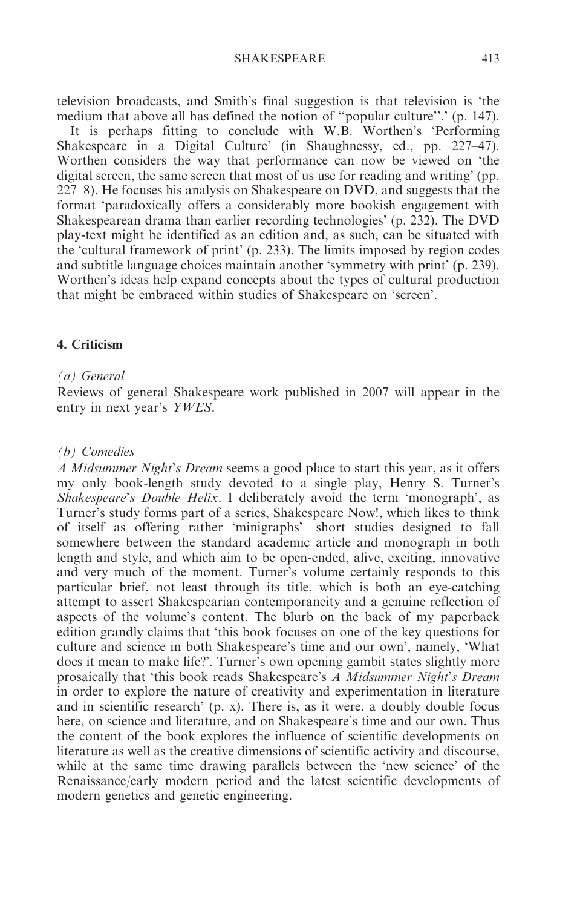television broadcasts, and Smith's final suggestion is that television is 'the medium that above all has defined the notion of ''popular culture''.' (p. 147).

It is perhaps fitting to conclude with W.B. Worthen's 'Performing Shakespeare in a Digital Culture' (in Shaughnessy, ed., pp. 227–47). Worthen considers the way that performance can now be viewed on 'the digital screen, the same screen that most of us use for reading and writing' (pp. 227–8). He focuses his analysis on Shakespeare on DVD, and suggests that the format 'paradoxically offers a considerably more bookish engagement with Shakespearean drama than earlier recording technologies' (p. 232). The DVD play-text might be identified as an edition and, as such, can be situated with the 'cultural framework of print' (p. 233). The limits imposed by region codes and subtitle language choices maintain another 'symmetry with print' (p. 239). Worthen's ideas help expand concepts about the types of cultural production that might be embraced within studies of Shakespeare on 'screen'.

# 4. Criticism

# (a) General

Reviews of general Shakespeare work published in 2007 will appear in the entry in next year's YWES.

# (b) Comedies

A Midsummer Night's Dream seems a good place to start this year, as it offers my only book-length study devoted to a single play, Henry S. Turner's Shakespeare's Double Helix. I deliberately avoid the term 'monograph', as Turner's study forms part of a series, Shakespeare Now!, which likes to think of itself as offering rather 'minigraphs'—short studies designed to fall somewhere between the standard academic article and monograph in both length and style, and which aim to be open-ended, alive, exciting, innovative and very much of the moment. Turner's volume certainly responds to this particular brief, not least through its title, which is both an eye-catching attempt to assert Shakespearian contemporaneity and a genuine reflection of aspects of the volume's content. The blurb on the back of my paperback edition grandly claims that 'this book focuses on one of the key questions for culture and science in both Shakespeare's time and our own', namely, 'What does it mean to make life?'. Turner's own opening gambit states slightly more prosaically that 'this book reads Shakespeare's A Midsummer Night's Dream in order to explore the nature of creativity and experimentation in literature and in scientific research' (p. x). There is, as it were, a doubly double focus here, on science and literature, and on Shakespeare's time and our own. Thus the content of the book explores the influence of scientific developments on literature as well as the creative dimensions of scientific activity and discourse, while at the same time drawing parallels between the 'new science' of the Renaissance/early modern period and the latest scientific developments of modern genetics and genetic engineering.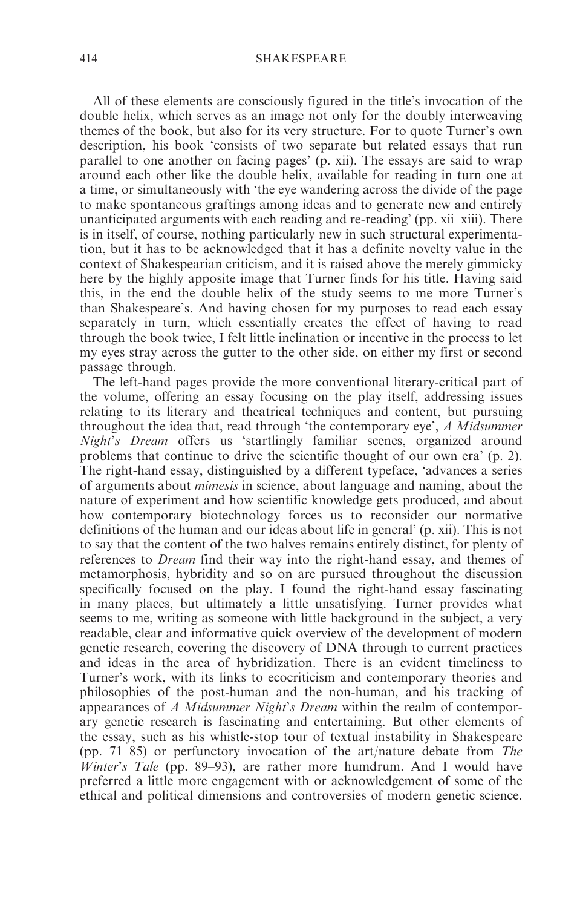All of these elements are consciously figured in the title's invocation of the double helix, which serves as an image not only for the doubly interweaving themes of the book, but also for its very structure. For to quote Turner's own description, his book 'consists of two separate but related essays that run parallel to one another on facing pages' (p. xii). The essays are said to wrap around each other like the double helix, available for reading in turn one at a time, or simultaneously with 'the eye wandering across the divide of the page to make spontaneous graftings among ideas and to generate new and entirely unanticipated arguments with each reading and re-reading' (pp. xii–xiii). There is in itself, of course, nothing particularly new in such structural experimentation, but it has to be acknowledged that it has a definite novelty value in the context of Shakespearian criticism, and it is raised above the merely gimmicky here by the highly apposite image that Turner finds for his title. Having said this, in the end the double helix of the study seems to me more Turner's than Shakespeare's. And having chosen for my purposes to read each essay separately in turn, which essentially creates the effect of having to read through the book twice, I felt little inclination or incentive in the process to let my eyes stray across the gutter to the other side, on either my first or second passage through.

The left-hand pages provide the more conventional literary-critical part of the volume, offering an essay focusing on the play itself, addressing issues relating to its literary and theatrical techniques and content, but pursuing throughout the idea that, read through 'the contemporary eye', A Midsummer Night's Dream offers us 'startlingly familiar scenes, organized around problems that continue to drive the scientific thought of our own era' (p. 2). The right-hand essay, distinguished by a different typeface, 'advances a series of arguments about mimesis in science, about language and naming, about the nature of experiment and how scientific knowledge gets produced, and about how contemporary biotechnology forces us to reconsider our normative definitions of the human and our ideas about life in general' (p. xii). This is not to say that the content of the two halves remains entirely distinct, for plenty of references to Dream find their way into the right-hand essay, and themes of metamorphosis, hybridity and so on are pursued throughout the discussion specifically focused on the play. I found the right-hand essay fascinating in many places, but ultimately a little unsatisfying. Turner provides what seems to me, writing as someone with little background in the subject, a very readable, clear and informative quick overview of the development of modern genetic research, covering the discovery of DNA through to current practices and ideas in the area of hybridization. There is an evident timeliness to Turner's work, with its links to ecocriticism and contemporary theories and philosophies of the post-human and the non-human, and his tracking of appearances of A Midsummer Night's Dream within the realm of contemporary genetic research is fascinating and entertaining. But other elements of the essay, such as his whistle-stop tour of textual instability in Shakespeare (pp. 71–85) or perfunctory invocation of the art/nature debate from The Winter's Tale (pp. 89–93), are rather more humdrum. And I would have preferred a little more engagement with or acknowledgement of some of the ethical and political dimensions and controversies of modern genetic science.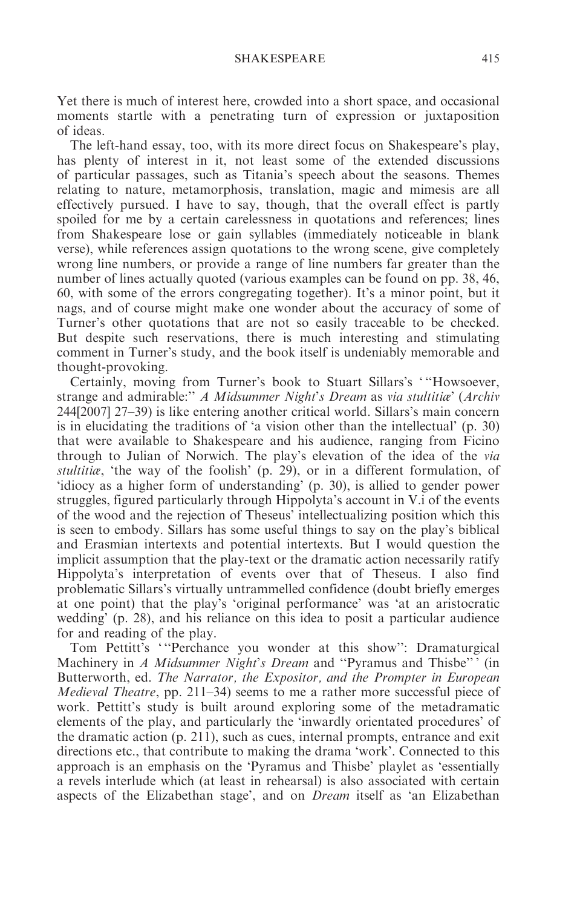Yet there is much of interest here, crowded into a short space, and occasional moments startle with a penetrating turn of expression or juxtaposition of ideas.

The left-hand essay, too, with its more direct focus on Shakespeare's play, has plenty of interest in it, not least some of the extended discussions of particular passages, such as Titania's speech about the seasons. Themes relating to nature, metamorphosis, translation, magic and mimesis are all effectively pursued. I have to say, though, that the overall effect is partly spoiled for me by a certain carelessness in quotations and references; lines from Shakespeare lose or gain syllables (immediately noticeable in blank verse), while references assign quotations to the wrong scene, give completely wrong line numbers, or provide a range of line numbers far greater than the number of lines actually quoted (various examples can be found on pp. 38, 46, 60, with some of the errors congregating together). It's a minor point, but it nags, and of course might make one wonder about the accuracy of some of Turner's other quotations that are not so easily traceable to be checked. But despite such reservations, there is much interesting and stimulating comment in Turner's study, and the book itself is undeniably memorable and thought-provoking.

Certainly, moving from Turner's book to Stuart Sillars's ' ''Howsoever, strange and admirable:'' A Midsummer Night's Dream as via stultitiæ' (Archiv 244[2007] 27–39) is like entering another critical world. Sillars's main concern is in elucidating the traditions of 'a vision other than the intellectual' (p. 30) that were available to Shakespeare and his audience, ranging from Ficino through to Julian of Norwich. The play's elevation of the idea of the via stultitiæ, 'the way of the foolish' (p. 29), or in a different formulation, of 'idiocy as a higher form of understanding' (p. 30), is allied to gender power struggles, figured particularly through Hippolyta's account in V.i of the events of the wood and the rejection of Theseus' intellectualizing position which this is seen to embody. Sillars has some useful things to say on the play's biblical and Erasmian intertexts and potential intertexts. But I would question the implicit assumption that the play-text or the dramatic action necessarily ratify Hippolyta's interpretation of events over that of Theseus. I also find problematic Sillars's virtually untrammelled confidence (doubt briefly emerges at one point) that the play's 'original performance' was 'at an aristocratic wedding' (p. 28), and his reliance on this idea to posit a particular audience for and reading of the play.

Tom Pettitt's "Perchance you wonder at this show": Dramaturgical Machinery in A Midsummer Night's Dream and "Pyramus and Thisbe"<sup>, (in</sup>) Butterworth, ed. The Narrator, the Expositor, and the Prompter in European Medieval Theatre, pp. 211–34) seems to me a rather more successful piece of work. Pettitt's study is built around exploring some of the metadramatic elements of the play, and particularly the 'inwardly orientated procedures' of the dramatic action (p. 211), such as cues, internal prompts, entrance and exit directions etc., that contribute to making the drama 'work'. Connected to this approach is an emphasis on the 'Pyramus and Thisbe' playlet as 'essentially a revels interlude which (at least in rehearsal) is also associated with certain aspects of the Elizabethan stage', and on Dream itself as 'an Elizabethan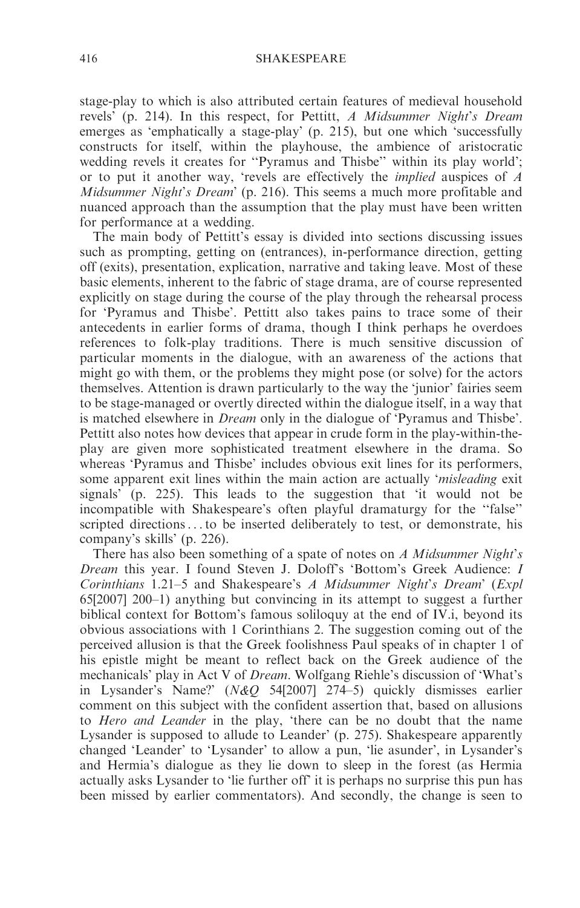stage-play to which is also attributed certain features of medieval household revels' (p. 214). In this respect, for Pettitt, A Midsummer Night's Dream emerges as 'emphatically a stage-play' (p. 215), but one which 'successfully constructs for itself, within the playhouse, the ambience of aristocratic wedding revels it creates for ''Pyramus and Thisbe'' within its play world'; or to put it another way, 'revels are effectively the implied auspices of A Midsummer Night's Dream' (p. 216). This seems a much more profitable and nuanced approach than the assumption that the play must have been written for performance at a wedding.

The main body of Pettitt's essay is divided into sections discussing issues such as prompting, getting on (entrances), in-performance direction, getting off (exits), presentation, explication, narrative and taking leave. Most of these basic elements, inherent to the fabric of stage drama, are of course represented explicitly on stage during the course of the play through the rehearsal process for 'Pyramus and Thisbe'. Pettitt also takes pains to trace some of their antecedents in earlier forms of drama, though I think perhaps he overdoes references to folk-play traditions. There is much sensitive discussion of particular moments in the dialogue, with an awareness of the actions that might go with them, or the problems they might pose (or solve) for the actors themselves. Attention is drawn particularly to the way the 'junior' fairies seem to be stage-managed or overtly directed within the dialogue itself, in a way that is matched elsewhere in Dream only in the dialogue of 'Pyramus and Thisbe'. Pettitt also notes how devices that appear in crude form in the play-within-theplay are given more sophisticated treatment elsewhere in the drama. So whereas 'Pyramus and Thisbe' includes obvious exit lines for its performers, some apparent exit lines within the main action are actually *'misleading* exit signals' (p. 225). This leads to the suggestion that 'it would not be incompatible with Shakespeare's often playful dramaturgy for the ''false'' scripted directions... to be inserted deliberately to test, or demonstrate, his company's skills' (p. 226).

There has also been something of a spate of notes on A Midsummer Night's Dream this year. I found Steven J. Doloff's 'Bottom's Greek Audience: I Corinthians 1.21–5 and Shakespeare's A Midsummer Night's Dream' (Expl 65[2007] 200–1) anything but convincing in its attempt to suggest a further biblical context for Bottom's famous soliloquy at the end of IV.i, beyond its obvious associations with 1 Corinthians 2. The suggestion coming out of the perceived allusion is that the Greek foolishness Paul speaks of in chapter 1 of his epistle might be meant to reflect back on the Greek audience of the mechanicals' play in Act V of Dream. Wolfgang Riehle's discussion of 'What's in Lysander's Name?' (N&Q 54[2007] 274–5) quickly dismisses earlier comment on this subject with the confident assertion that, based on allusions to Hero and Leander in the play, 'there can be no doubt that the name Lysander is supposed to allude to Leander' (p. 275). Shakespeare apparently changed 'Leander' to 'Lysander' to allow a pun, 'lie asunder', in Lysander's and Hermia's dialogue as they lie down to sleep in the forest (as Hermia actually asks Lysander to 'lie further off' it is perhaps no surprise this pun has been missed by earlier commentators). And secondly, the change is seen to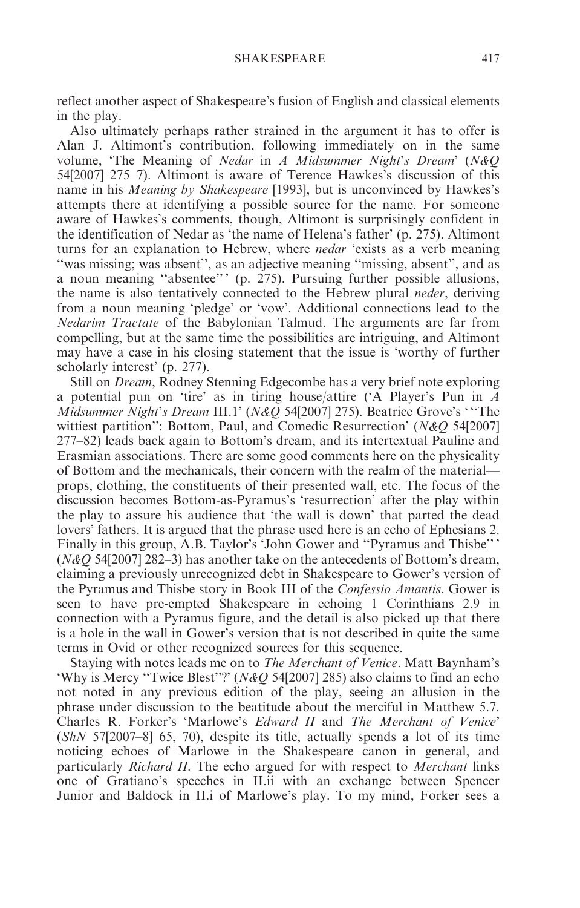reflect another aspect of Shakespeare's fusion of English and classical elements in the play.

Also ultimately perhaps rather strained in the argument it has to offer is Alan J. Altimont's contribution, following immediately on in the same volume, 'The Meaning of Nedar in A Midsummer Night's Dream' (N&O 54[2007] 275–7). Altimont is aware of Terence Hawkes's discussion of this name in his *Meaning by Shakespeare* [1993], but is unconvinced by Hawkes's attempts there at identifying a possible source for the name. For someone aware of Hawkes's comments, though, Altimont is surprisingly confident in the identification of Nedar as 'the name of Helena's father' (p. 275). Altimont turns for an explanation to Hebrew, where nedar 'exists as a verb meaning "was missing; was absent", as an adjective meaning "missing, absent", and as a noun meaning ''absentee'' ' (p. 275). Pursuing further possible allusions, the name is also tentatively connected to the Hebrew plural neder, deriving from a noun meaning 'pledge' or 'vow'. Additional connections lead to the Nedarim Tractate of the Babylonian Talmud. The arguments are far from compelling, but at the same time the possibilities are intriguing, and Altimont may have a case in his closing statement that the issue is 'worthy of further scholarly interest' (p. 277).

Still on Dream, Rodney Stenning Edgecombe has a very brief note exploring a potential pun on 'tire' as in tiring house/attire ('A Player's Pun in A Midsummer Night's Dream III.1' (N&Q 54[2007] 275). Beatrice Grove's "The wittiest partition": Bottom, Paul, and Comedic Resurrection' ( $N&O$  54[2007] 277–82) leads back again to Bottom's dream, and its intertextual Pauline and Erasmian associations. There are some good comments here on the physicality of Bottom and the mechanicals, their concern with the realm of the material props, clothing, the constituents of their presented wall, etc. The focus of the discussion becomes Bottom-as-Pyramus's 'resurrection' after the play within the play to assure his audience that 'the wall is down' that parted the dead lovers' fathers. It is argued that the phrase used here is an echo of Ephesians 2. Finally in this group, A.B. Taylor's 'John Gower and "Pyramus and Thisbe"'  $(N&O 54[2007] 282-3)$  has another take on the antecedents of Bottom's dream, claiming a previously unrecognized debt in Shakespeare to Gower's version of the Pyramus and Thisbe story in Book III of the Confessio Amantis. Gower is seen to have pre-empted Shakespeare in echoing 1 Corinthians 2.9 in connection with a Pyramus figure, and the detail is also picked up that there is a hole in the wall in Gower's version that is not described in quite the same terms in Ovid or other recognized sources for this sequence.

Staying with notes leads me on to The Merchant of Venice. Matt Baynham's 'Why is Mercy "Twice Blest"?' (N&Q 54[2007] 285) also claims to find an echo not noted in any previous edition of the play, seeing an allusion in the phrase under discussion to the beatitude about the merciful in Matthew 5.7. Charles R. Forker's 'Marlowe's Edward II and The Merchant of Venice' (ShN 57[2007–8] 65, 70), despite its title, actually spends a lot of its time noticing echoes of Marlowe in the Shakespeare canon in general, and particularly Richard II. The echo argued for with respect to Merchant links one of Gratiano's speeches in II.ii with an exchange between Spencer Junior and Baldock in II.i of Marlowe's play. To my mind, Forker sees a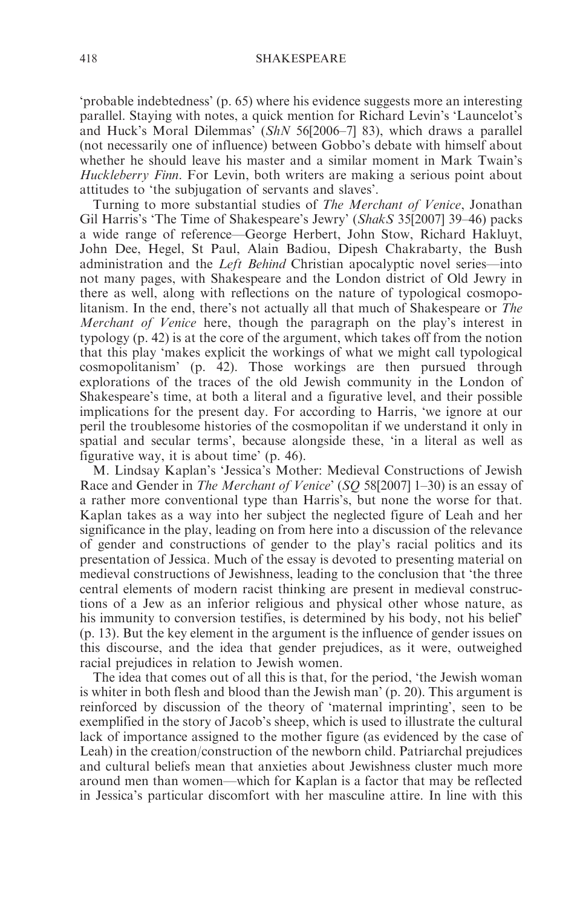'probable indebtedness' (p. 65) where his evidence suggests more an interesting parallel. Staying with notes, a quick mention for Richard Levin's 'Launcelot's and Huck's Moral Dilemmas' (ShN 56[2006–7] 83), which draws a parallel (not necessarily one of influence) between Gobbo's debate with himself about whether he should leave his master and a similar moment in Mark Twain's Huckleberry Finn. For Levin, both writers are making a serious point about attitudes to 'the subjugation of servants and slaves'.

Turning to more substantial studies of The Merchant of Venice, Jonathan Gil Harris's 'The Time of Shakespeare's Jewry' (ShakS 35[2007] 39–46) packs a wide range of reference—George Herbert, John Stow, Richard Hakluyt, John Dee, Hegel, St Paul, Alain Badiou, Dipesh Chakrabarty, the Bush administration and the Left Behind Christian apocalyptic novel series—into not many pages, with Shakespeare and the London district of Old Jewry in there as well, along with reflections on the nature of typological cosmopolitanism. In the end, there's not actually all that much of Shakespeare or The Merchant of Venice here, though the paragraph on the play's interest in typology (p. 42) is at the core of the argument, which takes off from the notion that this play 'makes explicit the workings of what we might call typological cosmopolitanism' (p. 42). Those workings are then pursued through explorations of the traces of the old Jewish community in the London of Shakespeare's time, at both a literal and a figurative level, and their possible implications for the present day. For according to Harris, 'we ignore at our peril the troublesome histories of the cosmopolitan if we understand it only in spatial and secular terms', because alongside these, 'in a literal as well as figurative way, it is about time' (p. 46).

M. Lindsay Kaplan's 'Jessica's Mother: Medieval Constructions of Jewish Race and Gender in *The Merchant of Venice*' (SQ 58[2007] 1–30) is an essay of a rather more conventional type than Harris's, but none the worse for that. Kaplan takes as a way into her subject the neglected figure of Leah and her significance in the play, leading on from here into a discussion of the relevance of gender and constructions of gender to the play's racial politics and its presentation of Jessica. Much of the essay is devoted to presenting material on medieval constructions of Jewishness, leading to the conclusion that 'the three central elements of modern racist thinking are present in medieval constructions of a Jew as an inferior religious and physical other whose nature, as his immunity to conversion testifies, is determined by his body, not his belief' (p. 13). But the key element in the argument is the influence of gender issues on this discourse, and the idea that gender prejudices, as it were, outweighed racial prejudices in relation to Jewish women.

The idea that comes out of all this is that, for the period, 'the Jewish woman is whiter in both flesh and blood than the Jewish man' (p. 20). This argument is reinforced by discussion of the theory of 'maternal imprinting', seen to be exemplified in the story of Jacob's sheep, which is used to illustrate the cultural lack of importance assigned to the mother figure (as evidenced by the case of Leah) in the creation/construction of the newborn child. Patriarchal prejudices and cultural beliefs mean that anxieties about Jewishness cluster much more around men than women—which for Kaplan is a factor that may be reflected in Jessica's particular discomfort with her masculine attire. In line with this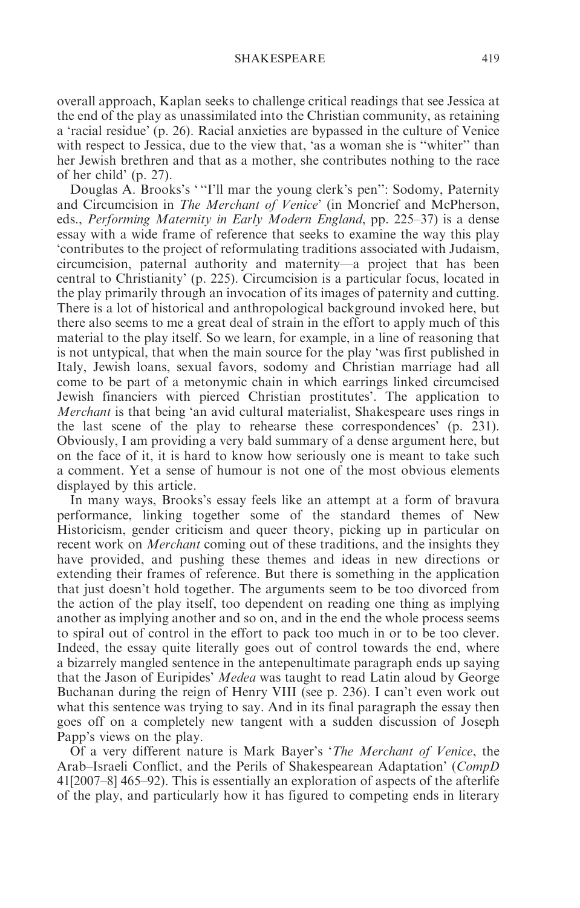overall approach, Kaplan seeks to challenge critical readings that see Jessica at the end of the play as unassimilated into the Christian community, as retaining a 'racial residue' (p. 26). Racial anxieties are bypassed in the culture of Venice with respect to Jessica, due to the view that, 'as a woman she is "whiter" than her Jewish brethren and that as a mother, she contributes nothing to the race of her child' (p. 27).

Douglas A. Brooks's "'I'll mar the young clerk's pen": Sodomy, Paternity and Circumcision in The Merchant of Venice' (in Moncrief and McPherson, eds., Performing Maternity in Early Modern England, pp. 225–37) is a dense essay with a wide frame of reference that seeks to examine the way this play 'contributes to the project of reformulating traditions associated with Judaism, circumcision, paternal authority and maternity—a project that has been central to Christianity' (p. 225). Circumcision is a particular focus, located in the play primarily through an invocation of its images of paternity and cutting. There is a lot of historical and anthropological background invoked here, but there also seems to me a great deal of strain in the effort to apply much of this material to the play itself. So we learn, for example, in a line of reasoning that is not untypical, that when the main source for the play 'was first published in Italy, Jewish loans, sexual favors, sodomy and Christian marriage had all come to be part of a metonymic chain in which earrings linked circumcised Jewish financiers with pierced Christian prostitutes'. The application to Merchant is that being 'an avid cultural materialist, Shakespeare uses rings in the last scene of the play to rehearse these correspondences' (p. 231). Obviously, I am providing a very bald summary of a dense argument here, but on the face of it, it is hard to know how seriously one is meant to take such a comment. Yet a sense of humour is not one of the most obvious elements displayed by this article.

In many ways, Brooks's essay feels like an attempt at a form of bravura performance, linking together some of the standard themes of New Historicism, gender criticism and queer theory, picking up in particular on recent work on *Merchant* coming out of these traditions, and the insights they have provided, and pushing these themes and ideas in new directions or extending their frames of reference. But there is something in the application that just doesn't hold together. The arguments seem to be too divorced from the action of the play itself, too dependent on reading one thing as implying another as implying another and so on, and in the end the whole process seems to spiral out of control in the effort to pack too much in or to be too clever. Indeed, the essay quite literally goes out of control towards the end, where a bizarrely mangled sentence in the antepenultimate paragraph ends up saying that the Jason of Euripides' Medea was taught to read Latin aloud by George Buchanan during the reign of Henry VIII (see p. 236). I can't even work out what this sentence was trying to say. And in its final paragraph the essay then goes off on a completely new tangent with a sudden discussion of Joseph Papp's views on the play.

Of a very different nature is Mark Bayer's 'The Merchant of Venice, the Arab–Israeli Conflict, and the Perils of Shakespearean Adaptation' (CompD 41[2007–8] 465–92). This is essentially an exploration of aspects of the afterlife of the play, and particularly how it has figured to competing ends in literary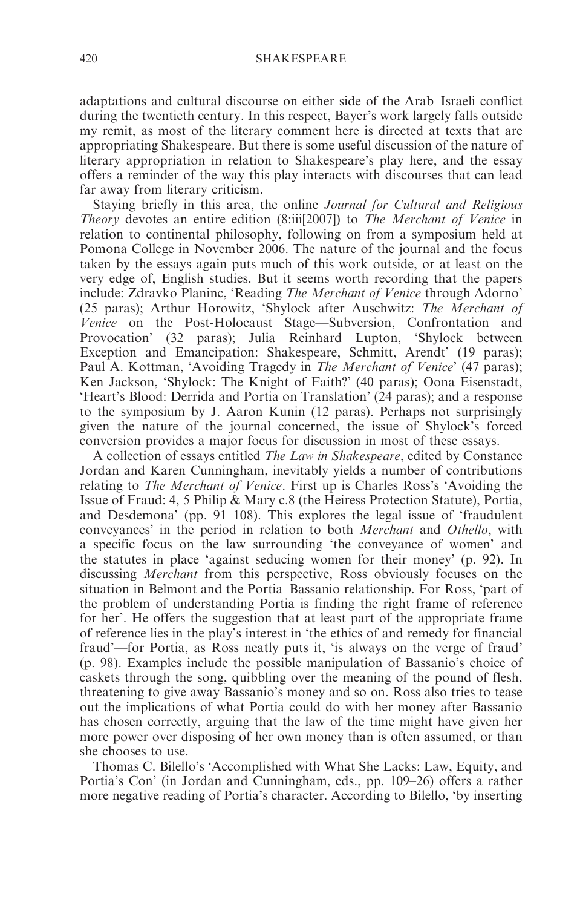adaptations and cultural discourse on either side of the Arab–Israeli conflict during the twentieth century. In this respect, Bayer's work largely falls outside my remit, as most of the literary comment here is directed at texts that are appropriating Shakespeare. But there is some useful discussion of the nature of literary appropriation in relation to Shakespeare's play here, and the essay offers a reminder of the way this play interacts with discourses that can lead far away from literary criticism.

Staying briefly in this area, the online *Journal for Cultural and Religious* Theory devotes an entire edition (8:iii[2007]) to *The Merchant of Venice* in relation to continental philosophy, following on from a symposium held at Pomona College in November 2006. The nature of the journal and the focus taken by the essays again puts much of this work outside, or at least on the very edge of, English studies. But it seems worth recording that the papers include: Zdravko Planinc, 'Reading The Merchant of Venice through Adorno' (25 paras); Arthur Horowitz, 'Shylock after Auschwitz: The Merchant of Venice on the Post-Holocaust Stage—Subversion, Confrontation and Provocation' (32 paras); Julia Reinhard Lupton, 'Shylock between Exception and Emancipation: Shakespeare, Schmitt, Arendt' (19 paras); Paul A. Kottman, 'Avoiding Tragedy in *The Merchant of Venice'* (47 paras); Ken Jackson, 'Shylock: The Knight of Faith?' (40 paras); Oona Eisenstadt, 'Heart's Blood: Derrida and Portia on Translation' (24 paras); and a response to the symposium by J. Aaron Kunin (12 paras). Perhaps not surprisingly given the nature of the journal concerned, the issue of Shylock's forced conversion provides a major focus for discussion in most of these essays.

A collection of essays entitled The Law in Shakespeare, edited by Constance Jordan and Karen Cunningham, inevitably yields a number of contributions relating to The Merchant of Venice. First up is Charles Ross's 'Avoiding the Issue of Fraud: 4, 5 Philip & Mary c.8 (the Heiress Protection Statute), Portia, and Desdemona' (pp. 91–108). This explores the legal issue of 'fraudulent conveyances' in the period in relation to both Merchant and Othello, with a specific focus on the law surrounding 'the conveyance of women' and the statutes in place 'against seducing women for their money' (p. 92). In discussing Merchant from this perspective, Ross obviously focuses on the situation in Belmont and the Portia–Bassanio relationship. For Ross, 'part of the problem of understanding Portia is finding the right frame of reference for her'. He offers the suggestion that at least part of the appropriate frame of reference lies in the play's interest in 'the ethics of and remedy for financial fraud'—for Portia, as Ross neatly puts it, 'is always on the verge of fraud' (p. 98). Examples include the possible manipulation of Bassanio's choice of caskets through the song, quibbling over the meaning of the pound of flesh, threatening to give away Bassanio's money and so on. Ross also tries to tease out the implications of what Portia could do with her money after Bassanio has chosen correctly, arguing that the law of the time might have given her more power over disposing of her own money than is often assumed, or than she chooses to use.

Thomas C. Bilello's 'Accomplished with What She Lacks: Law, Equity, and Portia's Con' (in Jordan and Cunningham, eds., pp. 109–26) offers a rather more negative reading of Portia's character. According to Bilello, 'by inserting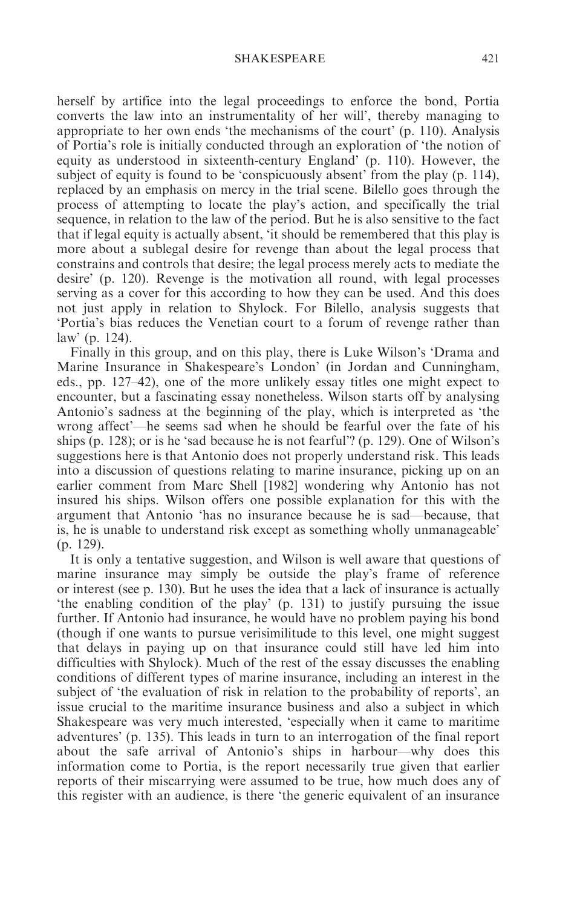herself by artifice into the legal proceedings to enforce the bond, Portia converts the law into an instrumentality of her will', thereby managing to appropriate to her own ends 'the mechanisms of the court' (p. 110). Analysis of Portia's role is initially conducted through an exploration of 'the notion of equity as understood in sixteenth-century England' (p. 110). However, the subject of equity is found to be 'conspicuously absent' from the play (p. 114). replaced by an emphasis on mercy in the trial scene. Bilello goes through the process of attempting to locate the play's action, and specifically the trial sequence, in relation to the law of the period. But he is also sensitive to the fact that if legal equity is actually absent, 'it should be remembered that this play is more about a sublegal desire for revenge than about the legal process that constrains and controls that desire; the legal process merely acts to mediate the desire' (p. 120). Revenge is the motivation all round, with legal processes serving as a cover for this according to how they can be used. And this does not just apply in relation to Shylock. For Bilello, analysis suggests that 'Portia's bias reduces the Venetian court to a forum of revenge rather than law' (p. 124).

Finally in this group, and on this play, there is Luke Wilson's 'Drama and Marine Insurance in Shakespeare's London' (in Jordan and Cunningham, eds., pp. 127–42), one of the more unlikely essay titles one might expect to encounter, but a fascinating essay nonetheless. Wilson starts off by analysing Antonio's sadness at the beginning of the play, which is interpreted as 'the wrong affect'—he seems sad when he should be fearful over the fate of his ships (p. 128); or is he 'sad because he is not fearful'? (p. 129). One of Wilson's suggestions here is that Antonio does not properly understand risk. This leads into a discussion of questions relating to marine insurance, picking up on an earlier comment from Marc Shell [1982] wondering why Antonio has not insured his ships. Wilson offers one possible explanation for this with the argument that Antonio 'has no insurance because he is sad—because, that is, he is unable to understand risk except as something wholly unmanageable' (p. 129).

It is only a tentative suggestion, and Wilson is well aware that questions of marine insurance may simply be outside the play's frame of reference or interest (see p. 130). But he uses the idea that a lack of insurance is actually 'the enabling condition of the play' (p. 131) to justify pursuing the issue further. If Antonio had insurance, he would have no problem paying his bond (though if one wants to pursue verisimilitude to this level, one might suggest that delays in paying up on that insurance could still have led him into difficulties with Shylock). Much of the rest of the essay discusses the enabling conditions of different types of marine insurance, including an interest in the subject of 'the evaluation of risk in relation to the probability of reports', an issue crucial to the maritime insurance business and also a subject in which Shakespeare was very much interested, 'especially when it came to maritime adventures' (p. 135). This leads in turn to an interrogation of the final report about the safe arrival of Antonio's ships in harbour—why does this information come to Portia, is the report necessarily true given that earlier reports of their miscarrying were assumed to be true, how much does any of this register with an audience, is there 'the generic equivalent of an insurance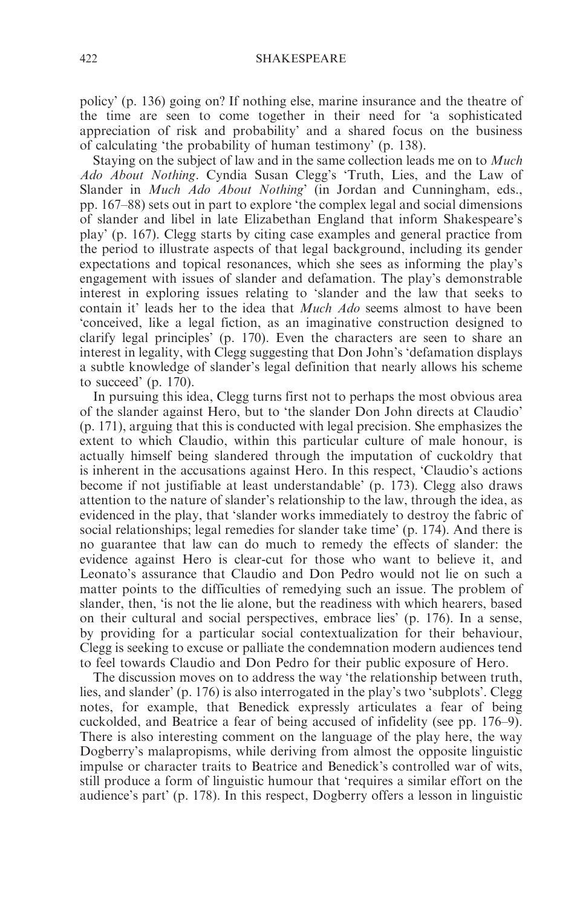policy' (p. 136) going on? If nothing else, marine insurance and the theatre of the time are seen to come together in their need for 'a sophisticated appreciation of risk and probability' and a shared focus on the business of calculating 'the probability of human testimony' (p. 138).

Staying on the subject of law and in the same collection leads me on to *Much* Ado About Nothing. Cyndia Susan Clegg's 'Truth, Lies, and the Law of Slander in Much Ado About Nothing' (in Jordan and Cunningham, eds., pp. 167–88) sets out in part to explore 'the complex legal and social dimensions of slander and libel in late Elizabethan England that inform Shakespeare's play' (p. 167). Clegg starts by citing case examples and general practice from the period to illustrate aspects of that legal background, including its gender expectations and topical resonances, which she sees as informing the play's engagement with issues of slander and defamation. The play's demonstrable interest in exploring issues relating to 'slander and the law that seeks to contain it' leads her to the idea that Much Ado seems almost to have been 'conceived, like a legal fiction, as an imaginative construction designed to clarify legal principles' (p. 170). Even the characters are seen to share an interest in legality, with Clegg suggesting that Don John's 'defamation displays a subtle knowledge of slander's legal definition that nearly allows his scheme to succeed' (p. 170).

In pursuing this idea, Clegg turns first not to perhaps the most obvious area of the slander against Hero, but to 'the slander Don John directs at Claudio' (p. 171), arguing that this is conducted with legal precision. She emphasizes the extent to which Claudio, within this particular culture of male honour, is actually himself being slandered through the imputation of cuckoldry that is inherent in the accusations against Hero. In this respect, 'Claudio's actions become if not justifiable at least understandable' (p. 173). Clegg also draws attention to the nature of slander's relationship to the law, through the idea, as evidenced in the play, that 'slander works immediately to destroy the fabric of social relationships; legal remedies for slander take time' (p. 174). And there is no guarantee that law can do much to remedy the effects of slander: the evidence against Hero is clear-cut for those who want to believe it, and Leonato's assurance that Claudio and Don Pedro would not lie on such a matter points to the difficulties of remedying such an issue. The problem of slander, then, 'is not the lie alone, but the readiness with which hearers, based on their cultural and social perspectives, embrace lies' (p. 176). In a sense, by providing for a particular social contextualization for their behaviour, Clegg is seeking to excuse or palliate the condemnation modern audiences tend to feel towards Claudio and Don Pedro for their public exposure of Hero.

The discussion moves on to address the way 'the relationship between truth, lies, and slander' (p. 176) is also interrogated in the play's two 'subplots'. Clegg notes, for example, that Benedick expressly articulates a fear of being cuckolded, and Beatrice a fear of being accused of infidelity (see pp. 176–9). There is also interesting comment on the language of the play here, the way Dogberry's malapropisms, while deriving from almost the opposite linguistic impulse or character traits to Beatrice and Benedick's controlled war of wits, still produce a form of linguistic humour that 'requires a similar effort on the audience's part' (p. 178). In this respect, Dogberry offers a lesson in linguistic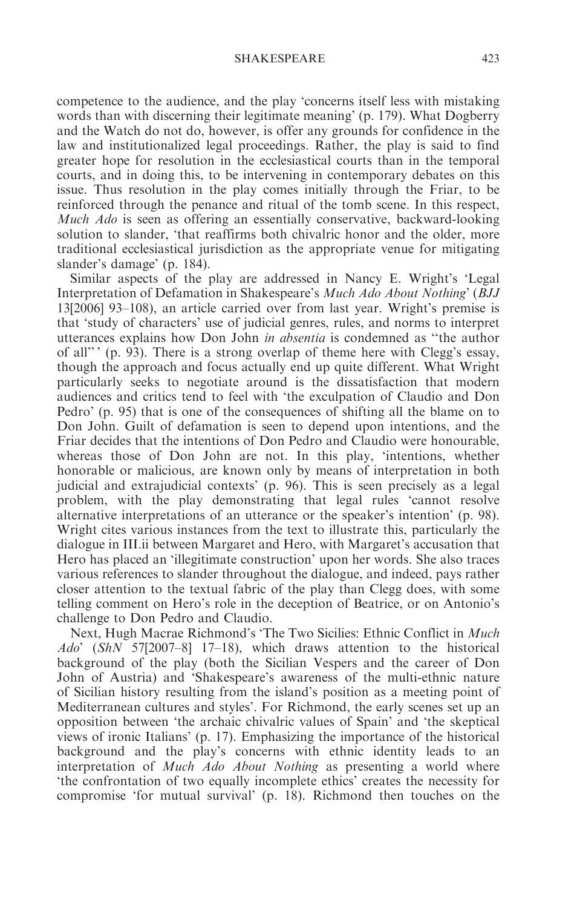competence to the audience, and the play 'concerns itself less with mistaking words than with discerning their legitimate meaning' (p. 179). What Dogberry and the Watch do not do, however, is offer any grounds for confidence in the law and institutionalized legal proceedings. Rather, the play is said to find greater hope for resolution in the ecclesiastical courts than in the temporal courts, and in doing this, to be intervening in contemporary debates on this issue. Thus resolution in the play comes initially through the Friar, to be reinforced through the penance and ritual of the tomb scene. In this respect, Much Ado is seen as offering an essentially conservative, backward-looking solution to slander, 'that reaffirms both chivalric honor and the older, more traditional ecclesiastical jurisdiction as the appropriate venue for mitigating slander's damage' (p. 184).

Similar aspects of the play are addressed in Nancy E. Wright's 'Legal Interpretation of Defamation in Shakespeare's Much Ado About Nothing' (BJJ 13[2006] 93–108), an article carried over from last year. Wright's premise is that 'study of characters' use of judicial genres, rules, and norms to interpret utterances explains how Don John in absentia is condemned as ''the author of all'' ' (p. 93). There is a strong overlap of theme here with Clegg's essay, though the approach and focus actually end up quite different. What Wright particularly seeks to negotiate around is the dissatisfaction that modern audiences and critics tend to feel with 'the exculpation of Claudio and Don Pedro' (p. 95) that is one of the consequences of shifting all the blame on to Don John. Guilt of defamation is seen to depend upon intentions, and the Friar decides that the intentions of Don Pedro and Claudio were honourable, whereas those of Don John are not. In this play, 'intentions, whether honorable or malicious, are known only by means of interpretation in both judicial and extrajudicial contexts' (p. 96). This is seen precisely as a legal problem, with the play demonstrating that legal rules 'cannot resolve alternative interpretations of an utterance or the speaker's intention' (p. 98). Wright cites various instances from the text to illustrate this, particularly the dialogue in III.ii between Margaret and Hero, with Margaret's accusation that Hero has placed an 'illegitimate construction' upon her words. She also traces various references to slander throughout the dialogue, and indeed, pays rather closer attention to the textual fabric of the play than Clegg does, with some telling comment on Hero's role in the deception of Beatrice, or on Antonio's challenge to Don Pedro and Claudio.

Next, Hugh Macrae Richmond's 'The Two Sicilies: Ethnic Conflict in Much Ado' (ShN 57[2007–8] 17–18), which draws attention to the historical background of the play (both the Sicilian Vespers and the career of Don John of Austria) and 'Shakespeare's awareness of the multi-ethnic nature of Sicilian history resulting from the island's position as a meeting point of Mediterranean cultures and styles'. For Richmond, the early scenes set up an opposition between 'the archaic chivalric values of Spain' and 'the skeptical views of ironic Italians' (p. 17). Emphasizing the importance of the historical background and the play's concerns with ethnic identity leads to an interpretation of Much Ado About Nothing as presenting a world where 'the confrontation of two equally incomplete ethics' creates the necessity for compromise 'for mutual survival' (p. 18). Richmond then touches on the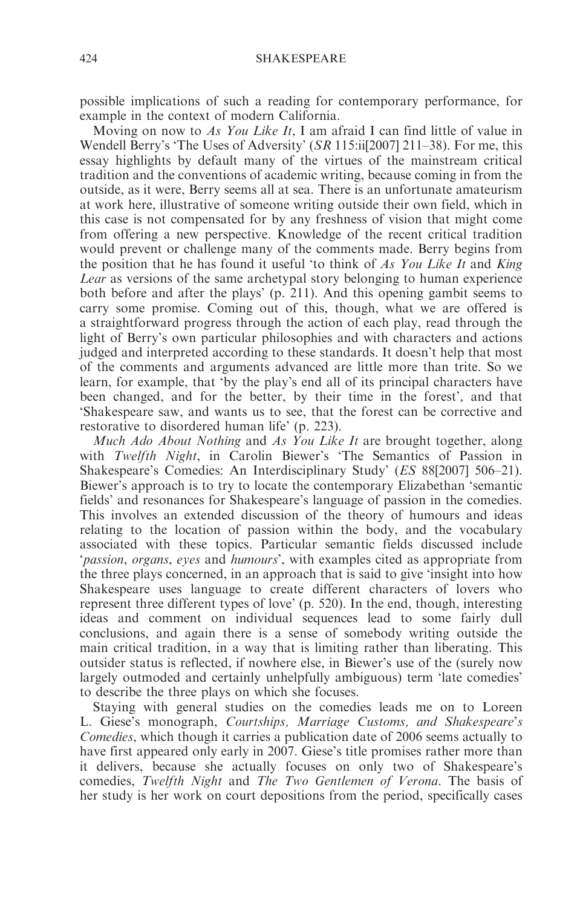possible implications of such a reading for contemporary performance, for example in the context of modern California.

Moving on now to As You Like It, I am afraid I can find little of value in Wendell Berry's 'The Uses of Adversity' (SR 115:ii[2007] 211–38). For me, this essay highlights by default many of the virtues of the mainstream critical tradition and the conventions of academic writing, because coming in from the outside, as it were, Berry seems all at sea. There is an unfortunate amateurism at work here, illustrative of someone writing outside their own field, which in this case is not compensated for by any freshness of vision that might come from offering a new perspective. Knowledge of the recent critical tradition would prevent or challenge many of the comments made. Berry begins from the position that he has found it useful 'to think of As You Like It and King Lear as versions of the same archetypal story belonging to human experience both before and after the plays' (p. 211). And this opening gambit seems to carry some promise. Coming out of this, though, what we are offered is a straightforward progress through the action of each play, read through the light of Berry's own particular philosophies and with characters and actions judged and interpreted according to these standards. It doesn't help that most of the comments and arguments advanced are little more than trite. So we learn, for example, that 'by the play's end all of its principal characters have been changed, and for the better, by their time in the forest', and that 'Shakespeare saw, and wants us to see, that the forest can be corrective and restorative to disordered human life' (p. 223).

*Much Ado About Nothing and As You Like It are brought together, along* with Twelfth Night, in Carolin Biewer's 'The Semantics of Passion in Shakespeare's Comedies: An Interdisciplinary Study' (ES 88[2007] 506–21). Biewer's approach is to try to locate the contemporary Elizabethan 'semantic fields' and resonances for Shakespeare's language of passion in the comedies. This involves an extended discussion of the theory of humours and ideas relating to the location of passion within the body, and the vocabulary associated with these topics. Particular semantic fields discussed include 'passion, organs, eyes and humours', with examples cited as appropriate from the three plays concerned, in an approach that is said to give 'insight into how Shakespeare uses language to create different characters of lovers who represent three different types of love' (p. 520). In the end, though, interesting ideas and comment on individual sequences lead to some fairly dull conclusions, and again there is a sense of somebody writing outside the main critical tradition, in a way that is limiting rather than liberating. This outsider status is reflected, if nowhere else, in Biewer's use of the (surely now largely outmoded and certainly unhelpfully ambiguous) term 'late comedies' to describe the three plays on which she focuses.

Staying with general studies on the comedies leads me on to Loreen L. Giese's monograph, Courtships, Marriage Customs, and Shakespeare's Comedies, which though it carries a publication date of 2006 seems actually to have first appeared only early in 2007. Giese's title promises rather more than it delivers, because she actually focuses on only two of Shakespeare's comedies, Twelfth Night and The Two Gentlemen of Verona. The basis of her study is her work on court depositions from the period, specifically cases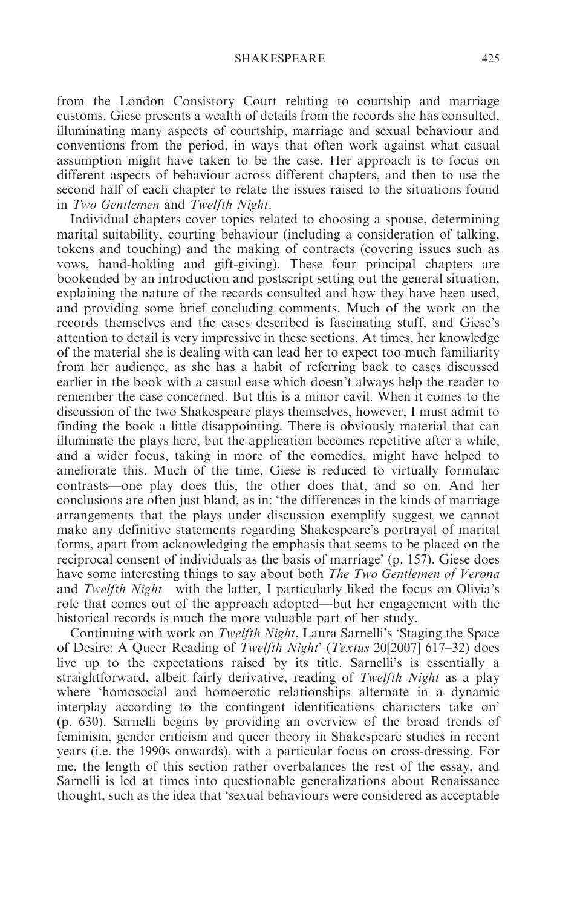from the London Consistory Court relating to courtship and marriage customs. Giese presents a wealth of details from the records she has consulted, illuminating many aspects of courtship, marriage and sexual behaviour and conventions from the period, in ways that often work against what casual assumption might have taken to be the case. Her approach is to focus on different aspects of behaviour across different chapters, and then to use the second half of each chapter to relate the issues raised to the situations found in Two Gentlemen and Twelfth Night.

Individual chapters cover topics related to choosing a spouse, determining marital suitability, courting behaviour (including a consideration of talking, tokens and touching) and the making of contracts (covering issues such as vows, hand-holding and gift-giving). These four principal chapters are bookended by an introduction and postscript setting out the general situation, explaining the nature of the records consulted and how they have been used, and providing some brief concluding comments. Much of the work on the records themselves and the cases described is fascinating stuff, and Giese's attention to detail is very impressive in these sections. At times, her knowledge of the material she is dealing with can lead her to expect too much familiarity from her audience, as she has a habit of referring back to cases discussed earlier in the book with a casual ease which doesn't always help the reader to remember the case concerned. But this is a minor cavil. When it comes to the discussion of the two Shakespeare plays themselves, however, I must admit to finding the book a little disappointing. There is obviously material that can illuminate the plays here, but the application becomes repetitive after a while, and a wider focus, taking in more of the comedies, might have helped to ameliorate this. Much of the time, Giese is reduced to virtually formulaic contrasts—one play does this, the other does that, and so on. And her conclusions are often just bland, as in: 'the differences in the kinds of marriage arrangements that the plays under discussion exemplify suggest we cannot make any definitive statements regarding Shakespeare's portrayal of marital forms, apart from acknowledging the emphasis that seems to be placed on the reciprocal consent of individuals as the basis of marriage' (p. 157). Giese does have some interesting things to say about both *The Two Gentlemen of Verona* and Twelfth Night—with the latter, I particularly liked the focus on Olivia's role that comes out of the approach adopted—but her engagement with the historical records is much the more valuable part of her study.

Continuing with work on Twelfth Night, Laura Sarnelli's 'Staging the Space of Desire: A Queer Reading of Twelfth Night' (Textus 20[2007] 617–32) does live up to the expectations raised by its title. Sarnelli's is essentially a straightforward, albeit fairly derivative, reading of Twelfth Night as a play where 'homosocial and homoerotic relationships alternate in a dynamic interplay according to the contingent identifications characters take on' (p. 630). Sarnelli begins by providing an overview of the broad trends of feminism, gender criticism and queer theory in Shakespeare studies in recent years (i.e. the 1990s onwards), with a particular focus on cross-dressing. For me, the length of this section rather overbalances the rest of the essay, and Sarnelli is led at times into questionable generalizations about Renaissance thought, such as the idea that 'sexual behaviours were considered as acceptable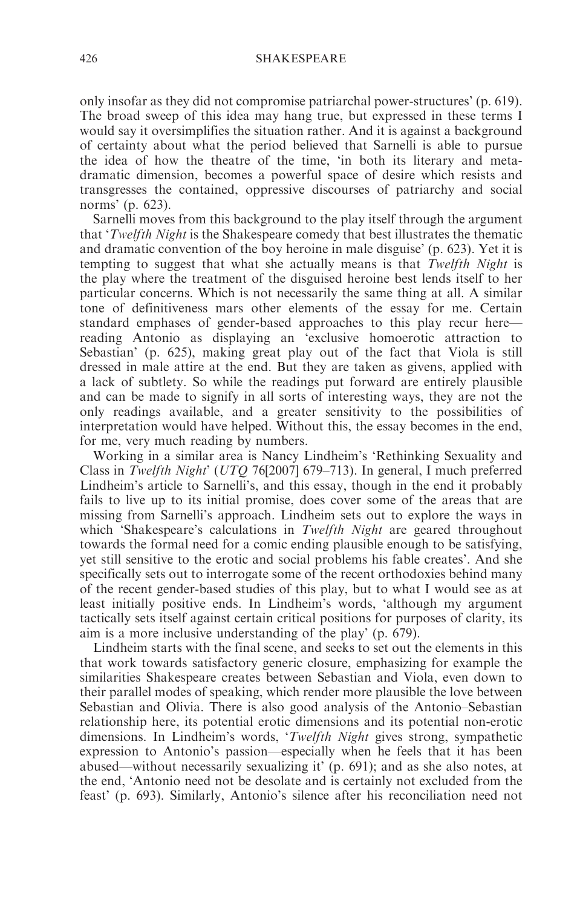only insofar as they did not compromise patriarchal power-structures' (p. 619). The broad sweep of this idea may hang true, but expressed in these terms I would say it oversimplifies the situation rather. And it is against a background of certainty about what the period believed that Sarnelli is able to pursue the idea of how the theatre of the time, 'in both its literary and metadramatic dimension, becomes a powerful space of desire which resists and transgresses the contained, oppressive discourses of patriarchy and social norms' (p. 623).

Sarnelli moves from this background to the play itself through the argument that 'Twelfth Night is the Shakespeare comedy that best illustrates the thematic and dramatic convention of the boy heroine in male disguise' (p. 623). Yet it is tempting to suggest that what she actually means is that Twelfth Night is the play where the treatment of the disguised heroine best lends itself to her particular concerns. Which is not necessarily the same thing at all. A similar tone of definitiveness mars other elements of the essay for me. Certain standard emphases of gender-based approaches to this play recur here reading Antonio as displaying an 'exclusive homoerotic attraction to Sebastian' (p. 625), making great play out of the fact that Viola is still dressed in male attire at the end. But they are taken as givens, applied with a lack of subtlety. So while the readings put forward are entirely plausible and can be made to signify in all sorts of interesting ways, they are not the only readings available, and a greater sensitivity to the possibilities of interpretation would have helped. Without this, the essay becomes in the end, for me, very much reading by numbers.

Working in a similar area is Nancy Lindheim's 'Rethinking Sexuality and Class in Twelfth Night' (UTQ 76[2007] 679–713). In general, I much preferred Lindheim's article to Sarnelli's, and this essay, though in the end it probably fails to live up to its initial promise, does cover some of the areas that are missing from Sarnelli's approach. Lindheim sets out to explore the ways in which 'Shakespeare's calculations in Twelfth Night are geared throughout towards the formal need for a comic ending plausible enough to be satisfying, yet still sensitive to the erotic and social problems his fable creates'. And she specifically sets out to interrogate some of the recent orthodoxies behind many of the recent gender-based studies of this play, but to what I would see as at least initially positive ends. In Lindheim's words, 'although my argument tactically sets itself against certain critical positions for purposes of clarity, its aim is a more inclusive understanding of the play' (p. 679).

Lindheim starts with the final scene, and seeks to set out the elements in this that work towards satisfactory generic closure, emphasizing for example the similarities Shakespeare creates between Sebastian and Viola, even down to their parallel modes of speaking, which render more plausible the love between Sebastian and Olivia. There is also good analysis of the Antonio–Sebastian relationship here, its potential erotic dimensions and its potential non-erotic dimensions. In Lindheim's words, 'Twelfth Night gives strong, sympathetic expression to Antonio's passion—especially when he feels that it has been abused—without necessarily sexualizing it' (p. 691); and as she also notes, at the end, 'Antonio need not be desolate and is certainly not excluded from the feast' (p. 693). Similarly, Antonio's silence after his reconciliation need not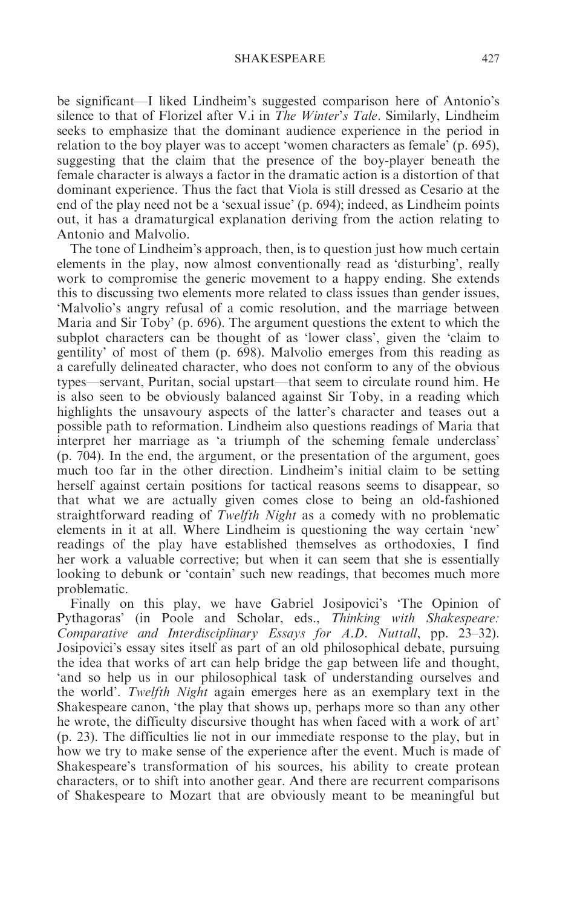be significant—I liked Lindheim's suggested comparison here of Antonio's silence to that of Florizel after V.i in *The Winter's Tale*. Similarly, Lindheim seeks to emphasize that the dominant audience experience in the period in relation to the boy player was to accept 'women characters as female' (p. 695), suggesting that the claim that the presence of the boy-player beneath the female character is always a factor in the dramatic action is a distortion of that dominant experience. Thus the fact that Viola is still dressed as Cesario at the end of the play need not be a 'sexual issue' (p. 694); indeed, as Lindheim points out, it has a dramaturgical explanation deriving from the action relating to Antonio and Malvolio.

The tone of Lindheim's approach, then, is to question just how much certain elements in the play, now almost conventionally read as 'disturbing', really work to compromise the generic movement to a happy ending. She extends this to discussing two elements more related to class issues than gender issues, 'Malvolio's angry refusal of a comic resolution, and the marriage between Maria and Sir Toby' (p. 696). The argument questions the extent to which the subplot characters can be thought of as 'lower class', given the 'claim to gentility' of most of them (p. 698). Malvolio emerges from this reading as a carefully delineated character, who does not conform to any of the obvious types—servant, Puritan, social upstart—that seem to circulate round him. He is also seen to be obviously balanced against Sir Toby, in a reading which highlights the unsavoury aspects of the latter's character and teases out a possible path to reformation. Lindheim also questions readings of Maria that interpret her marriage as 'a triumph of the scheming female underclass' (p. 704). In the end, the argument, or the presentation of the argument, goes much too far in the other direction. Lindheim's initial claim to be setting herself against certain positions for tactical reasons seems to disappear, so that what we are actually given comes close to being an old-fashioned straightforward reading of Twelfth Night as a comedy with no problematic elements in it at all. Where Lindheim is questioning the way certain 'new' readings of the play have established themselves as orthodoxies, I find her work a valuable corrective; but when it can seem that she is essentially looking to debunk or 'contain' such new readings, that becomes much more problematic.

Finally on this play, we have Gabriel Josipovici's 'The Opinion of Pythagoras' (in Poole and Scholar, eds., Thinking with Shakespeare: Comparative and Interdisciplinary Essays for A.D. Nuttall, pp. 23–32). Josipovici's essay sites itself as part of an old philosophical debate, pursuing the idea that works of art can help bridge the gap between life and thought, 'and so help us in our philosophical task of understanding ourselves and the world'. Twelfth Night again emerges here as an exemplary text in the Shakespeare canon, 'the play that shows up, perhaps more so than any other he wrote, the difficulty discursive thought has when faced with a work of art' (p. 23). The difficulties lie not in our immediate response to the play, but in how we try to make sense of the experience after the event. Much is made of Shakespeare's transformation of his sources, his ability to create protean characters, or to shift into another gear. And there are recurrent comparisons of Shakespeare to Mozart that are obviously meant to be meaningful but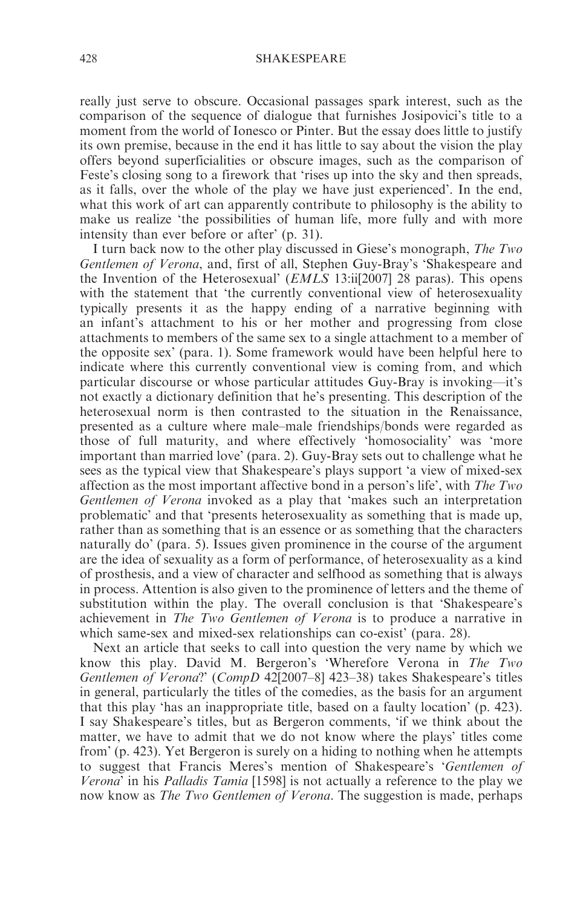really just serve to obscure. Occasional passages spark interest, such as the comparison of the sequence of dialogue that furnishes Josipovici's title to a moment from the world of Ionesco or Pinter. But the essay does little to justify its own premise, because in the end it has little to say about the vision the play offers beyond superficialities or obscure images, such as the comparison of Feste's closing song to a firework that 'rises up into the sky and then spreads, as it falls, over the whole of the play we have just experienced'. In the end, what this work of art can apparently contribute to philosophy is the ability to make us realize 'the possibilities of human life, more fully and with more intensity than ever before or after' (p. 31).

I turn back now to the other play discussed in Giese's monograph, The Two Gentlemen of Verona, and, first of all, Stephen Guy-Bray's 'Shakespeare and the Invention of the Heterosexual' (EMLS 13:ii[2007] 28 paras). This opens with the statement that 'the currently conventional view of heterosexuality typically presents it as the happy ending of a narrative beginning with an infant's attachment to his or her mother and progressing from close attachments to members of the same sex to a single attachment to a member of the opposite sex' (para. 1). Some framework would have been helpful here to indicate where this currently conventional view is coming from, and which particular discourse or whose particular attitudes Guy-Bray is invoking—it's not exactly a dictionary definition that he's presenting. This description of the heterosexual norm is then contrasted to the situation in the Renaissance, presented as a culture where male–male friendships/bonds were regarded as those of full maturity, and where effectively 'homosociality' was 'more important than married love' (para. 2). Guy-Bray sets out to challenge what he sees as the typical view that Shakespeare's plays support 'a view of mixed-sex affection as the most important affective bond in a person's life', with The Two Gentlemen of Verona invoked as a play that 'makes such an interpretation problematic' and that 'presents heterosexuality as something that is made up, rather than as something that is an essence or as something that the characters naturally do' (para. 5). Issues given prominence in the course of the argument are the idea of sexuality as a form of performance, of heterosexuality as a kind of prosthesis, and a view of character and selfhood as something that is always in process. Attention is also given to the prominence of letters and the theme of substitution within the play. The overall conclusion is that 'Shakespeare's achievement in The Two Gentlemen of Verona is to produce a narrative in which same-sex and mixed-sex relationships can co-exist' (para. 28).

Next an article that seeks to call into question the very name by which we know this play. David M. Bergeron's 'Wherefore Verona in The Two Gentlemen of Verona?' (CompD 42[2007–8] 423–38) takes Shakespeare's titles in general, particularly the titles of the comedies, as the basis for an argument that this play 'has an inappropriate title, based on a faulty location' (p. 423). I say Shakespeare's titles, but as Bergeron comments, 'if we think about the matter, we have to admit that we do not know where the plays' titles come from' (p. 423). Yet Bergeron is surely on a hiding to nothing when he attempts to suggest that Francis Meres's mention of Shakespeare's 'Gentlemen of Verona' in his Palladis Tamia [1598] is not actually a reference to the play we now know as The Two Gentlemen of Verona. The suggestion is made, perhaps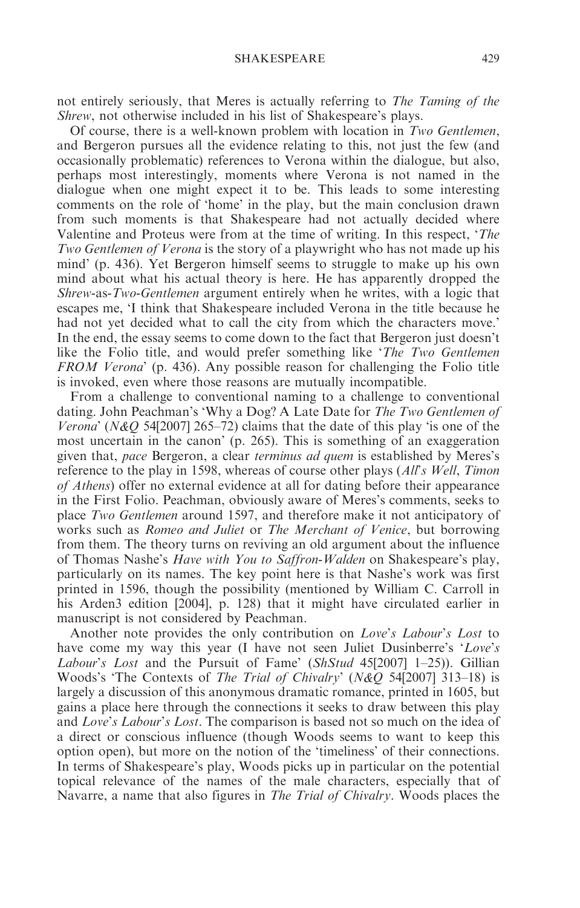not entirely seriously, that Meres is actually referring to The Taming of the Shrew, not otherwise included in his list of Shakespeare's plays.

Of course, there is a well-known problem with location in Two Gentlemen, and Bergeron pursues all the evidence relating to this, not just the few (and occasionally problematic) references to Verona within the dialogue, but also, perhaps most interestingly, moments where Verona is not named in the dialogue when one might expect it to be. This leads to some interesting comments on the role of 'home' in the play, but the main conclusion drawn from such moments is that Shakespeare had not actually decided where Valentine and Proteus were from at the time of writing. In this respect, 'The Two Gentlemen of Verona is the story of a playwright who has not made up his mind' (p. 436). Yet Bergeron himself seems to struggle to make up his own mind about what his actual theory is here. He has apparently dropped the Shrew-as-Two-Gentlemen argument entirely when he writes, with a logic that escapes me, 'I think that Shakespeare included Verona in the title because he had not yet decided what to call the city from which the characters move.' In the end, the essay seems to come down to the fact that Bergeron just doesn't like the Folio title, and would prefer something like 'The Two Gentlemen FROM Verona' (p. 436). Any possible reason for challenging the Folio title is invoked, even where those reasons are mutually incompatible.

From a challenge to conventional naming to a challenge to conventional dating. John Peachman's 'Why a Dog? A Late Date for The Two Gentlemen of Verona' (N&Q 54[2007] 265–72) claims that the date of this play 'is one of the most uncertain in the canon' (p. 265). This is something of an exaggeration given that, pace Bergeron, a clear terminus ad quem is established by Meres's reference to the play in 1598, whereas of course other plays (All's Well, Timon of Athens) offer no external evidence at all for dating before their appearance in the First Folio. Peachman, obviously aware of Meres's comments, seeks to place Two Gentlemen around 1597, and therefore make it not anticipatory of works such as Romeo and Juliet or The Merchant of Venice, but borrowing from them. The theory turns on reviving an old argument about the influence of Thomas Nashe's Have with You to Saffron-Walden on Shakespeare's play, particularly on its names. The key point here is that Nashe's work was first printed in 1596, though the possibility (mentioned by William C. Carroll in his Arden3 edition [2004], p. 128) that it might have circulated earlier in manuscript is not considered by Peachman.

Another note provides the only contribution on Love's Labour's Lost to have come my way this year (I have not seen Juliet Dusinberre's 'Love's Labour's Lost and the Pursuit of Fame' (ShStud 45[2007]  $1-25$ )). Gillian Woods's 'The Contexts of The Trial of Chivalry' (N&Q 54[2007] 313–18) is largely a discussion of this anonymous dramatic romance, printed in 1605, but gains a place here through the connections it seeks to draw between this play and Love's Labour's Lost. The comparison is based not so much on the idea of a direct or conscious influence (though Woods seems to want to keep this option open), but more on the notion of the 'timeliness' of their connections. In terms of Shakespeare's play, Woods picks up in particular on the potential topical relevance of the names of the male characters, especially that of Navarre, a name that also figures in *The Trial of Chivalry*. Woods places the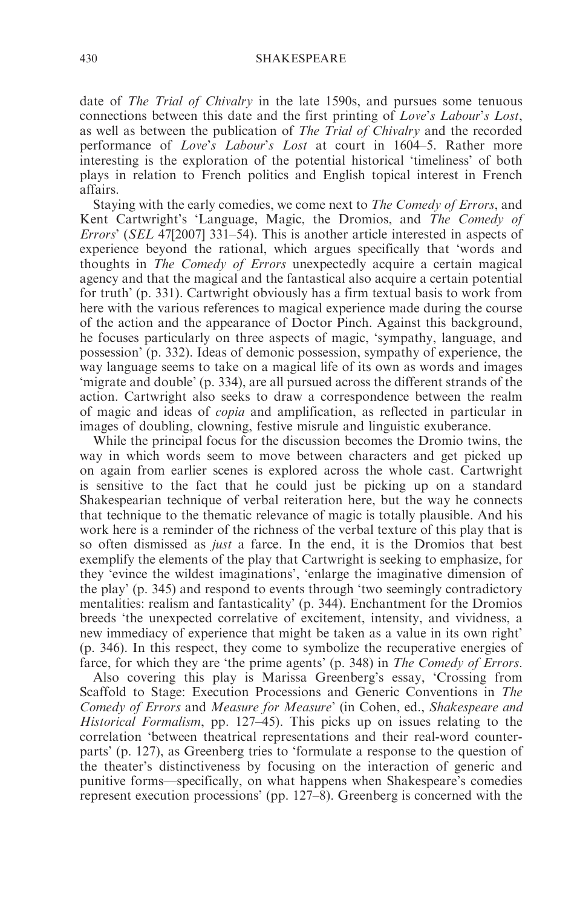date of *The Trial of Chivalry* in the late 1590s, and pursues some tenuous connections between this date and the first printing of Love's Labour's Lost, as well as between the publication of The Trial of Chivalry and the recorded performance of Love's Labour's Lost at court in 1604–5. Rather more interesting is the exploration of the potential historical 'timeliness' of both plays in relation to French politics and English topical interest in French affairs.

Staying with the early comedies, we come next to *The Comedy of Errors*, and Kent Cartwright's 'Language, Magic, the Dromios, and The Comedy of Errors' (SEL 47[2007] 331–54). This is another article interested in aspects of experience beyond the rational, which argues specifically that 'words and thoughts in The Comedy of Errors unexpectedly acquire a certain magical agency and that the magical and the fantastical also acquire a certain potential for truth' (p. 331). Cartwright obviously has a firm textual basis to work from here with the various references to magical experience made during the course of the action and the appearance of Doctor Pinch. Against this background, he focuses particularly on three aspects of magic, 'sympathy, language, and possession' (p. 332). Ideas of demonic possession, sympathy of experience, the way language seems to take on a magical life of its own as words and images 'migrate and double' (p. 334), are all pursued across the different strands of the action. Cartwright also seeks to draw a correspondence between the realm of magic and ideas of copia and amplification, as reflected in particular in images of doubling, clowning, festive misrule and linguistic exuberance.

While the principal focus for the discussion becomes the Dromio twins, the way in which words seem to move between characters and get picked up on again from earlier scenes is explored across the whole cast. Cartwright is sensitive to the fact that he could just be picking up on a standard Shakespearian technique of verbal reiteration here, but the way he connects that technique to the thematic relevance of magic is totally plausible. And his work here is a reminder of the richness of the verbal texture of this play that is so often dismissed as just a farce. In the end, it is the Dromios that best exemplify the elements of the play that Cartwright is seeking to emphasize, for they 'evince the wildest imaginations', 'enlarge the imaginative dimension of the play' (p. 345) and respond to events through 'two seemingly contradictory mentalities: realism and fantasticality' (p. 344). Enchantment for the Dromios breeds 'the unexpected correlative of excitement, intensity, and vividness, a new immediacy of experience that might be taken as a value in its own right' (p. 346). In this respect, they come to symbolize the recuperative energies of farce, for which they are 'the prime agents' (p. 348) in The Comedy of Errors.

Also covering this play is Marissa Greenberg's essay, 'Crossing from Scaffold to Stage: Execution Processions and Generic Conventions in The Comedy of Errors and Measure for Measure' (in Cohen, ed., Shakespeare and Historical Formalism, pp. 127–45). This picks up on issues relating to the correlation 'between theatrical representations and their real-word counterparts' (p. 127), as Greenberg tries to 'formulate a response to the question of the theater's distinctiveness by focusing on the interaction of generic and punitive forms—specifically, on what happens when Shakespeare's comedies represent execution processions' (pp. 127–8). Greenberg is concerned with the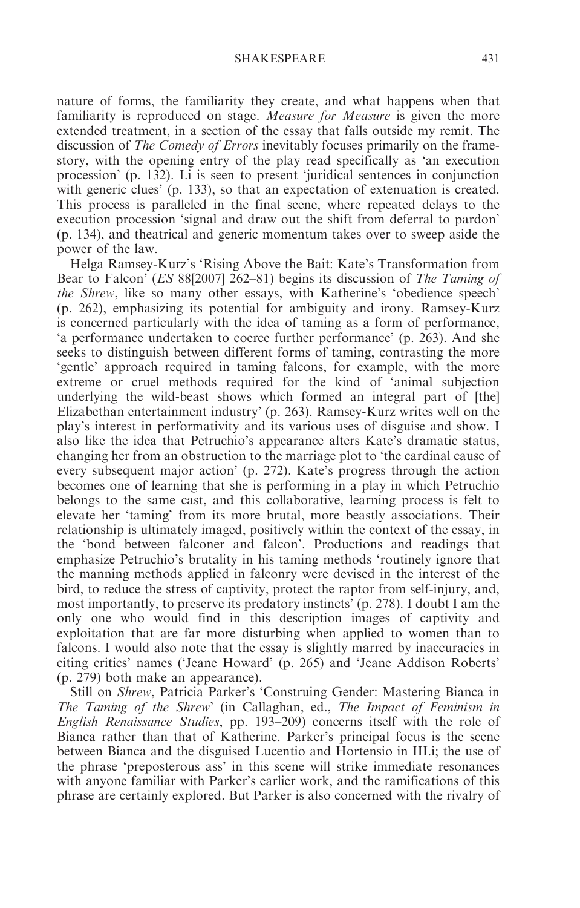nature of forms, the familiarity they create, and what happens when that familiarity is reproduced on stage. Measure for Measure is given the more extended treatment, in a section of the essay that falls outside my remit. The discussion of The Comedy of Errors inevitably focuses primarily on the framestory, with the opening entry of the play read specifically as 'an execution procession' (p. 132). I.i is seen to present 'juridical sentences in conjunction with generic clues' (p. 133), so that an expectation of extenuation is created. This process is paralleled in the final scene, where repeated delays to the execution procession 'signal and draw out the shift from deferral to pardon' (p. 134), and theatrical and generic momentum takes over to sweep aside the power of the law.

Helga Ramsey-Kurz's 'Rising Above the Bait: Kate's Transformation from Bear to Falcon' (ES 88[2007] 262-81) begins its discussion of The Taming of the Shrew, like so many other essays, with Katherine's 'obedience speech' (p. 262), emphasizing its potential for ambiguity and irony. Ramsey-Kurz is concerned particularly with the idea of taming as a form of performance, 'a performance undertaken to coerce further performance' (p. 263). And she seeks to distinguish between different forms of taming, contrasting the more 'gentle' approach required in taming falcons, for example, with the more extreme or cruel methods required for the kind of 'animal subjection underlying the wild-beast shows which formed an integral part of [the] Elizabethan entertainment industry' (p. 263). Ramsey-Kurz writes well on the play's interest in performativity and its various uses of disguise and show. I also like the idea that Petruchio's appearance alters Kate's dramatic status, changing her from an obstruction to the marriage plot to 'the cardinal cause of every subsequent major action' (p. 272). Kate's progress through the action becomes one of learning that she is performing in a play in which Petruchio belongs to the same cast, and this collaborative, learning process is felt to elevate her 'taming' from its more brutal, more beastly associations. Their relationship is ultimately imaged, positively within the context of the essay, in the 'bond between falconer and falcon'. Productions and readings that emphasize Petruchio's brutality in his taming methods 'routinely ignore that the manning methods applied in falconry were devised in the interest of the bird, to reduce the stress of captivity, protect the raptor from self-injury, and, most importantly, to preserve its predatory instincts' (p. 278). I doubt I am the only one who would find in this description images of captivity and exploitation that are far more disturbing when applied to women than to falcons. I would also note that the essay is slightly marred by inaccuracies in citing critics' names ('Jeane Howard' (p. 265) and 'Jeane Addison Roberts' (p. 279) both make an appearance).

Still on Shrew, Patricia Parker's 'Construing Gender: Mastering Bianca in The Taming of the Shrew' (in Callaghan, ed., The Impact of Feminism in English Renaissance Studies, pp. 193–209) concerns itself with the role of Bianca rather than that of Katherine. Parker's principal focus is the scene between Bianca and the disguised Lucentio and Hortensio in III.i; the use of the phrase 'preposterous ass' in this scene will strike immediate resonances with anyone familiar with Parker's earlier work, and the ramifications of this phrase are certainly explored. But Parker is also concerned with the rivalry of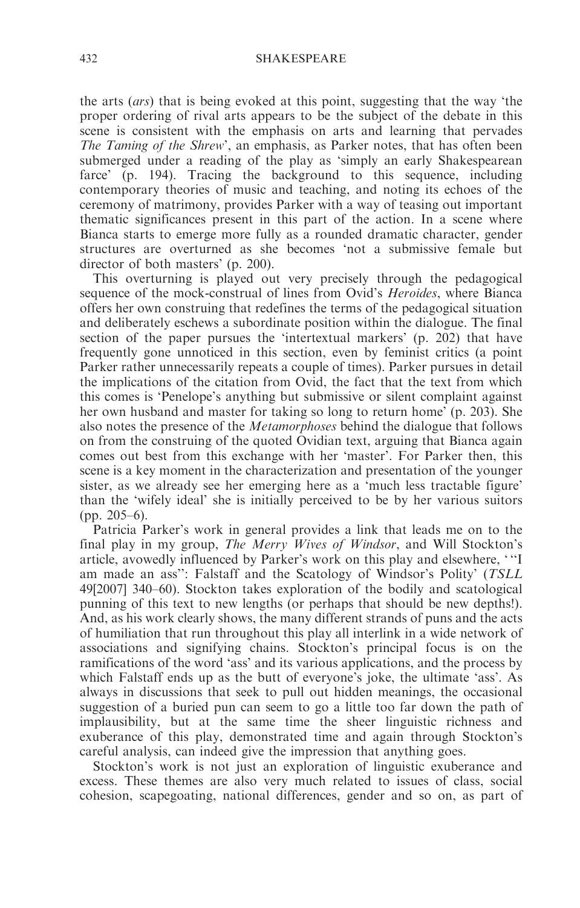the arts (ars) that is being evoked at this point, suggesting that the way 'the proper ordering of rival arts appears to be the subject of the debate in this scene is consistent with the emphasis on arts and learning that pervades The Taming of the Shrew', an emphasis, as Parker notes, that has often been submerged under a reading of the play as 'simply an early Shakespearean farce' (p. 194). Tracing the background to this sequence, including contemporary theories of music and teaching, and noting its echoes of the ceremony of matrimony, provides Parker with a way of teasing out important thematic significances present in this part of the action. In a scene where Bianca starts to emerge more fully as a rounded dramatic character, gender structures are overturned as she becomes 'not a submissive female but director of both masters' (p. 200).

This overturning is played out very precisely through the pedagogical sequence of the mock-construal of lines from Ovid's *Heroides*, where Bianca offers her own construing that redefines the terms of the pedagogical situation and deliberately eschews a subordinate position within the dialogue. The final section of the paper pursues the 'intertextual markers' (p. 202) that have frequently gone unnoticed in this section, even by feminist critics (a point Parker rather unnecessarily repeats a couple of times). Parker pursues in detail the implications of the citation from Ovid, the fact that the text from which this comes is 'Penelope's anything but submissive or silent complaint against her own husband and master for taking so long to return home' (p. 203). She also notes the presence of the Metamorphoses behind the dialogue that follows on from the construing of the quoted Ovidian text, arguing that Bianca again comes out best from this exchange with her 'master'. For Parker then, this scene is a key moment in the characterization and presentation of the younger sister, as we already see her emerging here as a 'much less tractable figure' than the 'wifely ideal' she is initially perceived to be by her various suitors (pp. 205–6).

Patricia Parker's work in general provides a link that leads me on to the final play in my group, The Merry Wives of Windsor, and Will Stockton's article, avowedly influenced by Parker's work on this play and elsewhere, ' ''I am made an ass'': Falstaff and the Scatology of Windsor's Polity' (TSLL 49[2007] 340–60). Stockton takes exploration of the bodily and scatological punning of this text to new lengths (or perhaps that should be new depths!). And, as his work clearly shows, the many different strands of puns and the acts of humiliation that run throughout this play all interlink in a wide network of associations and signifying chains. Stockton's principal focus is on the ramifications of the word 'ass' and its various applications, and the process by which Falstaff ends up as the butt of everyone's joke, the ultimate 'ass'. As always in discussions that seek to pull out hidden meanings, the occasional suggestion of a buried pun can seem to go a little too far down the path of implausibility, but at the same time the sheer linguistic richness and exuberance of this play, demonstrated time and again through Stockton's careful analysis, can indeed give the impression that anything goes.

Stockton's work is not just an exploration of linguistic exuberance and excess. These themes are also very much related to issues of class, social cohesion, scapegoating, national differences, gender and so on, as part of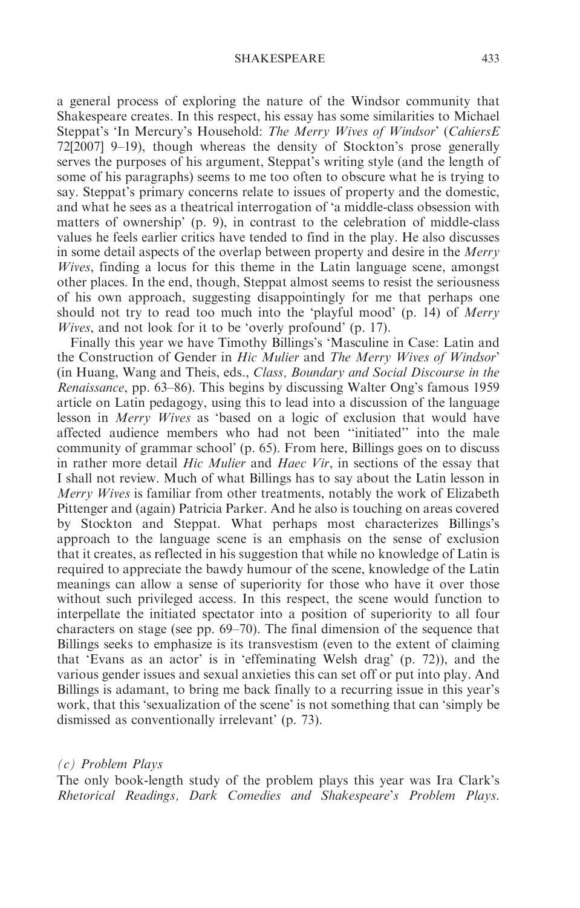a general process of exploring the nature of the Windsor community that Shakespeare creates. In this respect, his essay has some similarities to Michael Steppat's 'In Mercury's Household: The Merry Wives of Windsor' (CahiersE 72[2007] 9–19), though whereas the density of Stockton's prose generally serves the purposes of his argument, Steppat's writing style (and the length of some of his paragraphs) seems to me too often to obscure what he is trying to say. Steppat's primary concerns relate to issues of property and the domestic, and what he sees as a theatrical interrogation of 'a middle-class obsession with matters of ownership' (p. 9), in contrast to the celebration of middle-class values he feels earlier critics have tended to find in the play. He also discusses in some detail aspects of the overlap between property and desire in the Merry Wives, finding a locus for this theme in the Latin language scene, amongst other places. In the end, though, Steppat almost seems to resist the seriousness of his own approach, suggesting disappointingly for me that perhaps one should not try to read too much into the 'playful mood' (p. 14) of Merry Wives, and not look for it to be 'overly profound' (p. 17).

Finally this year we have Timothy Billings's 'Masculine in Case: Latin and the Construction of Gender in Hic Mulier and The Merry Wives of Windsor' (in Huang, Wang and Theis, eds., Class, Boundary and Social Discourse in the Renaissance, pp. 63–86). This begins by discussing Walter Ong's famous 1959 article on Latin pedagogy, using this to lead into a discussion of the language lesson in Merry Wives as 'based on a logic of exclusion that would have affected audience members who had not been ''initiated'' into the male community of grammar school' (p. 65). From here, Billings goes on to discuss in rather more detail Hic Mulier and Haec Vir, in sections of the essay that I shall not review. Much of what Billings has to say about the Latin lesson in Merry Wives is familiar from other treatments, notably the work of Elizabeth Pittenger and (again) Patricia Parker. And he also is touching on areas covered by Stockton and Steppat. What perhaps most characterizes Billings's approach to the language scene is an emphasis on the sense of exclusion that it creates, as reflected in his suggestion that while no knowledge of Latin is required to appreciate the bawdy humour of the scene, knowledge of the Latin meanings can allow a sense of superiority for those who have it over those without such privileged access. In this respect, the scene would function to interpellate the initiated spectator into a position of superiority to all four characters on stage (see pp. 69–70). The final dimension of the sequence that Billings seeks to emphasize is its transvestism (even to the extent of claiming that 'Evans as an actor' is in 'effeminating Welsh drag' (p. 72)), and the various gender issues and sexual anxieties this can set off or put into play. And Billings is adamant, to bring me back finally to a recurring issue in this year's work, that this 'sexualization of the scene' is not something that can 'simply be dismissed as conventionally irrelevant' (p. 73).

#### (c) Problem Plays

The only book-length study of the problem plays this year was Ira Clark's Rhetorical Readings, Dark Comedies and Shakespeare's Problem Plays.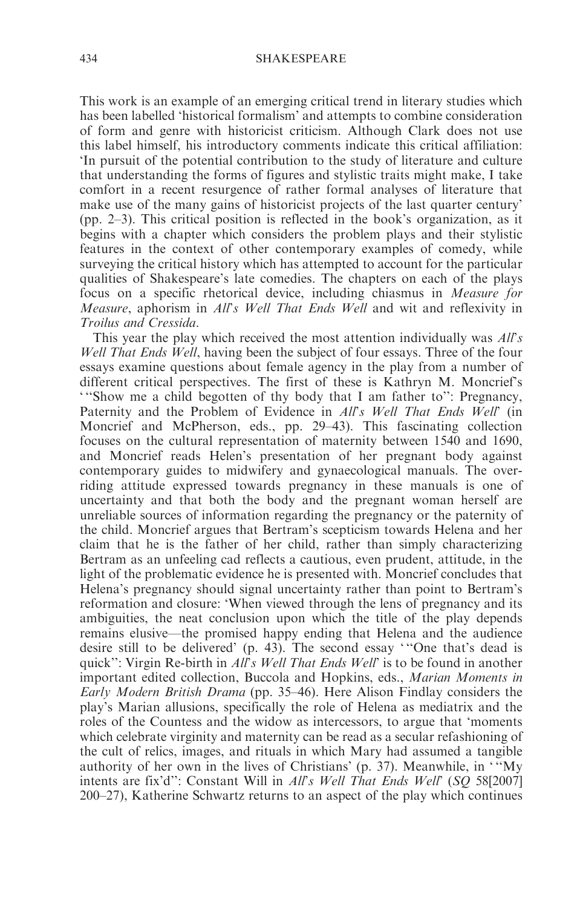This work is an example of an emerging critical trend in literary studies which has been labelled 'historical formalism' and attempts to combine consideration of form and genre with historicist criticism. Although Clark does not use this label himself, his introductory comments indicate this critical affiliation: 'In pursuit of the potential contribution to the study of literature and culture that understanding the forms of figures and stylistic traits might make, I take comfort in a recent resurgence of rather formal analyses of literature that make use of the many gains of historicist projects of the last quarter century' (pp. 2–3). This critical position is reflected in the book's organization, as it begins with a chapter which considers the problem plays and their stylistic features in the context of other contemporary examples of comedy, while surveying the critical history which has attempted to account for the particular qualities of Shakespeare's late comedies. The chapters on each of the plays focus on a specific rhetorical device, including chiasmus in Measure for Measure, aphorism in All's Well That Ends Well and wit and reflexivity in Troilus and Cressida.

This year the play which received the most attention individually was All's Well That Ends Well, having been the subject of four essays. Three of the four essays examine questions about female agency in the play from a number of different critical perspectives. The first of these is Kathryn M. Moncrief's ' ''Show me a child begotten of thy body that I am father to'': Pregnancy, Paternity and the Problem of Evidence in All's Well That Ends Well' (in Moncrief and McPherson, eds., pp. 29–43). This fascinating collection focuses on the cultural representation of maternity between 1540 and 1690, and Moncrief reads Helen's presentation of her pregnant body against contemporary guides to midwifery and gynaecological manuals. The overriding attitude expressed towards pregnancy in these manuals is one of uncertainty and that both the body and the pregnant woman herself are unreliable sources of information regarding the pregnancy or the paternity of the child. Moncrief argues that Bertram's scepticism towards Helena and her claim that he is the father of her child, rather than simply characterizing Bertram as an unfeeling cad reflects a cautious, even prudent, attitude, in the light of the problematic evidence he is presented with. Moncrief concludes that Helena's pregnancy should signal uncertainty rather than point to Bertram's reformation and closure: 'When viewed through the lens of pregnancy and its ambiguities, the neat conclusion upon which the title of the play depends remains elusive—the promised happy ending that Helena and the audience desire still to be delivered' (p. 43). The second essay ' ''One that's dead is quick'': Virgin Re-birth in *All's Well That Ends Well'* is to be found in another important edited collection, Buccola and Hopkins, eds., Marian Moments in Early Modern British Drama (pp. 35–46). Here Alison Findlay considers the play's Marian allusions, specifically the role of Helena as mediatrix and the roles of the Countess and the widow as intercessors, to argue that 'moments which celebrate virginity and maternity can be read as a secular refashioning of the cult of relics, images, and rituals in which Mary had assumed a tangible authority of her own in the lives of Christians' (p. 37). Meanwhile, in ' ''My intents are fix'd": Constant Will in All's Well That Ends Well' (SQ 58[2007] 200–27), Katherine Schwartz returns to an aspect of the play which continues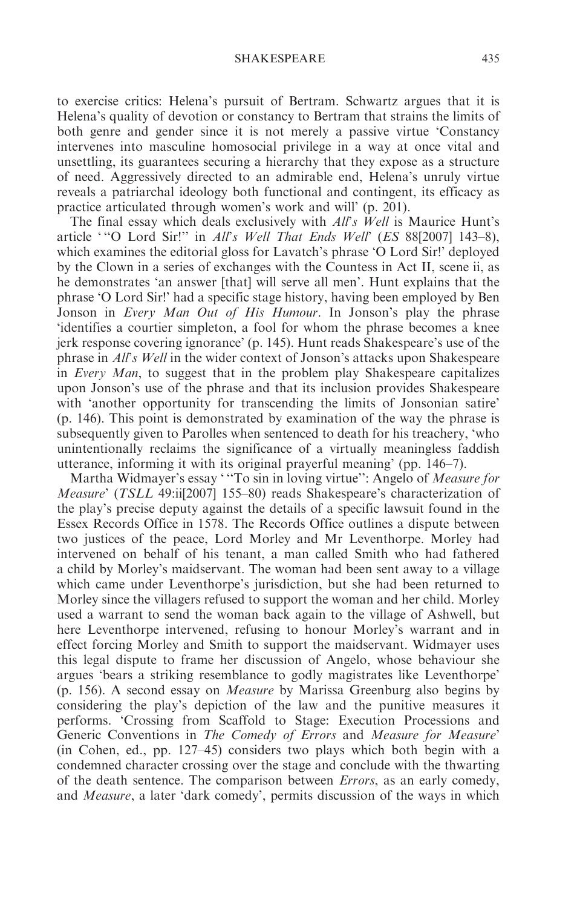to exercise critics: Helena's pursuit of Bertram. Schwartz argues that it is Helena's quality of devotion or constancy to Bertram that strains the limits of both genre and gender since it is not merely a passive virtue 'Constancy intervenes into masculine homosocial privilege in a way at once vital and unsettling, its guarantees securing a hierarchy that they expose as a structure of need. Aggressively directed to an admirable end, Helena's unruly virtue reveals a patriarchal ideology both functional and contingent, its efficacy as practice articulated through women's work and will' (p. 201).

The final essay which deals exclusively with *All's Well* is Maurice Hunt's article '"O Lord Sir!" in All's Well That Ends Well' (ES 88[2007] 143-8), which examines the editorial gloss for Lavatch's phrase 'O Lord Sir!' deployed by the Clown in a series of exchanges with the Countess in Act II, scene ii, as he demonstrates 'an answer [that] will serve all men'. Hunt explains that the phrase 'O Lord Sir!' had a specific stage history, having been employed by Ben Jonson in Every Man Out of His Humour. In Jonson's play the phrase 'identifies a courtier simpleton, a fool for whom the phrase becomes a knee jerk response covering ignorance' (p. 145). Hunt reads Shakespeare's use of the phrase in All's Well in the wider context of Jonson's attacks upon Shakespeare in Every Man, to suggest that in the problem play Shakespeare capitalizes upon Jonson's use of the phrase and that its inclusion provides Shakespeare with 'another opportunity for transcending the limits of Jonsonian satire' (p. 146). This point is demonstrated by examination of the way the phrase is subsequently given to Parolles when sentenced to death for his treachery, 'who unintentionally reclaims the significance of a virtually meaningless faddish utterance, informing it with its original prayerful meaning' (pp. 146–7).

Martha Widmayer's essay ' ''To sin in loving virtue'': Angelo of Measure for Measure' (TSLL 49:ii[2007] 155–80) reads Shakespeare's characterization of the play's precise deputy against the details of a specific lawsuit found in the Essex Records Office in 1578. The Records Office outlines a dispute between two justices of the peace, Lord Morley and Mr Leventhorpe. Morley had intervened on behalf of his tenant, a man called Smith who had fathered a child by Morley's maidservant. The woman had been sent away to a village which came under Leventhorpe's jurisdiction, but she had been returned to Morley since the villagers refused to support the woman and her child. Morley used a warrant to send the woman back again to the village of Ashwell, but here Leventhorpe intervened, refusing to honour Morley's warrant and in effect forcing Morley and Smith to support the maidservant. Widmayer uses this legal dispute to frame her discussion of Angelo, whose behaviour she argues 'bears a striking resemblance to godly magistrates like Leventhorpe' (p. 156). A second essay on Measure by Marissa Greenburg also begins by considering the play's depiction of the law and the punitive measures it performs. 'Crossing from Scaffold to Stage: Execution Processions and Generic Conventions in The Comedy of Errors and Measure for Measure' (in Cohen, ed., pp. 127–45) considers two plays which both begin with a condemned character crossing over the stage and conclude with the thwarting of the death sentence. The comparison between Errors, as an early comedy, and Measure, a later 'dark comedy', permits discussion of the ways in which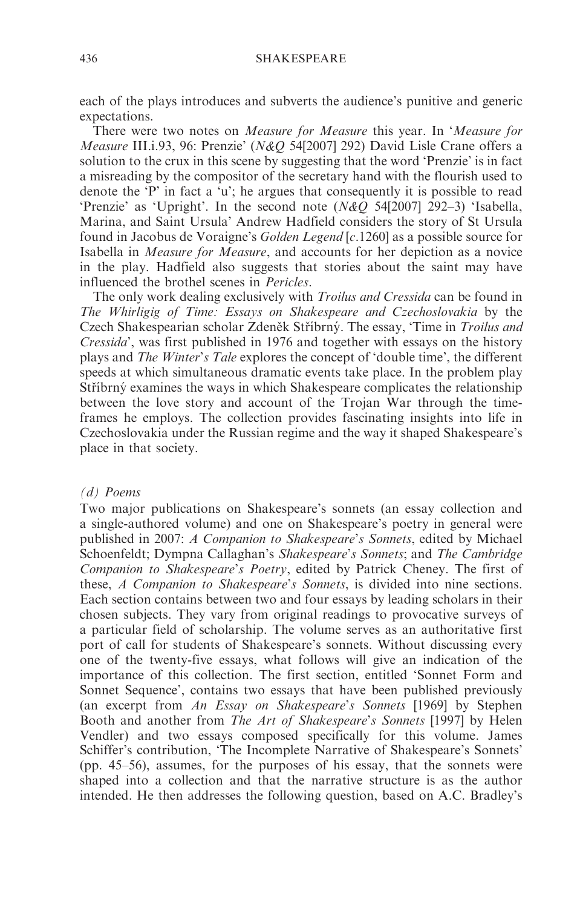each of the plays introduces and subverts the audience's punitive and generic expectations.

There were two notes on *Measure for Measure* this year. In *'Measure for* Measure III.i.93, 96: Prenzie' (N&Q 54[2007] 292) David Lisle Crane offers a solution to the crux in this scene by suggesting that the word 'Prenzie' is in fact a misreading by the compositor of the secretary hand with the flourish used to denote the 'P' in fact a 'u'; he argues that consequently it is possible to read 'Prenzie' as 'Upright'. In the second note  $(N&O 54[2007] 292-3)$  'Isabella, Marina, and Saint Ursula' Andrew Hadfield considers the story of St Ursula found in Jacobus de Voraigne's Golden Legend [c.1260] as a possible source for Isabella in Measure for Measure, and accounts for her depiction as a novice in the play. Hadfield also suggests that stories about the saint may have influenced the brothel scenes in Pericles.

The only work dealing exclusively with *Troilus and Cressida* can be found in The Whirligig of Time: Essays on Shakespeare and Czechoslovakia by the Czech Shakespearian scholar Zdeněk Stříbrný. The essay, 'Time in Troilus and Cressida', was first published in 1976 and together with essays on the history plays and The Winter's Tale explores the concept of 'double time', the different speeds at which simultaneous dramatic events take place. In the problem play Stříbrný examines the ways in which Shakespeare complicates the relationship between the love story and account of the Trojan War through the timeframes he employs. The collection provides fascinating insights into life in Czechoslovakia under the Russian regime and the way it shaped Shakespeare's place in that society.

# (d) Poems

Two major publications on Shakespeare's sonnets (an essay collection and a single-authored volume) and one on Shakespeare's poetry in general were published in 2007: A Companion to Shakespeare's Sonnets, edited by Michael Schoenfeldt; Dympna Callaghan's Shakespeare's Sonnets; and The Cambridge Companion to Shakespeare's Poetry, edited by Patrick Cheney. The first of these, A Companion to Shakespeare's Sonnets, is divided into nine sections. Each section contains between two and four essays by leading scholars in their chosen subjects. They vary from original readings to provocative surveys of a particular field of scholarship. The volume serves as an authoritative first port of call for students of Shakespeare's sonnets. Without discussing every one of the twenty-five essays, what follows will give an indication of the importance of this collection. The first section, entitled 'Sonnet Form and Sonnet Sequence', contains two essays that have been published previously (an excerpt from An Essay on Shakespeare's Sonnets [1969] by Stephen Booth and another from The Art of Shakespeare's Sonnets [1997] by Helen Vendler) and two essays composed specifically for this volume. James Schiffer's contribution, 'The Incomplete Narrative of Shakespeare's Sonnets' (pp. 45–56), assumes, for the purposes of his essay, that the sonnets were shaped into a collection and that the narrative structure is as the author intended. He then addresses the following question, based on A.C. Bradley's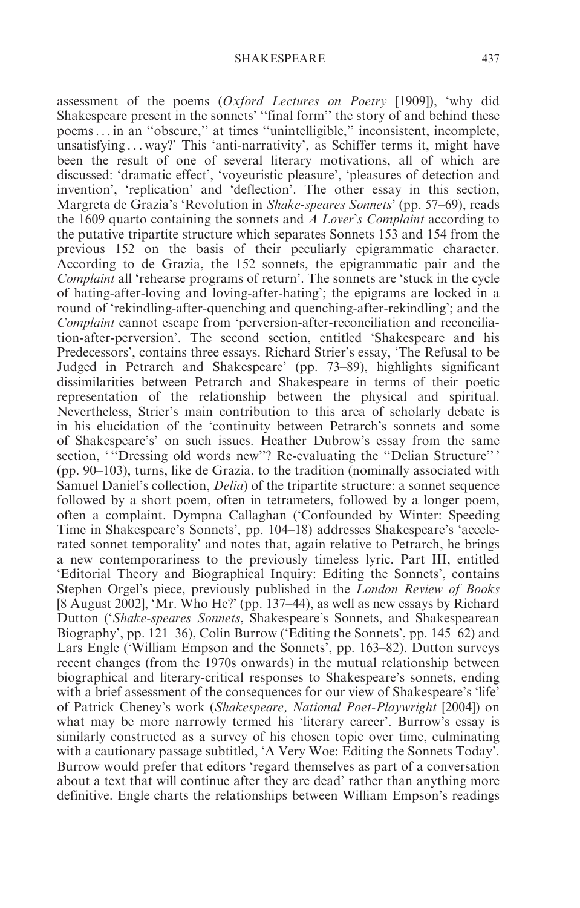assessment of the poems  $(Oxford$  Lectures on Poetry [1909]), 'why did Shakespeare present in the sonnets' ''final form'' the story of and behind these poems... in an ''obscure,'' at times ''unintelligible,'' inconsistent, incomplete, unsatisfying ... way?' This 'anti-narrativity', as Schiffer terms it, might have been the result of one of several literary motivations, all of which are discussed: 'dramatic effect', 'voyeuristic pleasure', 'pleasures of detection and invention', 'replication' and 'deflection'. The other essay in this section, Margreta de Grazia's 'Revolution in Shake-speares Sonnets' (pp. 57–69), reads the 1609 quarto containing the sonnets and  $\overline{A}$  Lover's Complaint according to the putative tripartite structure which separates Sonnets 153 and 154 from the previous 152 on the basis of their peculiarly epigrammatic character. According to de Grazia, the 152 sonnets, the epigrammatic pair and the Complaint all 'rehearse programs of return'. The sonnets are 'stuck in the cycle of hating-after-loving and loving-after-hating'; the epigrams are locked in a round of 'rekindling-after-quenching and quenching-after-rekindling'; and the Complaint cannot escape from 'perversion-after-reconciliation and reconciliation-after-perversion'. The second section, entitled 'Shakespeare and his Predecessors', contains three essays. Richard Strier's essay, 'The Refusal to be Judged in Petrarch and Shakespeare' (pp. 73–89), highlights significant dissimilarities between Petrarch and Shakespeare in terms of their poetic representation of the relationship between the physical and spiritual. Nevertheless, Strier's main contribution to this area of scholarly debate is in his elucidation of the 'continuity between Petrarch's sonnets and some of Shakespeare's' on such issues. Heather Dubrow's essay from the same section, "Dressing old words new"? Re-evaluating the "Delian Structure"' (pp. 90–103), turns, like de Grazia, to the tradition (nominally associated with Samuel Daniel's collection, Delia) of the tripartite structure: a sonnet sequence followed by a short poem, often in tetrameters, followed by a longer poem, often a complaint. Dympna Callaghan ('Confounded by Winter: Speeding Time in Shakespeare's Sonnets', pp. 104–18) addresses Shakespeare's 'accelerated sonnet temporality' and notes that, again relative to Petrarch, he brings a new contemporariness to the previously timeless lyric. Part III, entitled 'Editorial Theory and Biographical Inquiry: Editing the Sonnets', contains Stephen Orgel's piece, previously published in the London Review of Books [8 August 2002], 'Mr. Who He?' (pp. 137–44), as well as new essays by Richard Dutton ('Shake-speares Sonnets, Shakespeare's Sonnets, and Shakespearean Biography', pp. 121–36), Colin Burrow ('Editing the Sonnets', pp. 145–62) and Lars Engle ('William Empson and the Sonnets', pp. 163–82). Dutton surveys recent changes (from the 1970s onwards) in the mutual relationship between biographical and literary-critical responses to Shakespeare's sonnets, ending with a brief assessment of the consequences for our view of Shakespeare's 'life' of Patrick Cheney's work (Shakespeare, National Poet-Playwright [2004]) on what may be more narrowly termed his 'literary career'. Burrow's essay is similarly constructed as a survey of his chosen topic over time, culminating with a cautionary passage subtitled, 'A Very Woe: Editing the Sonnets Today'. Burrow would prefer that editors 'regard themselves as part of a conversation about a text that will continue after they are dead' rather than anything more definitive. Engle charts the relationships between William Empson's readings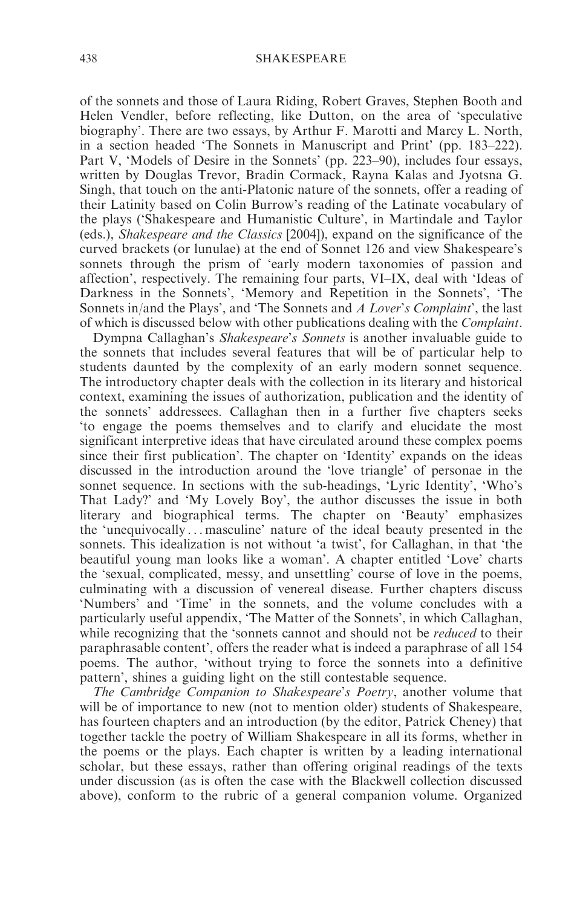of the sonnets and those of Laura Riding, Robert Graves, Stephen Booth and Helen Vendler, before reflecting, like Dutton, on the area of 'speculative biography'. There are two essays, by Arthur F. Marotti and Marcy L. North, in a section headed 'The Sonnets in Manuscript and Print' (pp. 183–222). Part V, 'Models of Desire in the Sonnets' (pp. 223–90), includes four essays, written by Douglas Trevor, Bradin Cormack, Rayna Kalas and Jyotsna G. Singh, that touch on the anti-Platonic nature of the sonnets, offer a reading of their Latinity based on Colin Burrow's reading of the Latinate vocabulary of the plays ('Shakespeare and Humanistic Culture', in Martindale and Taylor (eds.), Shakespeare and the Classics [2004]), expand on the significance of the curved brackets (or lunulae) at the end of Sonnet 126 and view Shakespeare's sonnets through the prism of 'early modern taxonomies of passion and affection', respectively. The remaining four parts, VI–IX, deal with 'Ideas of Darkness in the Sonnets', 'Memory and Repetition in the Sonnets', 'The Sonnets in/and the Plays', and 'The Sonnets and A Lover's Complaint', the last of which is discussed below with other publications dealing with the Complaint.

Dympna Callaghan's Shakespeare's Sonnets is another invaluable guide to the sonnets that includes several features that will be of particular help to students daunted by the complexity of an early modern sonnet sequence. The introductory chapter deals with the collection in its literary and historical context, examining the issues of authorization, publication and the identity of the sonnets' addressees. Callaghan then in a further five chapters seeks 'to engage the poems themselves and to clarify and elucidate the most significant interpretive ideas that have circulated around these complex poems since their first publication'. The chapter on 'Identity' expands on the ideas discussed in the introduction around the 'love triangle' of personae in the sonnet sequence. In sections with the sub-headings, 'Lyric Identity', 'Who's That Lady?' and 'My Lovely Boy', the author discusses the issue in both literary and biographical terms. The chapter on 'Beauty' emphasizes the 'unequivocally ... masculine' nature of the ideal beauty presented in the sonnets. This idealization is not without 'a twist', for Callaghan, in that 'the beautiful young man looks like a woman'. A chapter entitled 'Love' charts the 'sexual, complicated, messy, and unsettling' course of love in the poems, culminating with a discussion of venereal disease. Further chapters discuss 'Numbers' and 'Time' in the sonnets, and the volume concludes with a particularly useful appendix, 'The Matter of the Sonnets', in which Callaghan, while recognizing that the 'sonnets cannot and should not be *reduced* to their paraphrasable content', offers the reader what is indeed a paraphrase of all 154 poems. The author, 'without trying to force the sonnets into a definitive pattern', shines a guiding light on the still contestable sequence.

The Cambridge Companion to Shakespeare's Poetry, another volume that will be of importance to new (not to mention older) students of Shakespeare, has fourteen chapters and an introduction (by the editor, Patrick Cheney) that together tackle the poetry of William Shakespeare in all its forms, whether in the poems or the plays. Each chapter is written by a leading international scholar, but these essays, rather than offering original readings of the texts under discussion (as is often the case with the Blackwell collection discussed above), conform to the rubric of a general companion volume. Organized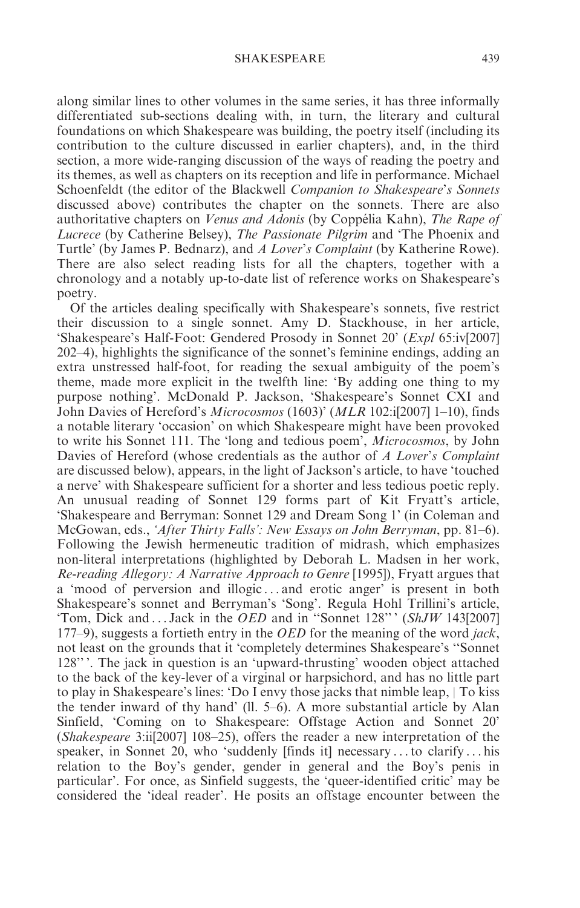along similar lines to other volumes in the same series, it has three informally differentiated sub-sections dealing with, in turn, the literary and cultural foundations on which Shakespeare was building, the poetry itself (including its contribution to the culture discussed in earlier chapters), and, in the third section, a more wide-ranging discussion of the ways of reading the poetry and its themes, as well as chapters on its reception and life in performance. Michael Schoenfeldt (the editor of the Blackwell Companion to Shakespeare's Sonnets discussed above) contributes the chapter on the sonnets. There are also authoritative chapters on *Venus and Adonis* (by Coppe<sup> $\alpha$ </sup>) Kahn), The Rape of Lucrece (by Catherine Belsey), The Passionate Pilgrim and 'The Phoenix and Turtle' (by James P. Bednarz), and A Lover's Complaint (by Katherine Rowe). There are also select reading lists for all the chapters, together with a chronology and a notably up-to-date list of reference works on Shakespeare's poetry.

Of the articles dealing specifically with Shakespeare's sonnets, five restrict their discussion to a single sonnet. Amy D. Stackhouse, in her article, 'Shakespeare's Half-Foot: Gendered Prosody in Sonnet 20' (Expl 65:iv[2007] 202–4), highlights the significance of the sonnet's feminine endings, adding an extra unstressed half-foot, for reading the sexual ambiguity of the poem's theme, made more explicit in the twelfth line: 'By adding one thing to my purpose nothing'. McDonald P. Jackson, 'Shakespeare's Sonnet CXI and John Davies of Hereford's *Microcosmos* (1603)' (*MLR* 102:i[2007] 1–10), finds a notable literary 'occasion' on which Shakespeare might have been provoked to write his Sonnet 111. The 'long and tedious poem', Microcosmos, by John Davies of Hereford (whose credentials as the author of A Lover's Complaint are discussed below), appears, in the light of Jackson's article, to have 'touched a nerve' with Shakespeare sufficient for a shorter and less tedious poetic reply. An unusual reading of Sonnet 129 forms part of Kit Fryatt's article, 'Shakespeare and Berryman: Sonnet 129 and Dream Song 1' (in Coleman and McGowan, eds., 'After Thirty Falls': New Essays on John Berryman, pp. 81–6). Following the Jewish hermeneutic tradition of midrash, which emphasizes non-literal interpretations (highlighted by Deborah L. Madsen in her work, Re-reading Allegory: A Narrative Approach to Genre [1995]), Fryatt argues that a 'mood of perversion and illogic ... and erotic anger' is present in both Shakespeare's sonnet and Berryman's 'Song'. Regula Hohl Trillini's article, 'Tom, Dick and ... Jack in the OED and in ''Sonnet 128'' ' (ShJW 143[2007] 177–9), suggests a fortieth entry in the *OED* for the meaning of the word *jack*, not least on the grounds that it 'completely determines Shakespeare's ''Sonnet 128'' '. The jack in question is an 'upward-thrusting' wooden object attached to the back of the key-lever of a virginal or harpsichord, and has no little part to play in Shakespeare's lines: 'Do I envy those jacks that nimble leap, | To kiss the tender inward of thy hand' (ll. 5–6). A more substantial article by Alan Sinfield, 'Coming on to Shakespeare: Offstage Action and Sonnet 20' (Shakespeare 3:ii[2007] 108–25), offers the reader a new interpretation of the speaker, in Sonnet 20, who 'suddenly [finds it] necessary ...to clarify ... his relation to the Boy's gender, gender in general and the Boy's penis in particular'. For once, as Sinfield suggests, the 'queer-identified critic' may be considered the 'ideal reader'. He posits an offstage encounter between the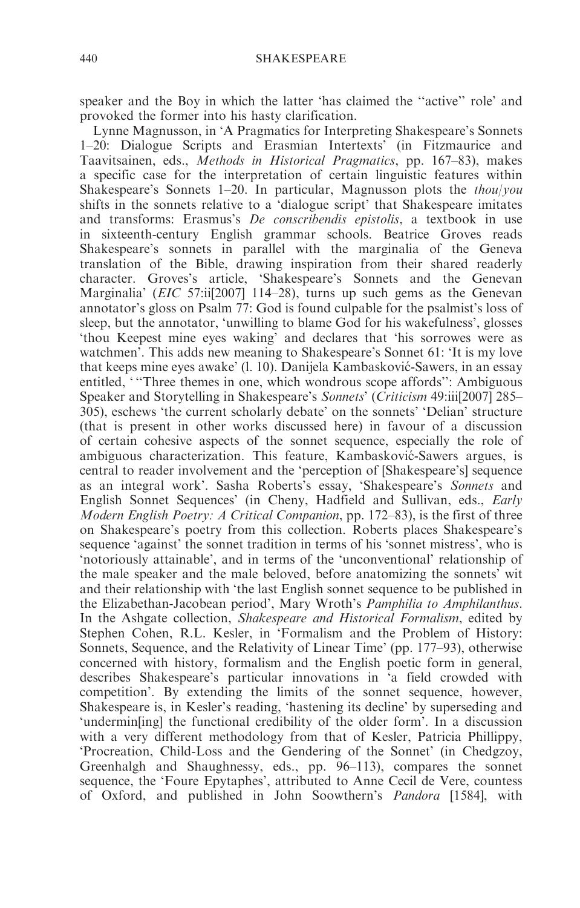speaker and the Boy in which the latter 'has claimed the ''active'' role' and provoked the former into his hasty clarification.

Lynne Magnusson, in 'A Pragmatics for Interpreting Shakespeare's Sonnets 1–20: Dialogue Scripts and Erasmian Intertexts' (in Fitzmaurice and Taavitsainen, eds., Methods in Historical Pragmatics, pp. 167–83), makes a specific case for the interpretation of certain linguistic features within Shakespeare's Sonnets 1–20. In particular, Magnusson plots the *thou/you* shifts in the sonnets relative to a 'dialogue script' that Shakespeare imitates and transforms: Erasmus's De conscribendis epistolis, a textbook in use in sixteenth-century English grammar schools. Beatrice Groves reads Shakespeare's sonnets in parallel with the marginalia of the Geneva translation of the Bible, drawing inspiration from their shared readerly character. Groves's article, 'Shakespeare's Sonnets and the Genevan Marginalia' (EIC 57:ii[2007] 114–28), turns up such gems as the Genevan annotator's gloss on Psalm 77: God is found culpable for the psalmist's loss of sleep, but the annotator, 'unwilling to blame God for his wakefulness', glosses 'thou Keepest mine eyes waking' and declares that 'his sorrowes were as watchmen'. This adds new meaning to Shakespeare's Sonnet 61: 'It is my love that keeps mine eyes awake' (l. 10). Danijela Kambasković-Sawers, in an essay entitled, ' ''Three themes in one, which wondrous scope affords'': Ambiguous Speaker and Storytelling in Shakespeare's Sonnets' (Criticism 49:iii[2007] 285– 305), eschews 'the current scholarly debate' on the sonnets' 'Delian' structure (that is present in other works discussed here) in favour of a discussion of certain cohesive aspects of the sonnet sequence, especially the role of ambiguous characterization. This feature, Kambasković-Sawers argues, is central to reader involvement and the 'perception of [Shakespeare's] sequence as an integral work'. Sasha Roberts's essay, 'Shakespeare's Sonnets and English Sonnet Sequences' (in Cheny, Hadfield and Sullivan, eds., Early Modern English Poetry: A Critical Companion, pp. 172–83), is the first of three on Shakespeare's poetry from this collection. Roberts places Shakespeare's sequence 'against' the sonnet tradition in terms of his 'sonnet mistress', who is 'notoriously attainable', and in terms of the 'unconventional' relationship of the male speaker and the male beloved, before anatomizing the sonnets' wit and their relationship with 'the last English sonnet sequence to be published in the Elizabethan-Jacobean period', Mary Wroth's Pamphilia to Amphilanthus. In the Ashgate collection, *Shakespeare and Historical Formalism*, edited by Stephen Cohen, R.L. Kesler, in 'Formalism and the Problem of History: Sonnets, Sequence, and the Relativity of Linear Time' (pp. 177–93), otherwise concerned with history, formalism and the English poetic form in general, describes Shakespeare's particular innovations in 'a field crowded with competition'. By extending the limits of the sonnet sequence, however, Shakespeare is, in Kesler's reading, 'hastening its decline' by superseding and 'undermin[ing] the functional credibility of the older form'. In a discussion with a very different methodology from that of Kesler, Patricia Phillippy, 'Procreation, Child-Loss and the Gendering of the Sonnet' (in Chedgzoy, Greenhalgh and Shaughnessy, eds., pp. 96–113), compares the sonnet sequence, the 'Foure Epytaphes', attributed to Anne Cecil de Vere, countess of Oxford, and published in John Soowthern's Pandora [1584], with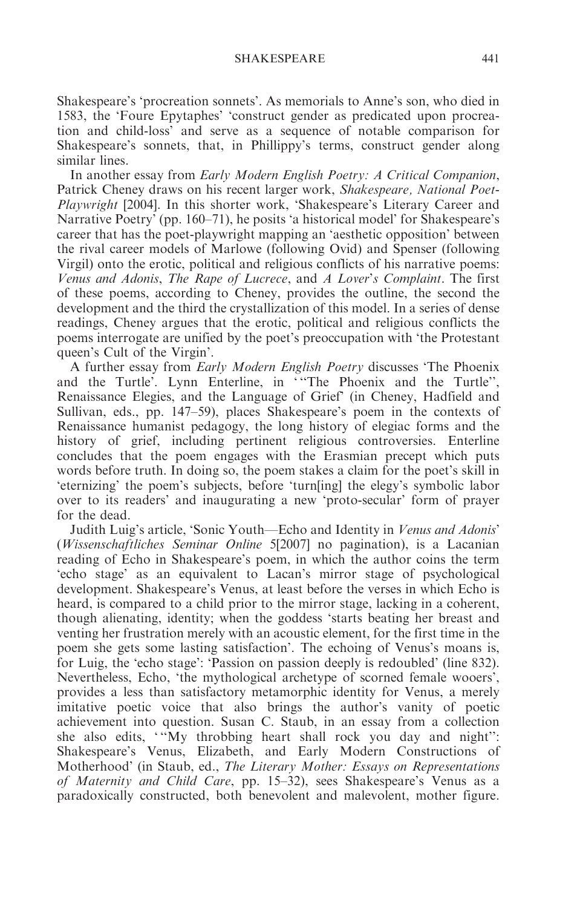Shakespeare's 'procreation sonnets'. As memorials to Anne's son, who died in 1583, the 'Foure Epytaphes' 'construct gender as predicated upon procreation and child-loss' and serve as a sequence of notable comparison for Shakespeare's sonnets, that, in Phillippy's terms, construct gender along similar lines.

In another essay from Early Modern English Poetry: A Critical Companion, Patrick Cheney draws on his recent larger work, Shakespeare, National Poet-Playwright [2004]. In this shorter work, 'Shakespeare's Literary Career and Narrative Poetry' (pp. 160–71), he posits 'a historical model' for Shakespeare's career that has the poet-playwright mapping an 'aesthetic opposition' between the rival career models of Marlowe (following Ovid) and Spenser (following Virgil) onto the erotic, political and religious conflicts of his narrative poems: Venus and Adonis, The Rape of Lucrece, and A Lover's Complaint. The first of these poems, according to Cheney, provides the outline, the second the development and the third the crystallization of this model. In a series of dense readings, Cheney argues that the erotic, political and religious conflicts the poems interrogate are unified by the poet's preoccupation with 'the Protestant queen's Cult of the Virgin'.

A further essay from Early Modern English Poetry discusses 'The Phoenix and the Turtle'. Lynn Enterline, in "The Phoenix and the Turtle", Renaissance Elegies, and the Language of Grief' (in Cheney, Hadfield and Sullivan, eds., pp. 147–59), places Shakespeare's poem in the contexts of Renaissance humanist pedagogy, the long history of elegiac forms and the history of grief, including pertinent religious controversies. Enterline concludes that the poem engages with the Erasmian precept which puts words before truth. In doing so, the poem stakes a claim for the poet's skill in 'eternizing' the poem's subjects, before 'turn[ing] the elegy's symbolic labor over to its readers' and inaugurating a new 'proto-secular' form of prayer for the dead.

Judith Luig's article, 'Sonic Youth—Echo and Identity in Venus and Adonis' (Wissenschaftliches Seminar Online 5[2007] no pagination), is a Lacanian reading of Echo in Shakespeare's poem, in which the author coins the term 'echo stage' as an equivalent to Lacan's mirror stage of psychological development. Shakespeare's Venus, at least before the verses in which Echo is heard, is compared to a child prior to the mirror stage, lacking in a coherent, though alienating, identity; when the goddess 'starts beating her breast and venting her frustration merely with an acoustic element, for the first time in the poem she gets some lasting satisfaction'. The echoing of Venus's moans is, for Luig, the 'echo stage': 'Passion on passion deeply is redoubled' (line 832). Nevertheless, Echo, 'the mythological archetype of scorned female wooers', provides a less than satisfactory metamorphic identity for Venus, a merely imitative poetic voice that also brings the author's vanity of poetic achievement into question. Susan C. Staub, in an essay from a collection she also edits, "My throbbing heart shall rock you day and night": Shakespeare's Venus, Elizabeth, and Early Modern Constructions of Motherhood' (in Staub, ed., The Literary Mother: Essays on Representations of Maternity and Child Care, pp. 15–32), sees Shakespeare's Venus as a paradoxically constructed, both benevolent and malevolent, mother figure.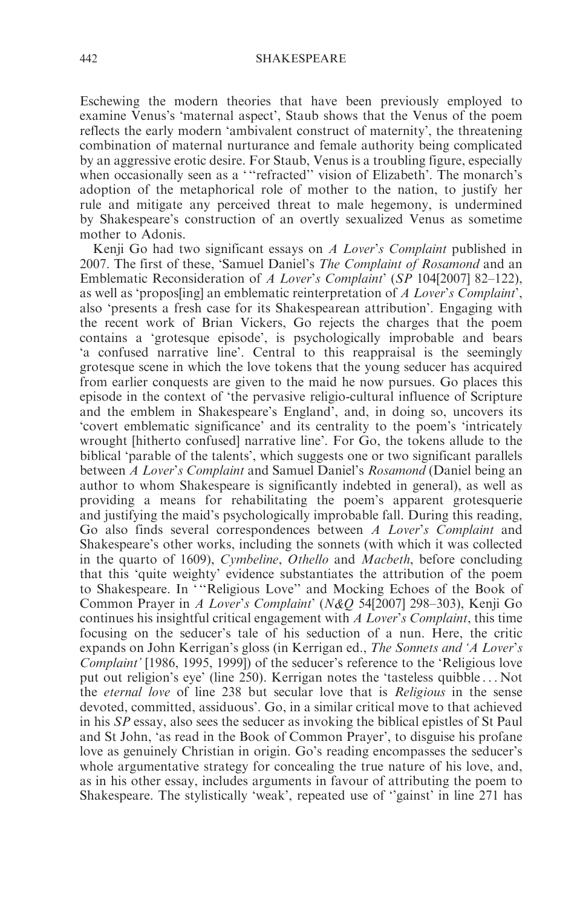Eschewing the modern theories that have been previously employed to examine Venus's 'maternal aspect', Staub shows that the Venus of the poem reflects the early modern 'ambivalent construct of maternity', the threatening combination of maternal nurturance and female authority being complicated by an aggressive erotic desire. For Staub, Venus is a troubling figure, especially when occasionally seen as a "refracted" vision of Elizabeth'. The monarch's adoption of the metaphorical role of mother to the nation, to justify her rule and mitigate any perceived threat to male hegemony, is undermined by Shakespeare's construction of an overtly sexualized Venus as sometime mother to Adonis.

Kenji Go had two significant essays on A Lover's Complaint published in 2007. The first of these, 'Samuel Daniel's The Complaint of Rosamond and an Emblematic Reconsideration of A Lover's Complaint' (SP 104[2007] 82–122), as well as 'propositing an emblematic reinterpretation of  $A$  Lover's Complaint', also 'presents a fresh case for its Shakespearean attribution'. Engaging with the recent work of Brian Vickers, Go rejects the charges that the poem contains a 'grotesque episode', is psychologically improbable and bears 'a confused narrative line'. Central to this reappraisal is the seemingly grotesque scene in which the love tokens that the young seducer has acquired from earlier conquests are given to the maid he now pursues. Go places this episode in the context of 'the pervasive religio-cultural influence of Scripture and the emblem in Shakespeare's England', and, in doing so, uncovers its 'covert emblematic significance' and its centrality to the poem's 'intricately wrought [hitherto confused] narrative line'. For Go, the tokens allude to the biblical 'parable of the talents', which suggests one or two significant parallels between A Lover's Complaint and Samuel Daniel's Rosamond (Daniel being an author to whom Shakespeare is significantly indebted in general), as well as providing a means for rehabilitating the poem's apparent grotesquerie and justifying the maid's psychologically improbable fall. During this reading, Go also finds several correspondences between A Lover's Complaint and Shakespeare's other works, including the sonnets (with which it was collected in the quarto of 1609), Cymbeline, Othello and Macbeth, before concluding that this 'quite weighty' evidence substantiates the attribution of the poem to Shakespeare. In "'Religious Love" and Mocking Echoes of the Book of Common Prayer in A Lover's Complaint' (N&Q 54[2007] 298–303), Kenji Go continues his insightful critical engagement with A Lover's Complaint, this time focusing on the seducer's tale of his seduction of a nun. Here, the critic expands on John Kerrigan's gloss (in Kerrigan ed., The Sonnets and 'A Lover's Complaint' [1986, 1995, 1999]) of the seducer's reference to the 'Religious love put out religion's eye' (line 250). Kerrigan notes the 'tasteless quibble ... Not the eternal love of line 238 but secular love that is Religious in the sense devoted, committed, assiduous'. Go, in a similar critical move to that achieved in his SP essay, also sees the seducer as invoking the biblical epistles of St Paul and St John, 'as read in the Book of Common Prayer', to disguise his profane love as genuinely Christian in origin. Go's reading encompasses the seducer's whole argumentative strategy for concealing the true nature of his love, and, as in his other essay, includes arguments in favour of attributing the poem to Shakespeare. The stylistically 'weak', repeated use of ''gainst' in line 271 has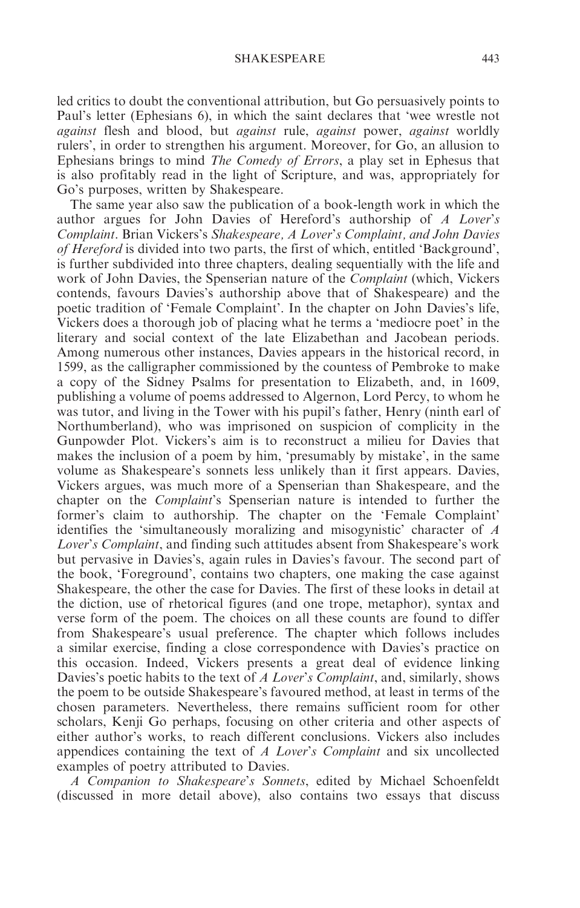led critics to doubt the conventional attribution, but Go persuasively points to Paul's letter (Ephesians 6), in which the saint declares that 'wee wrestle not against flesh and blood, but against rule, against power, against worldly rulers', in order to strengthen his argument. Moreover, for Go, an allusion to Ephesians brings to mind The Comedy of Errors, a play set in Ephesus that is also profitably read in the light of Scripture, and was, appropriately for Go's purposes, written by Shakespeare.

The same year also saw the publication of a book-length work in which the author argues for John Davies of Hereford's authorship of A Lover's Complaint. Brian Vickers's Shakespeare, A Lover's Complaint, and John Davies of Hereford is divided into two parts, the first of which, entitled 'Background', is further subdivided into three chapters, dealing sequentially with the life and work of John Davies, the Spenserian nature of the *Complaint* (which, Vickers contends, favours Davies's authorship above that of Shakespeare) and the poetic tradition of 'Female Complaint'. In the chapter on John Davies's life, Vickers does a thorough job of placing what he terms a 'mediocre poet' in the literary and social context of the late Elizabethan and Jacobean periods. Among numerous other instances, Davies appears in the historical record, in 1599, as the calligrapher commissioned by the countess of Pembroke to make a copy of the Sidney Psalms for presentation to Elizabeth, and, in 1609, publishing a volume of poems addressed to Algernon, Lord Percy, to whom he was tutor, and living in the Tower with his pupil's father, Henry (ninth earl of Northumberland), who was imprisoned on suspicion of complicity in the Gunpowder Plot. Vickers's aim is to reconstruct a milieu for Davies that makes the inclusion of a poem by him, 'presumably by mistake', in the same volume as Shakespeare's sonnets less unlikely than it first appears. Davies, Vickers argues, was much more of a Spenserian than Shakespeare, and the chapter on the Complaint's Spenserian nature is intended to further the former's claim to authorship. The chapter on the 'Female Complaint' identifies the 'simultaneously moralizing and misogynistic' character of A Lover's Complaint, and finding such attitudes absent from Shakespeare's work but pervasive in Davies's, again rules in Davies's favour. The second part of the book, 'Foreground', contains two chapters, one making the case against Shakespeare, the other the case for Davies. The first of these looks in detail at the diction, use of rhetorical figures (and one trope, metaphor), syntax and verse form of the poem. The choices on all these counts are found to differ from Shakespeare's usual preference. The chapter which follows includes a similar exercise, finding a close correspondence with Davies's practice on this occasion. Indeed, Vickers presents a great deal of evidence linking Davies's poetic habits to the text of A Lover's Complaint, and, similarly, shows the poem to be outside Shakespeare's favoured method, at least in terms of the chosen parameters. Nevertheless, there remains sufficient room for other scholars, Kenji Go perhaps, focusing on other criteria and other aspects of either author's works, to reach different conclusions. Vickers also includes appendices containing the text of A Lover's Complaint and six uncollected examples of poetry attributed to Davies.

A Companion to Shakespeare's Sonnets, edited by Michael Schoenfeldt (discussed in more detail above), also contains two essays that discuss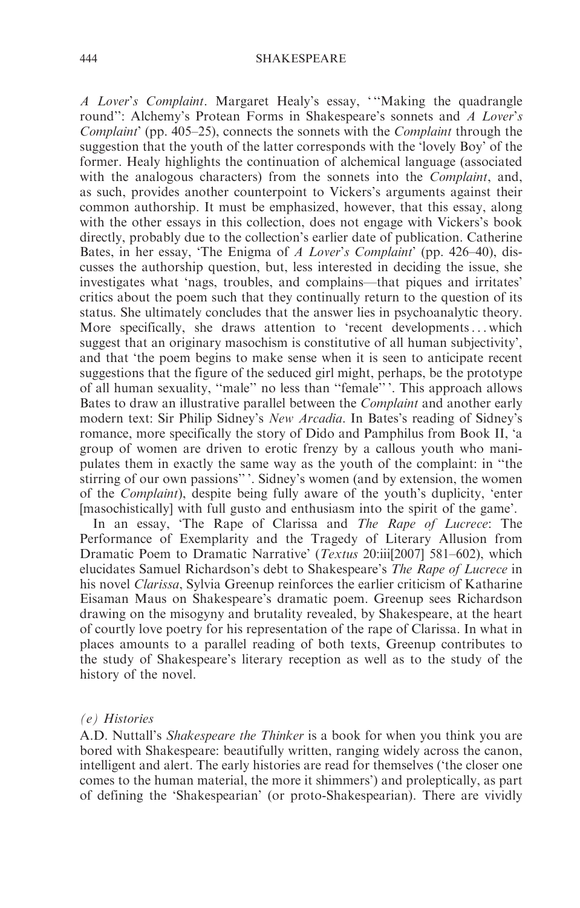A Lover's Complaint. Margaret Healy's essay, ""Making the quadrangle round'': Alchemy's Protean Forms in Shakespeare's sonnets and A Lover's Complaint' (pp. 405–25), connects the sonnets with the Complaint through the suggestion that the youth of the latter corresponds with the 'lovely Boy' of the former. Healy highlights the continuation of alchemical language (associated with the analogous characters) from the sonnets into the *Complaint*, and, as such, provides another counterpoint to Vickers's arguments against their common authorship. It must be emphasized, however, that this essay, along with the other essays in this collection, does not engage with Vickers's book directly, probably due to the collection's earlier date of publication. Catherine Bates, in her essay, 'The Enigma of A Lover's Complaint' (pp. 426–40), discusses the authorship question, but, less interested in deciding the issue, she investigates what 'nags, troubles, and complains—that piques and irritates' critics about the poem such that they continually return to the question of its status. She ultimately concludes that the answer lies in psychoanalytic theory. More specifically, she draws attention to 'recent developments... which suggest that an originary masochism is constitutive of all human subjectivity', and that 'the poem begins to make sense when it is seen to anticipate recent suggestions that the figure of the seduced girl might, perhaps, be the prototype of all human sexuality, ''male'' no less than ''female'' '. This approach allows Bates to draw an illustrative parallel between the Complaint and another early modern text: Sir Philip Sidney's New Arcadia. In Bates's reading of Sidney's romance, more specifically the story of Dido and Pamphilus from Book II, 'a group of women are driven to erotic frenzy by a callous youth who manipulates them in exactly the same way as the youth of the complaint: in ''the stirring of our own passions'' '. Sidney's women (and by extension, the women of the Complaint), despite being fully aware of the youth's duplicity, 'enter [masochistically] with full gusto and enthusiasm into the spirit of the game'.

In an essay, 'The Rape of Clarissa and The Rape of Lucrece: The Performance of Exemplarity and the Tragedy of Literary Allusion from Dramatic Poem to Dramatic Narrative' (Textus 20:iii[2007] 581–602), which elucidates Samuel Richardson's debt to Shakespeare's The Rape of Lucrece in his novel Clarissa, Sylvia Greenup reinforces the earlier criticism of Katharine Eisaman Maus on Shakespeare's dramatic poem. Greenup sees Richardson drawing on the misogyny and brutality revealed, by Shakespeare, at the heart of courtly love poetry for his representation of the rape of Clarissa. In what in places amounts to a parallel reading of both texts, Greenup contributes to the study of Shakespeare's literary reception as well as to the study of the history of the novel.

# (e) Histories

A.D. Nuttall's Shakespeare the Thinker is a book for when you think you are bored with Shakespeare: beautifully written, ranging widely across the canon, intelligent and alert. The early histories are read for themselves ('the closer one comes to the human material, the more it shimmers') and proleptically, as part of defining the 'Shakespearian' (or proto-Shakespearian). There are vividly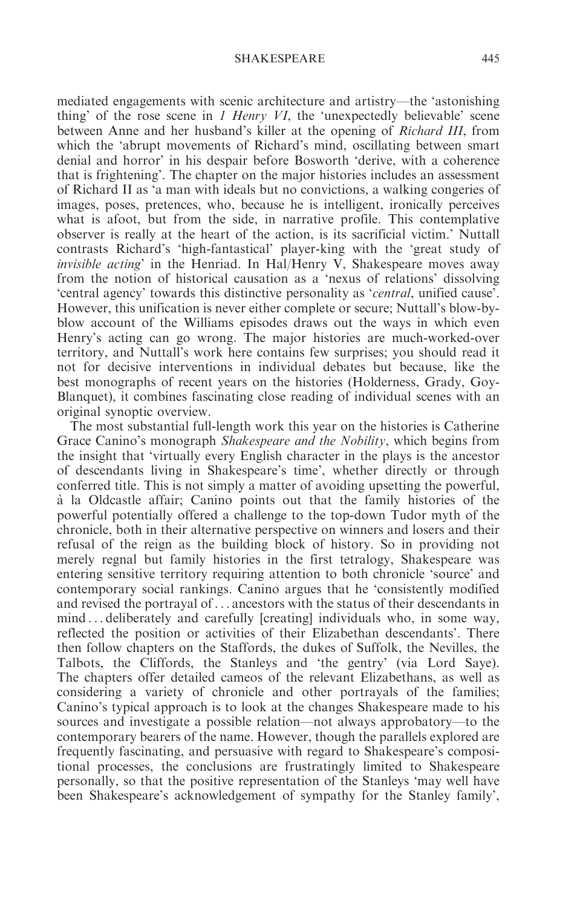mediated engagements with scenic architecture and artistry—the 'astonishing thing' of the rose scene in 1 Henry VI, the 'unexpectedly believable' scene between Anne and her husband's killer at the opening of Richard III, from which the 'abrupt movements of Richard's mind, oscillating between smart denial and horror' in his despair before Bosworth 'derive, with a coherence that is frightening'. The chapter on the major histories includes an assessment of Richard II as 'a man with ideals but no convictions, a walking congeries of images, poses, pretences, who, because he is intelligent, ironically perceives what is afoot, but from the side, in narrative profile. This contemplative observer is really at the heart of the action, is its sacrificial victim.' Nuttall contrasts Richard's 'high-fantastical' player-king with the 'great study of invisible acting' in the Henriad. In Hal/Henry V, Shakespeare moves away from the notion of historical causation as a 'nexus of relations' dissolving 'central agency' towards this distinctive personality as 'central, unified cause'. However, this unification is never either complete or secure; Nuttall's blow-byblow account of the Williams episodes draws out the ways in which even Henry's acting can go wrong. The major histories are much-worked-over territory, and Nuttall's work here contains few surprises; you should read it not for decisive interventions in individual debates but because, like the best monographs of recent years on the histories (Holderness, Grady, Goy-Blanquet), it combines fascinating close reading of individual scenes with an original synoptic overview.

The most substantial full-length work this year on the histories is Catherine Grace Canino's monograph Shakespeare and the Nobility, which begins from the insight that 'virtually every English character in the plays is the ancestor of descendants living in Shakespeare's time', whether directly or through conferred title. This is not simply a matter of avoiding upsetting the powerful, a` la Oldcastle affair; Canino points out that the family histories of the powerful potentially offered a challenge to the top-down Tudor myth of the chronicle, both in their alternative perspective on winners and losers and their refusal of the reign as the building block of history. So in providing not merely regnal but family histories in the first tetralogy, Shakespeare was entering sensitive territory requiring attention to both chronicle 'source' and contemporary social rankings. Canino argues that he 'consistently modified and revised the portrayal of ... ancestors with the status of their descendants in mind ... deliberately and carefully [creating] individuals who, in some way, reflected the position or activities of their Elizabethan descendants'. There then follow chapters on the Staffords, the dukes of Suffolk, the Nevilles, the Talbots, the Cliffords, the Stanleys and 'the gentry' (via Lord Saye). The chapters offer detailed cameos of the relevant Elizabethans, as well as considering a variety of chronicle and other portrayals of the families; Canino's typical approach is to look at the changes Shakespeare made to his sources and investigate a possible relation—not always approbatory—to the contemporary bearers of the name. However, though the parallels explored are frequently fascinating, and persuasive with regard to Shakespeare's compositional processes, the conclusions are frustratingly limited to Shakespeare personally, so that the positive representation of the Stanleys 'may well have been Shakespeare's acknowledgement of sympathy for the Stanley family',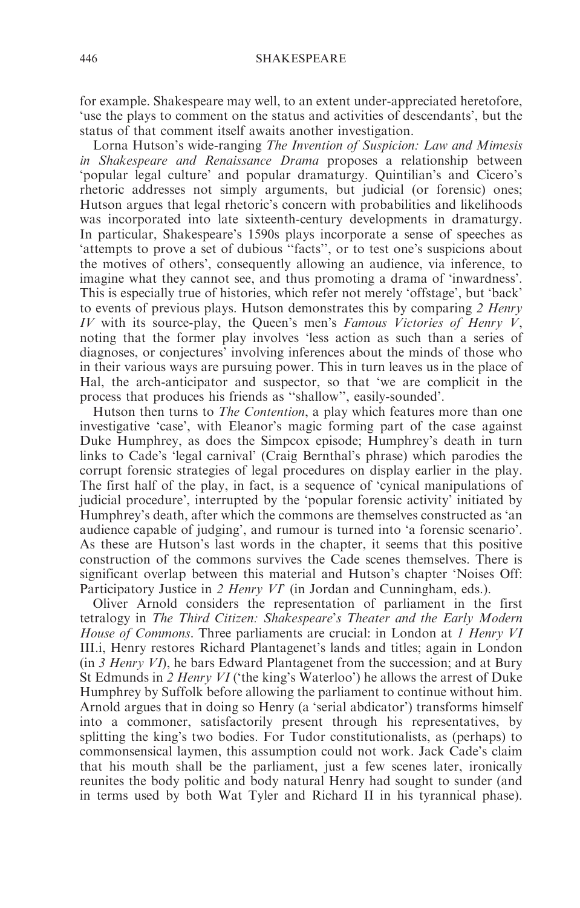for example. Shakespeare may well, to an extent under-appreciated heretofore, 'use the plays to comment on the status and activities of descendants', but the status of that comment itself awaits another investigation.

Lorna Hutson's wide-ranging The Invention of Suspicion: Law and Mimesis in Shakespeare and Renaissance Drama proposes a relationship between 'popular legal culture' and popular dramaturgy. Quintilian's and Cicero's rhetoric addresses not simply arguments, but judicial (or forensic) ones; Hutson argues that legal rhetoric's concern with probabilities and likelihoods was incorporated into late sixteenth-century developments in dramaturgy. In particular, Shakespeare's 1590s plays incorporate a sense of speeches as 'attempts to prove a set of dubious ''facts'', or to test one's suspicions about the motives of others', consequently allowing an audience, via inference, to imagine what they cannot see, and thus promoting a drama of 'inwardness'. This is especially true of histories, which refer not merely 'offstage', but 'back' to events of previous plays. Hutson demonstrates this by comparing 2 Henry  $IV$  with its source-play, the Queen's men's Famous Victories of Henry V, noting that the former play involves 'less action as such than a series of diagnoses, or conjectures' involving inferences about the minds of those who in their various ways are pursuing power. This in turn leaves us in the place of Hal, the arch-anticipator and suspector, so that 'we are complicit in the process that produces his friends as ''shallow'', easily-sounded'.

Hutson then turns to *The Contention*, a play which features more than one investigative 'case', with Eleanor's magic forming part of the case against Duke Humphrey, as does the Simpcox episode; Humphrey's death in turn links to Cade's 'legal carnival' (Craig Bernthal's phrase) which parodies the corrupt forensic strategies of legal procedures on display earlier in the play. The first half of the play, in fact, is a sequence of 'cynical manipulations of judicial procedure', interrupted by the 'popular forensic activity' initiated by Humphrey's death, after which the commons are themselves constructed as 'an audience capable of judging', and rumour is turned into 'a forensic scenario'. As these are Hutson's last words in the chapter, it seems that this positive construction of the commons survives the Cade scenes themselves. There is significant overlap between this material and Hutson's chapter 'Noises Off: Participatory Justice in 2 Henry VT (in Jordan and Cunningham, eds.).

Oliver Arnold considers the representation of parliament in the first tetralogy in The Third Citizen: Shakespeare's Theater and the Early Modern House of Commons. Three parliaments are crucial: in London at 1 Henry VI III.i, Henry restores Richard Plantagenet's lands and titles; again in London  $(in 3 Henry VI)$ , he bars Edward Plantagenet from the succession; and at Bury St Edmunds in 2 Henry VI ('the king's Waterloo') he allows the arrest of Duke Humphrey by Suffolk before allowing the parliament to continue without him. Arnold argues that in doing so Henry (a 'serial abdicator') transforms himself into a commoner, satisfactorily present through his representatives, by splitting the king's two bodies. For Tudor constitutionalists, as (perhaps) to commonsensical laymen, this assumption could not work. Jack Cade's claim that his mouth shall be the parliament, just a few scenes later, ironically reunites the body politic and body natural Henry had sought to sunder (and in terms used by both Wat Tyler and Richard II in his tyrannical phase).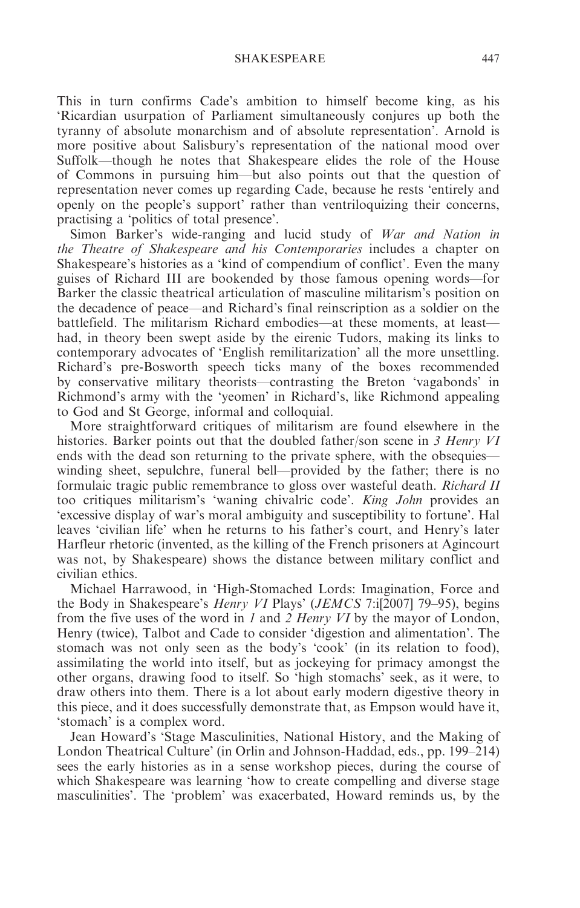This in turn confirms Cade's ambition to himself become king, as his 'Ricardian usurpation of Parliament simultaneously conjures up both the tyranny of absolute monarchism and of absolute representation'. Arnold is more positive about Salisbury's representation of the national mood over Suffolk—though he notes that Shakespeare elides the role of the House of Commons in pursuing him—but also points out that the question of representation never comes up regarding Cade, because he rests 'entirely and openly on the people's support' rather than ventriloquizing their concerns, practising a 'politics of total presence'.

Simon Barker's wide-ranging and lucid study of War and Nation in the Theatre of Shakespeare and his Contemporaries includes a chapter on Shakespeare's histories as a 'kind of compendium of conflict'. Even the many guises of Richard III are bookended by those famous opening words—for Barker the classic theatrical articulation of masculine militarism's position on the decadence of peace—and Richard's final reinscription as a soldier on the battlefield. The militarism Richard embodies—at these moments, at least had, in theory been swept aside by the eirenic Tudors, making its links to contemporary advocates of 'English remilitarization' all the more unsettling. Richard's pre-Bosworth speech ticks many of the boxes recommended by conservative military theorists—contrasting the Breton 'vagabonds' in Richmond's army with the 'yeomen' in Richard's, like Richmond appealing to God and St George, informal and colloquial.

More straightforward critiques of militarism are found elsewhere in the histories. Barker points out that the doubled father/son scene in 3 Henry VI ends with the dead son returning to the private sphere, with the obsequies winding sheet, sepulchre, funeral bell—provided by the father; there is no formulaic tragic public remembrance to gloss over wasteful death. Richard II too critiques militarism's 'waning chivalric code'. King John provides an 'excessive display of war's moral ambiguity and susceptibility to fortune'. Hal leaves 'civilian life' when he returns to his father's court, and Henry's later Harfleur rhetoric (invented, as the killing of the French prisoners at Agincourt was not, by Shakespeare) shows the distance between military conflict and civilian ethics.

Michael Harrawood, in 'High-Stomached Lords: Imagination, Force and the Body in Shakespeare's Henry VI Plays' (JEMCS 7:i[2007] 79–95), begins from the five uses of the word in 1 and 2 Henry VI by the mayor of London, Henry (twice), Talbot and Cade to consider 'digestion and alimentation'. The stomach was not only seen as the body's 'cook' (in its relation to food), assimilating the world into itself, but as jockeying for primacy amongst the other organs, drawing food to itself. So 'high stomachs' seek, as it were, to draw others into them. There is a lot about early modern digestive theory in this piece, and it does successfully demonstrate that, as Empson would have it, 'stomach' is a complex word.

Jean Howard's 'Stage Masculinities, National History, and the Making of London Theatrical Culture' (in Orlin and Johnson-Haddad, eds., pp. 199–214) sees the early histories as in a sense workshop pieces, during the course of which Shakespeare was learning 'how to create compelling and diverse stage masculinities'. The 'problem' was exacerbated, Howard reminds us, by the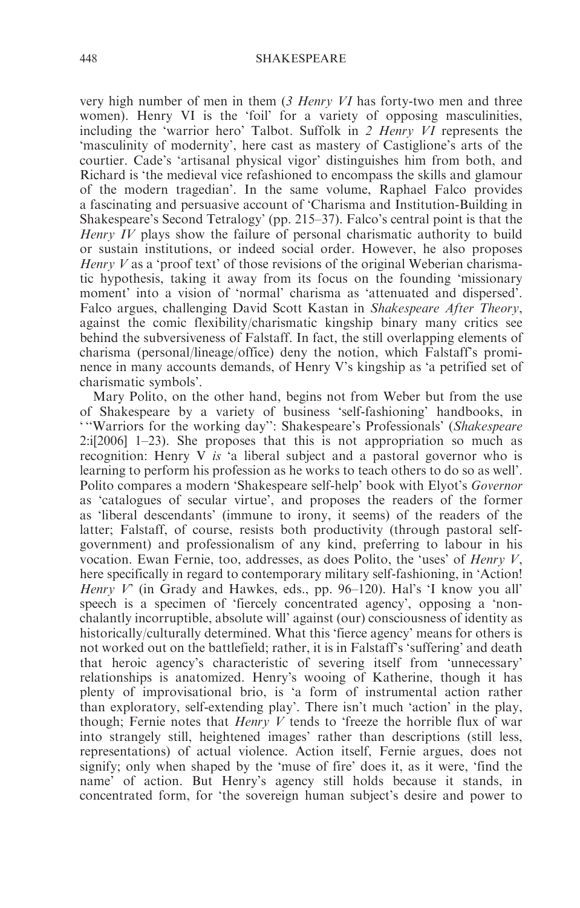very high number of men in them (3 Henry VI has forty-two men and three women). Henry VI is the 'foil' for a variety of opposing masculinities, including the 'warrior hero' Talbot. Suffolk in 2 Henry VI represents the 'masculinity of modernity', here cast as mastery of Castiglione's arts of the courtier. Cade's 'artisanal physical vigor' distinguishes him from both, and Richard is 'the medieval vice refashioned to encompass the skills and glamour of the modern tragedian'. In the same volume, Raphael Falco provides a fascinating and persuasive account of 'Charisma and Institution-Building in Shakespeare's Second Tetralogy' (pp. 215–37). Falco's central point is that the Henry IV plays show the failure of personal charismatic authority to build or sustain institutions, or indeed social order. However, he also proposes Henry V as a 'proof text' of those revisions of the original Weberian charismatic hypothesis, taking it away from its focus on the founding 'missionary moment' into a vision of 'normal' charisma as 'attenuated and dispersed'. Falco argues, challenging David Scott Kastan in Shakespeare After Theory, against the comic flexibility/charismatic kingship binary many critics see behind the subversiveness of Falstaff. In fact, the still overlapping elements of charisma (personal/lineage/office) deny the notion, which Falstaff's prominence in many accounts demands, of Henry V's kingship as 'a petrified set of charismatic symbols'.

Mary Polito, on the other hand, begins not from Weber but from the use of Shakespeare by a variety of business 'self-fashioning' handbooks, in ' ''Warriors for the working day'': Shakespeare's Professionals' (Shakespeare  $2:1[2006]$  1–23). She proposes that this is not appropriation so much as recognition: Henry V is 'a liberal subject and a pastoral governor who is learning to perform his profession as he works to teach others to do so as well'. Polito compares a modern 'Shakespeare self-help' book with Elyot's Governor as 'catalogues of secular virtue', and proposes the readers of the former as 'liberal descendants' (immune to irony, it seems) of the readers of the latter; Falstaff, of course, resists both productivity (through pastoral selfgovernment) and professionalism of any kind, preferring to labour in his vocation. Ewan Fernie, too, addresses, as does Polito, the 'uses' of Henry V, here specifically in regard to contemporary military self-fashioning, in 'Action! Henry  $V'$  (in Grady and Hawkes, eds., pp. 96–120). Hal's 'I know you all' speech is a specimen of 'fiercely concentrated agency', opposing a 'nonchalantly incorruptible, absolute will' against (our) consciousness of identity as historically/culturally determined. What this 'fierce agency' means for others is not worked out on the battlefield; rather, it is in Falstaff's 'suffering' and death that heroic agency's characteristic of severing itself from 'unnecessary' relationships is anatomized. Henry's wooing of Katherine, though it has plenty of improvisational brio, is 'a form of instrumental action rather than exploratory, self-extending play'. There isn't much 'action' in the play, though; Fernie notes that Henry V tends to 'freeze the horrible flux of war into strangely still, heightened images' rather than descriptions (still less, representations) of actual violence. Action itself, Fernie argues, does not signify; only when shaped by the 'muse of fire' does it, as it were, 'find the name' of action. But Henry's agency still holds because it stands, in concentrated form, for 'the sovereign human subject's desire and power to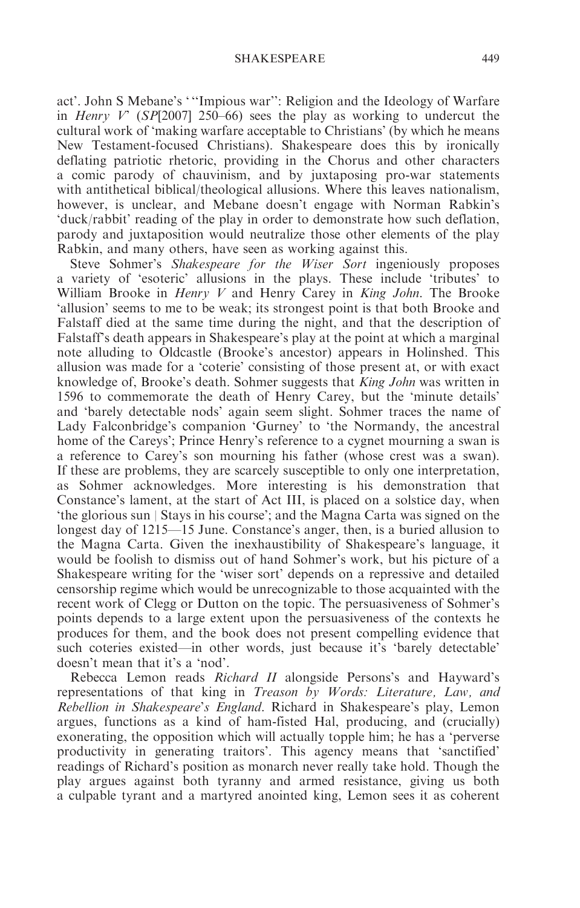act'. John S Mebane's ' ''Impious war'': Religion and the Ideology of Warfare in Henry V' (SP[2007] 250–66) sees the play as working to undercut the cultural work of 'making warfare acceptable to Christians' (by which he means New Testament-focused Christians). Shakespeare does this by ironically deflating patriotic rhetoric, providing in the Chorus and other characters a comic parody of chauvinism, and by juxtaposing pro-war statements with antithetical biblical/theological allusions. Where this leaves nationalism, however, is unclear, and Mebane doesn't engage with Norman Rabkin's 'duck/rabbit' reading of the play in order to demonstrate how such deflation, parody and juxtaposition would neutralize those other elements of the play Rabkin, and many others, have seen as working against this.

Steve Sohmer's Shakespeare for the Wiser Sort ingeniously proposes a variety of 'esoteric' allusions in the plays. These include 'tributes' to William Brooke in Henry  $V$  and Henry Carey in King John. The Brooke 'allusion' seems to me to be weak; its strongest point is that both Brooke and Falstaff died at the same time during the night, and that the description of Falstaff's death appears in Shakespeare's play at the point at which a marginal note alluding to Oldcastle (Brooke's ancestor) appears in Holinshed. This allusion was made for a 'coterie' consisting of those present at, or with exact knowledge of, Brooke's death. Sohmer suggests that King John was written in 1596 to commemorate the death of Henry Carey, but the 'minute details' and 'barely detectable nods' again seem slight. Sohmer traces the name of Lady Falconbridge's companion 'Gurney' to 'the Normandy, the ancestral home of the Careys'; Prince Henry's reference to a cygnet mourning a swan is a reference to Carey's son mourning his father (whose crest was a swan). If these are problems, they are scarcely susceptible to only one interpretation, as Sohmer acknowledges. More interesting is his demonstration that Constance's lament, at the start of Act III, is placed on a solstice day, when 'the glorious sun | Stays in his course'; and the Magna Carta was signed on the longest day of 1215—15 June. Constance's anger, then, is a buried allusion to the Magna Carta. Given the inexhaustibility of Shakespeare's language, it would be foolish to dismiss out of hand Sohmer's work, but his picture of a Shakespeare writing for the 'wiser sort' depends on a repressive and detailed censorship regime which would be unrecognizable to those acquainted with the recent work of Clegg or Dutton on the topic. The persuasiveness of Sohmer's points depends to a large extent upon the persuasiveness of the contexts he produces for them, and the book does not present compelling evidence that such coteries existed—in other words, just because it's 'barely detectable' doesn't mean that it's a 'nod'.

Rebecca Lemon reads Richard II alongside Persons's and Hayward's representations of that king in Treason by Words: Literature, Law, and Rebellion in Shakespeare's England. Richard in Shakespeare's play, Lemon argues, functions as a kind of ham-fisted Hal, producing, and (crucially) exonerating, the opposition which will actually topple him; he has a 'perverse productivity in generating traitors'. This agency means that 'sanctified' readings of Richard's position as monarch never really take hold. Though the play argues against both tyranny and armed resistance, giving us both a culpable tyrant and a martyred anointed king, Lemon sees it as coherent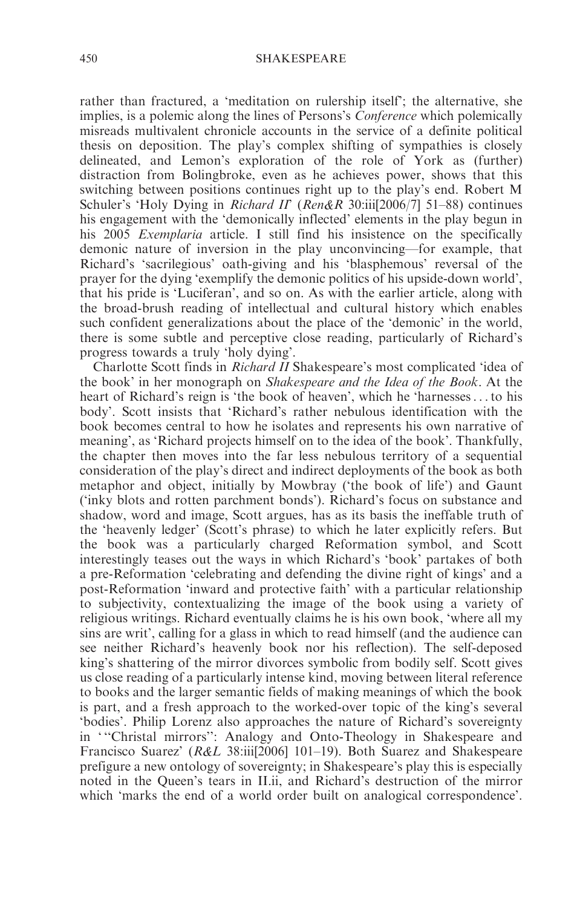rather than fractured, a 'meditation on rulership itself'; the alternative, she implies, is a polemic along the lines of Persons's Conference which polemically misreads multivalent chronicle accounts in the service of a definite political thesis on deposition. The play's complex shifting of sympathies is closely delineated, and Lemon's exploration of the role of York as (further) distraction from Bolingbroke, even as he achieves power, shows that this switching between positions continues right up to the play's end. Robert M Schuler's 'Holy Dying in Richard II' (Ren&R 30:iii[2006/7] 51–88) continues his engagement with the 'demonically inflected' elements in the play begun in his 2005 *Exemplaria* article. I still find his insistence on the specifically demonic nature of inversion in the play unconvincing—for example, that Richard's 'sacrilegious' oath-giving and his 'blasphemous' reversal of the prayer for the dying 'exemplify the demonic politics of his upside-down world', that his pride is 'Luciferan', and so on. As with the earlier article, along with the broad-brush reading of intellectual and cultural history which enables such confident generalizations about the place of the 'demonic' in the world, there is some subtle and perceptive close reading, particularly of Richard's progress towards a truly 'holy dying'.

Charlotte Scott finds in Richard II Shakespeare's most complicated 'idea of the book' in her monograph on Shakespeare and the Idea of the Book. At the heart of Richard's reign is 'the book of heaven', which he 'harnesses...to his body'. Scott insists that 'Richard's rather nebulous identification with the book becomes central to how he isolates and represents his own narrative of meaning', as 'Richard projects himself on to the idea of the book'. Thankfully, the chapter then moves into the far less nebulous territory of a sequential consideration of the play's direct and indirect deployments of the book as both metaphor and object, initially by Mowbray ('the book of life') and Gaunt ('inky blots and rotten parchment bonds'). Richard's focus on substance and shadow, word and image, Scott argues, has as its basis the ineffable truth of the 'heavenly ledger' (Scott's phrase) to which he later explicitly refers. But the book was a particularly charged Reformation symbol, and Scott interestingly teases out the ways in which Richard's 'book' partakes of both a pre-Reformation 'celebrating and defending the divine right of kings' and a post-Reformation 'inward and protective faith' with a particular relationship to subjectivity, contextualizing the image of the book using a variety of religious writings. Richard eventually claims he is his own book, 'where all my sins are writ', calling for a glass in which to read himself (and the audience can see neither Richard's heavenly book nor his reflection). The self-deposed king's shattering of the mirror divorces symbolic from bodily self. Scott gives us close reading of a particularly intense kind, moving between literal reference to books and the larger semantic fields of making meanings of which the book is part, and a fresh approach to the worked-over topic of the king's several 'bodies'. Philip Lorenz also approaches the nature of Richard's sovereignty in ' ''Christal mirrors'': Analogy and Onto-Theology in Shakespeare and Francisco Suarez' (R&L 38:iii[2006] 101–19). Both Suarez and Shakespeare prefigure a new ontology of sovereignty; in Shakespeare's play this is especially noted in the Queen's tears in II.ii, and Richard's destruction of the mirror which 'marks the end of a world order built on analogical correspondence'.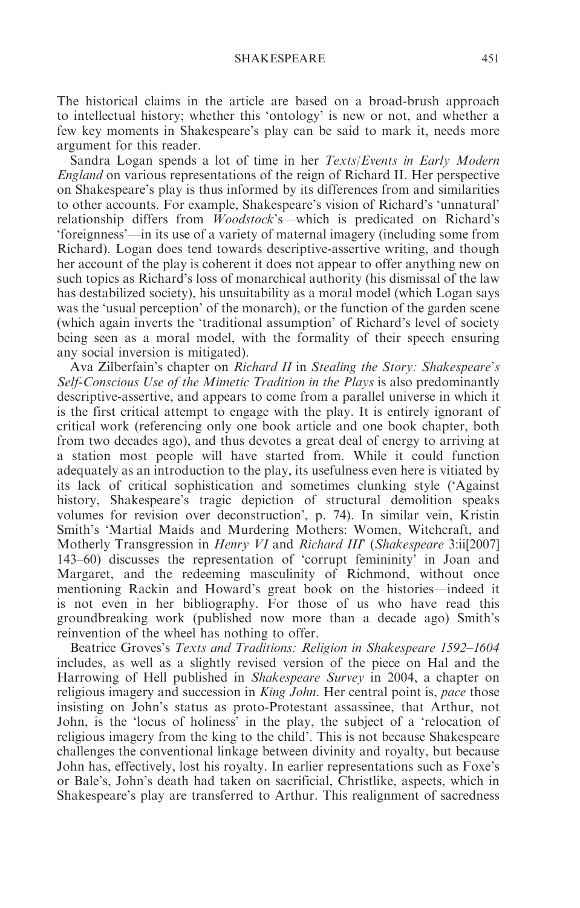The historical claims in the article are based on a broad-brush approach to intellectual history; whether this 'ontology' is new or not, and whether a few key moments in Shakespeare's play can be said to mark it, needs more argument for this reader.

Sandra Logan spends a lot of time in her Texts/Events in Early Modern England on various representations of the reign of Richard II. Her perspective on Shakespeare's play is thus informed by its differences from and similarities to other accounts. For example, Shakespeare's vision of Richard's 'unnatural' relationship differs from *Woodstock*'s—which is predicated on Richard's 'foreignness'—in its use of a variety of maternal imagery (including some from Richard). Logan does tend towards descriptive-assertive writing, and though her account of the play is coherent it does not appear to offer anything new on such topics as Richard's loss of monarchical authority (his dismissal of the law has destabilized society), his unsuitability as a moral model (which Logan says was the 'usual perception' of the monarch), or the function of the garden scene (which again inverts the 'traditional assumption' of Richard's level of society being seen as a moral model, with the formality of their speech ensuring any social inversion is mitigated).

Ava Zilberfain's chapter on Richard II in Stealing the Story: Shakespeare's Self-Conscious Use of the Mimetic Tradition in the Plays is also predominantly descriptive-assertive, and appears to come from a parallel universe in which it is the first critical attempt to engage with the play. It is entirely ignorant of critical work (referencing only one book article and one book chapter, both from two decades ago), and thus devotes a great deal of energy to arriving at a station most people will have started from. While it could function adequately as an introduction to the play, its usefulness even here is vitiated by its lack of critical sophistication and sometimes clunking style ('Against history, Shakespeare's tragic depiction of structural demolition speaks volumes for revision over deconstruction', p. 74). In similar vein, Kristin Smith's 'Martial Maids and Murdering Mothers: Women, Witchcraft, and Motherly Transgression in *Henry VI* and *Richard III' (Shakespeare 3:ii*[2007] 143–60) discusses the representation of 'corrupt femininity' in Joan and Margaret, and the redeeming masculinity of Richmond, without once mentioning Rackin and Howard's great book on the histories—indeed it is not even in her bibliography. For those of us who have read this groundbreaking work (published now more than a decade ago) Smith's reinvention of the wheel has nothing to offer.

Beatrice Groves's Texts and Traditions: Religion in Shakespeare 1592–1604 includes, as well as a slightly revised version of the piece on Hal and the Harrowing of Hell published in Shakespeare Survey in 2004, a chapter on religious imagery and succession in *King John*. Her central point is, *pace* those insisting on John's status as proto-Protestant assassinee, that Arthur, not John, is the 'locus of holiness' in the play, the subject of a 'relocation of religious imagery from the king to the child'. This is not because Shakespeare challenges the conventional linkage between divinity and royalty, but because John has, effectively, lost his royalty. In earlier representations such as Foxe's or Bale's, John's death had taken on sacrificial, Christlike, aspects, which in Shakespeare's play are transferred to Arthur. This realignment of sacredness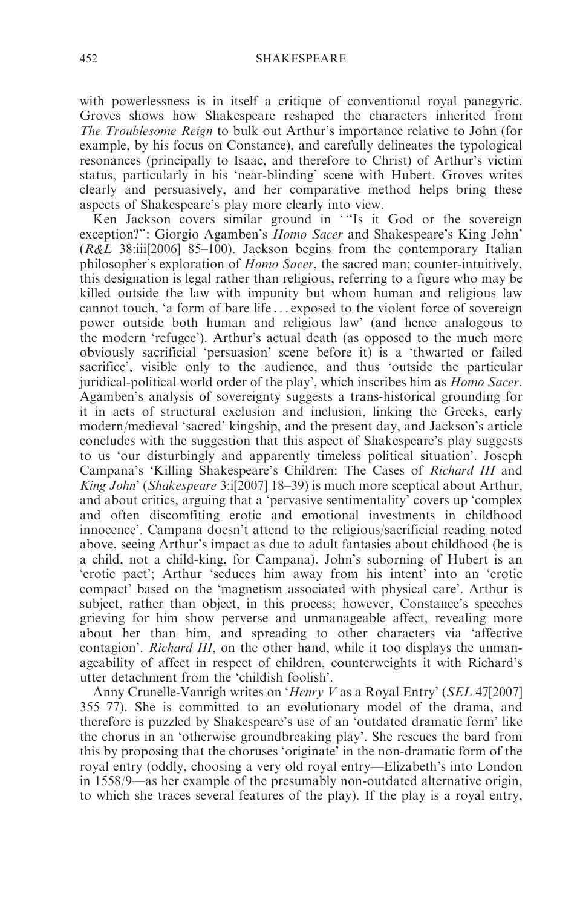with powerlessness is in itself a critique of conventional royal panegyric. Groves shows how Shakespeare reshaped the characters inherited from The Troublesome Reign to bulk out Arthur's importance relative to John (for example, by his focus on Constance), and carefully delineates the typological resonances (principally to Isaac, and therefore to Christ) of Arthur's victim status, particularly in his 'near-blinding' scene with Hubert. Groves writes clearly and persuasively, and her comparative method helps bring these aspects of Shakespeare's play more clearly into view.

Ken Jackson covers similar ground in ' ''Is it God or the sovereign exception?'': Giorgio Agamben's Homo Sacer and Shakespeare's King John'  $(R&L$  38:iii[2006] 85–100). Jackson begins from the contemporary Italian philosopher's exploration of Homo Sacer, the sacred man; counter-intuitively, this designation is legal rather than religious, referring to a figure who may be killed outside the law with impunity but whom human and religious law cannot touch, 'a form of bare life ... exposed to the violent force of sovereign power outside both human and religious law' (and hence analogous to the modern 'refugee'). Arthur's actual death (as opposed to the much more obviously sacrificial 'persuasion' scene before it) is a 'thwarted or failed sacrifice', visible only to the audience, and thus 'outside the particular juridical-political world order of the play', which inscribes him as Homo Sacer. Agamben's analysis of sovereignty suggests a trans-historical grounding for it in acts of structural exclusion and inclusion, linking the Greeks, early modern/medieval 'sacred' kingship, and the present day, and Jackson's article concludes with the suggestion that this aspect of Shakespeare's play suggests to us 'our disturbingly and apparently timeless political situation'. Joseph Campana's 'Killing Shakespeare's Children: The Cases of Richard III and King John' (Shakespeare 3:i[2007] 18–39) is much more sceptical about Arthur, and about critics, arguing that a 'pervasive sentimentality' covers up 'complex and often discomfiting erotic and emotional investments in childhood innocence'. Campana doesn't attend to the religious/sacrificial reading noted above, seeing Arthur's impact as due to adult fantasies about childhood (he is a child, not a child-king, for Campana). John's suborning of Hubert is an 'erotic pact'; Arthur 'seduces him away from his intent' into an 'erotic compact' based on the 'magnetism associated with physical care'. Arthur is subject, rather than object, in this process; however, Constance's speeches grieving for him show perverse and unmanageable affect, revealing more about her than him, and spreading to other characters via 'affective contagion'. Richard III, on the other hand, while it too displays the unmanageability of affect in respect of children, counterweights it with Richard's utter detachment from the 'childish foolish'.

Anny Crunelle-Vanrigh writes on 'Henry V as a Royal Entry' (SEL 47[2007] 355–77). She is committed to an evolutionary model of the drama, and therefore is puzzled by Shakespeare's use of an 'outdated dramatic form' like the chorus in an 'otherwise groundbreaking play'. She rescues the bard from this by proposing that the choruses 'originate' in the non-dramatic form of the royal entry (oddly, choosing a very old royal entry—Elizabeth's into London in 1558/9—as her example of the presumably non-outdated alternative origin, to which she traces several features of the play). If the play is a royal entry,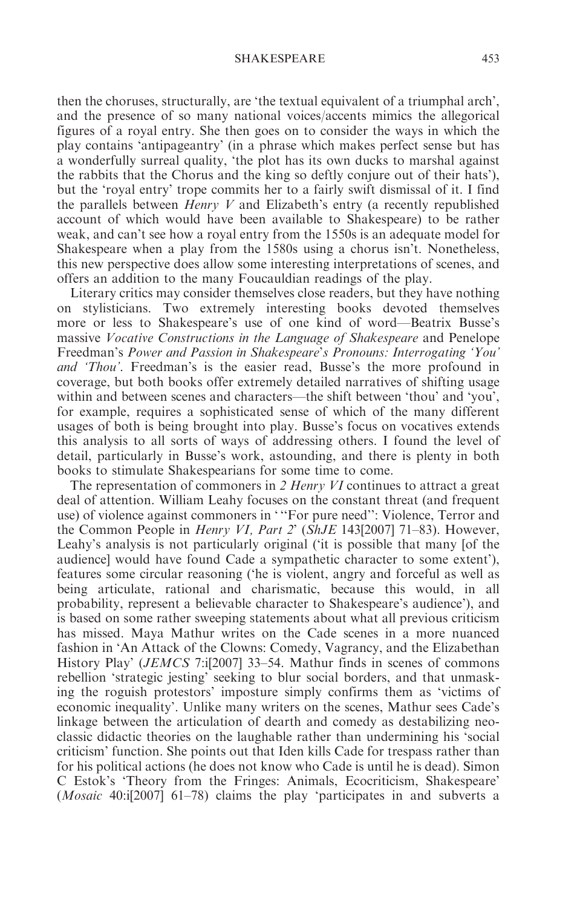then the choruses, structurally, are 'the textual equivalent of a triumphal arch', and the presence of so many national voices/accents mimics the allegorical figures of a royal entry. She then goes on to consider the ways in which the play contains 'antipageantry' (in a phrase which makes perfect sense but has a wonderfully surreal quality, 'the plot has its own ducks to marshal against the rabbits that the Chorus and the king so deftly conjure out of their hats'), but the 'royal entry' trope commits her to a fairly swift dismissal of it. I find the parallels between  $Henry V$  and Elizabeth's entry (a recently republished account of which would have been available to Shakespeare) to be rather weak, and can't see how a royal entry from the 1550s is an adequate model for Shakespeare when a play from the 1580s using a chorus isn't. Nonetheless, this new perspective does allow some interesting interpretations of scenes, and offers an addition to the many Foucauldian readings of the play.

Literary critics may consider themselves close readers, but they have nothing on stylisticians. Two extremely interesting books devoted themselves more or less to Shakespeare's use of one kind of word—Beatrix Busse's massive Vocative Constructions in the Language of Shakespeare and Penelope Freedman's Power and Passion in Shakespeare's Pronouns: Interrogating 'You' and 'Thou'. Freedman's is the easier read, Busse's the more profound in coverage, but both books offer extremely detailed narratives of shifting usage within and between scenes and characters—the shift between 'thou' and 'you', for example, requires a sophisticated sense of which of the many different usages of both is being brought into play. Busse's focus on vocatives extends this analysis to all sorts of ways of addressing others. I found the level of detail, particularly in Busse's work, astounding, and there is plenty in both books to stimulate Shakespearians for some time to come.

The representation of commoners in 2 Henry VI continues to attract a great deal of attention. William Leahy focuses on the constant threat (and frequent use) of violence against commoners in ' ''For pure need'': Violence, Terror and the Common People in Henry VI, Part 2' (ShJE 143[2007] 71–83). However, Leahy's analysis is not particularly original ('it is possible that many [of the audience] would have found Cade a sympathetic character to some extent'), features some circular reasoning ('he is violent, angry and forceful as well as being articulate, rational and charismatic, because this would, in all probability, represent a believable character to Shakespeare's audience'), and is based on some rather sweeping statements about what all previous criticism has missed. Maya Mathur writes on the Cade scenes in a more nuanced fashion in 'An Attack of the Clowns: Comedy, Vagrancy, and the Elizabethan History Play' (JEMCS 7:i[2007] 33–54. Mathur finds in scenes of commons rebellion 'strategic jesting' seeking to blur social borders, and that unmasking the roguish protestors' imposture simply confirms them as 'victims of economic inequality'. Unlike many writers on the scenes, Mathur sees Cade's linkage between the articulation of dearth and comedy as destabilizing neoclassic didactic theories on the laughable rather than undermining his 'social criticism' function. She points out that Iden kills Cade for trespass rather than for his political actions (he does not know who Cade is until he is dead). Simon C Estok's 'Theory from the Fringes: Animals, Ecocriticism, Shakespeare' (Mosaic 40:i[2007] 61–78) claims the play 'participates in and subverts a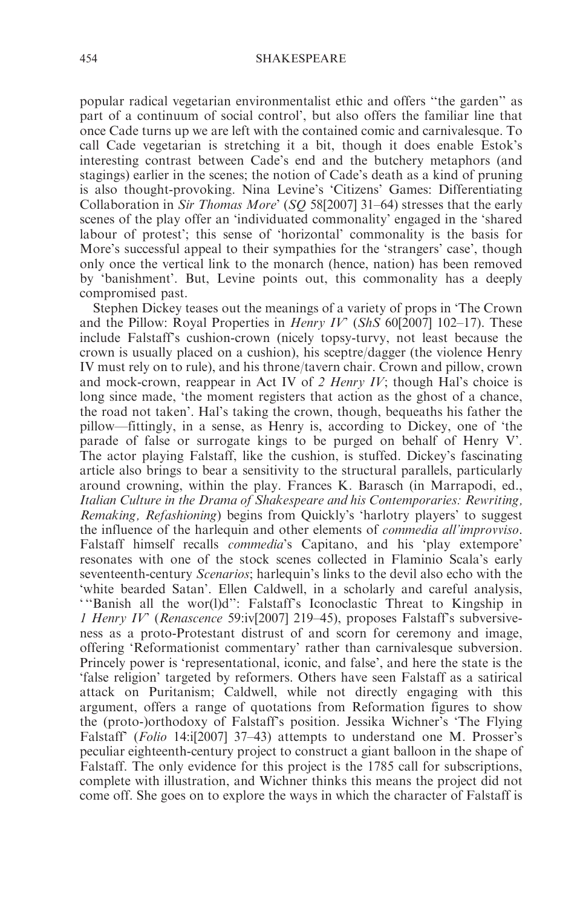popular radical vegetarian environmentalist ethic and offers ''the garden'' as part of a continuum of social control', but also offers the familiar line that once Cade turns up we are left with the contained comic and carnivalesque. To call Cade vegetarian is stretching it a bit, though it does enable Estok's interesting contrast between Cade's end and the butchery metaphors (and stagings) earlier in the scenes; the notion of Cade's death as a kind of pruning is also thought-provoking. Nina Levine's 'Citizens' Games: Differentiating Collaboration in Sir Thomas More' (SQ 58[2007] 31–64) stresses that the early scenes of the play offer an 'individuated commonality' engaged in the 'shared labour of protest'; this sense of 'horizontal' commonality is the basis for More's successful appeal to their sympathies for the 'strangers' case', though only once the vertical link to the monarch (hence, nation) has been removed by 'banishment'. But, Levine points out, this commonality has a deeply compromised past.

Stephen Dickey teases out the meanings of a variety of props in 'The Crown and the Pillow: Royal Properties in *Henry IV'* ( $ShS$  60[2007] 102–17). These include Falstaff's cushion-crown (nicely topsy-turvy, not least because the crown is usually placed on a cushion), his sceptre/dagger (the violence Henry IV must rely on to rule), and his throne/tavern chair. Crown and pillow, crown and mock-crown, reappear in Act IV of 2 Henry IV; though Hal's choice is long since made, 'the moment registers that action as the ghost of a chance, the road not taken'. Hal's taking the crown, though, bequeaths his father the pillow—fittingly, in a sense, as Henry is, according to Dickey, one of 'the parade of false or surrogate kings to be purged on behalf of Henry V'. The actor playing Falstaff, like the cushion, is stuffed. Dickey's fascinating article also brings to bear a sensitivity to the structural parallels, particularly around crowning, within the play. Frances K. Barasch (in Marrapodi, ed., Italian Culture in the Drama of Shakespeare and his Contemporaries: Rewriting, Remaking, Refashioning) begins from Quickly's 'harlotry players' to suggest the influence of the harlequin and other elements of commedia all'improvviso. Falstaff himself recalls *commedia's* Capitano, and his 'play extempore' resonates with one of the stock scenes collected in Flaminio Scala's early seventeenth-century Scenarios; harlequin's links to the devil also echo with the 'white bearded Satan'. Ellen Caldwell, in a scholarly and careful analysis, ' ''Banish all the wor(l)d'': Falstaff's Iconoclastic Threat to Kingship in 1 Henry IV' (Renascence 59:iv[2007] 219–45), proposes Falstaff's subversiveness as a proto-Protestant distrust of and scorn for ceremony and image, offering 'Reformationist commentary' rather than carnivalesque subversion. Princely power is 'representational, iconic, and false', and here the state is the 'false religion' targeted by reformers. Others have seen Falstaff as a satirical attack on Puritanism; Caldwell, while not directly engaging with this argument, offers a range of quotations from Reformation figures to show the (proto-)orthodoxy of Falstaff's position. Jessika Wichner's 'The Flying Falstaff' (Folio 14:i[2007] 37–43) attempts to understand one M. Prosser's peculiar eighteenth-century project to construct a giant balloon in the shape of Falstaff. The only evidence for this project is the 1785 call for subscriptions, complete with illustration, and Wichner thinks this means the project did not come off. She goes on to explore the ways in which the character of Falstaff is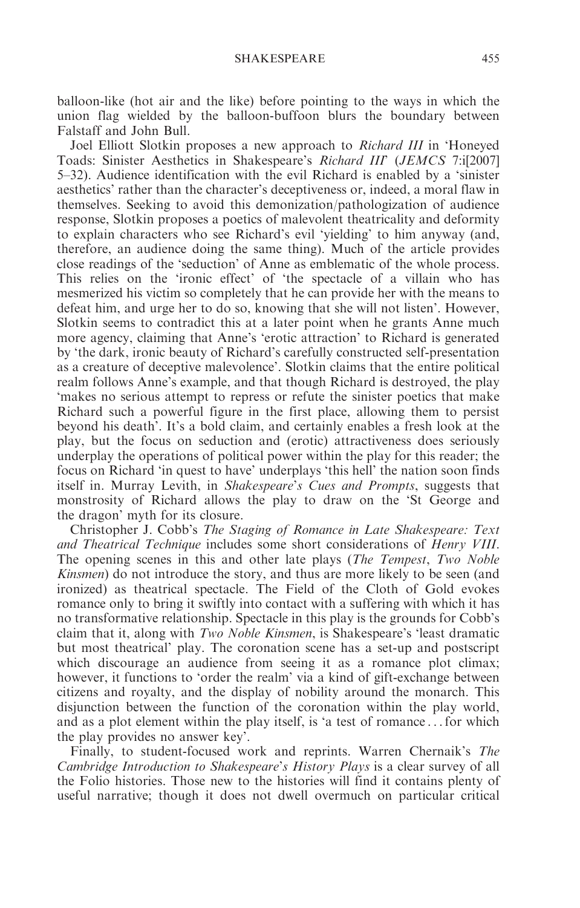balloon-like (hot air and the like) before pointing to the ways in which the union flag wielded by the balloon-buffoon blurs the boundary between Falstaff and John Bull.

Joel Elliott Slotkin proposes a new approach to Richard III in 'Honeyed Toads: Sinister Aesthetics in Shakespeare's Richard III' (JEMCS 7:i<sup>[2007]</sup> 5–32). Audience identification with the evil Richard is enabled by a 'sinister aesthetics' rather than the character's deceptiveness or, indeed, a moral flaw in themselves. Seeking to avoid this demonization/pathologization of audience response, Slotkin proposes a poetics of malevolent theatricality and deformity to explain characters who see Richard's evil 'yielding' to him anyway (and, therefore, an audience doing the same thing). Much of the article provides close readings of the 'seduction' of Anne as emblematic of the whole process. This relies on the 'ironic effect' of 'the spectacle of a villain who has mesmerized his victim so completely that he can provide her with the means to defeat him, and urge her to do so, knowing that she will not listen'. However, Slotkin seems to contradict this at a later point when he grants Anne much more agency, claiming that Anne's 'erotic attraction' to Richard is generated by 'the dark, ironic beauty of Richard's carefully constructed self-presentation as a creature of deceptive malevolence'. Slotkin claims that the entire political realm follows Anne's example, and that though Richard is destroyed, the play 'makes no serious attempt to repress or refute the sinister poetics that make Richard such a powerful figure in the first place, allowing them to persist beyond his death'. It's a bold claim, and certainly enables a fresh look at the play, but the focus on seduction and (erotic) attractiveness does seriously underplay the operations of political power within the play for this reader; the focus on Richard 'in quest to have' underplays 'this hell' the nation soon finds itself in. Murray Levith, in Shakespeare's Cues and Prompts, suggests that monstrosity of Richard allows the play to draw on the 'St George and the dragon' myth for its closure.

Christopher J. Cobb's The Staging of Romance in Late Shakespeare: Text and Theatrical Technique includes some short considerations of Henry VIII. The opening scenes in this and other late plays (The Tempest, Two Noble Kinsmen) do not introduce the story, and thus are more likely to be seen (and ironized) as theatrical spectacle. The Field of the Cloth of Gold evokes romance only to bring it swiftly into contact with a suffering with which it has no transformative relationship. Spectacle in this play is the grounds for Cobb's claim that it, along with Two Noble Kinsmen, is Shakespeare's 'least dramatic but most theatrical' play. The coronation scene has a set-up and postscript which discourage an audience from seeing it as a romance plot climax; however, it functions to 'order the realm' via a kind of gift-exchange between citizens and royalty, and the display of nobility around the monarch. This disjunction between the function of the coronation within the play world, and as a plot element within the play itself, is 'a test of romance ...for which the play provides no answer key'.

Finally, to student-focused work and reprints. Warren Chernaik's The Cambridge Introduction to Shakespeare's History Plays is a clear survey of all the Folio histories. Those new to the histories will find it contains plenty of useful narrative; though it does not dwell overmuch on particular critical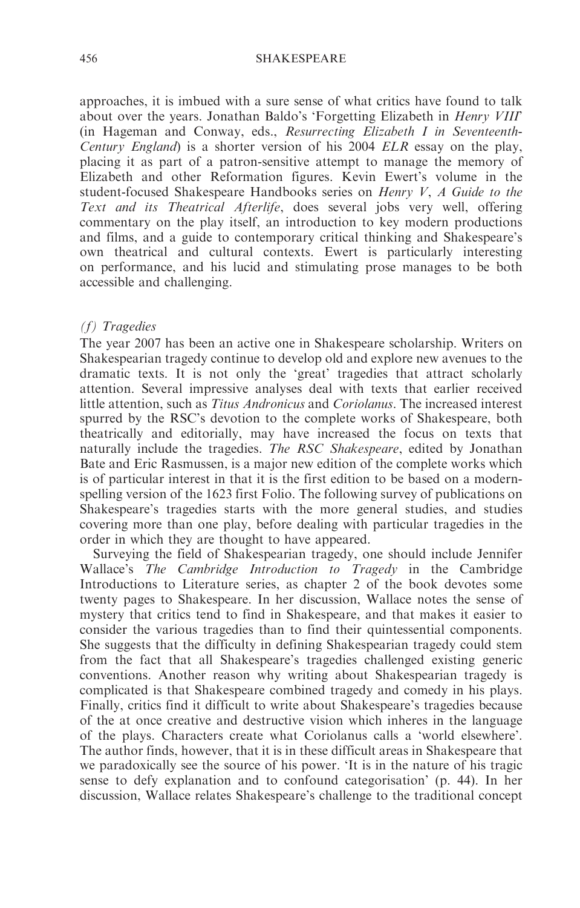approaches, it is imbued with a sure sense of what critics have found to talk about over the years. Jonathan Baldo's 'Forgetting Elizabeth in Henry VIII' (in Hageman and Conway, eds., Resurrecting Elizabeth I in Seventeenth-Century England) is a shorter version of his 2004 ELR essay on the play, placing it as part of a patron-sensitive attempt to manage the memory of Elizabeth and other Reformation figures. Kevin Ewert's volume in the student-focused Shakespeare Handbooks series on Henry V, A Guide to the Text and its Theatrical Afterlife, does several jobs very well, offering commentary on the play itself, an introduction to key modern productions and films, and a guide to contemporary critical thinking and Shakespeare's own theatrical and cultural contexts. Ewert is particularly interesting on performance, and his lucid and stimulating prose manages to be both accessible and challenging.

# (f) Tragedies

The year 2007 has been an active one in Shakespeare scholarship. Writers on Shakespearian tragedy continue to develop old and explore new avenues to the dramatic texts. It is not only the 'great' tragedies that attract scholarly attention. Several impressive analyses deal with texts that earlier received little attention, such as Titus Andronicus and Coriolanus. The increased interest spurred by the RSC's devotion to the complete works of Shakespeare, both theatrically and editorially, may have increased the focus on texts that naturally include the tragedies. The RSC Shakespeare, edited by Jonathan Bate and Eric Rasmussen, is a major new edition of the complete works which is of particular interest in that it is the first edition to be based on a modernspelling version of the 1623 first Folio. The following survey of publications on Shakespeare's tragedies starts with the more general studies, and studies covering more than one play, before dealing with particular tragedies in the order in which they are thought to have appeared.

Surveying the field of Shakespearian tragedy, one should include Jennifer Wallace's The Cambridge Introduction to Tragedy in the Cambridge Introductions to Literature series, as chapter 2 of the book devotes some twenty pages to Shakespeare. In her discussion, Wallace notes the sense of mystery that critics tend to find in Shakespeare, and that makes it easier to consider the various tragedies than to find their quintessential components. She suggests that the difficulty in defining Shakespearian tragedy could stem from the fact that all Shakespeare's tragedies challenged existing generic conventions. Another reason why writing about Shakespearian tragedy is complicated is that Shakespeare combined tragedy and comedy in his plays. Finally, critics find it difficult to write about Shakespeare's tragedies because of the at once creative and destructive vision which inheres in the language of the plays. Characters create what Coriolanus calls a 'world elsewhere'. The author finds, however, that it is in these difficult areas in Shakespeare that we paradoxically see the source of his power. 'It is in the nature of his tragic sense to defy explanation and to confound categorisation' (p. 44). In her discussion, Wallace relates Shakespeare's challenge to the traditional concept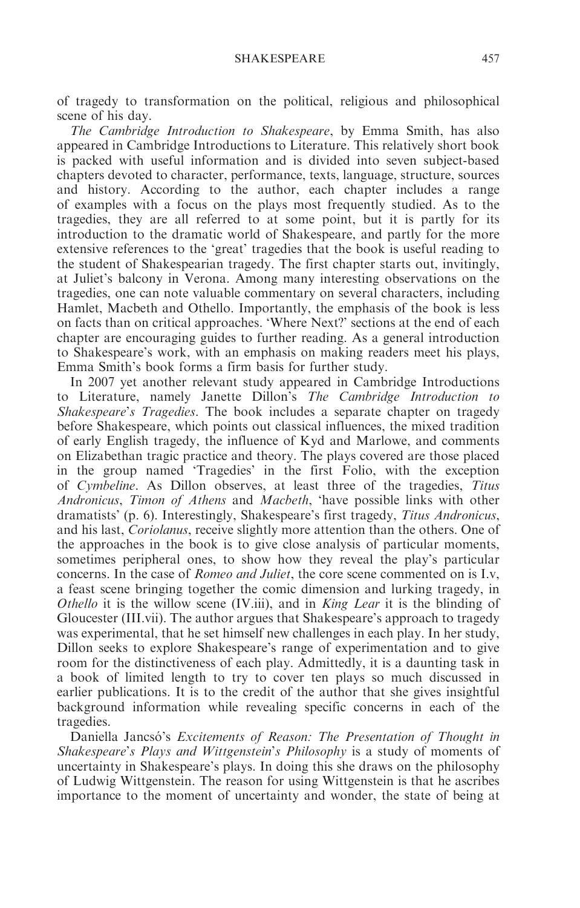of tragedy to transformation on the political, religious and philosophical scene of his day.

The Cambridge Introduction to Shakespeare, by Emma Smith, has also appeared in Cambridge Introductions to Literature. This relatively short book is packed with useful information and is divided into seven subject-based chapters devoted to character, performance, texts, language, structure, sources and history. According to the author, each chapter includes a range of examples with a focus on the plays most frequently studied. As to the tragedies, they are all referred to at some point, but it is partly for its introduction to the dramatic world of Shakespeare, and partly for the more extensive references to the 'great' tragedies that the book is useful reading to the student of Shakespearian tragedy. The first chapter starts out, invitingly, at Juliet's balcony in Verona. Among many interesting observations on the tragedies, one can note valuable commentary on several characters, including Hamlet, Macbeth and Othello. Importantly, the emphasis of the book is less on facts than on critical approaches. 'Where Next?' sections at the end of each chapter are encouraging guides to further reading. As a general introduction to Shakespeare's work, with an emphasis on making readers meet his plays, Emma Smith's book forms a firm basis for further study.

In 2007 yet another relevant study appeared in Cambridge Introductions to Literature, namely Janette Dillon's The Cambridge Introduction to Shakespeare's Tragedies. The book includes a separate chapter on tragedy before Shakespeare, which points out classical influences, the mixed tradition of early English tragedy, the influence of Kyd and Marlowe, and comments on Elizabethan tragic practice and theory. The plays covered are those placed in the group named 'Tragedies' in the first Folio, with the exception of Cymbeline. As Dillon observes, at least three of the tragedies, Titus Andronicus, Timon of Athens and Macbeth, 'have possible links with other dramatists' (p. 6). Interestingly, Shakespeare's first tragedy, Titus Andronicus, and his last, Coriolanus, receive slightly more attention than the others. One of the approaches in the book is to give close analysis of particular moments, sometimes peripheral ones, to show how they reveal the play's particular concerns. In the case of Romeo and Juliet, the core scene commented on is I.v, a feast scene bringing together the comic dimension and lurking tragedy, in Othello it is the willow scene (IV.iii), and in King Lear it is the blinding of Gloucester (III.vii). The author argues that Shakespeare's approach to tragedy was experimental, that he set himself new challenges in each play. In her study, Dillon seeks to explore Shakespeare's range of experimentation and to give room for the distinctiveness of each play. Admittedly, it is a daunting task in a book of limited length to try to cover ten plays so much discussed in earlier publications. It is to the credit of the author that she gives insightful background information while revealing specific concerns in each of the tragedies.

Daniella Jancsó's Excitements of Reason: The Presentation of Thought in Shakespeare's Plays and Wittgenstein's Philosophy is a study of moments of uncertainty in Shakespeare's plays. In doing this she draws on the philosophy of Ludwig Wittgenstein. The reason for using Wittgenstein is that he ascribes importance to the moment of uncertainty and wonder, the state of being at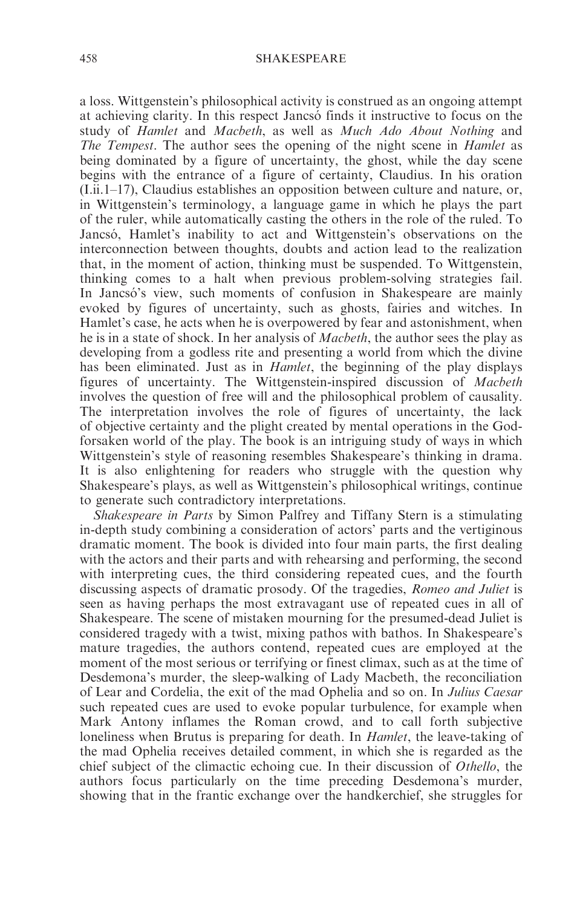a loss. Wittgenstein's philosophical activity is construed as an ongoing attempt at achieving clarity. In this respect Jancso´ finds it instructive to focus on the study of Hamlet and Macbeth, as well as Much Ado About Nothing and The Tempest. The author sees the opening of the night scene in *Hamlet* as being dominated by a figure of uncertainty, the ghost, while the day scene begins with the entrance of a figure of certainty, Claudius. In his oration (I.ii.1–17), Claudius establishes an opposition between culture and nature, or, in Wittgenstein's terminology, a language game in which he plays the part of the ruler, while automatically casting the others in the role of the ruled. To Jancsó, Hamlet's inability to act and Wittgenstein's observations on the interconnection between thoughts, doubts and action lead to the realization that, in the moment of action, thinking must be suspended. To Wittgenstein, thinking comes to a halt when previous problem-solving strategies fail. In Jancsó's view, such moments of confusion in Shakespeare are mainly evoked by figures of uncertainty, such as ghosts, fairies and witches. In Hamlet's case, he acts when he is overpowered by fear and astonishment, when he is in a state of shock. In her analysis of Macbeth, the author sees the play as developing from a godless rite and presenting a world from which the divine has been eliminated. Just as in *Hamlet*, the beginning of the play displays figures of uncertainty. The Wittgenstein-inspired discussion of Macbeth involves the question of free will and the philosophical problem of causality. The interpretation involves the role of figures of uncertainty, the lack of objective certainty and the plight created by mental operations in the Godforsaken world of the play. The book is an intriguing study of ways in which Wittgenstein's style of reasoning resembles Shakespeare's thinking in drama. It is also enlightening for readers who struggle with the question why Shakespeare's plays, as well as Wittgenstein's philosophical writings, continue to generate such contradictory interpretations.

Shakespeare in Parts by Simon Palfrey and Tiffany Stern is a stimulating in-depth study combining a consideration of actors' parts and the vertiginous dramatic moment. The book is divided into four main parts, the first dealing with the actors and their parts and with rehearsing and performing, the second with interpreting cues, the third considering repeated cues, and the fourth discussing aspects of dramatic prosody. Of the tragedies, Romeo and Juliet is seen as having perhaps the most extravagant use of repeated cues in all of Shakespeare. The scene of mistaken mourning for the presumed-dead Juliet is considered tragedy with a twist, mixing pathos with bathos. In Shakespeare's mature tragedies, the authors contend, repeated cues are employed at the moment of the most serious or terrifying or finest climax, such as at the time of Desdemona's murder, the sleep-walking of Lady Macbeth, the reconciliation of Lear and Cordelia, the exit of the mad Ophelia and so on. In Julius Caesar such repeated cues are used to evoke popular turbulence, for example when Mark Antony inflames the Roman crowd, and to call forth subjective loneliness when Brutus is preparing for death. In *Hamlet*, the leave-taking of the mad Ophelia receives detailed comment, in which she is regarded as the chief subject of the climactic echoing cue. In their discussion of Othello, the authors focus particularly on the time preceding Desdemona's murder, showing that in the frantic exchange over the handkerchief, she struggles for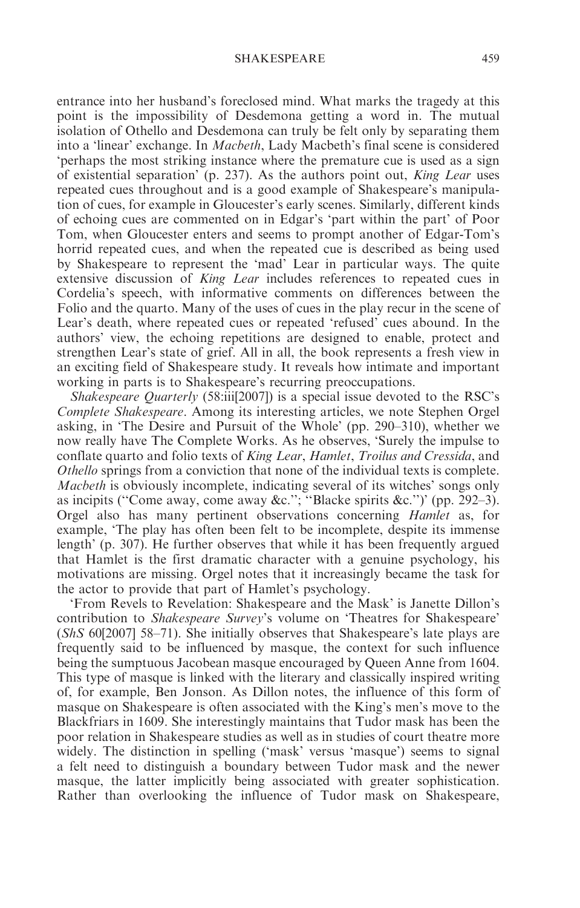entrance into her husband's foreclosed mind. What marks the tragedy at this point is the impossibility of Desdemona getting a word in. The mutual isolation of Othello and Desdemona can truly be felt only by separating them into a 'linear' exchange. In Macbeth, Lady Macbeth's final scene is considered 'perhaps the most striking instance where the premature cue is used as a sign of existential separation' (p. 237). As the authors point out, King Lear uses repeated cues throughout and is a good example of Shakespeare's manipulation of cues, for example in Gloucester's early scenes. Similarly, different kinds of echoing cues are commented on in Edgar's 'part within the part' of Poor Tom, when Gloucester enters and seems to prompt another of Edgar-Tom's horrid repeated cues, and when the repeated cue is described as being used by Shakespeare to represent the 'mad' Lear in particular ways. The quite extensive discussion of King Lear includes references to repeated cues in Cordelia's speech, with informative comments on differences between the Folio and the quarto. Many of the uses of cues in the play recur in the scene of Lear's death, where repeated cues or repeated 'refused' cues abound. In the authors' view, the echoing repetitions are designed to enable, protect and strengthen Lear's state of grief. All in all, the book represents a fresh view in an exciting field of Shakespeare study. It reveals how intimate and important working in parts is to Shakespeare's recurring preoccupations.

Shakespeare Quarterly (58:iii[2007]) is a special issue devoted to the RSC's Complete Shakespeare. Among its interesting articles, we note Stephen Orgel asking, in 'The Desire and Pursuit of the Whole' (pp. 290–310), whether we now really have The Complete Works. As he observes, 'Surely the impulse to conflate quarto and folio texts of King Lear, Hamlet, Troilus and Cressida, and Othello springs from a conviction that none of the individual texts is complete. Macbeth is obviously incomplete, indicating several of its witches' songs only as incipits (''Come away, come away &c.''; ''Blacke spirits &c.'')' (pp. 292–3). Orgel also has many pertinent observations concerning Hamlet as, for example, 'The play has often been felt to be incomplete, despite its immense length' (p. 307). He further observes that while it has been frequently argued that Hamlet is the first dramatic character with a genuine psychology, his motivations are missing. Orgel notes that it increasingly became the task for the actor to provide that part of Hamlet's psychology.

'From Revels to Revelation: Shakespeare and the Mask' is Janette Dillon's contribution to Shakespeare Survey's volume on 'Theatres for Shakespeare' (ShS 60[2007] 58–71). She initially observes that Shakespeare's late plays are frequently said to be influenced by masque, the context for such influence being the sumptuous Jacobean masque encouraged by Queen Anne from 1604. This type of masque is linked with the literary and classically inspired writing of, for example, Ben Jonson. As Dillon notes, the influence of this form of masque on Shakespeare is often associated with the King's men's move to the Blackfriars in 1609. She interestingly maintains that Tudor mask has been the poor relation in Shakespeare studies as well as in studies of court theatre more widely. The distinction in spelling ('mask' versus 'masque') seems to signal a felt need to distinguish a boundary between Tudor mask and the newer masque, the latter implicitly being associated with greater sophistication. Rather than overlooking the influence of Tudor mask on Shakespeare,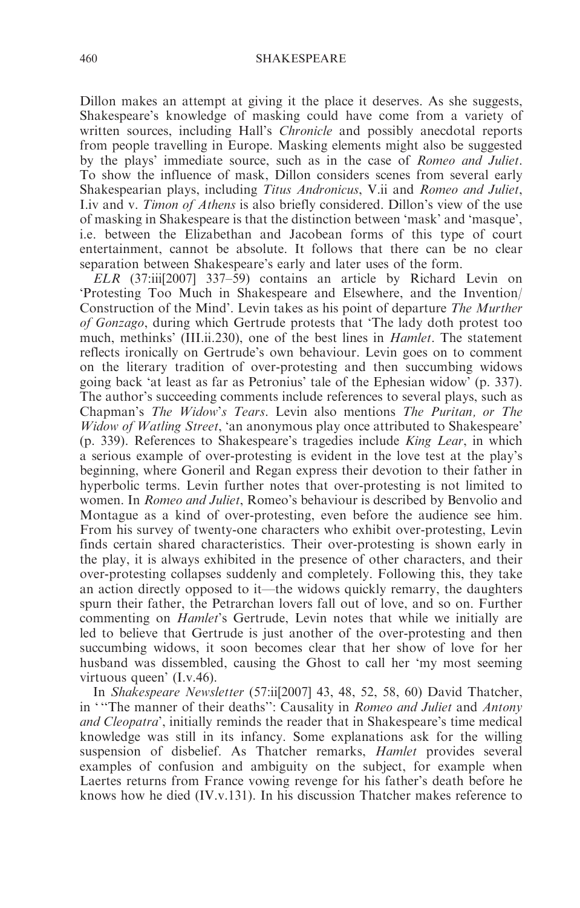Dillon makes an attempt at giving it the place it deserves. As she suggests, Shakespeare's knowledge of masking could have come from a variety of written sources, including Hall's *Chronicle* and possibly anecdotal reports from people travelling in Europe. Masking elements might also be suggested by the plays' immediate source, such as in the case of Romeo and Juliet. To show the influence of mask, Dillon considers scenes from several early Shakespearian plays, including Titus Andronicus, V.ii and Romeo and Juliet, I.iv and v. Timon of Athens is also briefly considered. Dillon's view of the use of masking in Shakespeare is that the distinction between 'mask' and 'masque', i.e. between the Elizabethan and Jacobean forms of this type of court entertainment, cannot be absolute. It follows that there can be no clear separation between Shakespeare's early and later uses of the form.

ELR (37:iii[2007] 337–59) contains an article by Richard Levin on 'Protesting Too Much in Shakespeare and Elsewhere, and the Invention/ Construction of the Mind'. Levin takes as his point of departure The Murther of Gonzago, during which Gertrude protests that 'The lady doth protest too much, methinks' (III.ii.230), one of the best lines in Hamlet. The statement reflects ironically on Gertrude's own behaviour. Levin goes on to comment on the literary tradition of over-protesting and then succumbing widows going back 'at least as far as Petronius' tale of the Ephesian widow' (p. 337). The author's succeeding comments include references to several plays, such as Chapman's The Widow's Tears. Levin also mentions The Puritan, or The Widow of Watling Street, 'an anonymous play once attributed to Shakespeare' (p. 339). References to Shakespeare's tragedies include King Lear, in which a serious example of over-protesting is evident in the love test at the play's beginning, where Goneril and Regan express their devotion to their father in hyperbolic terms. Levin further notes that over-protesting is not limited to women. In *Romeo and Juliet*, Romeo's behaviour is described by Benvolio and Montague as a kind of over-protesting, even before the audience see him. From his survey of twenty-one characters who exhibit over-protesting, Levin finds certain shared characteristics. Their over-protesting is shown early in the play, it is always exhibited in the presence of other characters, and their over-protesting collapses suddenly and completely. Following this, they take an action directly opposed to it—the widows quickly remarry, the daughters spurn their father, the Petrarchan lovers fall out of love, and so on. Further commenting on Hamlet's Gertrude, Levin notes that while we initially are led to believe that Gertrude is just another of the over-protesting and then succumbing widows, it soon becomes clear that her show of love for her husband was dissembled, causing the Ghost to call her 'my most seeming virtuous queen' (I.v.46).

In Shakespeare Newsletter (57:ii[2007] 43, 48, 52, 58, 60) David Thatcher, in "The manner of their deaths": Causality in Romeo and Juliet and Antony and Cleopatra', initially reminds the reader that in Shakespeare's time medical knowledge was still in its infancy. Some explanations ask for the willing suspension of disbelief. As Thatcher remarks, Hamlet provides several examples of confusion and ambiguity on the subject, for example when Laertes returns from France vowing revenge for his father's death before he knows how he died (IV.v.131). In his discussion Thatcher makes reference to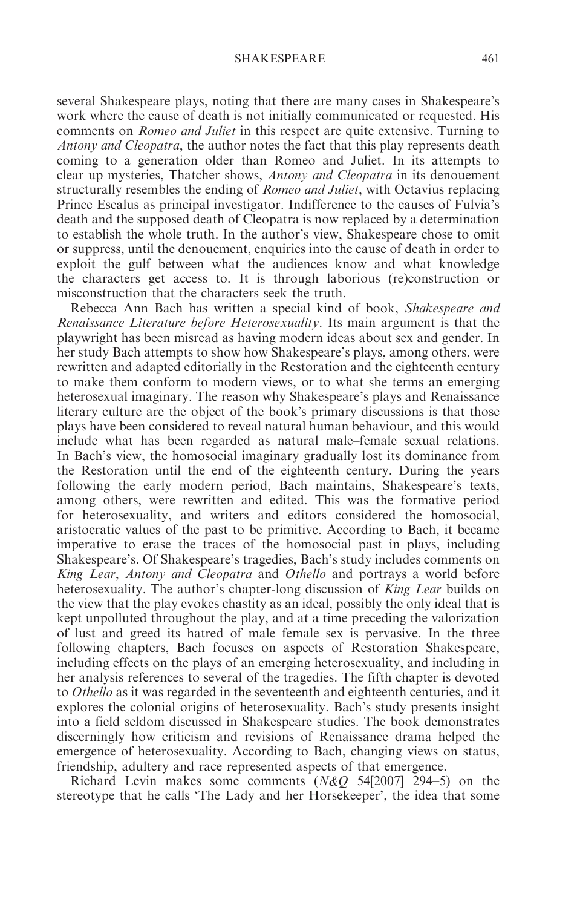several Shakespeare plays, noting that there are many cases in Shakespeare's work where the cause of death is not initially communicated or requested. His comments on *Romeo and Juliet* in this respect are quite extensive. Turning to Antony and Cleopatra, the author notes the fact that this play represents death coming to a generation older than Romeo and Juliet. In its attempts to clear up mysteries, Thatcher shows, Antony and Cleopatra in its denouement structurally resembles the ending of *Romeo and Juliet*, with Octavius replacing Prince Escalus as principal investigator. Indifference to the causes of Fulvia's death and the supposed death of Cleopatra is now replaced by a determination to establish the whole truth. In the author's view, Shakespeare chose to omit or suppress, until the denouement, enquiries into the cause of death in order to exploit the gulf between what the audiences know and what knowledge the characters get access to. It is through laborious (re)construction or misconstruction that the characters seek the truth.

Rebecca Ann Bach has written a special kind of book, Shakespeare and Renaissance Literature before Heterosexuality. Its main argument is that the playwright has been misread as having modern ideas about sex and gender. In her study Bach attempts to show how Shakespeare's plays, among others, were rewritten and adapted editorially in the Restoration and the eighteenth century to make them conform to modern views, or to what she terms an emerging heterosexual imaginary. The reason why Shakespeare's plays and Renaissance literary culture are the object of the book's primary discussions is that those plays have been considered to reveal natural human behaviour, and this would include what has been regarded as natural male–female sexual relations. In Bach's view, the homosocial imaginary gradually lost its dominance from the Restoration until the end of the eighteenth century. During the years following the early modern period, Bach maintains, Shakespeare's texts, among others, were rewritten and edited. This was the formative period for heterosexuality, and writers and editors considered the homosocial, aristocratic values of the past to be primitive. According to Bach, it became imperative to erase the traces of the homosocial past in plays, including Shakespeare's. Of Shakespeare's tragedies, Bach's study includes comments on King Lear, Antony and Cleopatra and Othello and portrays a world before heterosexuality. The author's chapter-long discussion of King Lear builds on the view that the play evokes chastity as an ideal, possibly the only ideal that is kept unpolluted throughout the play, and at a time preceding the valorization of lust and greed its hatred of male–female sex is pervasive. In the three following chapters, Bach focuses on aspects of Restoration Shakespeare, including effects on the plays of an emerging heterosexuality, and including in her analysis references to several of the tragedies. The fifth chapter is devoted to Othello as it was regarded in the seventeenth and eighteenth centuries, and it explores the colonial origins of heterosexuality. Bach's study presents insight into a field seldom discussed in Shakespeare studies. The book demonstrates discerningly how criticism and revisions of Renaissance drama helped the emergence of heterosexuality. According to Bach, changing views on status, friendship, adultery and race represented aspects of that emergence.

Richard Levin makes some comments  $(N&Q$  54[2007] 294–5) on the stereotype that he calls 'The Lady and her Horsekeeper', the idea that some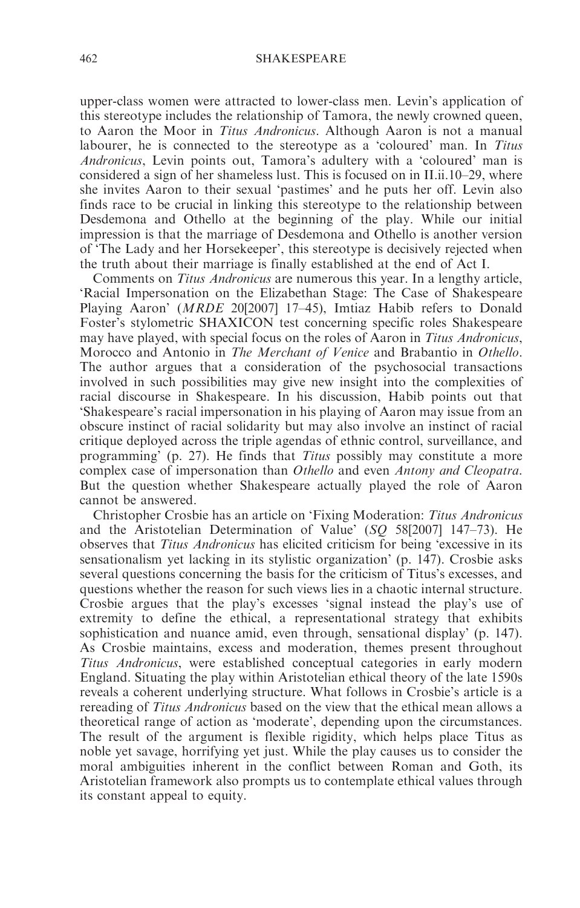upper-class women were attracted to lower-class men. Levin's application of this stereotype includes the relationship of Tamora, the newly crowned queen, to Aaron the Moor in Titus Andronicus. Although Aaron is not a manual labourer, he is connected to the stereotype as a 'coloured' man. In Titus Andronicus, Levin points out, Tamora's adultery with a 'coloured' man is considered a sign of her shameless lust. This is focused on in II.ii.10–29, where she invites Aaron to their sexual 'pastimes' and he puts her off. Levin also finds race to be crucial in linking this stereotype to the relationship between Desdemona and Othello at the beginning of the play. While our initial impression is that the marriage of Desdemona and Othello is another version of 'The Lady and her Horsekeeper', this stereotype is decisively rejected when the truth about their marriage is finally established at the end of Act I.

Comments on Titus Andronicus are numerous this year. In a lengthy article, 'Racial Impersonation on the Elizabethan Stage: The Case of Shakespeare Playing Aaron' (MRDE 20[2007] 17–45), Imtiaz Habib refers to Donald Foster's stylometric SHAXICON test concerning specific roles Shakespeare may have played, with special focus on the roles of Aaron in Titus Andronicus, Morocco and Antonio in The Merchant of Venice and Brabantio in Othello. The author argues that a consideration of the psychosocial transactions involved in such possibilities may give new insight into the complexities of racial discourse in Shakespeare. In his discussion, Habib points out that 'Shakespeare's racial impersonation in his playing of Aaron may issue from an obscure instinct of racial solidarity but may also involve an instinct of racial critique deployed across the triple agendas of ethnic control, surveillance, and programming' (p. 27). He finds that Titus possibly may constitute a more complex case of impersonation than Othello and even Antony and Cleopatra. But the question whether Shakespeare actually played the role of Aaron cannot be answered.

Christopher Crosbie has an article on 'Fixing Moderation: Titus Andronicus and the Aristotelian Determination of Value' (SQ 58[2007] 147–73). He observes that Titus Andronicus has elicited criticism for being 'excessive in its sensationalism yet lacking in its stylistic organization' (p. 147). Crosbie asks several questions concerning the basis for the criticism of Titus's excesses, and questions whether the reason for such views lies in a chaotic internal structure. Crosbie argues that the play's excesses 'signal instead the play's use of extremity to define the ethical, a representational strategy that exhibits sophistication and nuance amid, even through, sensational display' (p. 147). As Crosbie maintains, excess and moderation, themes present throughout Titus Andronicus, were established conceptual categories in early modern England. Situating the play within Aristotelian ethical theory of the late 1590s reveals a coherent underlying structure. What follows in Crosbie's article is a rereading of Titus Andronicus based on the view that the ethical mean allows a theoretical range of action as 'moderate', depending upon the circumstances. The result of the argument is flexible rigidity, which helps place Titus as noble yet savage, horrifying yet just. While the play causes us to consider the moral ambiguities inherent in the conflict between Roman and Goth, its Aristotelian framework also prompts us to contemplate ethical values through its constant appeal to equity.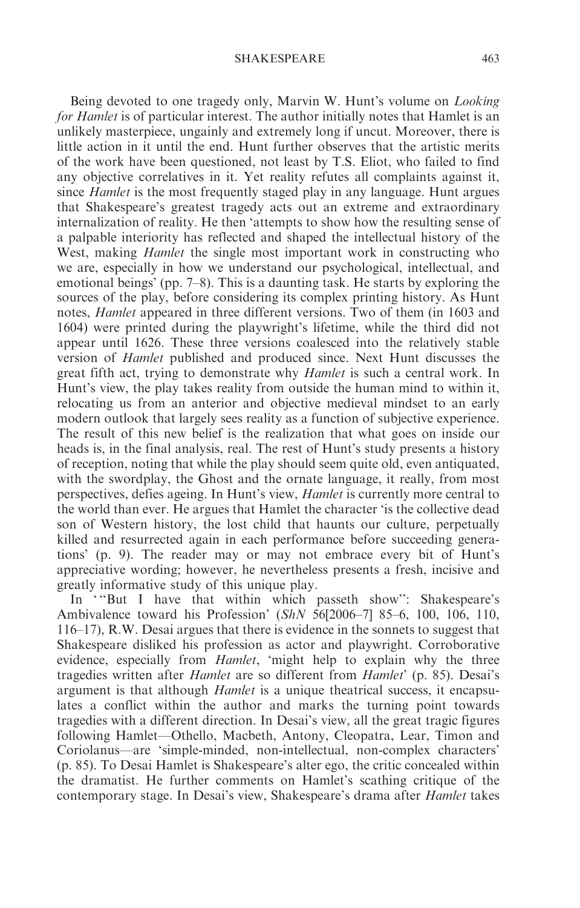Being devoted to one tragedy only, Marvin W. Hunt's volume on *Looking* for Hamlet is of particular interest. The author initially notes that Hamlet is an unlikely masterpiece, ungainly and extremely long if uncut. Moreover, there is little action in it until the end. Hunt further observes that the artistic merits of the work have been questioned, not least by T.S. Eliot, who failed to find any objective correlatives in it. Yet reality refutes all complaints against it, since *Hamlet* is the most frequently staged play in any language. Hunt argues that Shakespeare's greatest tragedy acts out an extreme and extraordinary internalization of reality. He then 'attempts to show how the resulting sense of a palpable interiority has reflected and shaped the intellectual history of the West, making *Hamlet* the single most important work in constructing who we are, especially in how we understand our psychological, intellectual, and emotional beings' (pp.  $7-8$ ). This is a daunting task. He starts by exploring the sources of the play, before considering its complex printing history. As Hunt notes, Hamlet appeared in three different versions. Two of them (in 1603 and 1604) were printed during the playwright's lifetime, while the third did not appear until 1626. These three versions coalesced into the relatively stable version of Hamlet published and produced since. Next Hunt discusses the great fifth act, trying to demonstrate why Hamlet is such a central work. In Hunt's view, the play takes reality from outside the human mind to within it, relocating us from an anterior and objective medieval mindset to an early modern outlook that largely sees reality as a function of subjective experience. The result of this new belief is the realization that what goes on inside our heads is, in the final analysis, real. The rest of Hunt's study presents a history of reception, noting that while the play should seem quite old, even antiquated, with the swordplay, the Ghost and the ornate language, it really, from most perspectives, defies ageing. In Hunt's view, Hamlet is currently more central to the world than ever. He argues that Hamlet the character 'is the collective dead son of Western history, the lost child that haunts our culture, perpetually killed and resurrected again in each performance before succeeding generations' (p. 9). The reader may or may not embrace every bit of Hunt's appreciative wording; however, he nevertheless presents a fresh, incisive and greatly informative study of this unique play.

In '"But I have that within which passeth show": Shakespeare's Ambivalence toward his Profession' (ShN 56[2006–7] 85–6, 100, 106, 110, 116–17), R.W. Desai argues that there is evidence in the sonnets to suggest that Shakespeare disliked his profession as actor and playwright. Corroborative evidence, especially from *Hamlet*, 'might help to explain why the three tragedies written after Hamlet are so different from Hamlet' (p. 85). Desai's argument is that although Hamlet is a unique theatrical success, it encapsulates a conflict within the author and marks the turning point towards tragedies with a different direction. In Desai's view, all the great tragic figures following Hamlet—Othello, Macbeth, Antony, Cleopatra, Lear, Timon and Coriolanus—are 'simple-minded, non-intellectual, non-complex characters' (p. 85). To Desai Hamlet is Shakespeare's alter ego, the critic concealed within the dramatist. He further comments on Hamlet's scathing critique of the contemporary stage. In Desai's view, Shakespeare's drama after *Hamlet* takes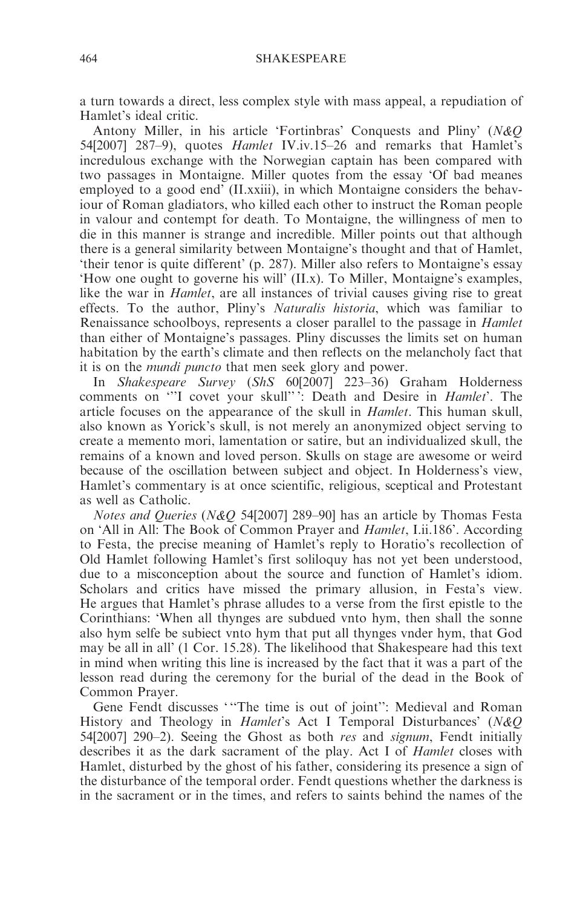a turn towards a direct, less complex style with mass appeal, a repudiation of Hamlet's ideal critic.

Antony Miller, in his article 'Fortinbras' Conquests and Pliny' (N&Q 54[2007] 287–9), quotes Hamlet IV.iv.15–26 and remarks that Hamlet's incredulous exchange with the Norwegian captain has been compared with two passages in Montaigne. Miller quotes from the essay 'Of bad meanes employed to a good end' (II.xxiii), in which Montaigne considers the behaviour of Roman gladiators, who killed each other to instruct the Roman people in valour and contempt for death. To Montaigne, the willingness of men to die in this manner is strange and incredible. Miller points out that although there is a general similarity between Montaigne's thought and that of Hamlet, 'their tenor is quite different' (p. 287). Miller also refers to Montaigne's essay 'How one ought to governe his will' (II.x). To Miller, Montaigne's examples, like the war in *Hamlet*, are all instances of trivial causes giving rise to great effects. To the author, Pliny's Naturalis historia, which was familiar to Renaissance schoolboys, represents a closer parallel to the passage in Hamlet than either of Montaigne's passages. Pliny discusses the limits set on human habitation by the earth's climate and then reflects on the melancholy fact that it is on the mundi puncto that men seek glory and power.

In Shakespeare Survey (ShS 60[2007] 223–36) Graham Holderness comments on "'I covet your skull"": Death and Desire in *Hamlet'*. The article focuses on the appearance of the skull in Hamlet. This human skull, also known as Yorick's skull, is not merely an anonymized object serving to create a memento mori, lamentation or satire, but an individualized skull, the remains of a known and loved person. Skulls on stage are awesome or weird because of the oscillation between subject and object. In Holderness's view, Hamlet's commentary is at once scientific, religious, sceptical and Protestant as well as Catholic.

Notes and Queries (N&Q 54[2007] 289–90] has an article by Thomas Festa on 'All in All: The Book of Common Prayer and Hamlet, I.ii.186'. According to Festa, the precise meaning of Hamlet's reply to Horatio's recollection of Old Hamlet following Hamlet's first soliloquy has not yet been understood, due to a misconception about the source and function of Hamlet's idiom. Scholars and critics have missed the primary allusion, in Festa's view. He argues that Hamlet's phrase alludes to a verse from the first epistle to the Corinthians: 'When all thynges are subdued vnto hym, then shall the sonne also hym selfe be subiect vnto hym that put all thynges vnder hym, that God may be all in all' (1 Cor. 15.28). The likelihood that Shakespeare had this text in mind when writing this line is increased by the fact that it was a part of the lesson read during the ceremony for the burial of the dead in the Book of Common Prayer.

Gene Fendt discusses "The time is out of joint": Medieval and Roman History and Theology in *Hamlet's* Act I Temporal Disturbances' ( $N\&O$ 54[2007] 290–2). Seeing the Ghost as both res and signum, Fendt initially describes it as the dark sacrament of the play. Act I of Hamlet closes with Hamlet, disturbed by the ghost of his father, considering its presence a sign of the disturbance of the temporal order. Fendt questions whether the darkness is in the sacrament or in the times, and refers to saints behind the names of the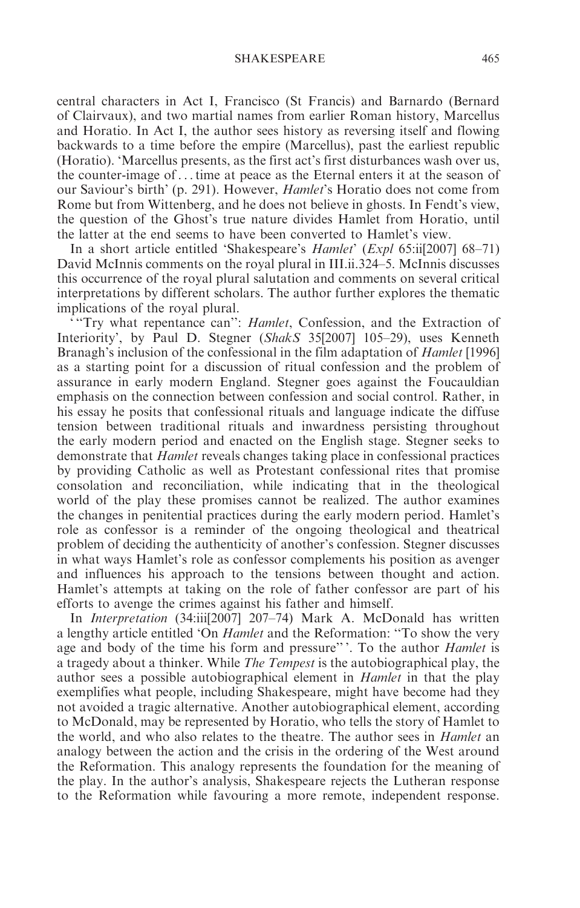central characters in Act I, Francisco (St Francis) and Barnardo (Bernard of Clairvaux), and two martial names from earlier Roman history, Marcellus and Horatio. In Act I, the author sees history as reversing itself and flowing backwards to a time before the empire (Marcellus), past the earliest republic (Horatio). 'Marcellus presents, as the first act's first disturbances wash over us, the counter-image of ...time at peace as the Eternal enters it at the season of our Saviour's birth' (p. 291). However, Hamlet's Horatio does not come from Rome but from Wittenberg, and he does not believe in ghosts. In Fendt's view, the question of the Ghost's true nature divides Hamlet from Horatio, until the latter at the end seems to have been converted to Hamlet's view.

In a short article entitled 'Shakespeare's Hamlet' (Expl 65:ii[2007] 68–71) David McInnis comments on the royal plural in III.ii.324–5. McInnis discusses this occurrence of the royal plural salutation and comments on several critical interpretations by different scholars. The author further explores the thematic implications of the royal plural.

 $\cdot$  "Try what repentance can": *Hamlet*, Confession, and the Extraction of Interiority', by Paul D. Stegner (ShakS 35[2007] 105–29), uses Kenneth Branagh's inclusion of the confessional in the film adaptation of Hamlet [1996] as a starting point for a discussion of ritual confession and the problem of assurance in early modern England. Stegner goes against the Foucauldian emphasis on the connection between confession and social control. Rather, in his essay he posits that confessional rituals and language indicate the diffuse tension between traditional rituals and inwardness persisting throughout the early modern period and enacted on the English stage. Stegner seeks to demonstrate that Hamlet reveals changes taking place in confessional practices by providing Catholic as well as Protestant confessional rites that promise consolation and reconciliation, while indicating that in the theological world of the play these promises cannot be realized. The author examines the changes in penitential practices during the early modern period. Hamlet's role as confessor is a reminder of the ongoing theological and theatrical problem of deciding the authenticity of another's confession. Stegner discusses in what ways Hamlet's role as confessor complements his position as avenger and influences his approach to the tensions between thought and action. Hamlet's attempts at taking on the role of father confessor are part of his efforts to avenge the crimes against his father and himself.

In Interpretation (34:iii[2007] 207–74) Mark A. McDonald has written a lengthy article entitled 'On Hamlet and the Reformation: ''To show the very age and body of the time his form and pressure"'. To the author *Hamlet* is a tragedy about a thinker. While The Tempest is the autobiographical play, the author sees a possible autobiographical element in Hamlet in that the play exemplifies what people, including Shakespeare, might have become had they not avoided a tragic alternative. Another autobiographical element, according to McDonald, may be represented by Horatio, who tells the story of Hamlet to the world, and who also relates to the theatre. The author sees in Hamlet an analogy between the action and the crisis in the ordering of the West around the Reformation. This analogy represents the foundation for the meaning of the play. In the author's analysis, Shakespeare rejects the Lutheran response to the Reformation while favouring a more remote, independent response.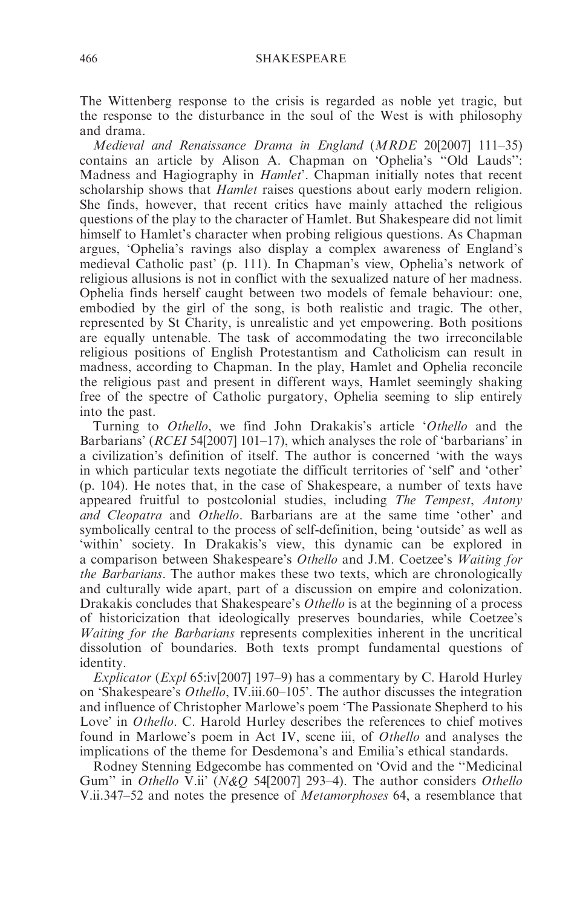The Wittenberg response to the crisis is regarded as noble yet tragic, but the response to the disturbance in the soul of the West is with philosophy and drama.

Medieval and Renaissance Drama in England (MRDE 20[2007] 111–35) contains an article by Alison A. Chapman on 'Ophelia's ''Old Lauds'': Madness and Hagiography in Hamlet'. Chapman initially notes that recent scholarship shows that *Hamlet* raises questions about early modern religion. She finds, however, that recent critics have mainly attached the religious questions of the play to the character of Hamlet. But Shakespeare did not limit himself to Hamlet's character when probing religious questions. As Chapman argues, 'Ophelia's ravings also display a complex awareness of England's medieval Catholic past' (p. 111). In Chapman's view, Ophelia's network of religious allusions is not in conflict with the sexualized nature of her madness. Ophelia finds herself caught between two models of female behaviour: one, embodied by the girl of the song, is both realistic and tragic. The other, represented by St Charity, is unrealistic and yet empowering. Both positions are equally untenable. The task of accommodating the two irreconcilable religious positions of English Protestantism and Catholicism can result in madness, according to Chapman. In the play, Hamlet and Ophelia reconcile the religious past and present in different ways, Hamlet seemingly shaking free of the spectre of Catholic purgatory, Ophelia seeming to slip entirely into the past.

Turning to Othello, we find John Drakakis's article 'Othello and the Barbarians' (*RCEI* 54[2007] 101–17), which analyses the role of 'barbarians' in a civilization's definition of itself. The author is concerned 'with the ways in which particular texts negotiate the difficult territories of 'self' and 'other' (p. 104). He notes that, in the case of Shakespeare, a number of texts have appeared fruitful to postcolonial studies, including The Tempest, Antony and Cleopatra and Othello. Barbarians are at the same time 'other' and symbolically central to the process of self-definition, being 'outside' as well as 'within' society. In Drakakis's view, this dynamic can be explored in a comparison between Shakespeare's Othello and J.M. Coetzee's Waiting for the Barbarians. The author makes these two texts, which are chronologically and culturally wide apart, part of a discussion on empire and colonization. Drakakis concludes that Shakespeare's *Othello* is at the beginning of a process of historicization that ideologically preserves boundaries, while Coetzee's Waiting for the Barbarians represents complexities inherent in the uncritical dissolution of boundaries. Both texts prompt fundamental questions of identity.

Explicator (Expl 65:iv[2007] 197–9) has a commentary by C. Harold Hurley on 'Shakespeare's Othello, IV.iii.60–105'. The author discusses the integration and influence of Christopher Marlowe's poem 'The Passionate Shepherd to his Love' in Othello. C. Harold Hurley describes the references to chief motives found in Marlowe's poem in Act IV, scene iii, of Othello and analyses the implications of the theme for Desdemona's and Emilia's ethical standards.

Rodney Stenning Edgecombe has commented on 'Ovid and the ''Medicinal Gum" in *Othello V.ii' (N&Q 54*[2007] 293-4). The author considers *Othello* V.ii.347–52 and notes the presence of Metamorphoses 64, a resemblance that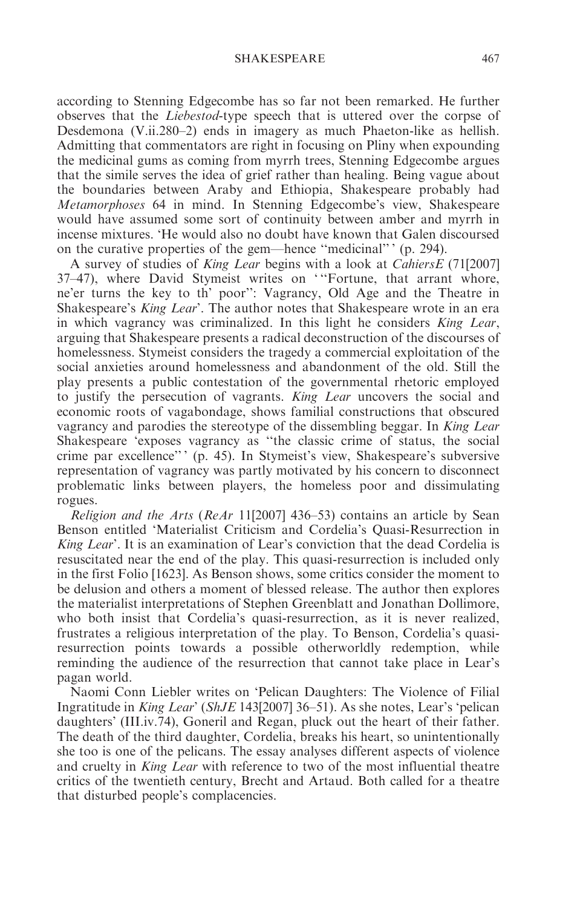according to Stenning Edgecombe has so far not been remarked. He further observes that the Liebestod-type speech that is uttered over the corpse of Desdemona (V.ii.280–2) ends in imagery as much Phaeton-like as hellish. Admitting that commentators are right in focusing on Pliny when expounding the medicinal gums as coming from myrrh trees, Stenning Edgecombe argues that the simile serves the idea of grief rather than healing. Being vague about the boundaries between Araby and Ethiopia, Shakespeare probably had Metamorphoses 64 in mind. In Stenning Edgecombe's view, Shakespeare would have assumed some sort of continuity between amber and myrrh in incense mixtures. 'He would also no doubt have known that Galen discoursed on the curative properties of the gem—hence ''medicinal'' ' (p. 294).

A survey of studies of King Lear begins with a look at CahiersE (71[2007] 37–47), where David Stymeist writes on "Fortune, that arrant whore, ne'er turns the key to th' poor'': Vagrancy, Old Age and the Theatre in Shakespeare's King Lear'. The author notes that Shakespeare wrote in an era in which vagrancy was criminalized. In this light he considers King Lear, arguing that Shakespeare presents a radical deconstruction of the discourses of homelessness. Stymeist considers the tragedy a commercial exploitation of the social anxieties around homelessness and abandonment of the old. Still the play presents a public contestation of the governmental rhetoric employed to justify the persecution of vagrants. King Lear uncovers the social and economic roots of vagabondage, shows familial constructions that obscured vagrancy and parodies the stereotype of the dissembling beggar. In King Lear Shakespeare 'exposes vagrancy as ''the classic crime of status, the social crime par excellence'' ' (p. 45). In Stymeist's view, Shakespeare's subversive representation of vagrancy was partly motivated by his concern to disconnect problematic links between players, the homeless poor and dissimulating rogues.

Religion and the Arts (ReAr 11[2007] 436–53) contains an article by Sean Benson entitled 'Materialist Criticism and Cordelia's Quasi-Resurrection in King Lear'. It is an examination of Lear's conviction that the dead Cordelia is resuscitated near the end of the play. This quasi-resurrection is included only in the first Folio [1623]. As Benson shows, some critics consider the moment to be delusion and others a moment of blessed release. The author then explores the materialist interpretations of Stephen Greenblatt and Jonathan Dollimore, who both insist that Cordelia's quasi-resurrection, as it is never realized, frustrates a religious interpretation of the play. To Benson, Cordelia's quasiresurrection points towards a possible otherworldly redemption, while reminding the audience of the resurrection that cannot take place in Lear's pagan world.

Naomi Conn Liebler writes on 'Pelican Daughters: The Violence of Filial Ingratitude in King Lear' (ShJE 143[2007] 36–51). As she notes, Lear's 'pelican daughters' (III.iv.74), Goneril and Regan, pluck out the heart of their father. The death of the third daughter, Cordelia, breaks his heart, so unintentionally she too is one of the pelicans. The essay analyses different aspects of violence and cruelty in King Lear with reference to two of the most influential theatre critics of the twentieth century, Brecht and Artaud. Both called for a theatre that disturbed people's complacencies.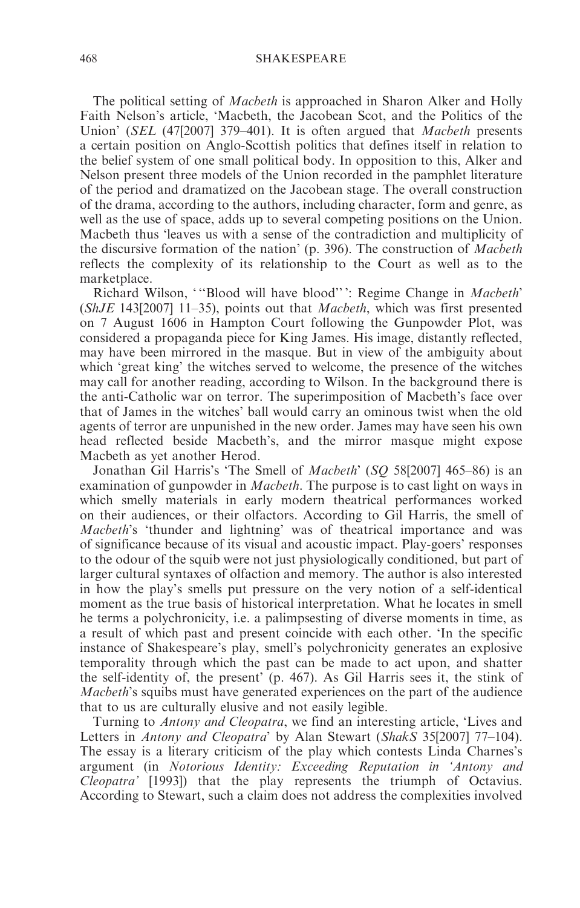The political setting of *Macbeth* is approached in Sharon Alker and Holly Faith Nelson's article, 'Macbeth, the Jacobean Scot, and the Politics of the Union' (SEL (47[2007] 379–401). It is often argued that *Macbeth* presents a certain position on Anglo-Scottish politics that defines itself in relation to the belief system of one small political body. In opposition to this, Alker and Nelson present three models of the Union recorded in the pamphlet literature of the period and dramatized on the Jacobean stage. The overall construction of the drama, according to the authors, including character, form and genre, as well as the use of space, adds up to several competing positions on the Union. Macbeth thus 'leaves us with a sense of the contradiction and multiplicity of the discursive formation of the nation' (p. 396). The construction of Macbeth reflects the complexity of its relationship to the Court as well as to the marketplace.

Richard Wilson, "Blood will have blood"': Regime Change in Macbeth'  $(ShJE 143[2007] 11–35)$ , points out that *Macbeth*, which was first presented on 7 August 1606 in Hampton Court following the Gunpowder Plot, was considered a propaganda piece for King James. His image, distantly reflected, may have been mirrored in the masque. But in view of the ambiguity about which 'great king' the witches served to welcome, the presence of the witches may call for another reading, according to Wilson. In the background there is the anti-Catholic war on terror. The superimposition of Macbeth's face over that of James in the witches' ball would carry an ominous twist when the old agents of terror are unpunished in the new order. James may have seen his own head reflected beside Macbeth's, and the mirror masque might expose Macbeth as yet another Herod.

Jonathan Gil Harris's 'The Smell of *Macbeth*' (SO 58[2007] 465–86) is an examination of gunpowder in Macbeth. The purpose is to cast light on ways in which smelly materials in early modern theatrical performances worked on their audiences, or their olfactors. According to Gil Harris, the smell of Macbeth's 'thunder and lightning' was of theatrical importance and was of significance because of its visual and acoustic impact. Play-goers' responses to the odour of the squib were not just physiologically conditioned, but part of larger cultural syntaxes of olfaction and memory. The author is also interested in how the play's smells put pressure on the very notion of a self-identical moment as the true basis of historical interpretation. What he locates in smell he terms a polychronicity, i.e. a palimpsesting of diverse moments in time, as a result of which past and present coincide with each other. 'In the specific instance of Shakespeare's play, smell's polychronicity generates an explosive temporality through which the past can be made to act upon, and shatter the self-identity of, the present' (p. 467). As Gil Harris sees it, the stink of Macbeth's squibs must have generated experiences on the part of the audience that to us are culturally elusive and not easily legible.

Turning to Antony and Cleopatra, we find an interesting article, 'Lives and Letters in Antony and Cleopatra' by Alan Stewart (ShakS 35[2007] 77-104). The essay is a literary criticism of the play which contests Linda Charnes's argument (in Notorious Identity: Exceeding Reputation in 'Antony and Cleopatra' [1993]) that the play represents the triumph of Octavius. According to Stewart, such a claim does not address the complexities involved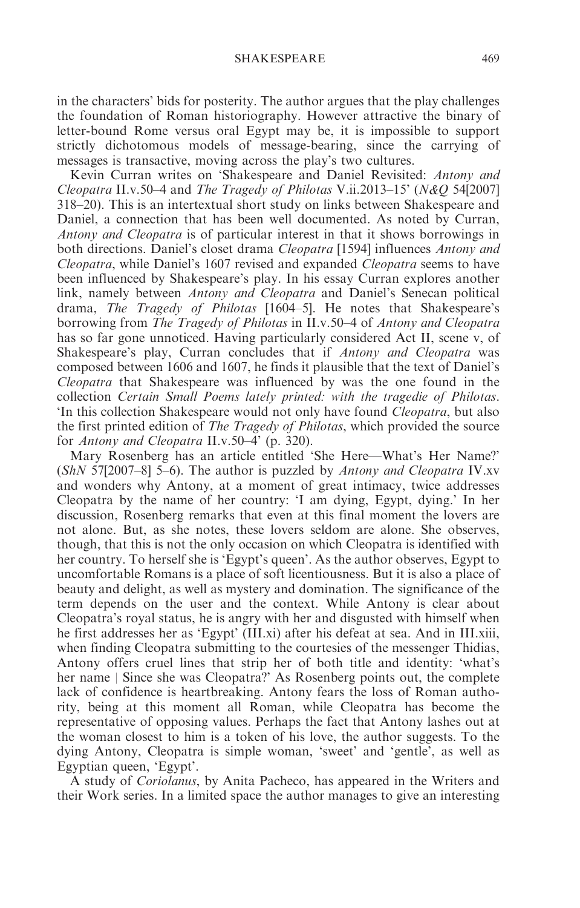in the characters' bids for posterity. The author argues that the play challenges the foundation of Roman historiography. However attractive the binary of letter-bound Rome versus oral Egypt may be, it is impossible to support strictly dichotomous models of message-bearing, since the carrying of messages is transactive, moving across the play's two cultures.

Kevin Curran writes on 'Shakespeare and Daniel Revisited: Antony and Cleopatra II.v.50–4 and The Tragedy of Philotas V.ii.2013–15' (N&O 54[2007] 318–20). This is an intertextual short study on links between Shakespeare and Daniel, a connection that has been well documented. As noted by Curran, Antony and Cleopatra is of particular interest in that it shows borrowings in both directions. Daniel's closet drama Cleopatra [1594] influences Antony and Cleopatra, while Daniel's 1607 revised and expanded Cleopatra seems to have been influenced by Shakespeare's play. In his essay Curran explores another link, namely between Antony and Cleopatra and Daniel's Senecan political drama, The Tragedy of Philotas [1604-5]. He notes that Shakespeare's borrowing from The Tragedy of Philotas in II.v.50–4 of Antony and Cleopatra has so far gone unnoticed. Having particularly considered Act II, scene v, of Shakespeare's play, Curran concludes that if *Antony and Cleopatra* was composed between 1606 and 1607, he finds it plausible that the text of Daniel's Cleopatra that Shakespeare was influenced by was the one found in the collection Certain Small Poems lately printed: with the tragedie of Philotas. 'In this collection Shakespeare would not only have found Cleopatra, but also the first printed edition of The Tragedy of Philotas, which provided the source for Antony and Cleopatra II.v.50–4' (p. 320).

Mary Rosenberg has an article entitled 'She Here—What's Her Name?'  $(ShN 57[2007–8] 5–6)$ . The author is puzzled by Antony and Cleopatra IV.xv and wonders why Antony, at a moment of great intimacy, twice addresses Cleopatra by the name of her country: 'I am dying, Egypt, dying.' In her discussion, Rosenberg remarks that even at this final moment the lovers are not alone. But, as she notes, these lovers seldom are alone. She observes, though, that this is not the only occasion on which Cleopatra is identified with her country. To herself she is 'Egypt's queen'. As the author observes, Egypt to uncomfortable Romans is a place of soft licentiousness. But it is also a place of beauty and delight, as well as mystery and domination. The significance of the term depends on the user and the context. While Antony is clear about Cleopatra's royal status, he is angry with her and disgusted with himself when he first addresses her as 'Egypt' (III.xi) after his defeat at sea. And in III.xiii, when finding Cleopatra submitting to the courtesies of the messenger Thidias, Antony offers cruel lines that strip her of both title and identity: 'what's her name | Since she was Cleopatra?' As Rosenberg points out, the complete lack of confidence is heartbreaking. Antony fears the loss of Roman authority, being at this moment all Roman, while Cleopatra has become the representative of opposing values. Perhaps the fact that Antony lashes out at the woman closest to him is a token of his love, the author suggests. To the dying Antony, Cleopatra is simple woman, 'sweet' and 'gentle', as well as Egyptian queen, 'Egypt'.

A study of Coriolanus, by Anita Pacheco, has appeared in the Writers and their Work series. In a limited space the author manages to give an interesting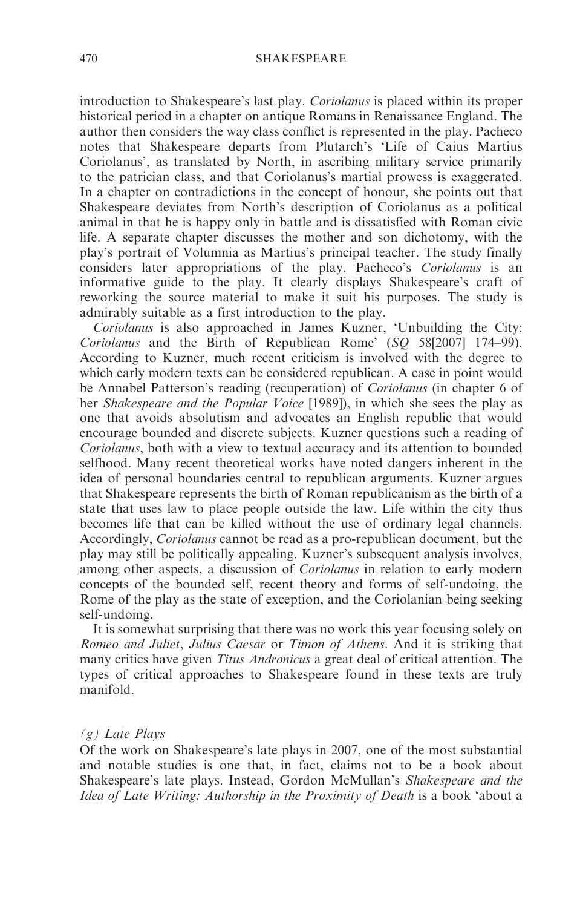introduction to Shakespeare's last play. Coriolanus is placed within its proper historical period in a chapter on antique Romans in Renaissance England. The author then considers the way class conflict is represented in the play. Pacheco notes that Shakespeare departs from Plutarch's 'Life of Caius Martius Coriolanus', as translated by North, in ascribing military service primarily to the patrician class, and that Coriolanus's martial prowess is exaggerated. In a chapter on contradictions in the concept of honour, she points out that Shakespeare deviates from North's description of Coriolanus as a political animal in that he is happy only in battle and is dissatisfied with Roman civic life. A separate chapter discusses the mother and son dichotomy, with the play's portrait of Volumnia as Martius's principal teacher. The study finally considers later appropriations of the play. Pacheco's Coriolanus is an informative guide to the play. It clearly displays Shakespeare's craft of reworking the source material to make it suit his purposes. The study is admirably suitable as a first introduction to the play.

Coriolanus is also approached in James Kuzner, 'Unbuilding the City: Coriolanus and the Birth of Republican Rome' (SO 58[2007] 174–99). According to Kuzner, much recent criticism is involved with the degree to which early modern texts can be considered republican. A case in point would be Annabel Patterson's reading (recuperation) of Coriolanus (in chapter 6 of her Shakespeare and the Popular Voice [1989]), in which she sees the play as one that avoids absolutism and advocates an English republic that would encourage bounded and discrete subjects. Kuzner questions such a reading of Coriolanus, both with a view to textual accuracy and its attention to bounded selfhood. Many recent theoretical works have noted dangers inherent in the idea of personal boundaries central to republican arguments. Kuzner argues that Shakespeare represents the birth of Roman republicanism as the birth of a state that uses law to place people outside the law. Life within the city thus becomes life that can be killed without the use of ordinary legal channels. Accordingly, Coriolanus cannot be read as a pro-republican document, but the play may still be politically appealing. Kuzner's subsequent analysis involves, among other aspects, a discussion of Coriolanus in relation to early modern concepts of the bounded self, recent theory and forms of self-undoing, the Rome of the play as the state of exception, and the Coriolanian being seeking self-undoing.

It is somewhat surprising that there was no work this year focusing solely on Romeo and Juliet, Julius Caesar or Timon of Athens. And it is striking that many critics have given Titus Andronicus a great deal of critical attention. The types of critical approaches to Shakespeare found in these texts are truly manifold.

# (g) Late Plays

Of the work on Shakespeare's late plays in 2007, one of the most substantial and notable studies is one that, in fact, claims not to be a book about Shakespeare's late plays. Instead, Gordon McMullan's Shakespeare and the Idea of Late Writing: Authorship in the Proximity of Death is a book 'about a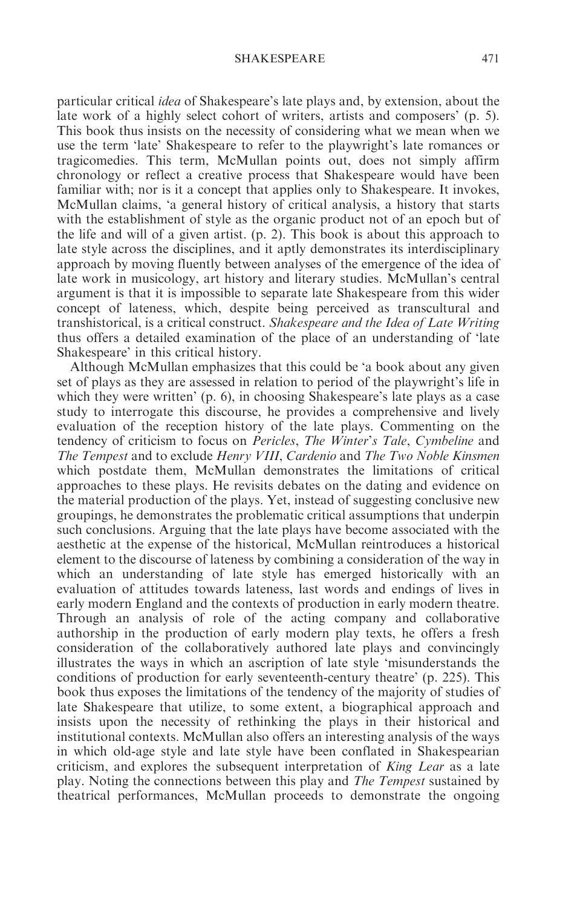particular critical idea of Shakespeare's late plays and, by extension, about the late work of a highly select cohort of writers, artists and composers' (p. 5). This book thus insists on the necessity of considering what we mean when we use the term 'late' Shakespeare to refer to the playwright's late romances or tragicomedies. This term, McMullan points out, does not simply affirm chronology or reflect a creative process that Shakespeare would have been familiar with; nor is it a concept that applies only to Shakespeare. It invokes, McMullan claims, 'a general history of critical analysis, a history that starts with the establishment of style as the organic product not of an epoch but of the life and will of a given artist. (p. 2). This book is about this approach to late style across the disciplines, and it aptly demonstrates its interdisciplinary approach by moving fluently between analyses of the emergence of the idea of late work in musicology, art history and literary studies. McMullan's central argument is that it is impossible to separate late Shakespeare from this wider concept of lateness, which, despite being perceived as transcultural and transhistorical, is a critical construct. Shakespeare and the Idea of Late Writing thus offers a detailed examination of the place of an understanding of 'late Shakespeare' in this critical history.

Although McMullan emphasizes that this could be 'a book about any given set of plays as they are assessed in relation to period of the playwright's life in which they were written' (p. 6), in choosing Shakespeare's late plays as a case study to interrogate this discourse, he provides a comprehensive and lively evaluation of the reception history of the late plays. Commenting on the tendency of criticism to focus on Pericles, The Winter's Tale, Cymbeline and The Tempest and to exclude Henry VIII, Cardenio and The Two Noble Kinsmen which postdate them, McMullan demonstrates the limitations of critical approaches to these plays. He revisits debates on the dating and evidence on the material production of the plays. Yet, instead of suggesting conclusive new groupings, he demonstrates the problematic critical assumptions that underpin such conclusions. Arguing that the late plays have become associated with the aesthetic at the expense of the historical, McMullan reintroduces a historical element to the discourse of lateness by combining a consideration of the way in which an understanding of late style has emerged historically with an evaluation of attitudes towards lateness, last words and endings of lives in early modern England and the contexts of production in early modern theatre. Through an analysis of role of the acting company and collaborative authorship in the production of early modern play texts, he offers a fresh consideration of the collaboratively authored late plays and convincingly illustrates the ways in which an ascription of late style 'misunderstands the conditions of production for early seventeenth-century theatre' (p. 225). This book thus exposes the limitations of the tendency of the majority of studies of late Shakespeare that utilize, to some extent, a biographical approach and insists upon the necessity of rethinking the plays in their historical and institutional contexts. McMullan also offers an interesting analysis of the ways in which old-age style and late style have been conflated in Shakespearian criticism, and explores the subsequent interpretation of King Lear as a late play. Noting the connections between this play and The Tempest sustained by theatrical performances, McMullan proceeds to demonstrate the ongoing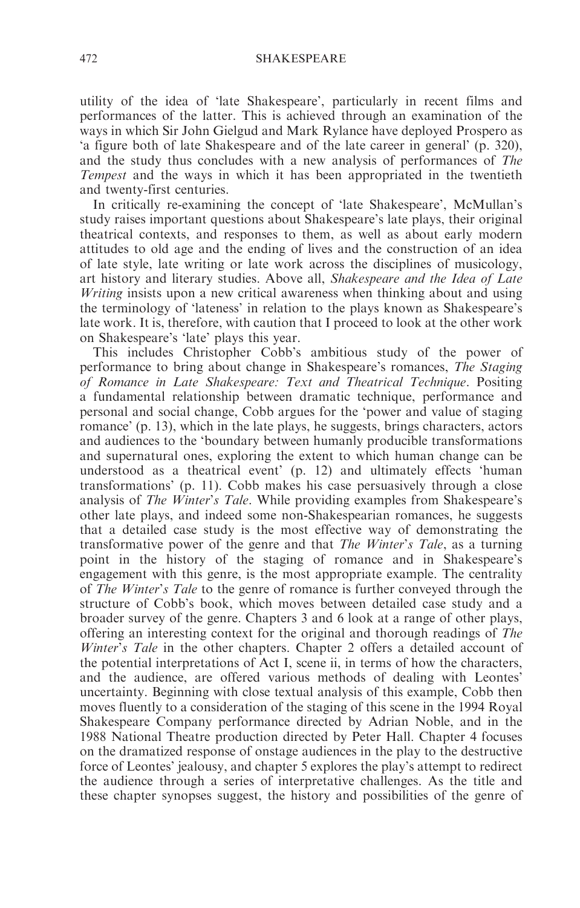utility of the idea of 'late Shakespeare', particularly in recent films and performances of the latter. This is achieved through an examination of the ways in which Sir John Gielgud and Mark Rylance have deployed Prospero as 'a figure both of late Shakespeare and of the late career in general' (p. 320), and the study thus concludes with a new analysis of performances of The Tempest and the ways in which it has been appropriated in the twentieth and twenty-first centuries.

In critically re-examining the concept of 'late Shakespeare', McMullan's study raises important questions about Shakespeare's late plays, their original theatrical contexts, and responses to them, as well as about early modern attitudes to old age and the ending of lives and the construction of an idea of late style, late writing or late work across the disciplines of musicology, art history and literary studies. Above all, Shakespeare and the Idea of Late Writing insists upon a new critical awareness when thinking about and using the terminology of 'lateness' in relation to the plays known as Shakespeare's late work. It is, therefore, with caution that I proceed to look at the other work on Shakespeare's 'late' plays this year.

This includes Christopher Cobb's ambitious study of the power of performance to bring about change in Shakespeare's romances, The Staging of Romance in Late Shakespeare: Text and Theatrical Technique. Positing a fundamental relationship between dramatic technique, performance and personal and social change, Cobb argues for the 'power and value of staging romance' (p. 13), which in the late plays, he suggests, brings characters, actors and audiences to the 'boundary between humanly producible transformations and supernatural ones, exploring the extent to which human change can be understood as a theatrical event' (p. 12) and ultimately effects 'human transformations' (p. 11). Cobb makes his case persuasively through a close analysis of The Winter's Tale. While providing examples from Shakespeare's other late plays, and indeed some non-Shakespearian romances, he suggests that a detailed case study is the most effective way of demonstrating the transformative power of the genre and that The Winter's Tale, as a turning point in the history of the staging of romance and in Shakespeare's engagement with this genre, is the most appropriate example. The centrality of The Winter's Tale to the genre of romance is further conveyed through the structure of Cobb's book, which moves between detailed case study and a broader survey of the genre. Chapters 3 and 6 look at a range of other plays, offering an interesting context for the original and thorough readings of The Winter's Tale in the other chapters. Chapter 2 offers a detailed account of the potential interpretations of Act I, scene ii, in terms of how the characters, and the audience, are offered various methods of dealing with Leontes' uncertainty. Beginning with close textual analysis of this example, Cobb then moves fluently to a consideration of the staging of this scene in the 1994 Royal Shakespeare Company performance directed by Adrian Noble, and in the 1988 National Theatre production directed by Peter Hall. Chapter 4 focuses on the dramatized response of onstage audiences in the play to the destructive force of Leontes' jealousy, and chapter 5 explores the play's attempt to redirect the audience through a series of interpretative challenges. As the title and these chapter synopses suggest, the history and possibilities of the genre of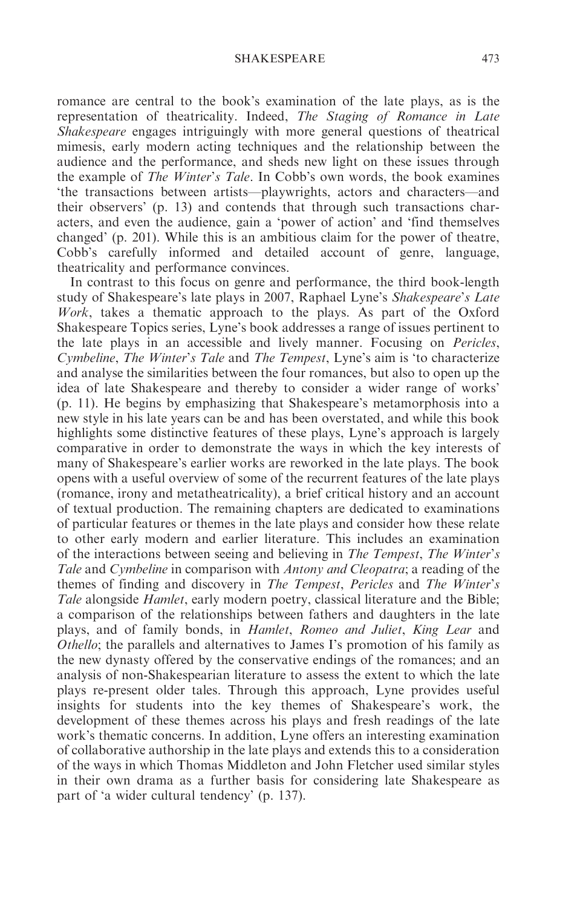romance are central to the book's examination of the late plays, as is the representation of theatricality. Indeed, The Staging of Romance in Late Shakespeare engages intriguingly with more general questions of theatrical mimesis, early modern acting techniques and the relationship between the audience and the performance, and sheds new light on these issues through the example of The Winter's Tale. In Cobb's own words, the book examines 'the transactions between artists—playwrights, actors and characters—and their observers' (p. 13) and contends that through such transactions characters, and even the audience, gain a 'power of action' and 'find themselves changed' (p. 201). While this is an ambitious claim for the power of theatre, Cobb's carefully informed and detailed account of genre, language, theatricality and performance convinces.

In contrast to this focus on genre and performance, the third book-length study of Shakespeare's late plays in 2007, Raphael Lyne's Shakespeare's Late Work, takes a thematic approach to the plays. As part of the Oxford Shakespeare Topics series, Lyne's book addresses a range of issues pertinent to the late plays in an accessible and lively manner. Focusing on Pericles, Cymbeline, The Winter's Tale and The Tempest, Lyne's aim is 'to characterize and analyse the similarities between the four romances, but also to open up the idea of late Shakespeare and thereby to consider a wider range of works' (p. 11). He begins by emphasizing that Shakespeare's metamorphosis into a new style in his late years can be and has been overstated, and while this book highlights some distinctive features of these plays, Lyne's approach is largely comparative in order to demonstrate the ways in which the key interests of many of Shakespeare's earlier works are reworked in the late plays. The book opens with a useful overview of some of the recurrent features of the late plays (romance, irony and metatheatricality), a brief critical history and an account of textual production. The remaining chapters are dedicated to examinations of particular features or themes in the late plays and consider how these relate to other early modern and earlier literature. This includes an examination of the interactions between seeing and believing in The Tempest, The Winter's Tale and Cymbeline in comparison with Antony and Cleopatra; a reading of the themes of finding and discovery in The Tempest, Pericles and The Winter's Tale alongside *Hamlet*, early modern poetry, classical literature and the Bible; a comparison of the relationships between fathers and daughters in the late plays, and of family bonds, in Hamlet, Romeo and Juliet, King Lear and Othello; the parallels and alternatives to James I's promotion of his family as the new dynasty offered by the conservative endings of the romances; and an analysis of non-Shakespearian literature to assess the extent to which the late plays re-present older tales. Through this approach, Lyne provides useful insights for students into the key themes of Shakespeare's work, the development of these themes across his plays and fresh readings of the late work's thematic concerns. In addition, Lyne offers an interesting examination of collaborative authorship in the late plays and extends this to a consideration of the ways in which Thomas Middleton and John Fletcher used similar styles in their own drama as a further basis for considering late Shakespeare as part of 'a wider cultural tendency' (p. 137).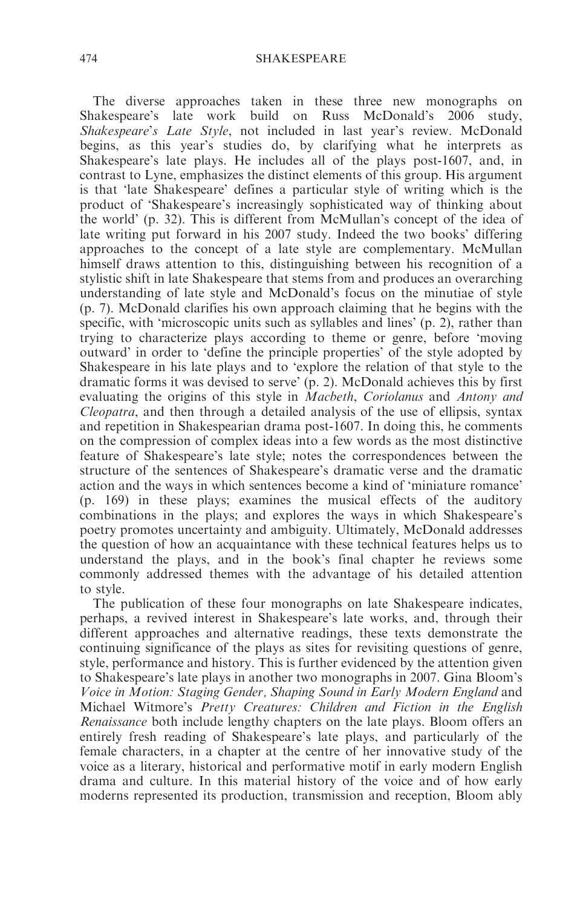The diverse approaches taken in these three new monographs on Shakespeare's late work build on Russ McDonald's 2006 study, Shakespeare's Late Style, not included in last year's review. McDonald begins, as this year's studies do, by clarifying what he interprets as Shakespeare's late plays. He includes all of the plays post-1607, and, in contrast to Lyne, emphasizes the distinct elements of this group. His argument is that 'late Shakespeare' defines a particular style of writing which is the product of 'Shakespeare's increasingly sophisticated way of thinking about the world' (p. 32). This is different from McMullan's concept of the idea of late writing put forward in his 2007 study. Indeed the two books' differing approaches to the concept of a late style are complementary. McMullan himself draws attention to this, distinguishing between his recognition of a stylistic shift in late Shakespeare that stems from and produces an overarching understanding of late style and McDonald's focus on the minutiae of style (p. 7). McDonald clarifies his own approach claiming that he begins with the specific, with 'microscopic units such as syllables and lines' (p. 2), rather than trying to characterize plays according to theme or genre, before 'moving outward' in order to 'define the principle properties' of the style adopted by Shakespeare in his late plays and to 'explore the relation of that style to the dramatic forms it was devised to serve' (p. 2). McDonald achieves this by first evaluating the origins of this style in Macbeth, Coriolanus and Antony and Cleopatra, and then through a detailed analysis of the use of ellipsis, syntax and repetition in Shakespearian drama post-1607. In doing this, he comments on the compression of complex ideas into a few words as the most distinctive feature of Shakespeare's late style; notes the correspondences between the structure of the sentences of Shakespeare's dramatic verse and the dramatic action and the ways in which sentences become a kind of 'miniature romance' (p. 169) in these plays; examines the musical effects of the auditory combinations in the plays; and explores the ways in which Shakespeare's poetry promotes uncertainty and ambiguity. Ultimately, McDonald addresses the question of how an acquaintance with these technical features helps us to understand the plays, and in the book's final chapter he reviews some commonly addressed themes with the advantage of his detailed attention to style.

The publication of these four monographs on late Shakespeare indicates, perhaps, a revived interest in Shakespeare's late works, and, through their different approaches and alternative readings, these texts demonstrate the continuing significance of the plays as sites for revisiting questions of genre, style, performance and history. This is further evidenced by the attention given to Shakespeare's late plays in another two monographs in 2007. Gina Bloom's Voice in Motion: Staging Gender, Shaping Sound in Early Modern England and Michael Witmore's Pretty Creatures: Children and Fiction in the English Renaissance both include lengthy chapters on the late plays. Bloom offers an entirely fresh reading of Shakespeare's late plays, and particularly of the female characters, in a chapter at the centre of her innovative study of the voice as a literary, historical and performative motif in early modern English drama and culture. In this material history of the voice and of how early moderns represented its production, transmission and reception, Bloom ably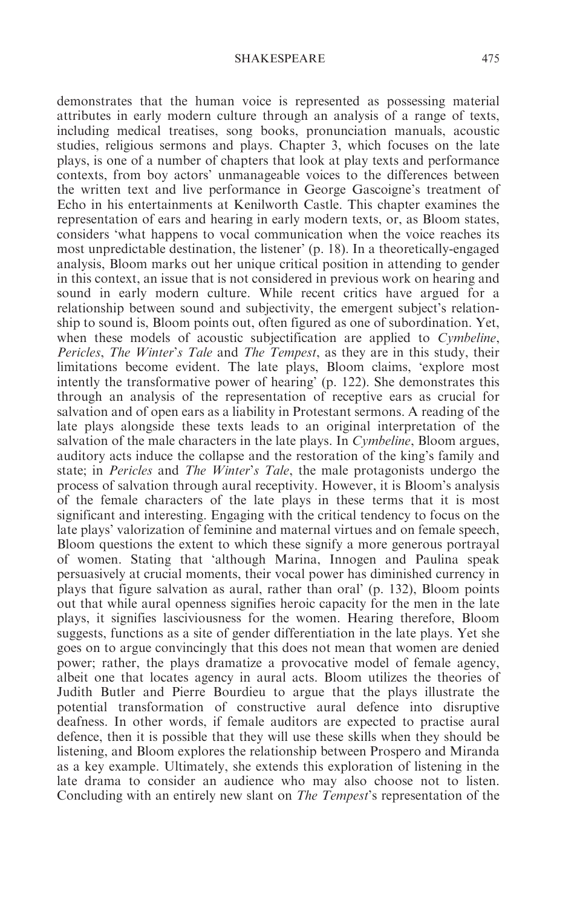demonstrates that the human voice is represented as possessing material attributes in early modern culture through an analysis of a range of texts, including medical treatises, song books, pronunciation manuals, acoustic studies, religious sermons and plays. Chapter 3, which focuses on the late plays, is one of a number of chapters that look at play texts and performance contexts, from boy actors' unmanageable voices to the differences between the written text and live performance in George Gascoigne's treatment of Echo in his entertainments at Kenilworth Castle. This chapter examines the representation of ears and hearing in early modern texts, or, as Bloom states, considers 'what happens to vocal communication when the voice reaches its most unpredictable destination, the listener' (p. 18). In a theoretically-engaged analysis, Bloom marks out her unique critical position in attending to gender in this context, an issue that is not considered in previous work on hearing and sound in early modern culture. While recent critics have argued for a relationship between sound and subjectivity, the emergent subject's relationship to sound is, Bloom points out, often figured as one of subordination. Yet, when these models of acoustic subjectification are applied to *Cymbeline*, Pericles, The Winter's Tale and The Tempest, as they are in this study, their limitations become evident. The late plays, Bloom claims, 'explore most intently the transformative power of hearing' (p. 122). She demonstrates this through an analysis of the representation of receptive ears as crucial for salvation and of open ears as a liability in Protestant sermons. A reading of the late plays alongside these texts leads to an original interpretation of the salvation of the male characters in the late plays. In Cymbeline, Bloom argues, auditory acts induce the collapse and the restoration of the king's family and state; in Pericles and The Winter's Tale, the male protagonists undergo the process of salvation through aural receptivity. However, it is Bloom's analysis of the female characters of the late plays in these terms that it is most significant and interesting. Engaging with the critical tendency to focus on the late plays' valorization of feminine and maternal virtues and on female speech, Bloom questions the extent to which these signify a more generous portrayal of women. Stating that 'although Marina, Innogen and Paulina speak persuasively at crucial moments, their vocal power has diminished currency in plays that figure salvation as aural, rather than oral' (p. 132), Bloom points out that while aural openness signifies heroic capacity for the men in the late plays, it signifies lasciviousness for the women. Hearing therefore, Bloom suggests, functions as a site of gender differentiation in the late plays. Yet she goes on to argue convincingly that this does not mean that women are denied power; rather, the plays dramatize a provocative model of female agency, albeit one that locates agency in aural acts. Bloom utilizes the theories of Judith Butler and Pierre Bourdieu to argue that the plays illustrate the potential transformation of constructive aural defence into disruptive deafness. In other words, if female auditors are expected to practise aural defence, then it is possible that they will use these skills when they should be listening, and Bloom explores the relationship between Prospero and Miranda as a key example. Ultimately, she extends this exploration of listening in the late drama to consider an audience who may also choose not to listen. Concluding with an entirely new slant on The Tempest's representation of the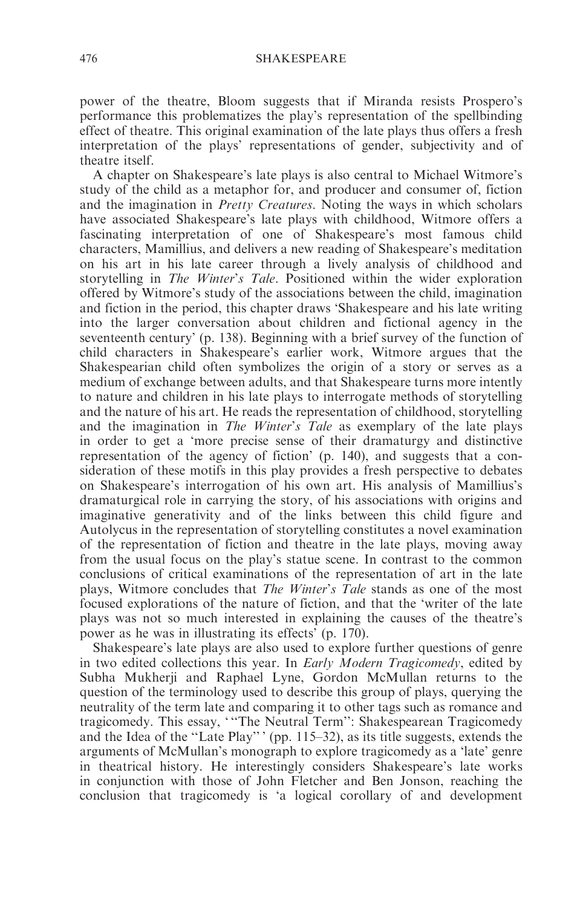power of the theatre, Bloom suggests that if Miranda resists Prospero's performance this problematizes the play's representation of the spellbinding effect of theatre. This original examination of the late plays thus offers a fresh interpretation of the plays' representations of gender, subjectivity and of theatre itself.

A chapter on Shakespeare's late plays is also central to Michael Witmore's study of the child as a metaphor for, and producer and consumer of, fiction and the imagination in *Pretty Creatures*. Noting the ways in which scholars have associated Shakespeare's late plays with childhood, Witmore offers a fascinating interpretation of one of Shakespeare's most famous child characters, Mamillius, and delivers a new reading of Shakespeare's meditation on his art in his late career through a lively analysis of childhood and storytelling in The Winter's Tale. Positioned within the wider exploration offered by Witmore's study of the associations between the child, imagination and fiction in the period, this chapter draws 'Shakespeare and his late writing into the larger conversation about children and fictional agency in the seventeenth century' (p. 138). Beginning with a brief survey of the function of child characters in Shakespeare's earlier work, Witmore argues that the Shakespearian child often symbolizes the origin of a story or serves as a medium of exchange between adults, and that Shakespeare turns more intently to nature and children in his late plays to interrogate methods of storytelling and the nature of his art. He reads the representation of childhood, storytelling and the imagination in The Winter's Tale as exemplary of the late plays in order to get a 'more precise sense of their dramaturgy and distinctive representation of the agency of fiction' (p. 140), and suggests that a consideration of these motifs in this play provides a fresh perspective to debates on Shakespeare's interrogation of his own art. His analysis of Mamillius's dramaturgical role in carrying the story, of his associations with origins and imaginative generativity and of the links between this child figure and Autolycus in the representation of storytelling constitutes a novel examination of the representation of fiction and theatre in the late plays, moving away from the usual focus on the play's statue scene. In contrast to the common conclusions of critical examinations of the representation of art in the late plays, Witmore concludes that The Winter's Tale stands as one of the most focused explorations of the nature of fiction, and that the 'writer of the late plays was not so much interested in explaining the causes of the theatre's power as he was in illustrating its effects' (p. 170).

Shakespeare's late plays are also used to explore further questions of genre in two edited collections this year. In *Early Modern Tragicomedy*, edited by Subha Mukherji and Raphael Lyne, Gordon McMullan returns to the question of the terminology used to describe this group of plays, querying the neutrality of the term late and comparing it to other tags such as romance and tragicomedy. This essay, ' ''The Neutral Term'': Shakespearean Tragicomedy and the Idea of the ''Late Play'' ' (pp. 115–32), as its title suggests, extends the arguments of McMullan's monograph to explore tragicomedy as a 'late' genre in theatrical history. He interestingly considers Shakespeare's late works in conjunction with those of John Fletcher and Ben Jonson, reaching the conclusion that tragicomedy is 'a logical corollary of and development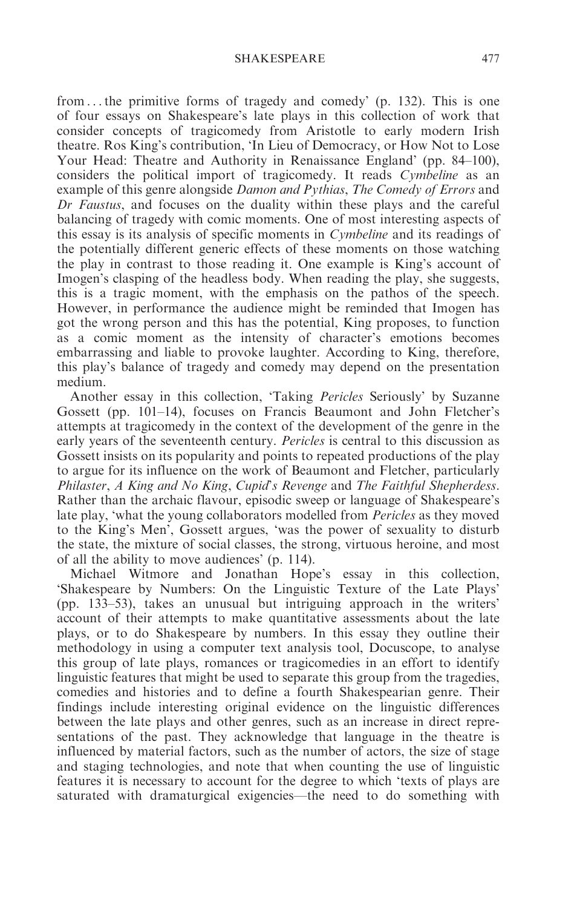from ... the primitive forms of tragedy and comedy' (p. 132). This is one of four essays on Shakespeare's late plays in this collection of work that consider concepts of tragicomedy from Aristotle to early modern Irish theatre. Ros King's contribution, 'In Lieu of Democracy, or How Not to Lose Your Head: Theatre and Authority in Renaissance England' (pp. 84–100), considers the political import of tragicomedy. It reads Cymbeline as an example of this genre alongside *Damon and Pythias, The Comedy of Errors* and Dr Faustus, and focuses on the duality within these plays and the careful balancing of tragedy with comic moments. One of most interesting aspects of this essay is its analysis of specific moments in Cymbeline and its readings of the potentially different generic effects of these moments on those watching the play in contrast to those reading it. One example is King's account of Imogen's clasping of the headless body. When reading the play, she suggests, this is a tragic moment, with the emphasis on the pathos of the speech. However, in performance the audience might be reminded that Imogen has got the wrong person and this has the potential, King proposes, to function as a comic moment as the intensity of character's emotions becomes embarrassing and liable to provoke laughter. According to King, therefore, this play's balance of tragedy and comedy may depend on the presentation medium.

Another essay in this collection, 'Taking Pericles Seriously' by Suzanne Gossett (pp. 101–14), focuses on Francis Beaumont and John Fletcher's attempts at tragicomedy in the context of the development of the genre in the early years of the seventeenth century. Pericles is central to this discussion as Gossett insists on its popularity and points to repeated productions of the play to argue for its influence on the work of Beaumont and Fletcher, particularly Philaster, A King and No King, Cupid's Revenge and The Faithful Shepherdess. Rather than the archaic flavour, episodic sweep or language of Shakespeare's late play, 'what the young collaborators modelled from Pericles as they moved to the King's Men', Gossett argues, 'was the power of sexuality to disturb the state, the mixture of social classes, the strong, virtuous heroine, and most of all the ability to move audiences' (p. 114).

Michael Witmore and Jonathan Hope's essay in this collection, 'Shakespeare by Numbers: On the Linguistic Texture of the Late Plays' (pp. 133–53), takes an unusual but intriguing approach in the writers' account of their attempts to make quantitative assessments about the late plays, or to do Shakespeare by numbers. In this essay they outline their methodology in using a computer text analysis tool, Docuscope, to analyse this group of late plays, romances or tragicomedies in an effort to identify linguistic features that might be used to separate this group from the tragedies, comedies and histories and to define a fourth Shakespearian genre. Their findings include interesting original evidence on the linguistic differences between the late plays and other genres, such as an increase in direct representations of the past. They acknowledge that language in the theatre is influenced by material factors, such as the number of actors, the size of stage and staging technologies, and note that when counting the use of linguistic features it is necessary to account for the degree to which 'texts of plays are saturated with dramaturgical exigencies—the need to do something with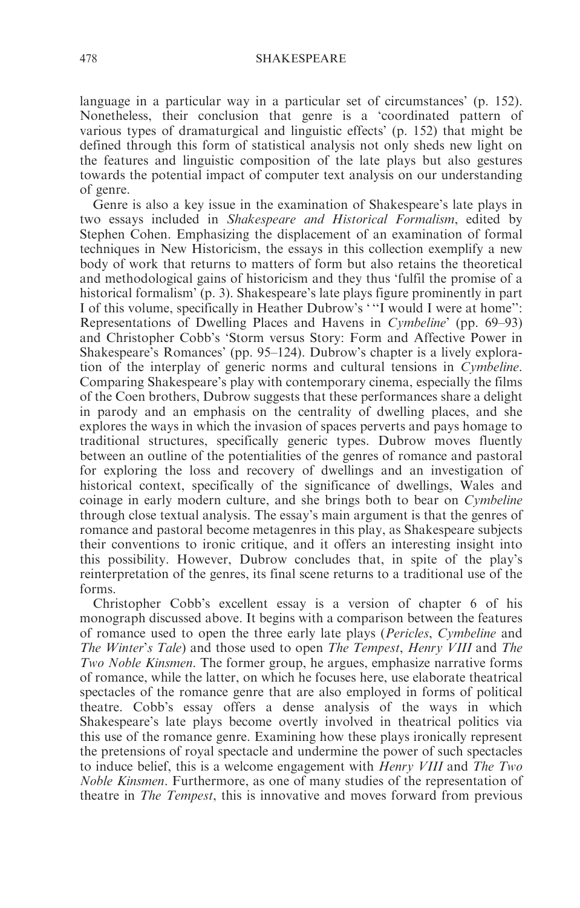language in a particular way in a particular set of circumstances' (p. 152). Nonetheless, their conclusion that genre is a 'coordinated pattern of various types of dramaturgical and linguistic effects' (p. 152) that might be defined through this form of statistical analysis not only sheds new light on the features and linguistic composition of the late plays but also gestures towards the potential impact of computer text analysis on our understanding of genre.

Genre is also a key issue in the examination of Shakespeare's late plays in two essays included in Shakespeare and Historical Formalism, edited by Stephen Cohen. Emphasizing the displacement of an examination of formal techniques in New Historicism, the essays in this collection exemplify a new body of work that returns to matters of form but also retains the theoretical and methodological gains of historicism and they thus 'fulfil the promise of a historical formalism' (p. 3). Shakespeare's late plays figure prominently in part I of this volume, specifically in Heather Dubrow's ' ''I would I were at home'': Representations of Dwelling Places and Havens in Cymbeline' (pp. 69–93) and Christopher Cobb's 'Storm versus Story: Form and Affective Power in Shakespeare's Romances' (pp. 95–124). Dubrow's chapter is a lively exploration of the interplay of generic norms and cultural tensions in Cymbeline. Comparing Shakespeare's play with contemporary cinema, especially the films of the Coen brothers, Dubrow suggests that these performances share a delight in parody and an emphasis on the centrality of dwelling places, and she explores the ways in which the invasion of spaces perverts and pays homage to traditional structures, specifically generic types. Dubrow moves fluently between an outline of the potentialities of the genres of romance and pastoral for exploring the loss and recovery of dwellings and an investigation of historical context, specifically of the significance of dwellings, Wales and coinage in early modern culture, and she brings both to bear on Cymbeline through close textual analysis. The essay's main argument is that the genres of romance and pastoral become metagenres in this play, as Shakespeare subjects their conventions to ironic critique, and it offers an interesting insight into this possibility. However, Dubrow concludes that, in spite of the play's reinterpretation of the genres, its final scene returns to a traditional use of the forms.

Christopher Cobb's excellent essay is a version of chapter 6 of his monograph discussed above. It begins with a comparison between the features of romance used to open the three early late plays (Pericles, Cymbeline and The Winter's Tale) and those used to open The Tempest, Henry VIII and The Two Noble Kinsmen. The former group, he argues, emphasize narrative forms of romance, while the latter, on which he focuses here, use elaborate theatrical spectacles of the romance genre that are also employed in forms of political theatre. Cobb's essay offers a dense analysis of the ways in which Shakespeare's late plays become overtly involved in theatrical politics via this use of the romance genre. Examining how these plays ironically represent the pretensions of royal spectacle and undermine the power of such spectacles to induce belief, this is a welcome engagement with Henry VIII and The Two Noble Kinsmen. Furthermore, as one of many studies of the representation of theatre in The Tempest, this is innovative and moves forward from previous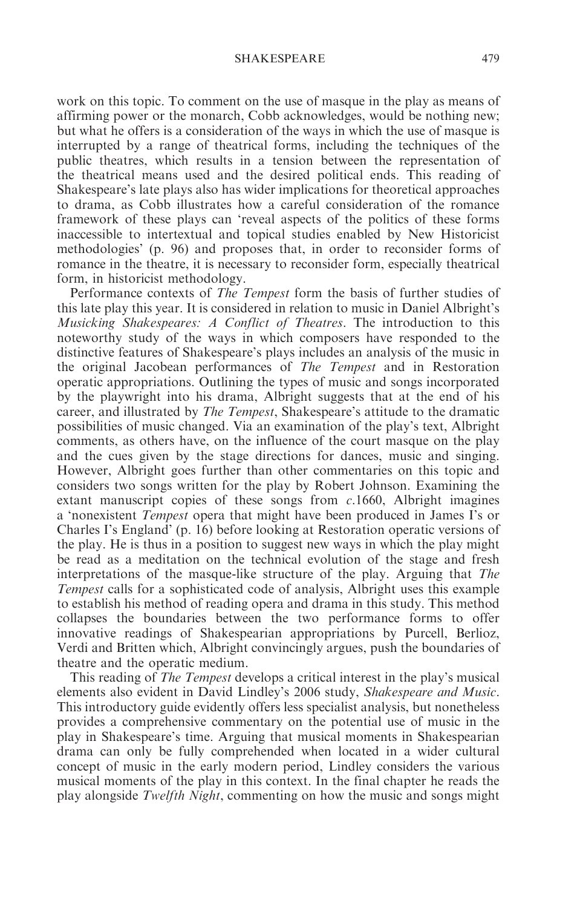work on this topic. To comment on the use of masque in the play as means of affirming power or the monarch, Cobb acknowledges, would be nothing new; but what he offers is a consideration of the ways in which the use of masque is interrupted by a range of theatrical forms, including the techniques of the public theatres, which results in a tension between the representation of the theatrical means used and the desired political ends. This reading of Shakespeare's late plays also has wider implications for theoretical approaches to drama, as Cobb illustrates how a careful consideration of the romance framework of these plays can 'reveal aspects of the politics of these forms inaccessible to intertextual and topical studies enabled by New Historicist methodologies' (p. 96) and proposes that, in order to reconsider forms of romance in the theatre, it is necessary to reconsider form, especially theatrical form, in historicist methodology.

Performance contexts of The Tempest form the basis of further studies of this late play this year. It is considered in relation to music in Daniel Albright's Musicking Shakespeares: A Conflict of Theatres. The introduction to this noteworthy study of the ways in which composers have responded to the distinctive features of Shakespeare's plays includes an analysis of the music in the original Jacobean performances of The Tempest and in Restoration operatic appropriations. Outlining the types of music and songs incorporated by the playwright into his drama, Albright suggests that at the end of his career, and illustrated by The Tempest, Shakespeare's attitude to the dramatic possibilities of music changed. Via an examination of the play's text, Albright comments, as others have, on the influence of the court masque on the play and the cues given by the stage directions for dances, music and singing. However, Albright goes further than other commentaries on this topic and considers two songs written for the play by Robert Johnson. Examining the extant manuscript copies of these songs from  $c.1660$ , Albright imagines a 'nonexistent Tempest opera that might have been produced in James I's or Charles I's England' (p. 16) before looking at Restoration operatic versions of the play. He is thus in a position to suggest new ways in which the play might be read as a meditation on the technical evolution of the stage and fresh interpretations of the masque-like structure of the play. Arguing that The Tempest calls for a sophisticated code of analysis, Albright uses this example to establish his method of reading opera and drama in this study. This method collapses the boundaries between the two performance forms to offer innovative readings of Shakespearian appropriations by Purcell, Berlioz, Verdi and Britten which, Albright convincingly argues, push the boundaries of theatre and the operatic medium.

This reading of The Tempest develops a critical interest in the play's musical elements also evident in David Lindley's 2006 study, Shakespeare and Music. This introductory guide evidently offers less specialist analysis, but nonetheless provides a comprehensive commentary on the potential use of music in the play in Shakespeare's time. Arguing that musical moments in Shakespearian drama can only be fully comprehended when located in a wider cultural concept of music in the early modern period, Lindley considers the various musical moments of the play in this context. In the final chapter he reads the play alongside Twelfth Night, commenting on how the music and songs might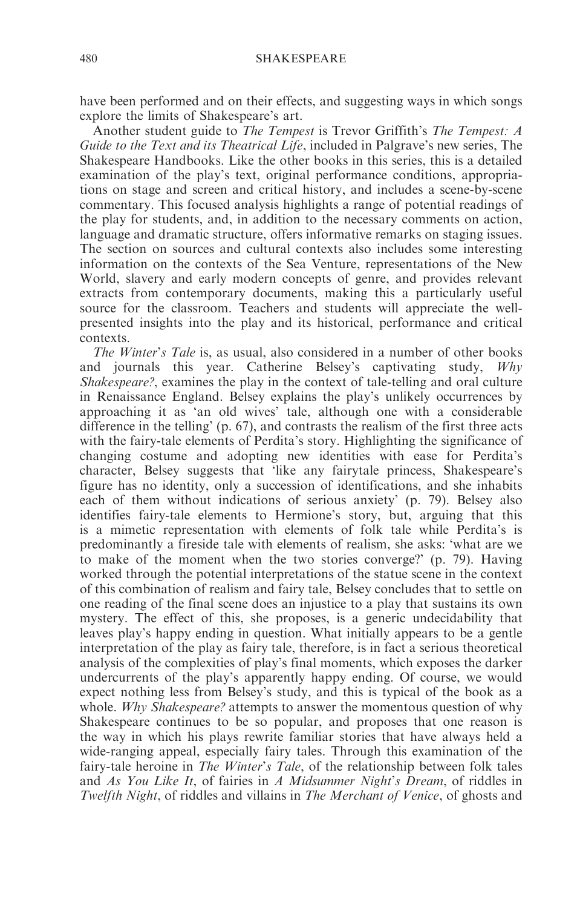have been performed and on their effects, and suggesting ways in which songs explore the limits of Shakespeare's art.

Another student guide to The Tempest is Trevor Griffith's The Tempest: A Guide to the Text and its Theatrical Life, included in Palgrave's new series, The Shakespeare Handbooks. Like the other books in this series, this is a detailed examination of the play's text, original performance conditions, appropriations on stage and screen and critical history, and includes a scene-by-scene commentary. This focused analysis highlights a range of potential readings of the play for students, and, in addition to the necessary comments on action, language and dramatic structure, offers informative remarks on staging issues. The section on sources and cultural contexts also includes some interesting information on the contexts of the Sea Venture, representations of the New World, slavery and early modern concepts of genre, and provides relevant extracts from contemporary documents, making this a particularly useful source for the classroom. Teachers and students will appreciate the wellpresented insights into the play and its historical, performance and critical contexts.

The Winter's Tale is, as usual, also considered in a number of other books and journals this year. Catherine Belsey's captivating study, Why Shakespeare?, examines the play in the context of tale-telling and oral culture in Renaissance England. Belsey explains the play's unlikely occurrences by approaching it as 'an old wives' tale, although one with a considerable difference in the telling' (p. 67), and contrasts the realism of the first three acts with the fairy-tale elements of Perdita's story. Highlighting the significance of changing costume and adopting new identities with ease for Perdita's character, Belsey suggests that 'like any fairytale princess, Shakespeare's figure has no identity, only a succession of identifications, and she inhabits each of them without indications of serious anxiety' (p. 79). Belsey also identifies fairy-tale elements to Hermione's story, but, arguing that this is a mimetic representation with elements of folk tale while Perdita's is predominantly a fireside tale with elements of realism, she asks: 'what are we to make of the moment when the two stories converge?' (p. 79). Having worked through the potential interpretations of the statue scene in the context of this combination of realism and fairy tale, Belsey concludes that to settle on one reading of the final scene does an injustice to a play that sustains its own mystery. The effect of this, she proposes, is a generic undecidability that leaves play's happy ending in question. What initially appears to be a gentle interpretation of the play as fairy tale, therefore, is in fact a serious theoretical analysis of the complexities of play's final moments, which exposes the darker undercurrents of the play's apparently happy ending. Of course, we would expect nothing less from Belsey's study, and this is typical of the book as a whole. Why Shakespeare? attempts to answer the momentous question of why Shakespeare continues to be so popular, and proposes that one reason is the way in which his plays rewrite familiar stories that have always held a wide-ranging appeal, especially fairy tales. Through this examination of the fairy-tale heroine in *The Winter's Tale*, of the relationship between folk tales and As You Like It, of fairies in A Midsummer Night's Dream, of riddles in Twelfth Night, of riddles and villains in The Merchant of Venice, of ghosts and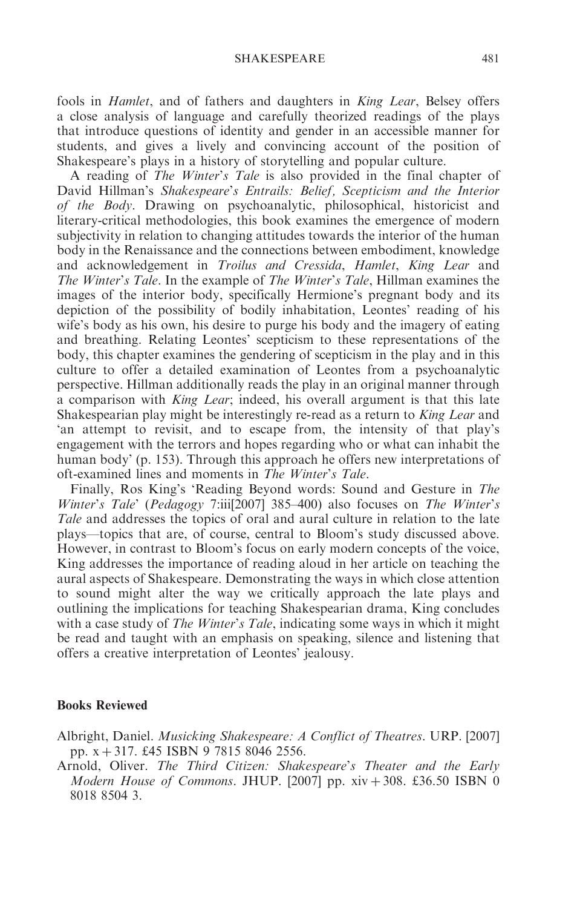fools in Hamlet, and of fathers and daughters in King Lear, Belsey offers a close analysis of language and carefully theorized readings of the plays that introduce questions of identity and gender in an accessible manner for students, and gives a lively and convincing account of the position of Shakespeare's plays in a history of storytelling and popular culture.

A reading of The Winter's Tale is also provided in the final chapter of David Hillman's Shakespeare's Entrails: Belief, Scepticism and the Interior of the Body. Drawing on psychoanalytic, philosophical, historicist and literary-critical methodologies, this book examines the emergence of modern subjectivity in relation to changing attitudes towards the interior of the human body in the Renaissance and the connections between embodiment, knowledge and acknowledgement in Troilus and Cressida, Hamlet, King Lear and The Winter's Tale. In the example of The Winter's Tale, Hillman examines the images of the interior body, specifically Hermione's pregnant body and its depiction of the possibility of bodily inhabitation, Leontes' reading of his wife's body as his own, his desire to purge his body and the imagery of eating and breathing. Relating Leontes' scepticism to these representations of the body, this chapter examines the gendering of scepticism in the play and in this culture to offer a detailed examination of Leontes from a psychoanalytic perspective. Hillman additionally reads the play in an original manner through a comparison with King Lear; indeed, his overall argument is that this late Shakespearian play might be interestingly re-read as a return to King Lear and 'an attempt to revisit, and to escape from, the intensity of that play's engagement with the terrors and hopes regarding who or what can inhabit the human body' (p. 153). Through this approach he offers new interpretations of oft-examined lines and moments in The Winter's Tale.

Finally, Ros King's 'Reading Beyond words: Sound and Gesture in The Winter's Tale' (Pedagogy 7:iii[2007] 385–400) also focuses on The Winter's Tale and addresses the topics of oral and aural culture in relation to the late plays—topics that are, of course, central to Bloom's study discussed above. However, in contrast to Bloom's focus on early modern concepts of the voice, King addresses the importance of reading aloud in her article on teaching the aural aspects of Shakespeare. Demonstrating the ways in which close attention to sound might alter the way we critically approach the late plays and outlining the implications for teaching Shakespearian drama, King concludes with a case study of *The Winter's Tale*, indicating some ways in which it might be read and taught with an emphasis on speaking, silence and listening that offers a creative interpretation of Leontes' jealousy.

# Books Reviewed

Albright, Daniel. Musicking Shakespeare: A Conflict of Theatres. URP. [2007] pp.  $x + 317$ . £45 ISBN 9 7815 8046 2556.

Arnold, Oliver. The Third Citizen: Shakespeare's Theater and the Early Modern House of Commons. JHUP. [2007] pp.  $xiv + 308$ . £36.50 ISBN 0 8018 8504 3.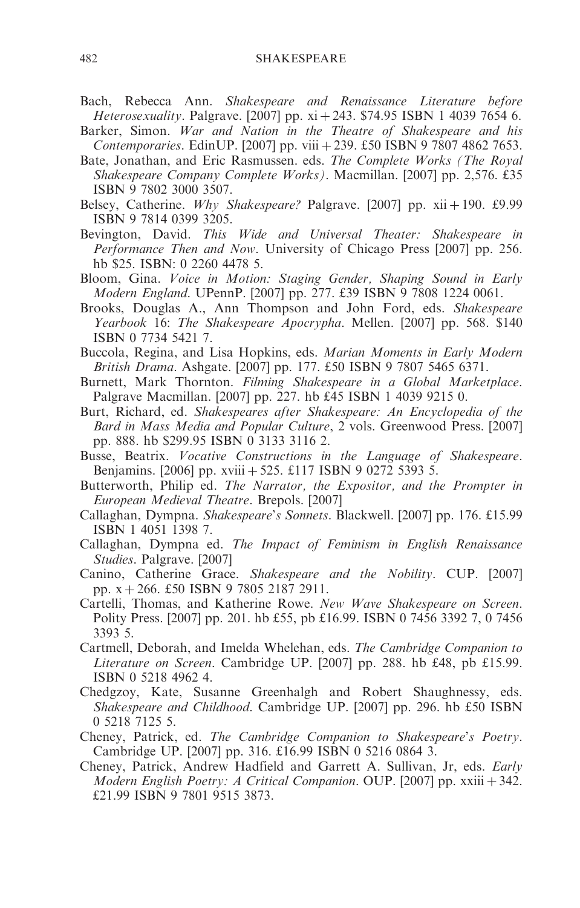- Bach, Rebecca Ann. Shakespeare and Renaissance Literature before Heterosexuality. Palgrave. [2007] pp.  $xi + 243$ . \$74.95 ISBN 1 4039 7654 6.
- Barker, Simon. War and Nation in the Theatre of Shakespeare and his Contemporaries. EdinUP. [2007] pp. viii  $+ 239. \text{£}50$  ISBN 9 7807 4862 7653.
- Bate, Jonathan, and Eric Rasmussen. eds. The Complete Works (The Royal Shakespeare Company Complete Works). Macmillan. [2007] pp. 2,576. £35 ISBN 9 7802 3000 3507.
- Belsey, Catherine. Why Shakespeare? Palgrave. [2007] pp.  $xii + 190$ . £9.99 ISBN 9 7814 0399 3205.
- Bevington, David. This Wide and Universal Theater: Shakespeare in Performance Then and Now. University of Chicago Press [2007] pp. 256. hb \$25. ISBN: 0 2260 4478 5.
- Bloom, Gina. Voice in Motion: Staging Gender, Shaping Sound in Early Modern England. UPennP. [2007] pp. 277. £39 ISBN 9 7808 1224 0061.
- Brooks, Douglas A., Ann Thompson and John Ford, eds. Shakespeare Yearbook 16: The Shakespeare Apocrypha. Mellen. [2007] pp. 568. \$140 ISBN 0 7734 5421 7.
- Buccola, Regina, and Lisa Hopkins, eds. Marian Moments in Early Modern British Drama. Ashgate. [2007] pp. 177. £50 ISBN 9 7807 5465 6371.
- Burnett, Mark Thornton. Filming Shakespeare in a Global Marketplace. Palgrave Macmillan. [2007] pp. 227. hb £45 ISBN 1 4039 9215 0.
- Burt, Richard, ed. Shakespeares after Shakespeare: An Encyclopedia of the Bard in Mass Media and Popular Culture, 2 vols. Greenwood Press. [2007] pp. 888. hb \$299.95 ISBN 0 3133 3116 2.
- Busse, Beatrix. Vocative Constructions in the Language of Shakespeare. Benjamins. [2006] pp. xviii + 525. £117 ISBN 9 0272 5393 5.
- Butterworth, Philip ed. The Narrator, the Expositor, and the Prompter in European Medieval Theatre. Brepols. [2007]
- Callaghan, Dympna. Shakespeare's Sonnets. Blackwell. [2007] pp. 176. £15.99 ISBN 1 4051 1398 7.
- Callaghan, Dympna ed. The Impact of Feminism in English Renaissance Studies. Palgrave. [2007]
- Canino, Catherine Grace. Shakespeare and the Nobility. CUP. [2007] pp.  $x + 266$ . £50 ISBN 9 7805 2187 2911.
- Cartelli, Thomas, and Katherine Rowe. New Wave Shakespeare on Screen. Polity Press. [2007] pp. 201. hb £55, pb £16.99. ISBN 0 7456 3392 7, 0 7456 3393 5.
- Cartmell, Deborah, and Imelda Whelehan, eds. The Cambridge Companion to Literature on Screen. Cambridge UP. [2007] pp. 288. hb £48, pb £15.99. ISBN 0 5218 4962 4.
- Chedgzoy, Kate, Susanne Greenhalgh and Robert Shaughnessy, eds. Shakespeare and Childhood. Cambridge UP. [2007] pp. 296. hb £50 ISBN 0 5218 7125 5.
- Cheney, Patrick, ed. The Cambridge Companion to Shakespeare's Poetry. Cambridge UP. [2007] pp. 316. £16.99 ISBN 0 5216 0864 3.
- Cheney, Patrick, Andrew Hadfield and Garrett A. Sullivan, Jr, eds. Early Modern English Poetry: A Critical Companion. OUP. [2007] pp.  $x\overline{x}$ iii + 342. £21.99 ISBN 9 7801 9515 3873.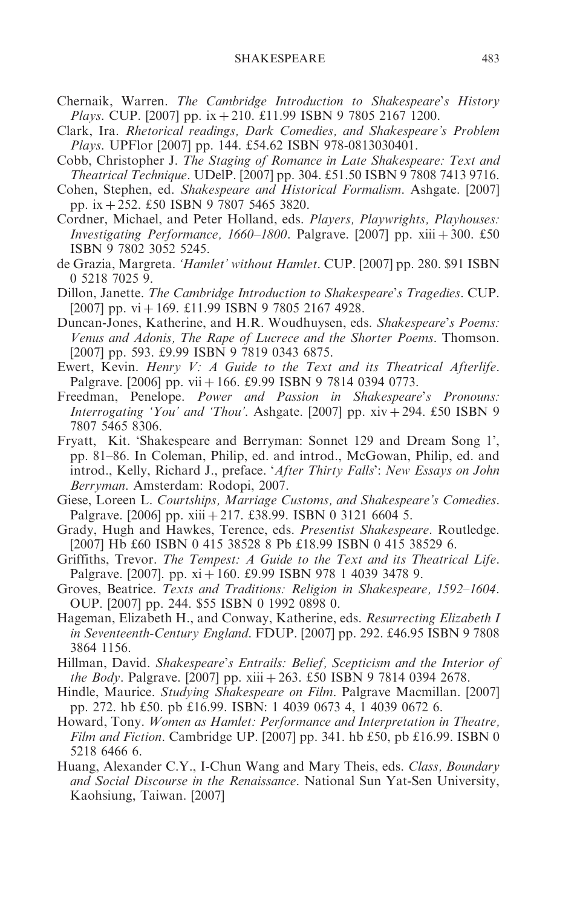- Chernaik, Warren. The Cambridge Introduction to Shakespeare's History *Plays.* CUP. [2007] pp.  $ix + 210$ . £11.99 ISBN 9 7805 2167 1200.
- Clark, Ira. Rhetorical readings, Dark Comedies, and Shakespeare's Problem Plays. UPFlor [2007] pp. 144. £54.62 ISBN 978-0813030401.
- Cobb, Christopher J. The Staging of Romance in Late Shakespeare: Text and Theatrical Technique. UDelP. [2007] pp. 304. £51.50 ISBN 9 7808 7413 9716.
- Cohen, Stephen, ed. Shakespeare and Historical Formalism. Ashgate. [2007] pp. ix  $+252.$  £50 ISBN 9 7807 5465 3820.
- Cordner, Michael, and Peter Holland, eds. Players, Playwrights, Playhouses: *Investigating Performance, 1660–1800.* Palgrave. [2007] pp.  $xiii + 300$ . £50 ISBN 9 7802 3052 5245.
- de Grazia, Margreta. 'Hamlet' without Hamlet. CUP. [2007] pp. 280. \$91 ISBN 0 5218 7025 9.
- Dillon, Janette. The Cambridge Introduction to Shakespeare's Tragedies. CUP.  $[2007]$  pp. vi + 169. £11.99 ISBN 9 7805 2167 4928.
- Duncan-Jones, Katherine, and H.R. Woudhuysen, eds. Shakespeare's Poems: Venus and Adonis, The Rape of Lucrece and the Shorter Poems. Thomson. [2007] pp. 593. £9.99 ISBN 9 7819 0343 6875.
- Ewert, Kevin. Henry V: A Guide to the Text and its Theatrical Afterlife. Palgrave. [2006] pp. vii  $+166$ . £9.99 ISBN 9 7814 0394 0773.
- Freedman, Penelope. Power and Passion in Shakespeare's Pronouns: Interrogating 'You' and 'Thou'. Ashgate. [2007] pp.  $xiv + 294$ . £50 ISBN 9 7807 5465 8306.
- Fryatt, Kit. 'Shakespeare and Berryman: Sonnet 129 and Dream Song 1', pp. 81–86. In Coleman, Philip, ed. and introd., McGowan, Philip, ed. and introd., Kelly, Richard J., preface. 'After Thirty Falls': New Essays on John Berryman. Amsterdam: Rodopi, 2007.
- Giese, Loreen L. Courtships, Marriage Customs, and Shakespeare's Comedies. Palgrave. [2006] pp. xiii  $+217.$  £38.99. ISBN 0 3121 6604 5.
- Grady, Hugh and Hawkes, Terence, eds. Presentist Shakespeare. Routledge. [2007] Hb £60 ISBN 0 415 38528 8 Pb £18.99 ISBN 0 415 38529 6.
- Griffiths, Trevor. The Tempest: A Guide to the Text and its Theatrical Life. Palgrave. [2007]. pp.  $xi + 160$ . £9.99 ISBN 978 1 4039 3478 9.
- Groves, Beatrice. Texts and Traditions: Religion in Shakespeare, 1592–1604. OUP. [2007] pp. 244. \$55 ISBN 0 1992 0898 0.
- Hageman, Elizabeth H., and Conway, Katherine, eds. Resurrecting Elizabeth I in Seventeenth-Century England. FDUP. [2007] pp. 292. £46.95 ISBN 9 7808 3864 1156.
- Hillman, David. Shakespeare's Entrails: Belief, Scepticism and the Interior of the Body. Palgrave. [2007] pp. xiii  $+263$ . £50 ISBN 9 7814 0394 2678.
- Hindle, Maurice. Studying Shakespeare on Film. Palgrave Macmillan. [2007] pp. 272. hb £50. pb £16.99. ISBN: 1 4039 0673 4, 1 4039 0672 6.
- Howard, Tony. Women as Hamlet: Performance and Interpretation in Theatre, Film and Fiction. Cambridge UP. [2007] pp. 341. hb £50, pb £16.99. ISBN 0 5218 6466 6.
- Huang, Alexander C.Y., I-Chun Wang and Mary Theis, eds. Class, Boundary and Social Discourse in the Renaissance. National Sun Yat-Sen University, Kaohsiung, Taiwan. [2007]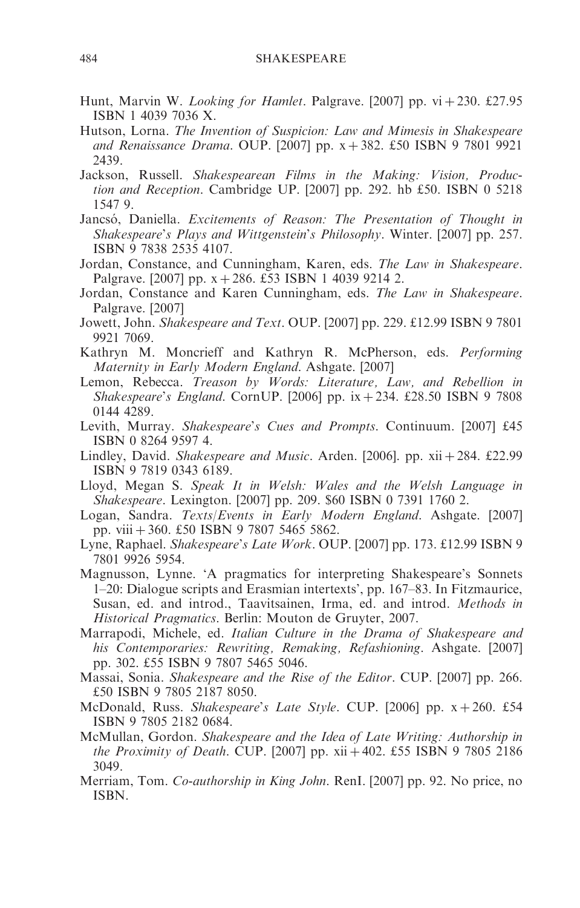- Hunt, Marvin W. *Looking for Hamlet*. Palgrave. [2007] pp.  $vi + 230$ . £27.95 ISBN 1 4039 7036 X.
- Hutson, Lorna. The Invention of Suspicion: Law and Mimesis in Shakespeare and Renaissance Drama. OUP. [2007] pp.  $x + 382$ . £50 ISBN 9 7801 9921 2439.
- Jackson, Russell. Shakespearean Films in the Making: Vision, Production and Reception. Cambridge UP. [2007] pp. 292. hb £50. ISBN 0 5218 1547 9.
- Jancsó, Daniella. Excitements of Reason: The Presentation of Thought in Shakespeare's Plays and Wittgenstein's Philosophy. Winter. [2007] pp. 257. ISBN 9 7838 2535 4107.
- Jordan, Constance, and Cunningham, Karen, eds. The Law in Shakespeare. Palgrave. [2007] pp.  $x + 286$ . £53 ISBN 1 4039 9214 2.
- Jordan, Constance and Karen Cunningham, eds. The Law in Shakespeare. Palgrave. [2007]
- Jowett, John. Shakespeare and Text. OUP. [2007] pp. 229. £12.99 ISBN 9 7801 9921 7069.
- Kathryn M. Moncrieff and Kathryn R. McPherson, eds. Performing Maternity in Early Modern England. Ashgate. [2007]
- Lemon, Rebecca. Treason by Words: Literature, Law, and Rebellion in Shakespeare's England. CornUP. [2006] pp.  $ix + 234$ . £28.50 ISBN 9 7808 0144 4289.
- Levith, Murray. Shakespeare's Cues and Prompts. Continuum. [2007] £45 ISBN 0 8264 9597 4.
- Lindley, David. Shakespeare and Music. Arden. [2006]. pp.  $xii + 284$ . £22.99 ISBN 9 7819 0343 6189.
- Lloyd, Megan S. Speak It in Welsh: Wales and the Welsh Language in Shakespeare. Lexington. [2007] pp. 209. \$60 ISBN 0 7391 1760 2.
- Logan, Sandra. Texts/Events in Early Modern England. Ashgate. [2007] pp. viii  $+360.$  £50 ISBN 9 7807 5465 5862.
- Lyne, Raphael. Shakespeare's Late Work. OUP. [2007] pp. 173. £12.99 ISBN 9 7801 9926 5954.
- Magnusson, Lynne. 'A pragmatics for interpreting Shakespeare's Sonnets 1–20: Dialogue scripts and Erasmian intertexts', pp. 167–83. In Fitzmaurice, Susan, ed. and introd., Taavitsainen, Irma, ed. and introd. Methods in Historical Pragmatics. Berlin: Mouton de Gruyter, 2007.
- Marrapodi, Michele, ed. Italian Culture in the Drama of Shakespeare and his Contemporaries: Rewriting, Remaking, Refashioning. Ashgate. [2007] pp. 302. £55 ISBN 9 7807 5465 5046.
- Massai, Sonia. Shakespeare and the Rise of the Editor. CUP. [2007] pp. 266. £50 ISBN 9 7805 2187 8050.
- McDonald, Russ. Shakespeare's Late Style. CUP. [2006] pp.  $x + 260$ . £54 ISBN 9 7805 2182 0684.
- McMullan, Gordon. Shakespeare and the Idea of Late Writing: Authorship in the Proximity of Death. CUP. [2007] pp.  $xii + 402$ . £55 ISBN 9 7805 2186 3049.
- Merriam, Tom. *Co-authorship in King John*. RenI. [2007] pp. 92. No price, no ISBN.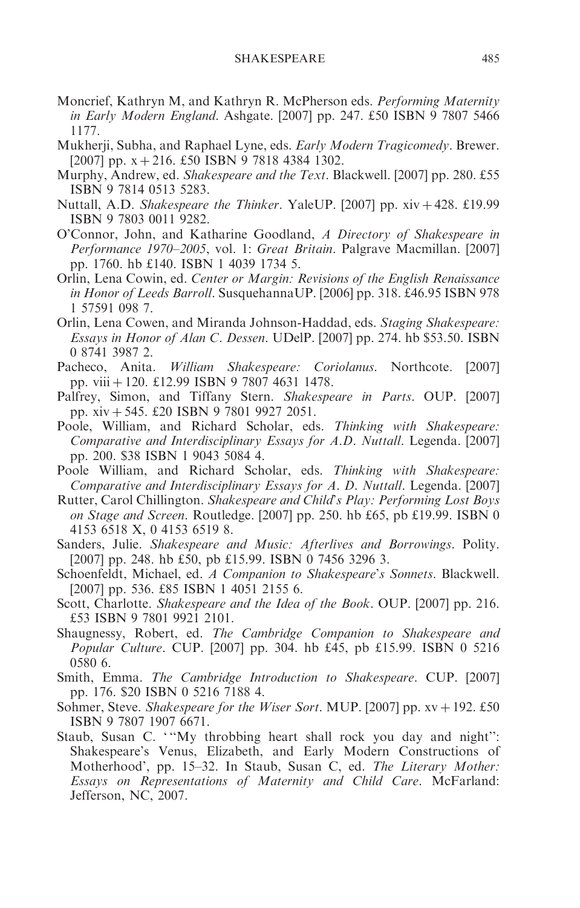- Moncrief, Kathryn M, and Kathryn R. McPherson eds. Performing Maternity in Early Modern England. Ashgate. [2007] pp. 247. £50 ISBN 9 7807 5466 1177.
- Mukherji, Subha, and Raphael Lyne, eds. Early Modern Tragicomedy. Brewer. [2007] pp.  $x + 216$ . £50 ISBN 9 7818 4384 1302.
- Murphy, Andrew, ed. Shakespeare and the Text. Blackwell. [2007] pp. 280. £55 ISBN 9 7814 0513 5283.
- Nuttall, A.D. Shakespeare the Thinker. YaleUP. [2007] pp.  $xiv + 428$ . £19.99 ISBN 9 7803 0011 9282.
- O'Connor, John, and Katharine Goodland, A Directory of Shakespeare in Performance 1970–2005, vol. 1: Great Britain. Palgrave Macmillan. [2007] pp. 1760. hb £140. ISBN 1 4039 1734 5.
- Orlin, Lena Cowin, ed. Center or Margin: Revisions of the English Renaissance in Honor of Leeds Barroll. SusquehannaUP. [2006] pp. 318. £46.95 ISBN 978 1 57591 098 7.
- Orlin, Lena Cowen, and Miranda Johnson-Haddad, eds. Staging Shakespeare: Essays in Honor of Alan C. Dessen. UDelP. [2007] pp. 274. hb \$53.50. ISBN 0 8741 3987 2.
- Pacheco, Anita. William Shakespeare: Coriolanus. Northcote. [2007] pp. viii  $+120.$  £12.99 ISBN 9 7807 4631 1478.
- Palfrey, Simon, and Tiffany Stern. Shakespeare in Parts. OUP. [2007] pp. xiv + 545. £20 ISBN 9 7801 9927 2051.
- Poole, William, and Richard Scholar, eds. Thinking with Shakespeare: Comparative and Interdisciplinary Essays for A.D. Nuttall. Legenda. [2007] pp. 200. \$38 ISBN 1 9043 5084 4.
- Poole William, and Richard Scholar, eds. Thinking with Shakespeare: Comparative and Interdisciplinary Essays for A. D. Nuttall. Legenda. [2007]
- Rutter, Carol Chillington. Shakespeare and Child's Play: Performing Lost Boys on Stage and Screen. Routledge. [2007] pp. 250. hb £65, pb £19.99. ISBN 0 4153 6518 X, 0 4153 6519 8.
- Sanders, Julie. Shakespeare and Music: Afterlives and Borrowings. Polity. [2007] pp. 248. hb £50, pb £15.99. ISBN 0 7456 3296 3.
- Schoenfeldt, Michael, ed. A Companion to Shakespeare's Sonnets. Blackwell. [2007] pp. 536. £85 ISBN 1 4051 2155 6.
- Scott, Charlotte. Shakespeare and the Idea of the Book. OUP. [2007] pp. 216. £53 ISBN 9 7801 9921 2101.
- Shaugnessy, Robert, ed. The Cambridge Companion to Shakespeare and Popular Culture. CUP. [2007] pp. 304. hb £45, pb £15.99. ISBN 0 5216 0580 6.
- Smith, Emma. The Cambridge Introduction to Shakespeare. CUP. [2007] pp. 176. \$20 ISBN 0 5216 7188 4.
- Sohmer, Steve. Shakespeare for the Wiser Sort. MUP. [2007] pp.  $xy + 192$ . £50 ISBN 9 7807 1907 6671.
- Staub, Susan C. ""My throbbing heart shall rock you day and night": Shakespeare's Venus, Elizabeth, and Early Modern Constructions of Motherhood', pp. 15–32. In Staub, Susan C, ed. The Literary Mother: Essays on Representations of Maternity and Child Care. McFarland: Jefferson, NC, 2007.